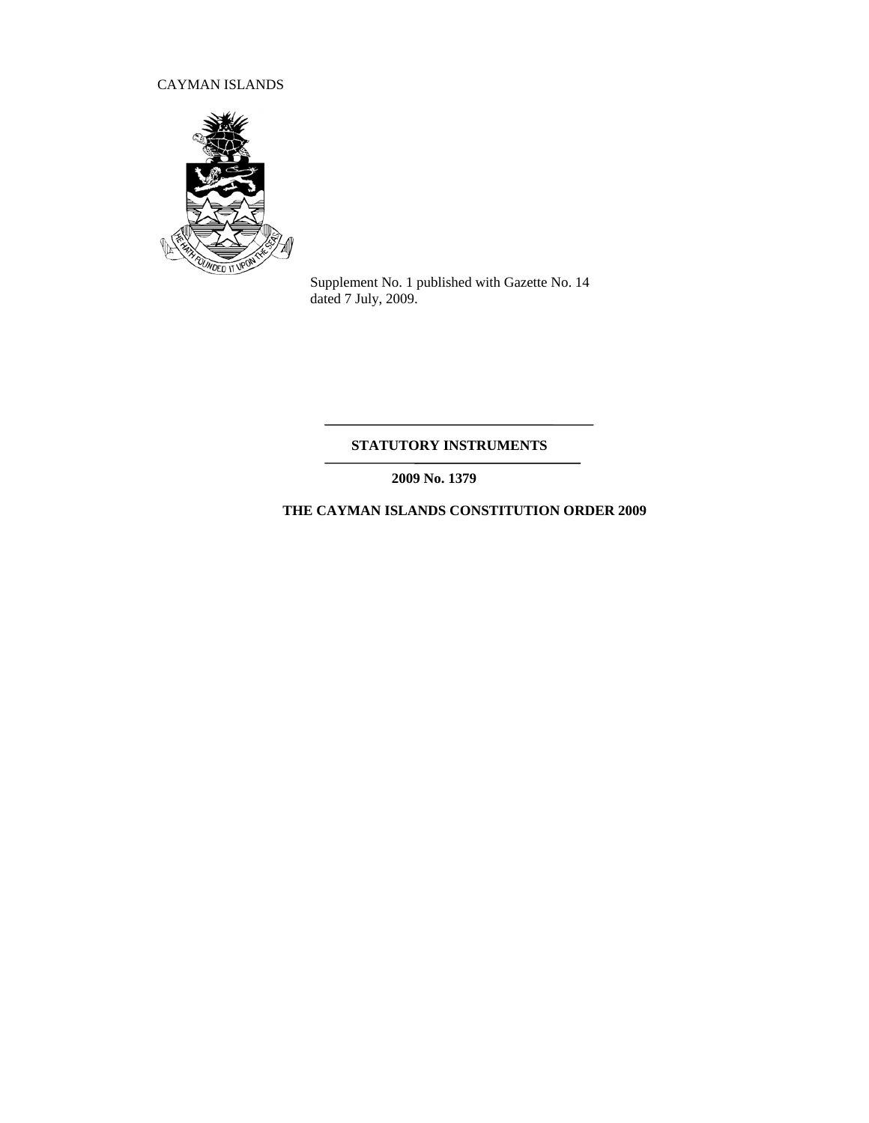# CAYMAN ISLANDS



Supplement No. 1 published with Gazette No. 14 dated 7 July, 2009.

# **STATUTORY INSTRUMENTS**

 **2009 No. 1379** 

**THE CAYMAN ISLANDS CONSTITUTION ORDER 2009**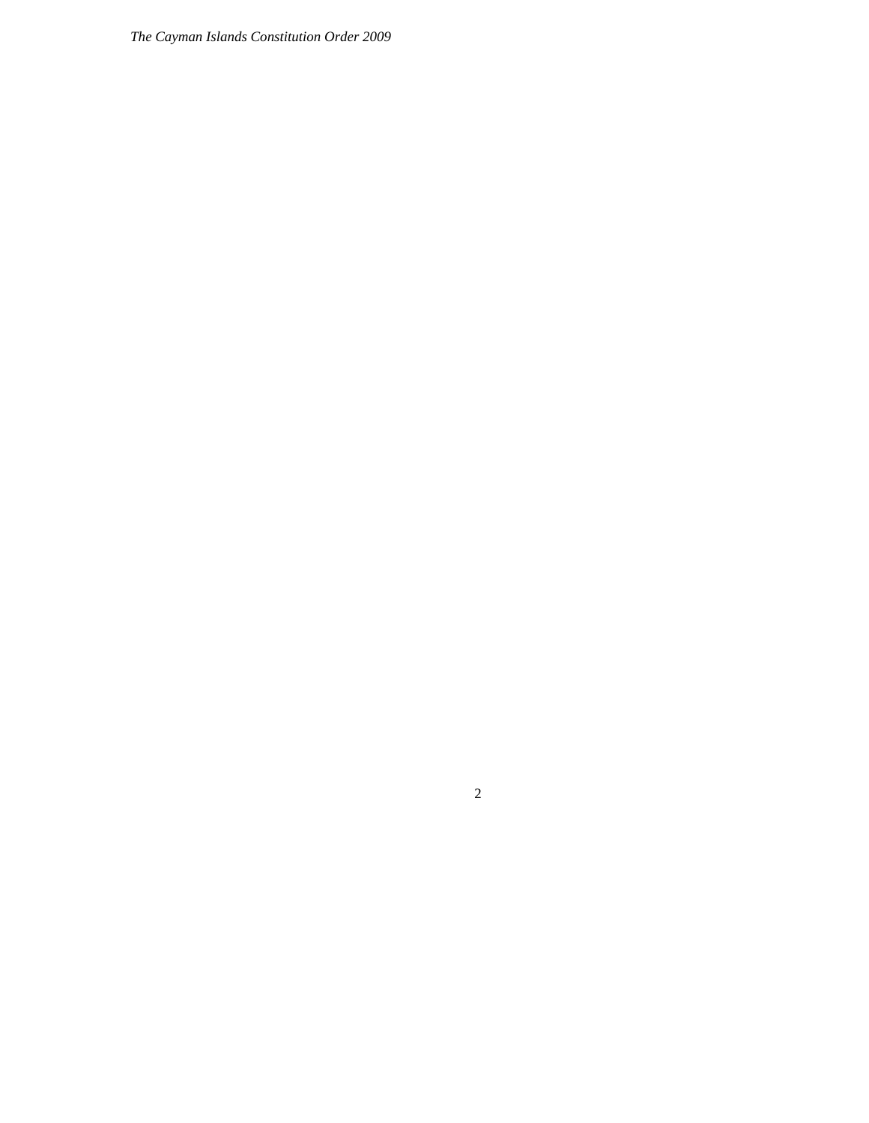*The Cayman Islands Constitution Order 2009*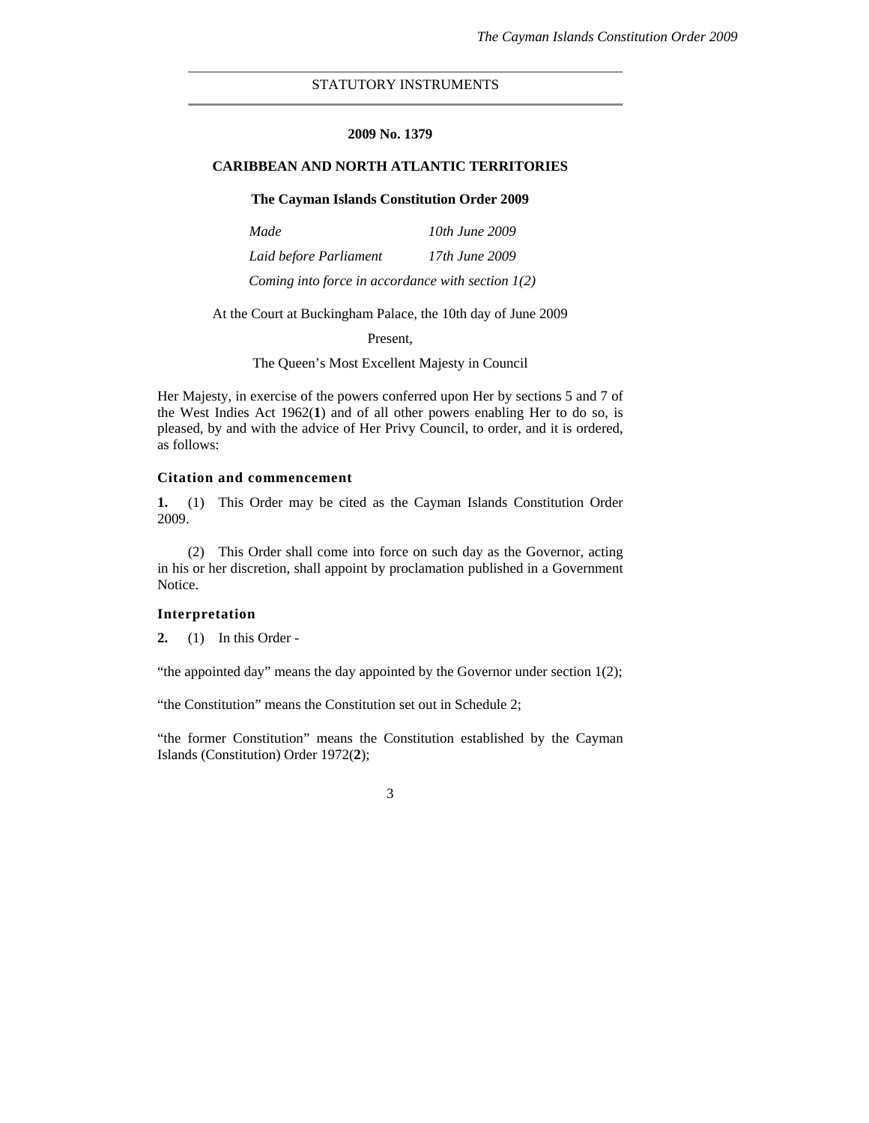### STATUTORY INSTRUMENTS

## **2009 No. 1379**

## **CARIBBEAN AND NORTH ATLANTIC TERRITORIES**

## **The Cayman Islands Constitution Order 2009**

| Made                   | 10th June 2009                                      |
|------------------------|-----------------------------------------------------|
| Laid before Parliament | 17th June 2009                                      |
|                        | Coming into force in accordance with section $I(2)$ |

At the Court at Buckingham Palace, the 10th day of June 2009

Present,

The Queen's Most Excellent Majesty in Council

Her Majesty, in exercise of the powers conferred upon Her by sections 5 and 7 of the West Indies Act 1962(**[1](http://www.opsi.gov.uk/si/si2009/uksi_20091379_en_1#f00001#f00001)**) and of all other powers enabling Her to do so, is pleased, by and with the advice of Her Privy Council, to order, and it is ordered, as follows:

#### **Citation and commencement**

**1.** (1) This Order may be cited as the Cayman Islands Constitution Order 2009.

(2) This Order shall come into force on such day as the Governor, acting in his or her discretion, shall appoint by proclamation published in a Government Notice.

## **Interpretation**

**2.** (1) In this Order -

"the appointed day" means the day appointed by the Governor under section 1(2);

"the Constitution" means the Constitution set out in Schedule 2;

"the former Constitution" means the Constitution established by the Cayman Islands (Constitution) Order 1972(**[2](http://www.opsi.gov.uk/si/si2009/uksi_20091379_en_1#f00002#f00002)**);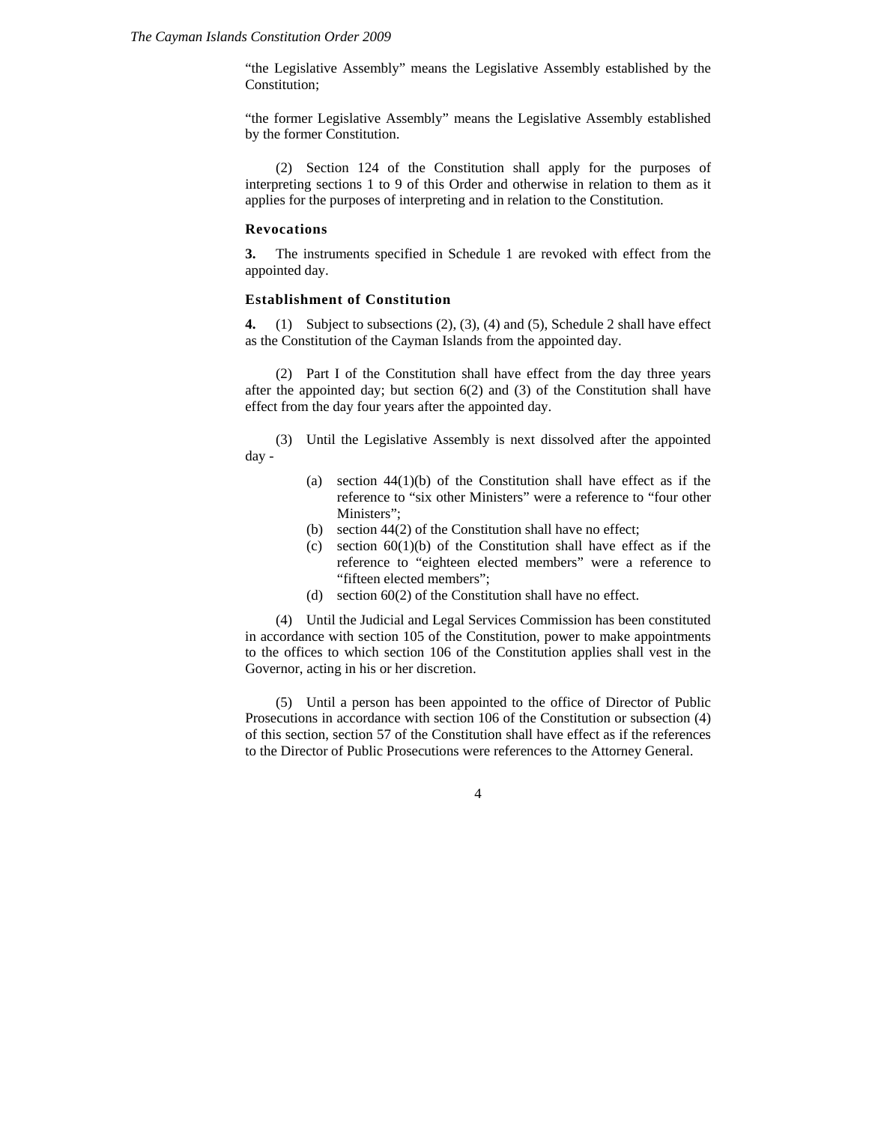"the Legislative Assembly" means the Legislative Assembly established by the Constitution;

"the former Legislative Assembly" means the Legislative Assembly established by the former Constitution.

(2) Section 124 of the Constitution shall apply for the purposes of interpreting sections 1 to 9 of this Order and otherwise in relation to them as it applies for the purposes of interpreting and in relation to the Constitution.

#### **Revocations**

**3.** The instruments specified in Schedule 1 are revoked with effect from the appointed day.

### **Establishment of Constitution**

**4.** (1) Subject to subsections (2), (3), (4) and (5), Schedule 2 shall have effect as the Constitution of the Cayman Islands from the appointed day.

(2) Part I of the Constitution shall have effect from the day three years after the appointed day; but section 6(2) and (3) of the Constitution shall have effect from the day four years after the appointed day.

(3) Until the Legislative Assembly is next dissolved after the appointed day -

- (a) section  $44(1)(b)$  of the Constitution shall have effect as if the reference to "six other Ministers" were a reference to "four other Ministers";
- (b) section 44(2) of the Constitution shall have no effect;
- (c) section  $60(1)(b)$  of the Constitution shall have effect as if the reference to "eighteen elected members" were a reference to "fifteen elected members";
- (d) section 60(2) of the Constitution shall have no effect.

(4) Until the Judicial and Legal Services Commission has been constituted in accordance with section 105 of the Constitution, power to make appointments to the offices to which section 106 of the Constitution applies shall vest in the Governor, acting in his or her discretion.

(5) Until a person has been appointed to the office of Director of Public Prosecutions in accordance with section 106 of the Constitution or subsection (4) of this section, section 57 of the Constitution shall have effect as if the references to the Director of Public Prosecutions were references to the Attorney General.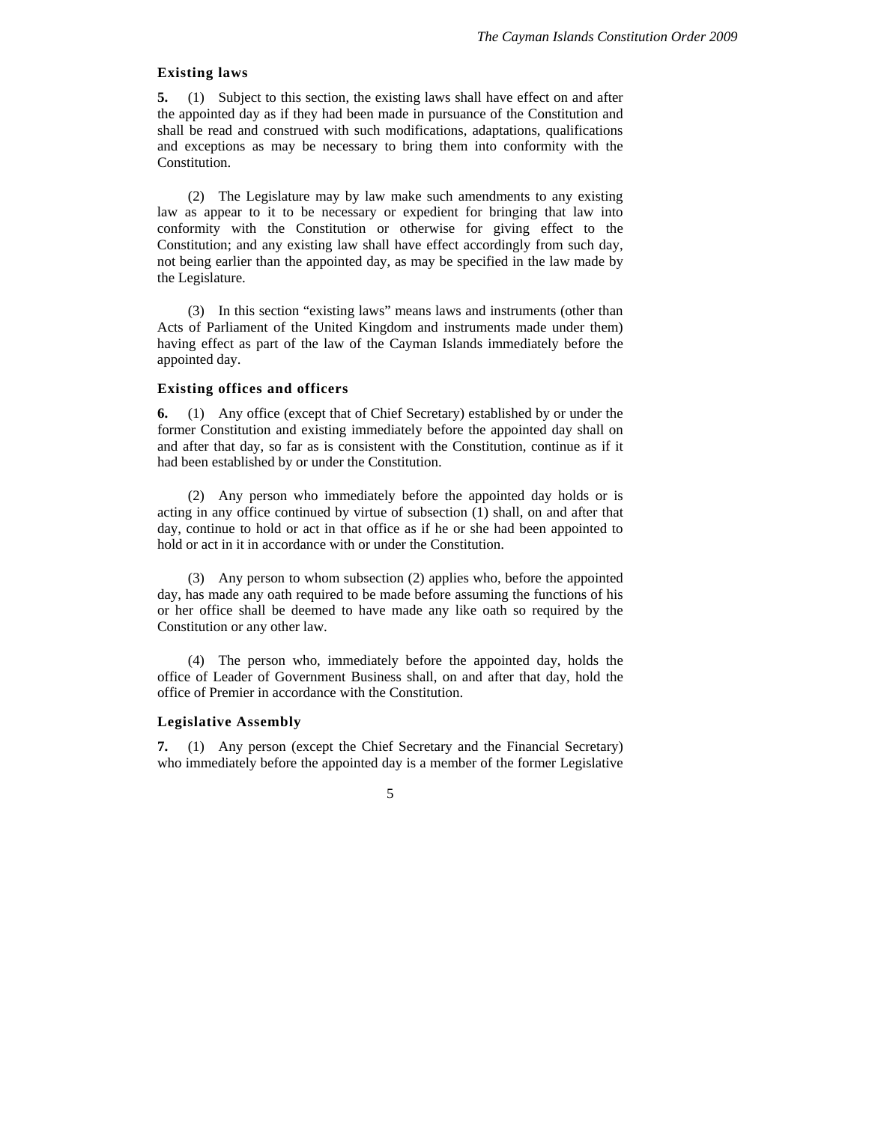## **Existing laws**

**5.** (1) Subject to this section, the existing laws shall have effect on and after the appointed day as if they had been made in pursuance of the Constitution and shall be read and construed with such modifications, adaptations, qualifications and exceptions as may be necessary to bring them into conformity with the Constitution.

(2) The Legislature may by law make such amendments to any existing law as appear to it to be necessary or expedient for bringing that law into conformity with the Constitution or otherwise for giving effect to the Constitution; and any existing law shall have effect accordingly from such day, not being earlier than the appointed day, as may be specified in the law made by the Legislature.

(3) In this section "existing laws" means laws and instruments (other than Acts of Parliament of the United Kingdom and instruments made under them) having effect as part of the law of the Cayman Islands immediately before the appointed day.

### **Existing offices and officers**

**6.** (1) Any office (except that of Chief Secretary) established by or under the former Constitution and existing immediately before the appointed day shall on and after that day, so far as is consistent with the Constitution, continue as if it had been established by or under the Constitution.

(2) Any person who immediately before the appointed day holds or is acting in any office continued by virtue of subsection (1) shall, on and after that day, continue to hold or act in that office as if he or she had been appointed to hold or act in it in accordance with or under the Constitution.

(3) Any person to whom subsection (2) applies who, before the appointed day, has made any oath required to be made before assuming the functions of his or her office shall be deemed to have made any like oath so required by the Constitution or any other law.

(4) The person who, immediately before the appointed day, holds the office of Leader of Government Business shall, on and after that day, hold the office of Premier in accordance with the Constitution.

#### **Legislative Assembly**

**7.** (1) Any person (except the Chief Secretary and the Financial Secretary) who immediately before the appointed day is a member of the former Legislative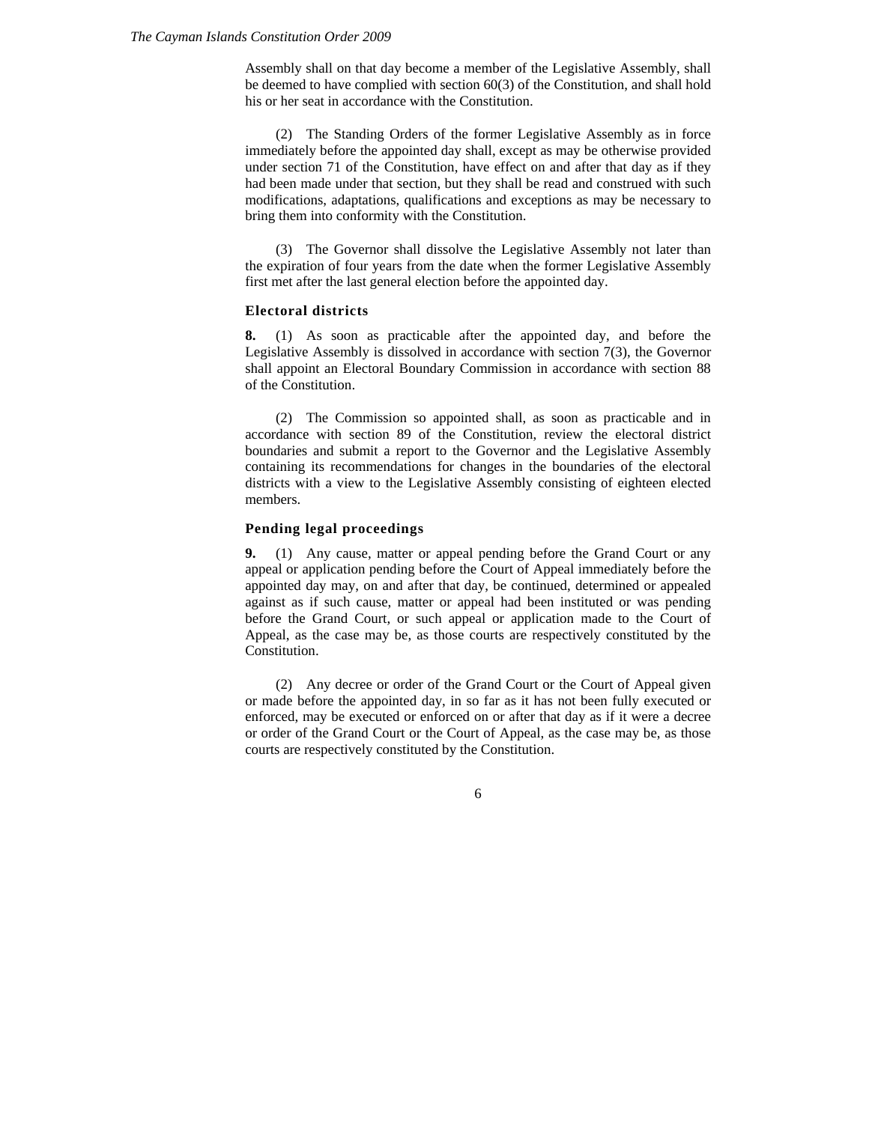Assembly shall on that day become a member of the Legislative Assembly, shall be deemed to have complied with section 60(3) of the Constitution, and shall hold his or her seat in accordance with the Constitution.

(2) The Standing Orders of the former Legislative Assembly as in force immediately before the appointed day shall, except as may be otherwise provided under section 71 of the Constitution, have effect on and after that day as if they had been made under that section, but they shall be read and construed with such modifications, adaptations, qualifications and exceptions as may be necessary to bring them into conformity with the Constitution.

(3) The Governor shall dissolve the Legislative Assembly not later than the expiration of four years from the date when the former Legislative Assembly first met after the last general election before the appointed day.

## **Electoral districts**

**8.** (1) As soon as practicable after the appointed day, and before the Legislative Assembly is dissolved in accordance with section 7(3), the Governor shall appoint an Electoral Boundary Commission in accordance with section 88 of the Constitution.

(2) The Commission so appointed shall, as soon as practicable and in accordance with section 89 of the Constitution, review the electoral district boundaries and submit a report to the Governor and the Legislative Assembly containing its recommendations for changes in the boundaries of the electoral districts with a view to the Legislative Assembly consisting of eighteen elected members.

## **Pending legal proceedings**

**9.** (1) Any cause, matter or appeal pending before the Grand Court or any appeal or application pending before the Court of Appeal immediately before the appointed day may, on and after that day, be continued, determined or appealed against as if such cause, matter or appeal had been instituted or was pending before the Grand Court, or such appeal or application made to the Court of Appeal, as the case may be, as those courts are respectively constituted by the Constitution.

(2) Any decree or order of the Grand Court or the Court of Appeal given or made before the appointed day, in so far as it has not been fully executed or enforced, may be executed or enforced on or after that day as if it were a decree or order of the Grand Court or the Court of Appeal, as the case may be, as those courts are respectively constituted by the Constitution.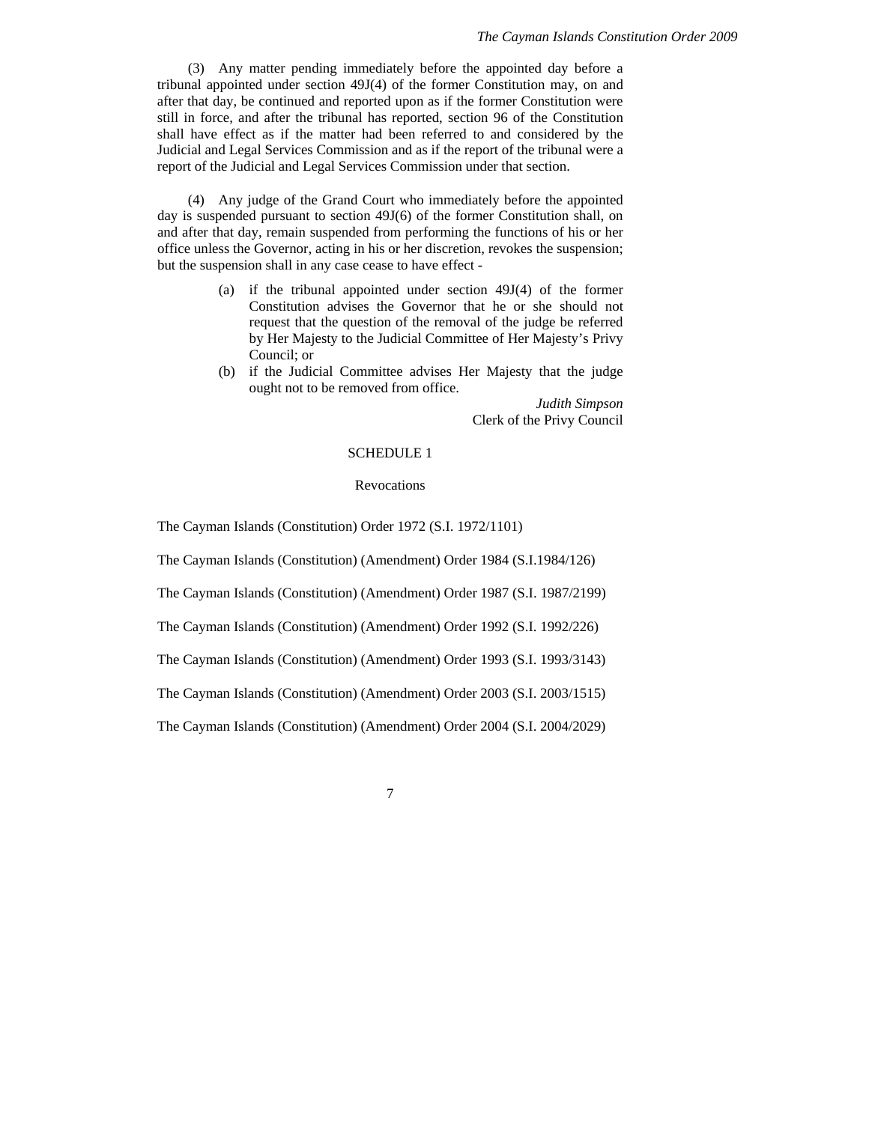(3) Any matter pending immediately before the appointed day before a tribunal appointed under section 49J(4) of the former Constitution may, on and after that day, be continued and reported upon as if the former Constitution were still in force, and after the tribunal has reported, section 96 of the Constitution shall have effect as if the matter had been referred to and considered by the Judicial and Legal Services Commission and as if the report of the tribunal were a report of the Judicial and Legal Services Commission under that section.

(4) Any judge of the Grand Court who immediately before the appointed day is suspended pursuant to section 49J(6) of the former Constitution shall, on and after that day, remain suspended from performing the functions of his or her office unless the Governor, acting in his or her discretion, revokes the suspension; but the suspension shall in any case cease to have effect -

- (a) if the tribunal appointed under section 49J(4) of the former Constitution advises the Governor that he or she should not request that the question of the removal of the judge be referred by Her Majesty to the Judicial Committee of Her Majesty's Privy Council; or
- (b) if the Judicial Committee advises Her Majesty that the judge ought not to be removed from office.

*Judith Simpson*  Clerk of the Privy Council

### SCHEDULE 1

#### Revocations

The Cayman Islands (Constitution) Order 1972 (S.I. 1972/1101)

The Cayman Islands (Constitution) (Amendment) Order 1984 (S.I.1984/126)

The Cayman Islands (Constitution) (Amendment) Order 1987 (S.I. 1987/2199)

The Cayman Islands (Constitution) (Amendment) Order 1992 [\(S.I. 1992/226\)](http://www.opsi.gov.uk/si/si1992/uksi_19920226_en_1)

The Cayman Islands (Constitution) (Amendment) Order 1993 [\(S.I. 1993/3143\)](http://www.opsi.gov.uk/si/si1993/uksi_19933143_en_1)

The Cayman Islands (Constitution) (Amendment) Order 2003 [\(S.I. 2003/1515\)](http://www.opsi.gov.uk/si/si2003/uksi_20031515_en_1)

The Cayman Islands (Constitution) (Amendment) Order 2004 [\(S.I. 2004/2029\)](http://www.opsi.gov.uk/si/si2004/uksi_20042029_en_1)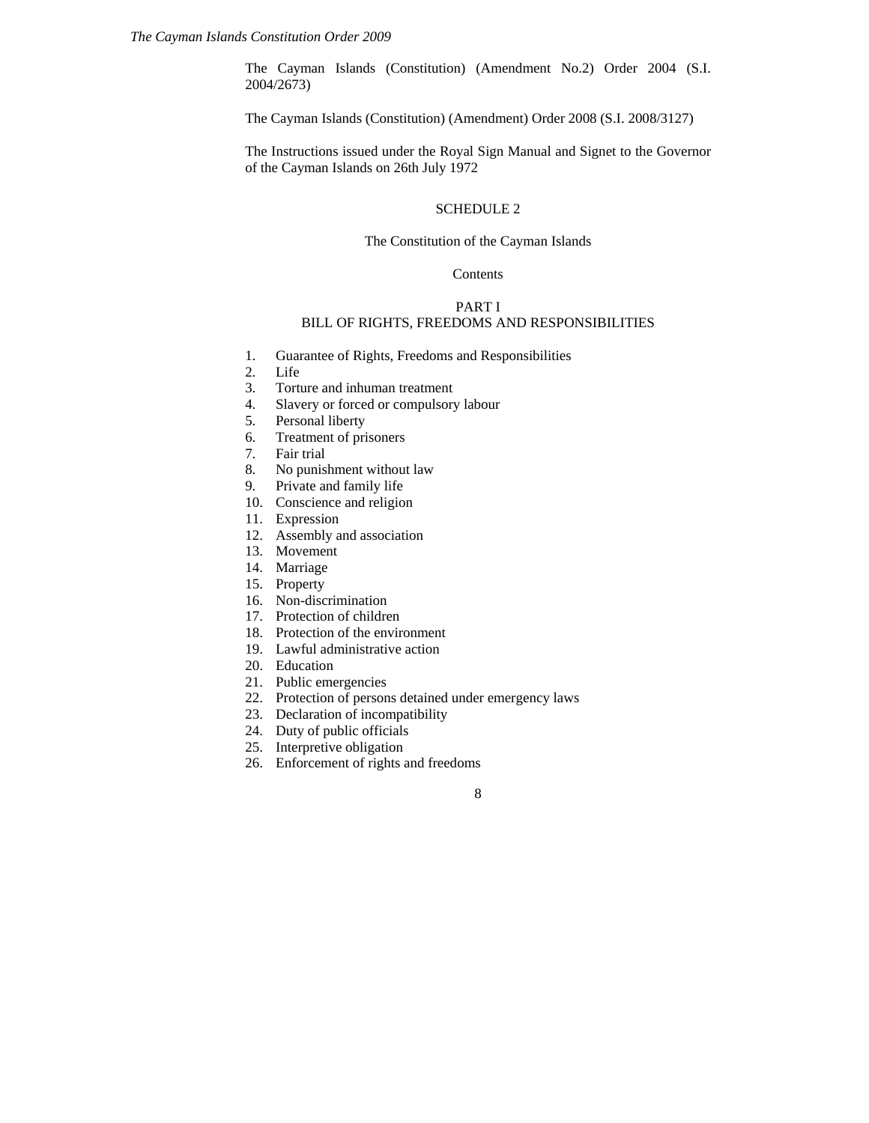The Cayman Islands (Constitution) (Amendment No.2) Order 2004 [\(S.I.](http://www.opsi.gov.uk/si/si2004/uksi_20042673_en_1)  [2004/2673\)](http://www.opsi.gov.uk/si/si2004/uksi_20042673_en_1)

The Cayman Islands (Constitution) (Amendment) Order 2008 [\(S.I. 2008/3127\)](http://www.opsi.gov.uk/si/si2008/uksi_20083127_en_1)

The Instructions issued under the Royal Sign Manual and Signet to the Governor of the Cayman Islands on 26th July 1972

## SCHEDULE 2

### The Constitution of the Cayman Islands

## **Contents**

## [PART I](http://www.opsi.gov.uk/si/si2009/uksi_20091379_en_3#sch2-pt2)  [BILL OF RIGHTS, FREEDOMS AND RESPONSIBILITIES](http://www.opsi.gov.uk/si/si2009/uksi_20091379_en_3#sch2-pt2)

- [1.](http://www.opsi.gov.uk/si/si2009/uksi_20091379_en_3#sch2-pt2-l1g10) [Guarantee of Rights, Freedoms and Responsibilities](http://www.opsi.gov.uk/si/si2009/uksi_20091379_en_3#sch2-pt2-l1g10)
- [2.](http://www.opsi.gov.uk/si/si2009/uksi_20091379_en_3#sch2-pt2-l1g11) [Life](http://www.opsi.gov.uk/si/si2009/uksi_20091379_en_3#sch2-pt2-l1g11)
- [3.](http://www.opsi.gov.uk/si/si2009/uksi_20091379_en_3#sch2-pt2-l1g12) [Torture and inhuman treatment](http://www.opsi.gov.uk/si/si2009/uksi_20091379_en_3#sch2-pt2-l1g12)<br>4. Slavery or forced or compulsory
- [Slavery or forced or compulsory labour](http://www.opsi.gov.uk/si/si2009/uksi_20091379_en_3#sch2-pt2-l1g13)
- [5.](http://www.opsi.gov.uk/si/si2009/uksi_20091379_en_3#sch2-pt2-l1g14) [Personal liberty](http://www.opsi.gov.uk/si/si2009/uksi_20091379_en_3#sch2-pt2-l1g14)
- [6.](http://www.opsi.gov.uk/si/si2009/uksi_20091379_en_3#sch2-pt2-l1g15) [Treatment of prisoners](http://www.opsi.gov.uk/si/si2009/uksi_20091379_en_3#sch2-pt2-l1g15)
- [7.](http://www.opsi.gov.uk/si/si2009/uksi_20091379_en_3#sch2-pt2-l1g16) [Fair trial](http://www.opsi.gov.uk/si/si2009/uksi_20091379_en_3#sch2-pt2-l1g16)
- [8.](http://www.opsi.gov.uk/si/si2009/uksi_20091379_en_3#sch2-pt2-l1g17) [No punishment without law](http://www.opsi.gov.uk/si/si2009/uksi_20091379_en_3#sch2-pt2-l1g17)
- [9.](http://www.opsi.gov.uk/si/si2009/uksi_20091379_en_3#sch2-pt2-l1g18) [Private and family life](http://www.opsi.gov.uk/si/si2009/uksi_20091379_en_3#sch2-pt2-l1g18)
- [10.](http://www.opsi.gov.uk/si/si2009/uksi_20091379_en_3#sch2-pt2-l1g19) [Conscience and religion](http://www.opsi.gov.uk/si/si2009/uksi_20091379_en_3#sch2-pt2-l1g19)
- [11.](http://www.opsi.gov.uk/si/si2009/uksi_20091379_en_3#sch2-pt2-l1g20) [Expression](http://www.opsi.gov.uk/si/si2009/uksi_20091379_en_3#sch2-pt2-l1g20)
- [12.](http://www.opsi.gov.uk/si/si2009/uksi_20091379_en_3#sch2-pt2-l1g21) [Assembly and association](http://www.opsi.gov.uk/si/si2009/uksi_20091379_en_3#sch2-pt2-l1g21)
- [13.](http://www.opsi.gov.uk/si/si2009/uksi_20091379_en_3#sch2-pt2-l1g22) [Movement](http://www.opsi.gov.uk/si/si2009/uksi_20091379_en_3#sch2-pt2-l1g22)
- [14.](http://www.opsi.gov.uk/si/si2009/uksi_20091379_en_3#sch2-pt2-l1g23) [Marriage](http://www.opsi.gov.uk/si/si2009/uksi_20091379_en_3#sch2-pt2-l1g23)
- [15.](http://www.opsi.gov.uk/si/si2009/uksi_20091379_en_3#sch2-pt2-l1g24) [Property](http://www.opsi.gov.uk/si/si2009/uksi_20091379_en_3#sch2-pt2-l1g24)
- [16.](http://www.opsi.gov.uk/si/si2009/uksi_20091379_en_3#sch2-pt2-l1g25) [Non-discrimination](http://www.opsi.gov.uk/si/si2009/uksi_20091379_en_3#sch2-pt2-l1g25)
- [17.](http://www.opsi.gov.uk/si/si2009/uksi_20091379_en_3#sch2-pt2-l1g26) [Protection of children](http://www.opsi.gov.uk/si/si2009/uksi_20091379_en_3#sch2-pt2-l1g26)
- [18.](http://www.opsi.gov.uk/si/si2009/uksi_20091379_en_3#sch2-pt2-l1g27) [Protection of the environment](http://www.opsi.gov.uk/si/si2009/uksi_20091379_en_3#sch2-pt2-l1g27)
- [19.](http://www.opsi.gov.uk/si/si2009/uksi_20091379_en_4#sch2-pt2-l1g28) [Lawful administrative action](http://www.opsi.gov.uk/si/si2009/uksi_20091379_en_4#sch2-pt2-l1g28)
- [20.](http://www.opsi.gov.uk/si/si2009/uksi_20091379_en_4#sch2-pt2-l1g29) [Education](http://www.opsi.gov.uk/si/si2009/uksi_20091379_en_4#sch2-pt2-l1g29)
- [21.](http://www.opsi.gov.uk/si/si2009/uksi_20091379_en_4#sch2-pt2-l1g30) [Public emergencies](http://www.opsi.gov.uk/si/si2009/uksi_20091379_en_4#sch2-pt2-l1g30)
- [22.](http://www.opsi.gov.uk/si/si2009/uksi_20091379_en_4#sch2-pt2-l1g31) [Protection of persons detained under emergency laws](http://www.opsi.gov.uk/si/si2009/uksi_20091379_en_4#sch2-pt2-l1g31)
- [23.](http://www.opsi.gov.uk/si/si2009/uksi_20091379_en_4#sch2-pt2-l1g32) [Declaration of incompatibility](http://www.opsi.gov.uk/si/si2009/uksi_20091379_en_4#sch2-pt2-l1g32)
- [24.](http://www.opsi.gov.uk/si/si2009/uksi_20091379_en_4#sch2-pt2-l1g33) [Duty of public officials](http://www.opsi.gov.uk/si/si2009/uksi_20091379_en_4#sch2-pt2-l1g33)
- [25.](http://www.opsi.gov.uk/si/si2009/uksi_20091379_en_4#sch2-pt2-l1g34) [Interpretive obligation](http://www.opsi.gov.uk/si/si2009/uksi_20091379_en_4#sch2-pt2-l1g34)
- [26.](http://www.opsi.gov.uk/si/si2009/uksi_20091379_en_4#sch2-pt2-l1g35) [Enforcement of rights and freedoms](http://www.opsi.gov.uk/si/si2009/uksi_20091379_en_4#sch2-pt2-l1g35)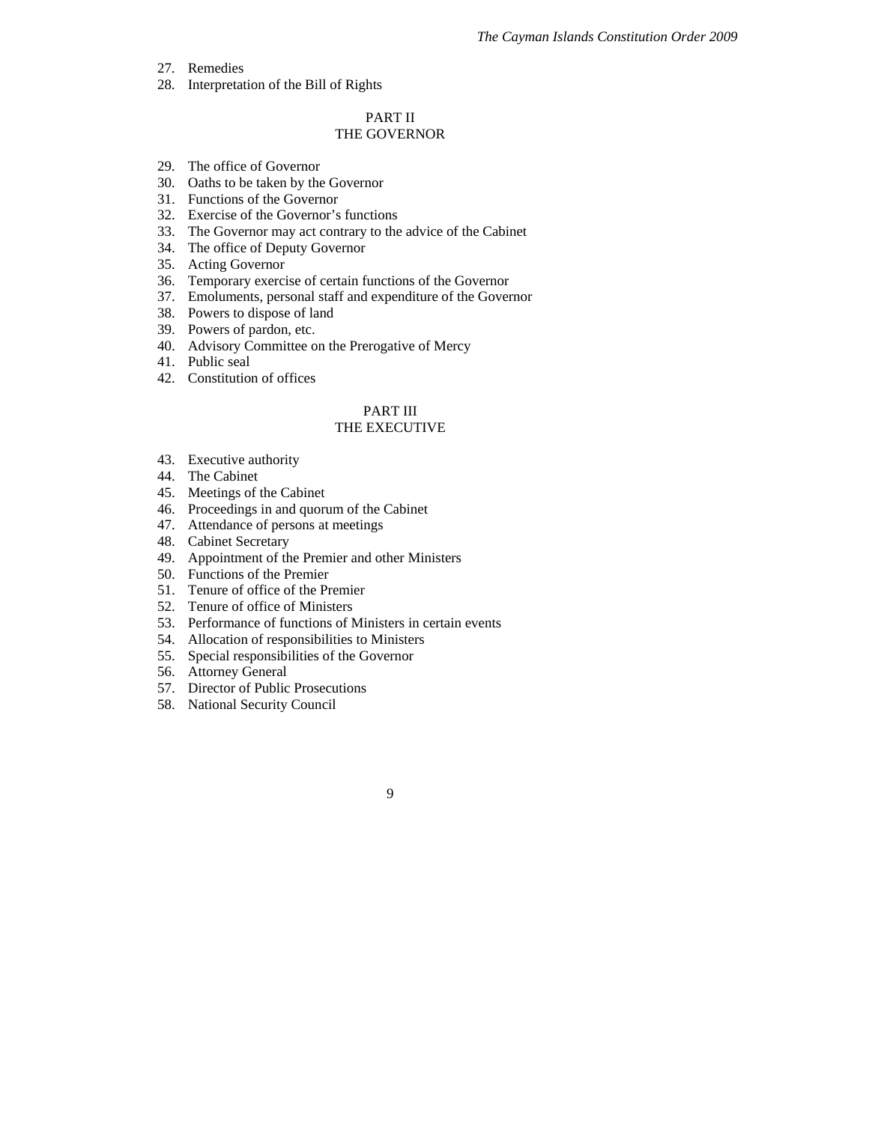- [27.](http://www.opsi.gov.uk/si/si2009/uksi_20091379_en_4#sch2-pt2-l1g36) [Remedies](http://www.opsi.gov.uk/si/si2009/uksi_20091379_en_4#sch2-pt2-l1g36)
- [28.](http://www.opsi.gov.uk/si/si2009/uksi_20091379_en_4#sch2-pt2-l1g37) [Interpretation of the Bill of Rights](http://www.opsi.gov.uk/si/si2009/uksi_20091379_en_4#sch2-pt2-l1g37)

## [PART II](http://www.opsi.gov.uk/si/si2009/uksi_20091379_en_5#sch2-pt3)  [THE GOVERNOR](http://www.opsi.gov.uk/si/si2009/uksi_20091379_en_5#sch2-pt3)

- [29.](http://www.opsi.gov.uk/si/si2009/uksi_20091379_en_5#sch2-pt3-l1g38) [The office of Governor](http://www.opsi.gov.uk/si/si2009/uksi_20091379_en_5#sch2-pt3-l1g38)
- [30.](http://www.opsi.gov.uk/si/si2009/uksi_20091379_en_5#sch2-pt3-l1g39) [Oaths to be taken by the Governor](http://www.opsi.gov.uk/si/si2009/uksi_20091379_en_5#sch2-pt3-l1g39)
- [31.](http://www.opsi.gov.uk/si/si2009/uksi_20091379_en_5#sch2-pt3-l1g40) [Functions of the Governor](http://www.opsi.gov.uk/si/si2009/uksi_20091379_en_5#sch2-pt3-l1g40)
- [32.](http://www.opsi.gov.uk/si/si2009/uksi_20091379_en_5#sch2-pt3-l1g41) [Exercise of the Governor's functions](http://www.opsi.gov.uk/si/si2009/uksi_20091379_en_5#sch2-pt3-l1g41)
- [33.](http://www.opsi.gov.uk/si/si2009/uksi_20091379_en_5#sch2-pt3-l1g42) [The Governor may act contrary to the advice of the Cabinet](http://www.opsi.gov.uk/si/si2009/uksi_20091379_en_5#sch2-pt3-l1g42)
- [34.](http://www.opsi.gov.uk/si/si2009/uksi_20091379_en_5#sch2-pt3-l1g43) [The office of Deputy Governor](http://www.opsi.gov.uk/si/si2009/uksi_20091379_en_5#sch2-pt3-l1g43)
- [35.](http://www.opsi.gov.uk/si/si2009/uksi_20091379_en_5#sch2-pt3-l1g44) [Acting Governor](http://www.opsi.gov.uk/si/si2009/uksi_20091379_en_5#sch2-pt3-l1g44)
- [36.](http://www.opsi.gov.uk/si/si2009/uksi_20091379_en_5#sch2-pt3-l1g45) [Temporary exercise of certain functions of the Governor](http://www.opsi.gov.uk/si/si2009/uksi_20091379_en_5#sch2-pt3-l1g45)
- [37.](http://www.opsi.gov.uk/si/si2009/uksi_20091379_en_5#sch2-pt3-l1g46) [Emoluments, personal staff and expenditure of the Governor](http://www.opsi.gov.uk/si/si2009/uksi_20091379_en_5#sch2-pt3-l1g46)
- [38.](http://www.opsi.gov.uk/si/si2009/uksi_20091379_en_5#sch2-pt3-l1g47) [Powers to dispose of land](http://www.opsi.gov.uk/si/si2009/uksi_20091379_en_5#sch2-pt3-l1g47)
- [39.](http://www.opsi.gov.uk/si/si2009/uksi_20091379_en_5#sch2-pt3-l1g48) [Powers of pardon, etc.](http://www.opsi.gov.uk/si/si2009/uksi_20091379_en_5#sch2-pt3-l1g48)
- [40.](http://www.opsi.gov.uk/si/si2009/uksi_20091379_en_5#sch2-pt3-l1g49) [Advisory Committee on the Prerogative of Mercy](http://www.opsi.gov.uk/si/si2009/uksi_20091379_en_5#sch2-pt3-l1g49)
- [41.](http://www.opsi.gov.uk/si/si2009/uksi_20091379_en_5#sch2-pt3-l1g50) [Public seal](http://www.opsi.gov.uk/si/si2009/uksi_20091379_en_5#sch2-pt3-l1g50)
- [42.](http://www.opsi.gov.uk/si/si2009/uksi_20091379_en_5#sch2-pt3-l1g51) [Constitution of offices](http://www.opsi.gov.uk/si/si2009/uksi_20091379_en_5#sch2-pt3-l1g51)

## [PART III](http://www.opsi.gov.uk/si/si2009/uksi_20091379_en_6#sch2-pt4)  [THE EXECUTIVE](http://www.opsi.gov.uk/si/si2009/uksi_20091379_en_6#sch2-pt4)

- [43.](http://www.opsi.gov.uk/si/si2009/uksi_20091379_en_6#sch2-pt4-l1g52) [Executive authority](http://www.opsi.gov.uk/si/si2009/uksi_20091379_en_6#sch2-pt4-l1g52)
- [44.](http://www.opsi.gov.uk/si/si2009/uksi_20091379_en_6#sch2-pt4-l1g53) [The Cabinet](http://www.opsi.gov.uk/si/si2009/uksi_20091379_en_6#sch2-pt4-l1g53)
- [45.](http://www.opsi.gov.uk/si/si2009/uksi_20091379_en_6#sch2-pt4-l1g54) [Meetings of the Cabinet](http://www.opsi.gov.uk/si/si2009/uksi_20091379_en_6#sch2-pt4-l1g54)
- [46.](http://www.opsi.gov.uk/si/si2009/uksi_20091379_en_6#sch2-pt4-l1g55) [Proceedings in and quorum of the Cabinet](http://www.opsi.gov.uk/si/si2009/uksi_20091379_en_6#sch2-pt4-l1g55)
- [47.](http://www.opsi.gov.uk/si/si2009/uksi_20091379_en_6#sch2-pt4-l1g56) [Attendance of persons at meetings](http://www.opsi.gov.uk/si/si2009/uksi_20091379_en_6#sch2-pt4-l1g56)
- [48.](http://www.opsi.gov.uk/si/si2009/uksi_20091379_en_6#sch2-pt4-l1g57) [Cabinet Secretary](http://www.opsi.gov.uk/si/si2009/uksi_20091379_en_6#sch2-pt4-l1g57)
- [49.](http://www.opsi.gov.uk/si/si2009/uksi_20091379_en_6#sch2-pt4-l1g58) [Appointment of the Premier and other Ministers](http://www.opsi.gov.uk/si/si2009/uksi_20091379_en_6#sch2-pt4-l1g58)
- [50.](http://www.opsi.gov.uk/si/si2009/uksi_20091379_en_6#sch2-pt4-l1g59) [Functions of the Premier](http://www.opsi.gov.uk/si/si2009/uksi_20091379_en_6#sch2-pt4-l1g59)
- [51.](http://www.opsi.gov.uk/si/si2009/uksi_20091379_en_6#sch2-pt4-l1g60) [Tenure of office of the Premier](http://www.opsi.gov.uk/si/si2009/uksi_20091379_en_6#sch2-pt4-l1g60)
- [52.](http://www.opsi.gov.uk/si/si2009/uksi_20091379_en_6#sch2-pt4-l1g61) [Tenure of office of Ministers](http://www.opsi.gov.uk/si/si2009/uksi_20091379_en_6#sch2-pt4-l1g61)
- [53.](http://www.opsi.gov.uk/si/si2009/uksi_20091379_en_6#sch2-pt4-l1g62) [Performance of functions of Ministers in certain events](http://www.opsi.gov.uk/si/si2009/uksi_20091379_en_6#sch2-pt4-l1g62)
- [54.](http://www.opsi.gov.uk/si/si2009/uksi_20091379_en_6#sch2-pt4-l1g63) [Allocation of responsibilities to Ministers](http://www.opsi.gov.uk/si/si2009/uksi_20091379_en_6#sch2-pt4-l1g63)
- [55.](http://www.opsi.gov.uk/si/si2009/uksi_20091379_en_6#sch2-pt4-l1g64) [Special responsibilities of the Governor](http://www.opsi.gov.uk/si/si2009/uksi_20091379_en_6#sch2-pt4-l1g64)
- [56.](http://www.opsi.gov.uk/si/si2009/uksi_20091379_en_6#sch2-pt4-l1g65) [Attorney General](http://www.opsi.gov.uk/si/si2009/uksi_20091379_en_6#sch2-pt4-l1g65)
- [57.](http://www.opsi.gov.uk/si/si2009/uksi_20091379_en_6#sch2-pt4-l1g66) [Director of Public Prosecutions](http://www.opsi.gov.uk/si/si2009/uksi_20091379_en_6#sch2-pt4-l1g66)
- [58.](http://www.opsi.gov.uk/si/si2009/uksi_20091379_en_6#sch2-pt4-l1g67) [National Security Council](http://www.opsi.gov.uk/si/si2009/uksi_20091379_en_6#sch2-pt4-l1g67)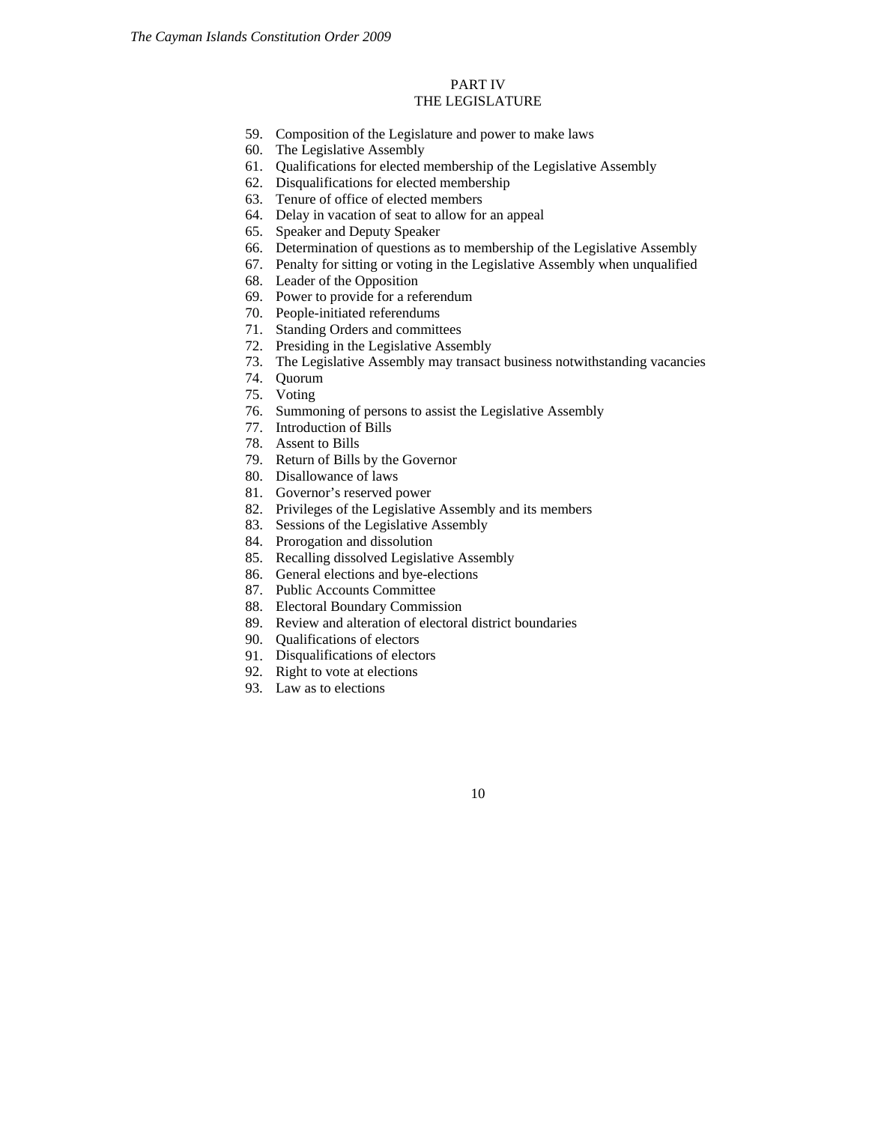## [PART IV](http://www.opsi.gov.uk/si/si2009/uksi_20091379_en_7#sch2-pt5)  [THE LEGISLATURE](http://www.opsi.gov.uk/si/si2009/uksi_20091379_en_7#sch2-pt5)

- [59.](http://www.opsi.gov.uk/si/si2009/uksi_20091379_en_7#sch2-pt5-l1g68) [Composition of the Legislature and power to make laws](http://www.opsi.gov.uk/si/si2009/uksi_20091379_en_7#sch2-pt5-l1g68)
- [60.](http://www.opsi.gov.uk/si/si2009/uksi_20091379_en_7#sch2-pt5-l1g69) [The Legislative Assembly](http://www.opsi.gov.uk/si/si2009/uksi_20091379_en_7#sch2-pt5-l1g69)
- [61.](http://www.opsi.gov.uk/si/si2009/uksi_20091379_en_7#sch2-pt5-l1g70) [Qualifications for elected membership of the Legislative Assembly](http://www.opsi.gov.uk/si/si2009/uksi_20091379_en_7#sch2-pt5-l1g70)
- [62.](http://www.opsi.gov.uk/si/si2009/uksi_20091379_en_7#sch2-pt5-l1g71) [Disqualifications for elected membership](http://www.opsi.gov.uk/si/si2009/uksi_20091379_en_7#sch2-pt5-l1g71)
- [63.](http://www.opsi.gov.uk/si/si2009/uksi_20091379_en_7#sch2-pt5-l1g72) [Tenure of office of elected members](http://www.opsi.gov.uk/si/si2009/uksi_20091379_en_7#sch2-pt5-l1g72)
- [64.](http://www.opsi.gov.uk/si/si2009/uksi_20091379_en_7#sch2-pt5-l1g73) [Delay in vacation of seat to allow for an appeal](http://www.opsi.gov.uk/si/si2009/uksi_20091379_en_7#sch2-pt5-l1g73)
- [65.](http://www.opsi.gov.uk/si/si2009/uksi_20091379_en_7#sch2-pt5-l1g74) [Speaker and Deputy Speaker](http://www.opsi.gov.uk/si/si2009/uksi_20091379_en_7#sch2-pt5-l1g74)
- [66.](http://www.opsi.gov.uk/si/si2009/uksi_20091379_en_7#sch2-pt5-l1g75) [Determination of questions as to membership of the Legislative Assembly](http://www.opsi.gov.uk/si/si2009/uksi_20091379_en_7#sch2-pt5-l1g75)
- [67.](http://www.opsi.gov.uk/si/si2009/uksi_20091379_en_7#sch2-pt5-l1g76) [Penalty for sitting or voting in the Legislative Assembly when unqualified](http://www.opsi.gov.uk/si/si2009/uksi_20091379_en_7#sch2-pt5-l1g76)
- [68.](http://www.opsi.gov.uk/si/si2009/uksi_20091379_en_7#sch2-pt5-l1g77) [Leader of the Opposition](http://www.opsi.gov.uk/si/si2009/uksi_20091379_en_7#sch2-pt5-l1g77)
- [69.](http://www.opsi.gov.uk/si/si2009/uksi_20091379_en_7#sch2-pt5-l1g78) [Power to provide for a referendum](http://www.opsi.gov.uk/si/si2009/uksi_20091379_en_7#sch2-pt5-l1g78)
- [70.](http://www.opsi.gov.uk/si/si2009/uksi_20091379_en_7#sch2-pt5-l1g79) [People-initiated referendums](http://www.opsi.gov.uk/si/si2009/uksi_20091379_en_7#sch2-pt5-l1g79)
- [71.](http://www.opsi.gov.uk/si/si2009/uksi_20091379_en_7#sch2-pt5-l1g80) [Standing Orders and committees](http://www.opsi.gov.uk/si/si2009/uksi_20091379_en_7#sch2-pt5-l1g80)
- [72.](http://www.opsi.gov.uk/si/si2009/uksi_20091379_en_7#sch2-pt5-l1g81) [Presiding in the Legislative Assembly](http://www.opsi.gov.uk/si/si2009/uksi_20091379_en_7#sch2-pt5-l1g81)
- [73.](http://www.opsi.gov.uk/si/si2009/uksi_20091379_en_7#sch2-pt5-l1g82) [The Legislative Assembly may transact business notwithstanding vacancies](http://www.opsi.gov.uk/si/si2009/uksi_20091379_en_7#sch2-pt5-l1g82)
- [74.](http://www.opsi.gov.uk/si/si2009/uksi_20091379_en_7#sch2-pt5-l1g83) [Quorum](http://www.opsi.gov.uk/si/si2009/uksi_20091379_en_7#sch2-pt5-l1g83)
- [75.](http://www.opsi.gov.uk/si/si2009/uksi_20091379_en_7#sch2-pt5-l1g84) [Voting](http://www.opsi.gov.uk/si/si2009/uksi_20091379_en_7#sch2-pt5-l1g84)
- [76.](http://www.opsi.gov.uk/si/si2009/uksi_20091379_en_7#sch2-pt5-l1g85) [Summoning of persons to assist the Legislative Assembly](http://www.opsi.gov.uk/si/si2009/uksi_20091379_en_7#sch2-pt5-l1g85)
- [77.](http://www.opsi.gov.uk/si/si2009/uksi_20091379_en_7#sch2-pt5-l1g86) [Introduction of Bills](http://www.opsi.gov.uk/si/si2009/uksi_20091379_en_7#sch2-pt5-l1g86)
- [78.](http://www.opsi.gov.uk/si/si2009/uksi_20091379_en_7#sch2-pt5-l1g87) [Assent to Bills](http://www.opsi.gov.uk/si/si2009/uksi_20091379_en_7#sch2-pt5-l1g87)
- [79.](http://www.opsi.gov.uk/si/si2009/uksi_20091379_en_7#sch2-pt5-l1g88) [Return of Bills by the Governor](http://www.opsi.gov.uk/si/si2009/uksi_20091379_en_7#sch2-pt5-l1g88)
- [80.](http://www.opsi.gov.uk/si/si2009/uksi_20091379_en_7#sch2-pt5-l1g89) [Disallowance of laws](http://www.opsi.gov.uk/si/si2009/uksi_20091379_en_7#sch2-pt5-l1g89)
- [81.](http://www.opsi.gov.uk/si/si2009/uksi_20091379_en_7#sch2-pt5-l1g90) [Governor's reserved power](http://www.opsi.gov.uk/si/si2009/uksi_20091379_en_7#sch2-pt5-l1g90)
- [82.](http://www.opsi.gov.uk/si/si2009/uksi_20091379_en_7#sch2-pt5-l1g91) [Privileges of the Legislative Assembly and its members](http://www.opsi.gov.uk/si/si2009/uksi_20091379_en_7#sch2-pt5-l1g91)
- [83.](http://www.opsi.gov.uk/si/si2009/uksi_20091379_en_7#sch2-pt5-l1g92) [Sessions of the Legislative Assembly](http://www.opsi.gov.uk/si/si2009/uksi_20091379_en_7#sch2-pt5-l1g92)
- [84.](http://www.opsi.gov.uk/si/si2009/uksi_20091379_en_7#sch2-pt5-l1g93) [Prorogation and dissolution](http://www.opsi.gov.uk/si/si2009/uksi_20091379_en_7#sch2-pt5-l1g93)
- [85.](http://www.opsi.gov.uk/si/si2009/uksi_20091379_en_7#sch2-pt5-l1g94) [Recalling dissolved Legislative Assembly](http://www.opsi.gov.uk/si/si2009/uksi_20091379_en_7#sch2-pt5-l1g94)
- [86.](http://www.opsi.gov.uk/si/si2009/uksi_20091379_en_7#sch2-pt5-l1g95) [General elections and bye-elections](http://www.opsi.gov.uk/si/si2009/uksi_20091379_en_7#sch2-pt5-l1g95)
- [87.](http://www.opsi.gov.uk/si/si2009/uksi_20091379_en_7#sch2-pt5-l1g96) [Public Accounts Committee](http://www.opsi.gov.uk/si/si2009/uksi_20091379_en_7#sch2-pt5-l1g96)
- [88.](http://www.opsi.gov.uk/si/si2009/uksi_20091379_en_7#sch2-pt5-l1g97) [Electoral Boundary Commission](http://www.opsi.gov.uk/si/si2009/uksi_20091379_en_7#sch2-pt5-l1g97)
- [89.](http://www.opsi.gov.uk/si/si2009/uksi_20091379_en_7#sch2-pt5-l1g98) [Review and alteration of electoral district boundaries](http://www.opsi.gov.uk/si/si2009/uksi_20091379_en_7#sch2-pt5-l1g98)
- [90.](http://www.opsi.gov.uk/si/si2009/uksi_20091379_en_7#sch2-pt5-l1g99) [Qualifications of electors](http://www.opsi.gov.uk/si/si2009/uksi_20091379_en_7#sch2-pt5-l1g99)
- [91.](http://www.opsi.gov.uk/si/si2009/uksi_20091379_en_7#sch2-pt5-l1g100) [Disqualifications of electors](http://www.opsi.gov.uk/si/si2009/uksi_20091379_en_7#sch2-pt5-l1g100)
- [92.](http://www.opsi.gov.uk/si/si2009/uksi_20091379_en_8#sch2-pt5-l1g101) [Right to vote at elections](http://www.opsi.gov.uk/si/si2009/uksi_20091379_en_8#sch2-pt5-l1g101)
- [93.](http://www.opsi.gov.uk/si/si2009/uksi_20091379_en_8#sch2-pt5-l1g102) [Law as to elections](http://www.opsi.gov.uk/si/si2009/uksi_20091379_en_8#sch2-pt5-l1g102)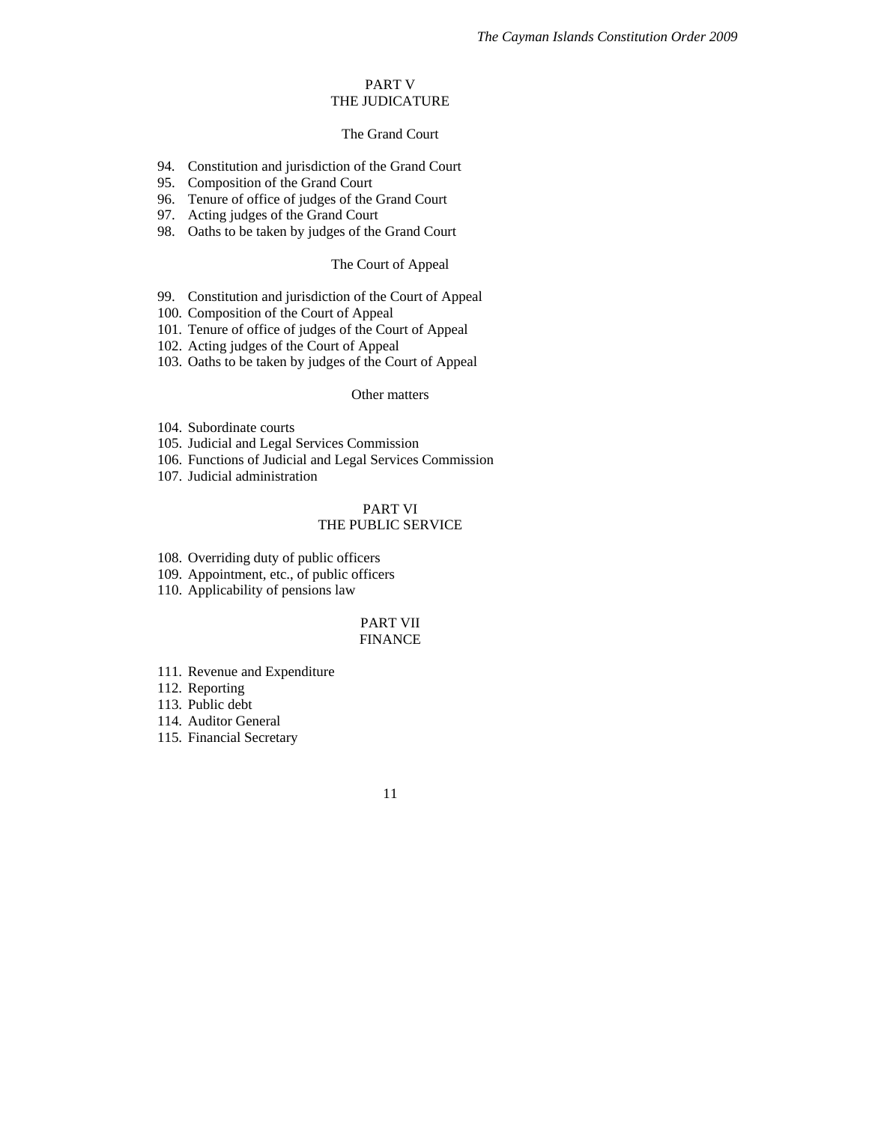## [PART V](http://www.opsi.gov.uk/si/si2009/uksi_20091379_en_8#sch2-pt6)  [THE JUDICATURE](http://www.opsi.gov.uk/si/si2009/uksi_20091379_en_8#sch2-pt6)

## The Grand Court

- [94.](http://www.opsi.gov.uk/si/si2009/uksi_20091379_en_8#sch2-pt6-ch1-l1g103) [Constitution and jurisdiction of the Grand Court](http://www.opsi.gov.uk/si/si2009/uksi_20091379_en_8#sch2-pt6-ch1-l1g103)
- [95.](http://www.opsi.gov.uk/si/si2009/uksi_20091379_en_8#sch2-pt6-ch1-l1g104) [Composition of the Grand Court](http://www.opsi.gov.uk/si/si2009/uksi_20091379_en_8#sch2-pt6-ch1-l1g104)
- [96.](http://www.opsi.gov.uk/si/si2009/uksi_20091379_en_8#sch2-pt6-ch1-l1g105) [Tenure of office of judges of the Grand Court](http://www.opsi.gov.uk/si/si2009/uksi_20091379_en_8#sch2-pt6-ch1-l1g105)
- [97.](http://www.opsi.gov.uk/si/si2009/uksi_20091379_en_8#sch2-pt6-ch1-l1g106) [Acting judges of the Grand Court](http://www.opsi.gov.uk/si/si2009/uksi_20091379_en_8#sch2-pt6-ch1-l1g106)
- [98.](http://www.opsi.gov.uk/si/si2009/uksi_20091379_en_8#sch2-pt6-ch1-l1g107) [Oaths to be taken by judges of the Grand Court](http://www.opsi.gov.uk/si/si2009/uksi_20091379_en_8#sch2-pt6-ch1-l1g107)

## The Court of Appeal

- [99.](http://www.opsi.gov.uk/si/si2009/uksi_20091379_en_8#sch2-pt6-ch2-l1g108) [Constitution and jurisdiction of the Court of Appeal](http://www.opsi.gov.uk/si/si2009/uksi_20091379_en_8#sch2-pt6-ch2-l1g108)
- [100.](http://www.opsi.gov.uk/si/si2009/uksi_20091379_en_8#sch2-pt6-ch2-l1g109) [Composition of the Court of Appeal](http://www.opsi.gov.uk/si/si2009/uksi_20091379_en_8#sch2-pt6-ch2-l1g109)
- [101.](http://www.opsi.gov.uk/si/si2009/uksi_20091379_en_8#sch2-pt6-ch2-l1g110) [Tenure of office of judges of the Court of Appeal](http://www.opsi.gov.uk/si/si2009/uksi_20091379_en_8#sch2-pt6-ch2-l1g110)
- [102.](http://www.opsi.gov.uk/si/si2009/uksi_20091379_en_8#sch2-pt6-ch2-l1g111) [Acting judges of the Court of Appeal](http://www.opsi.gov.uk/si/si2009/uksi_20091379_en_8#sch2-pt6-ch2-l1g111)
- [103.](http://www.opsi.gov.uk/si/si2009/uksi_20091379_en_8#sch2-pt6-ch2-l1g112) [Oaths to be taken by judges of the Court of Appeal](http://www.opsi.gov.uk/si/si2009/uksi_20091379_en_8#sch2-pt6-ch2-l1g112)

#### Other matters

- [104.](http://www.opsi.gov.uk/si/si2009/uksi_20091379_en_8#sch2-pt6-ch3-l1g113) [Subordinate courts](http://www.opsi.gov.uk/si/si2009/uksi_20091379_en_8#sch2-pt6-ch3-l1g113)
- [105.](http://www.opsi.gov.uk/si/si2009/uksi_20091379_en_8#sch2-pt6-ch3-l1g114) [Judicial and Legal Services Commission](http://www.opsi.gov.uk/si/si2009/uksi_20091379_en_8#sch2-pt6-ch3-l1g114)
- [106.](http://www.opsi.gov.uk/si/si2009/uksi_20091379_en_8#sch2-pt6-ch3-l1g115) [Functions of Judicial and Legal Services Commission](http://www.opsi.gov.uk/si/si2009/uksi_20091379_en_8#sch2-pt6-ch3-l1g115)
- [107.](http://www.opsi.gov.uk/si/si2009/uksi_20091379_en_8#sch2-pt6-ch3-l1g116) [Judicial administration](http://www.opsi.gov.uk/si/si2009/uksi_20091379_en_8#sch2-pt6-ch3-l1g116)

## [PART VI](http://www.opsi.gov.uk/si/si2009/uksi_20091379_en_9#sch2-pt7)  [THE PUBLIC SERVICE](http://www.opsi.gov.uk/si/si2009/uksi_20091379_en_9#sch2-pt7)

- [108.](http://www.opsi.gov.uk/si/si2009/uksi_20091379_en_9#sch2-pt7-l1g117) [Overriding duty of public officers](http://www.opsi.gov.uk/si/si2009/uksi_20091379_en_9#sch2-pt7-l1g117)
- [109.](http://www.opsi.gov.uk/si/si2009/uksi_20091379_en_9#sch2-pt7-l1g118) [Appointment, etc., of public officers](http://www.opsi.gov.uk/si/si2009/uksi_20091379_en_9#sch2-pt7-l1g118)
- [110.](http://www.opsi.gov.uk/si/si2009/uksi_20091379_en_9#sch2-pt7-l1g119) [Applicability of pensions law](http://www.opsi.gov.uk/si/si2009/uksi_20091379_en_9#sch2-pt7-l1g119)

## [PART VII](http://www.opsi.gov.uk/si/si2009/uksi_20091379_en_9#sch2-pt8)  [FINANCE](http://www.opsi.gov.uk/si/si2009/uksi_20091379_en_9#sch2-pt8)

- [111.](http://www.opsi.gov.uk/si/si2009/uksi_20091379_en_9#sch2-pt8-l1g120) [Revenue and Expenditure](http://www.opsi.gov.uk/si/si2009/uksi_20091379_en_9#sch2-pt8-l1g120)
- [112.](http://www.opsi.gov.uk/si/si2009/uksi_20091379_en_9#sch2-pt8-l1g121) [Reporting](http://www.opsi.gov.uk/si/si2009/uksi_20091379_en_9#sch2-pt8-l1g121)
- [113.](http://www.opsi.gov.uk/si/si2009/uksi_20091379_en_9#sch2-pt8-l1g122) [Public debt](http://www.opsi.gov.uk/si/si2009/uksi_20091379_en_9#sch2-pt8-l1g122)
- [114.](http://www.opsi.gov.uk/si/si2009/uksi_20091379_en_9#sch2-pt8-l1g123) [Auditor General](http://www.opsi.gov.uk/si/si2009/uksi_20091379_en_9#sch2-pt8-l1g123)
- [115.](http://www.opsi.gov.uk/si/si2009/uksi_20091379_en_9#sch2-pt8-l1g124) [Financial Secretary](http://www.opsi.gov.uk/si/si2009/uksi_20091379_en_9#sch2-pt8-l1g124)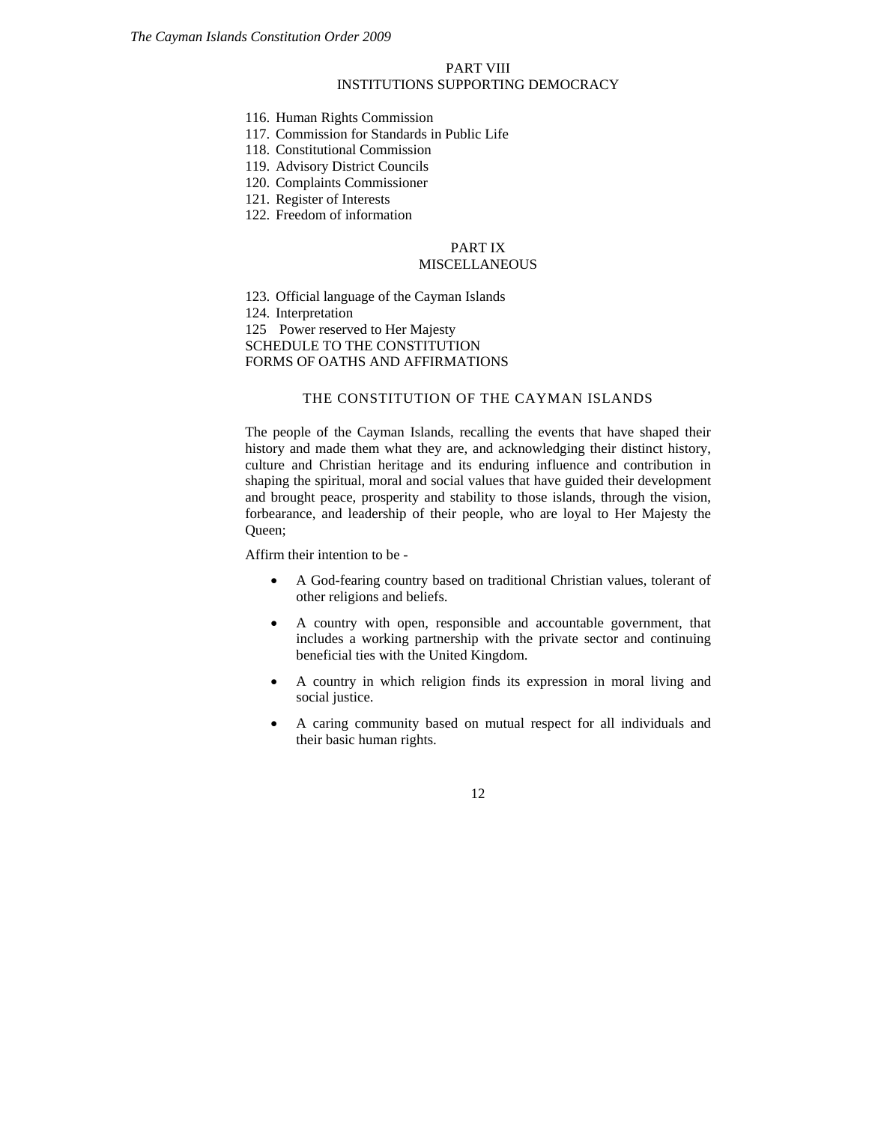## [PART VIII](http://www.opsi.gov.uk/si/si2009/uksi_20091379_en_9#sch2-pt9)  [INSTITUTIONS SUPPORTING DEMOCRACY](http://www.opsi.gov.uk/si/si2009/uksi_20091379_en_9#sch2-pt9)

- [116.](http://www.opsi.gov.uk/si/si2009/uksi_20091379_en_9#sch2-pt9-l1g125) [Human Rights Commission](http://www.opsi.gov.uk/si/si2009/uksi_20091379_en_9#sch2-pt9-l1g125)
- [117.](http://www.opsi.gov.uk/si/si2009/uksi_20091379_en_9#sch2-pt9-l1g126) [Commission for Standards in Public Life](http://www.opsi.gov.uk/si/si2009/uksi_20091379_en_9#sch2-pt9-l1g126)
- [118.](http://www.opsi.gov.uk/si/si2009/uksi_20091379_en_9#sch2-pt9-l1g127) [Constitutional Commission](http://www.opsi.gov.uk/si/si2009/uksi_20091379_en_9#sch2-pt9-l1g127)
- [119.](http://www.opsi.gov.uk/si/si2009/uksi_20091379_en_9#sch2-pt9-l1g128) [Advisory District Councils](http://www.opsi.gov.uk/si/si2009/uksi_20091379_en_9#sch2-pt9-l1g128)
- [120.](http://www.opsi.gov.uk/si/si2009/uksi_20091379_en_9#sch2-pt9-l1g129) [Complaints Commissioner](http://www.opsi.gov.uk/si/si2009/uksi_20091379_en_9#sch2-pt9-l1g129)
- [121.](http://www.opsi.gov.uk/si/si2009/uksi_20091379_en_9#sch2-pt9-l1g130) [Register of Interests](http://www.opsi.gov.uk/si/si2009/uksi_20091379_en_9#sch2-pt9-l1g130)
- [122.](http://www.opsi.gov.uk/si/si2009/uksi_20091379_en_9#sch2-pt9-l1g131) [Freedom of information](http://www.opsi.gov.uk/si/si2009/uksi_20091379_en_9#sch2-pt9-l1g131)

## [PART IX](http://www.opsi.gov.uk/si/si2009/uksi_20091379_en_10#sch2-pt10)  [MISCELLANEOUS](http://www.opsi.gov.uk/si/si2009/uksi_20091379_en_10#sch2-pt10)

[123.](http://www.opsi.gov.uk/si/si2009/uksi_20091379_en_10#sch2-pt10-l1g132) [Official language of the Cayman Islands](http://www.opsi.gov.uk/si/si2009/uksi_20091379_en_10#sch2-pt10-l1g132)

[124.](http://www.opsi.gov.uk/si/si2009/uksi_20091379_en_10#sch2-pt10-l1g133) [Interpretation](http://www.opsi.gov.uk/si/si2009/uksi_20091379_en_10#sch2-pt10-l1g133) 

[125 Power reserved to Her Majesty](http://www.opsi.gov.uk/si/si2009/uksi_20091379_en_10#sch2-pt10-l1g134) [SCHEDULE TO THE CONSTITUTION](http://www.opsi.gov.uk/si/si2009/uksi_20091379_en_10#sch2-pt11)  [FORMS OF OATHS AND AFFIRMATIONS](http://www.opsi.gov.uk/si/si2009/uksi_20091379_en_10#sch2-pt11) 

## THE CONSTITUTION OF THE CAYMAN ISLANDS

The people of the Cayman Islands, recalling the events that have shaped their history and made them what they are, and acknowledging their distinct history, culture and Christian heritage and its enduring influence and contribution in shaping the spiritual, moral and social values that have guided their development and brought peace, prosperity and stability to those islands, through the vision, forbearance, and leadership of their people, who are loyal to Her Majesty the Queen;

Affirm their intention to be -

- A God-fearing country based on traditional Christian values, tolerant of other religions and beliefs.
- A country with open, responsible and accountable government, that includes a working partnership with the private sector and continuing beneficial ties with the United Kingdom.
- A country in which religion finds its expression in moral living and social justice.
- A caring community based on mutual respect for all individuals and their basic human rights.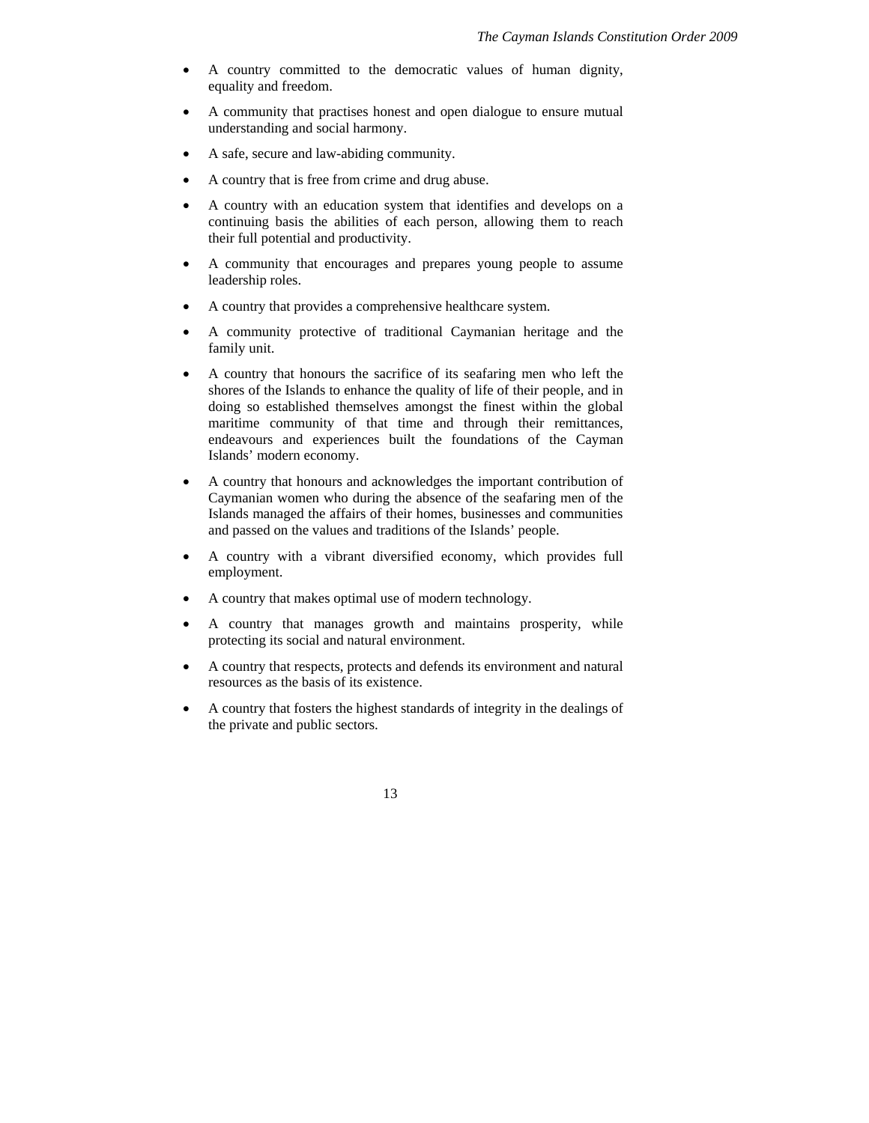- A country committed to the democratic values of human dignity, equality and freedom.
- A community that practises honest and open dialogue to ensure mutual understanding and social harmony.
- A safe, secure and law-abiding community.
- A country that is free from crime and drug abuse.
- A country with an education system that identifies and develops on a continuing basis the abilities of each person, allowing them to reach their full potential and productivity.
- A community that encourages and prepares young people to assume leadership roles.
- A country that provides a comprehensive healthcare system.
- A community protective of traditional Caymanian heritage and the family unit.
- A country that honours the sacrifice of its seafaring men who left the shores of the Islands to enhance the quality of life of their people, and in doing so established themselves amongst the finest within the global maritime community of that time and through their remittances, endeavours and experiences built the foundations of the Cayman Islands' modern economy.
- A country that honours and acknowledges the important contribution of Caymanian women who during the absence of the seafaring men of the Islands managed the affairs of their homes, businesses and communities and passed on the values and traditions of the Islands' people.
- A country with a vibrant diversified economy, which provides full employment.
- A country that makes optimal use of modern technology.
- A country that manages growth and maintains prosperity, while protecting its social and natural environment.
- A country that respects, protects and defends its environment and natural resources as the basis of its existence.
- A country that fosters the highest standards of integrity in the dealings of the private and public sectors.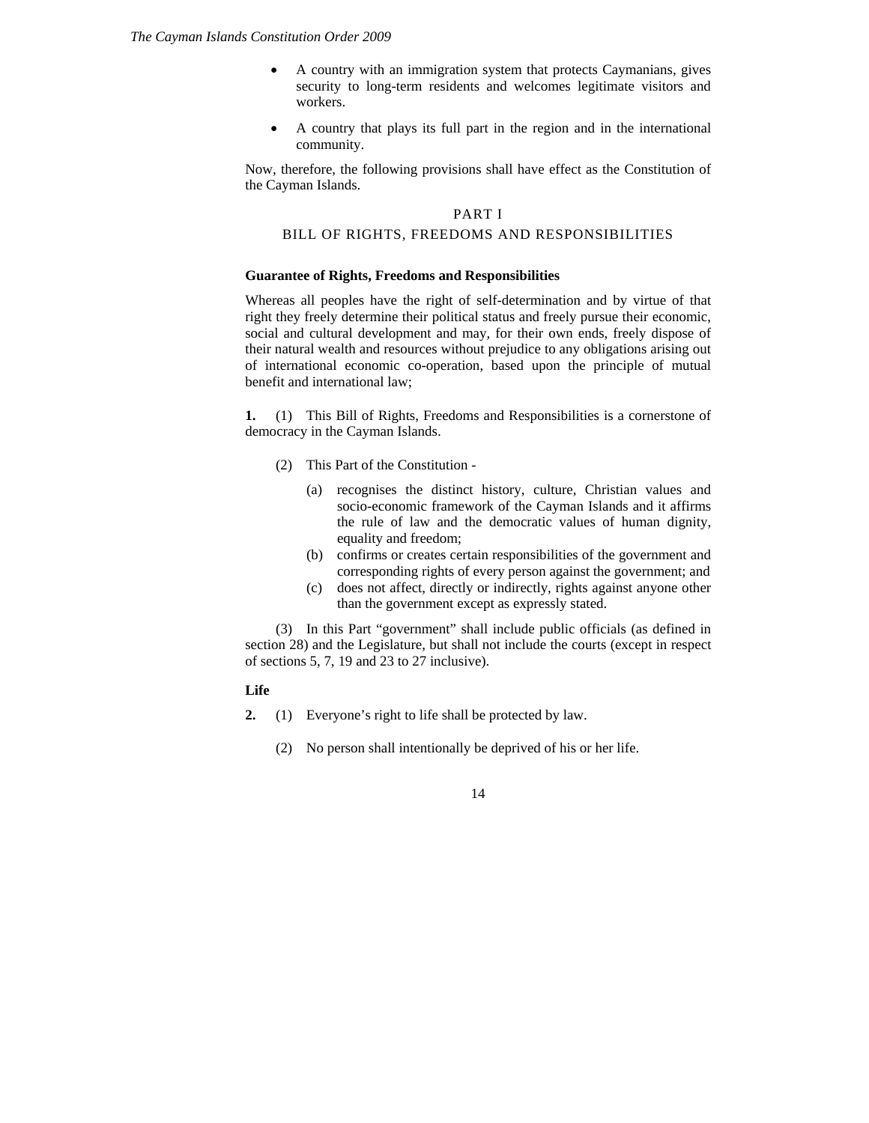- A country with an immigration system that protects Caymanians, gives security to long-term residents and welcomes legitimate visitors and workers.
- A country that plays its full part in the region and in the international community.

Now, therefore, the following provisions shall have effect as the Constitution of the Cayman Islands.

## PART I

### BILL OF RIGHTS, FREEDOMS AND RESPONSIBILITIES

#### **Guarantee of Rights, Freedoms and Responsibilities**

Whereas all peoples have the right of self-determination and by virtue of that right they freely determine their political status and freely pursue their economic, social and cultural development and may, for their own ends, freely dispose of their natural wealth and resources without prejudice to any obligations arising out of international economic co-operation, based upon the principle of mutual benefit and international law;

**1.** (1) This Bill of Rights, Freedoms and Responsibilities is a cornerstone of democracy in the Cayman Islands.

- (2) This Part of the Constitution
	- (a) recognises the distinct history, culture, Christian values and socio-economic framework of the Cayman Islands and it affirms the rule of law and the democratic values of human dignity, equality and freedom;
	- (b) confirms or creates certain responsibilities of the government and corresponding rights of every person against the government; and
	- (c) does not affect, directly or indirectly, rights against anyone other than the government except as expressly stated.

(3) In this Part "government" shall include public officials (as defined in section 28) and the Legislature, but shall not include the courts (except in respect of sections 5, 7, 19 and 23 to 27 inclusive).

### **Life**

- **2.** (1) Everyone's right to life shall be protected by law.
	- (2) No person shall intentionally be deprived of his or her life.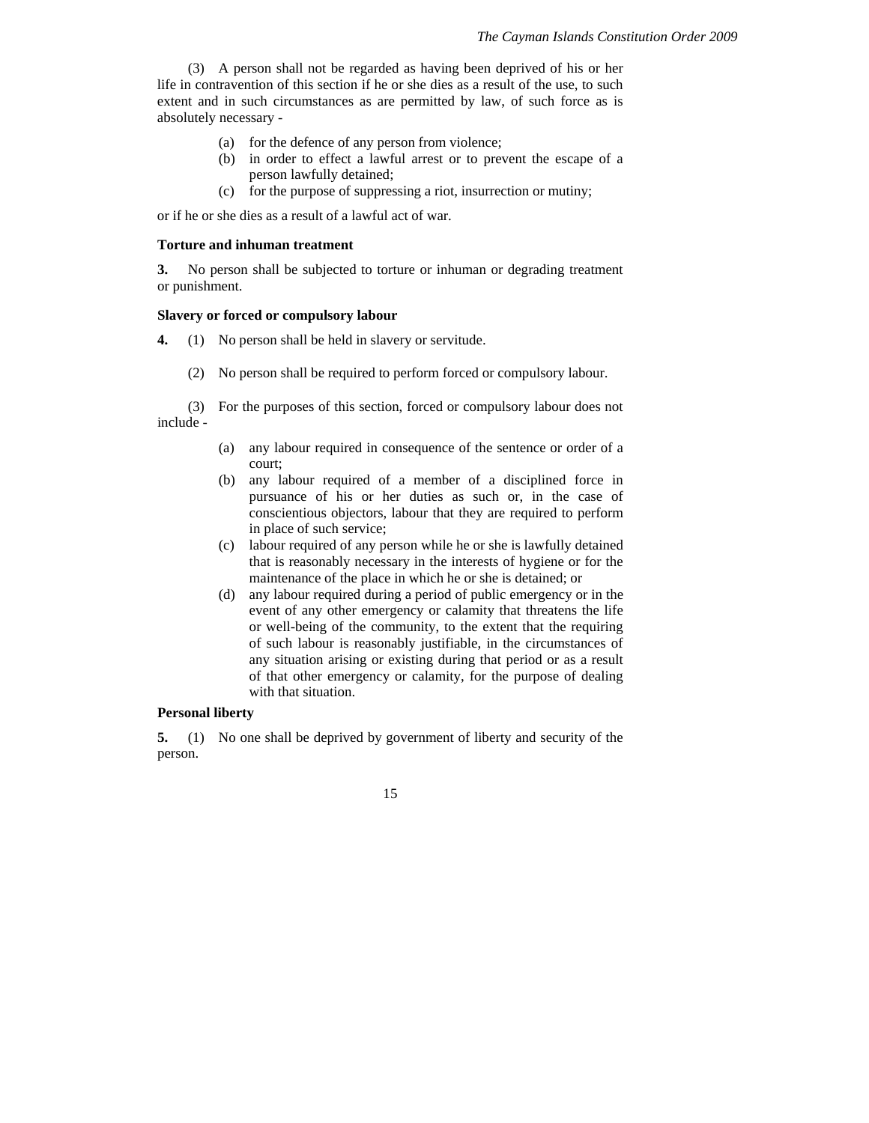(3) A person shall not be regarded as having been deprived of his or her life in contravention of this section if he or she dies as a result of the use, to such extent and in such circumstances as are permitted by law, of such force as is absolutely necessary -

- (a) for the defence of any person from violence;
- (b) in order to effect a lawful arrest or to prevent the escape of a person lawfully detained;
- (c) for the purpose of suppressing a riot, insurrection or mutiny;

or if he or she dies as a result of a lawful act of war.

### **Torture and inhuman treatment**

**3.** No person shall be subjected to torture or inhuman or degrading treatment or punishment.

### **Slavery or forced or compulsory labour**

**4.** (1) No person shall be held in slavery or servitude.

(2) No person shall be required to perform forced or compulsory labour.

(3) For the purposes of this section, forced or compulsory labour does not include -

- (a) any labour required in consequence of the sentence or order of a court;
- (b) any labour required of a member of a disciplined force in pursuance of his or her duties as such or, in the case of conscientious objectors, labour that they are required to perform in place of such service;
- (c) labour required of any person while he or she is lawfully detained that is reasonably necessary in the interests of hygiene or for the maintenance of the place in which he or she is detained; or
- (d) any labour required during a period of public emergency or in the event of any other emergency or calamity that threatens the life or well-being of the community, to the extent that the requiring of such labour is reasonably justifiable, in the circumstances of any situation arising or existing during that period or as a result of that other emergency or calamity, for the purpose of dealing with that situation.

## **Personal liberty**

**5.** (1) No one shall be deprived by government of liberty and security of the person.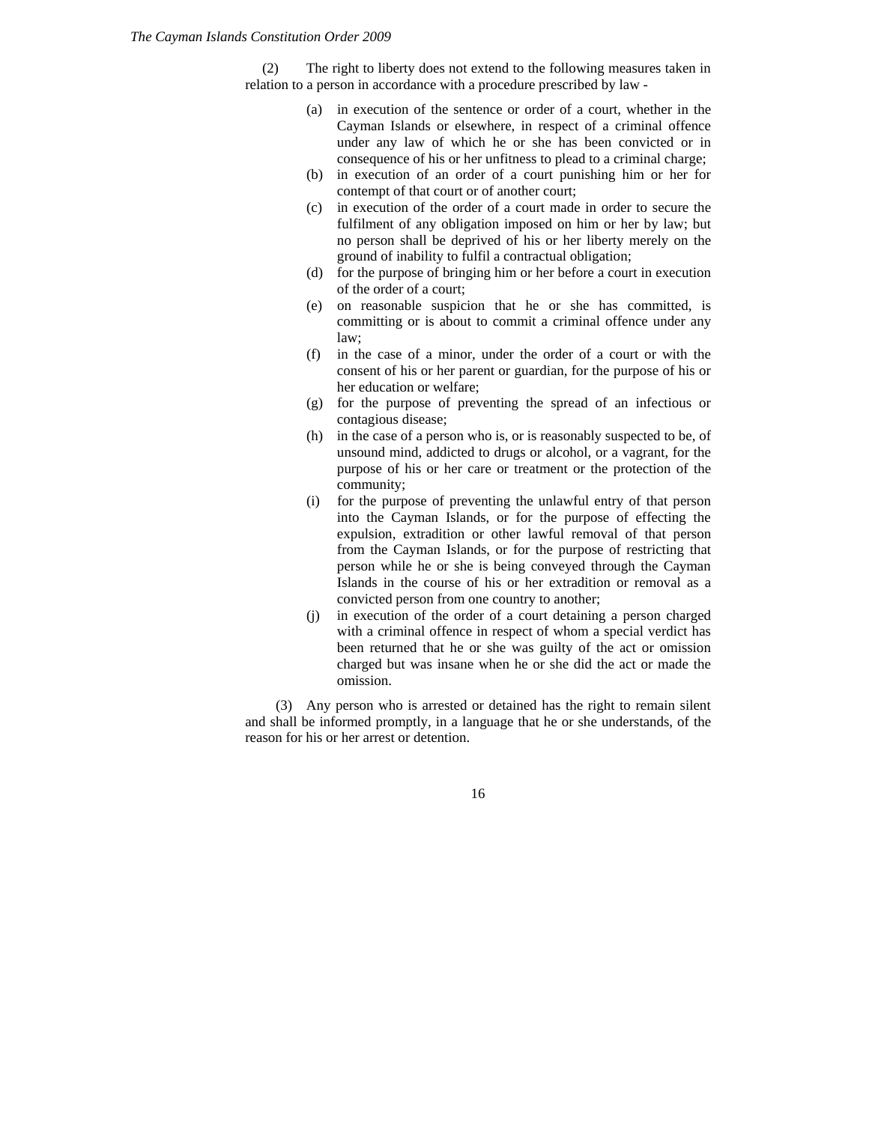(2) The right to liberty does not extend to the following measures taken in relation to a person in accordance with a procedure prescribed by law -

- (a) in execution of the sentence or order of a court, whether in the Cayman Islands or elsewhere, in respect of a criminal offence under any law of which he or she has been convicted or in consequence of his or her unfitness to plead to a criminal charge;
- (b) in execution of an order of a court punishing him or her for contempt of that court or of another court;
- (c) in execution of the order of a court made in order to secure the fulfilment of any obligation imposed on him or her by law; but no person shall be deprived of his or her liberty merely on the ground of inability to fulfil a contractual obligation;
- (d) for the purpose of bringing him or her before a court in execution of the order of a court;
- (e) on reasonable suspicion that he or she has committed, is committing or is about to commit a criminal offence under any law;
- (f) in the case of a minor, under the order of a court or with the consent of his or her parent or guardian, for the purpose of his or her education or welfare;
- (g) for the purpose of preventing the spread of an infectious or contagious disease;
- (h) in the case of a person who is, or is reasonably suspected to be, of unsound mind, addicted to drugs or alcohol, or a vagrant, for the purpose of his or her care or treatment or the protection of the community;
- (i) for the purpose of preventing the unlawful entry of that person into the Cayman Islands, or for the purpose of effecting the expulsion, extradition or other lawful removal of that person from the Cayman Islands, or for the purpose of restricting that person while he or she is being conveyed through the Cayman Islands in the course of his or her extradition or removal as a convicted person from one country to another;
- (j) in execution of the order of a court detaining a person charged with a criminal offence in respect of whom a special verdict has been returned that he or she was guilty of the act or omission charged but was insane when he or she did the act or made the omission.

(3) Any person who is arrested or detained has the right to remain silent and shall be informed promptly, in a language that he or she understands, of the reason for his or her arrest or detention.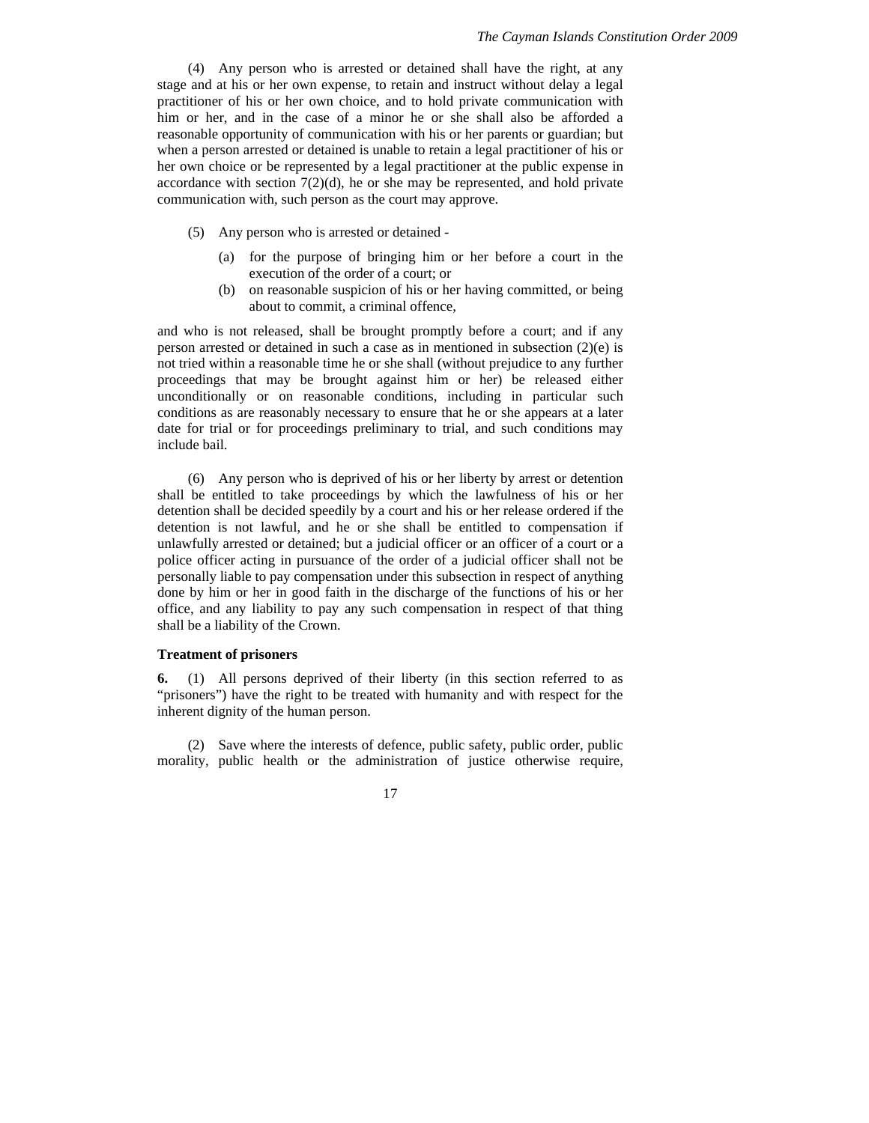(4) Any person who is arrested or detained shall have the right, at any stage and at his or her own expense, to retain and instruct without delay a legal practitioner of his or her own choice, and to hold private communication with him or her, and in the case of a minor he or she shall also be afforded a reasonable opportunity of communication with his or her parents or guardian; but when a person arrested or detained is unable to retain a legal practitioner of his or her own choice or be represented by a legal practitioner at the public expense in accordance with section  $7(2)(d)$ , he or she may be represented, and hold private communication with, such person as the court may approve.

- (5) Any person who is arrested or detained
	- (a) for the purpose of bringing him or her before a court in the execution of the order of a court; or
	- (b) on reasonable suspicion of his or her having committed, or being about to commit, a criminal offence,

and who is not released, shall be brought promptly before a court; and if any person arrested or detained in such a case as in mentioned in subsection (2)(e) is not tried within a reasonable time he or she shall (without prejudice to any further proceedings that may be brought against him or her) be released either unconditionally or on reasonable conditions, including in particular such conditions as are reasonably necessary to ensure that he or she appears at a later date for trial or for proceedings preliminary to trial, and such conditions may include bail.

(6) Any person who is deprived of his or her liberty by arrest or detention shall be entitled to take proceedings by which the lawfulness of his or her detention shall be decided speedily by a court and his or her release ordered if the detention is not lawful, and he or she shall be entitled to compensation if unlawfully arrested or detained; but a judicial officer or an officer of a court or a police officer acting in pursuance of the order of a judicial officer shall not be personally liable to pay compensation under this subsection in respect of anything done by him or her in good faith in the discharge of the functions of his or her office, and any liability to pay any such compensation in respect of that thing shall be a liability of the Crown.

#### **Treatment of prisoners**

**6.** (1) All persons deprived of their liberty (in this section referred to as "prisoners") have the right to be treated with humanity and with respect for the inherent dignity of the human person.

(2) Save where the interests of defence, public safety, public order, public morality, public health or the administration of justice otherwise require,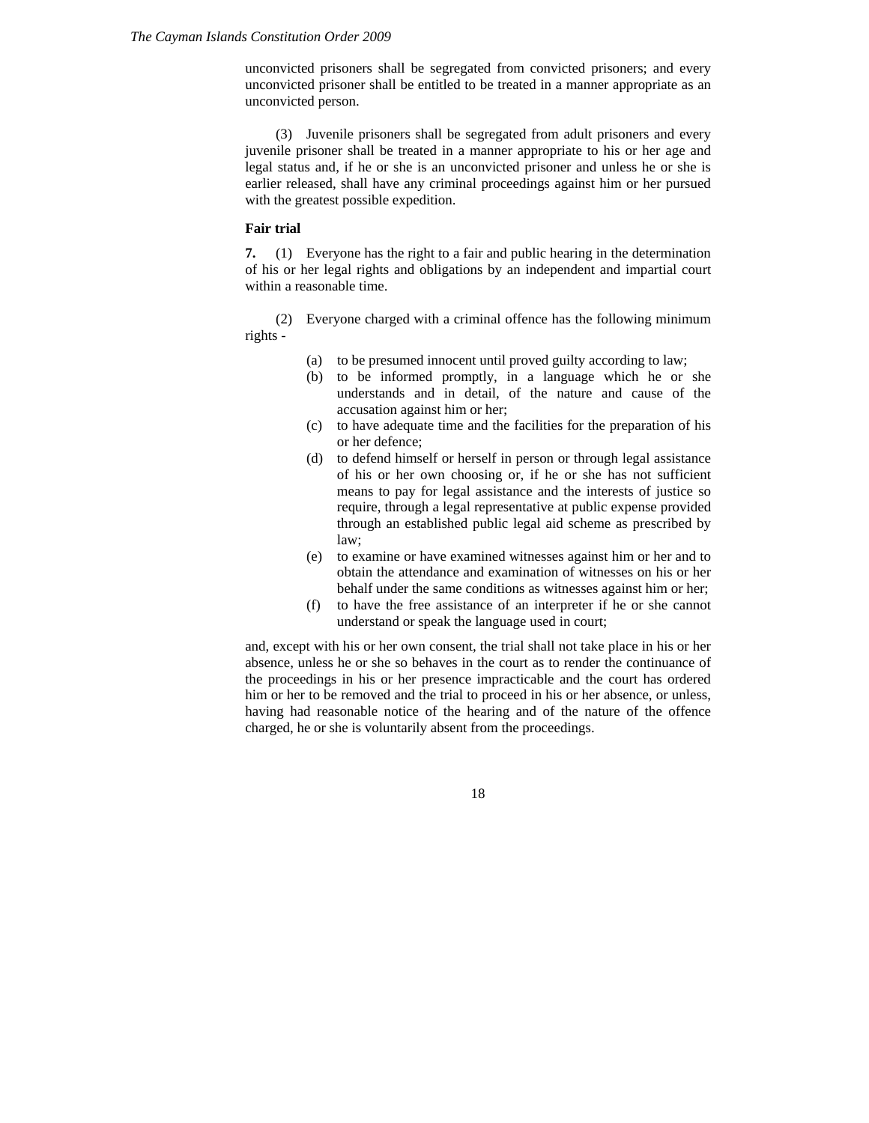unconvicted prisoners shall be segregated from convicted prisoners; and every unconvicted prisoner shall be entitled to be treated in a manner appropriate as an unconvicted person.

(3) Juvenile prisoners shall be segregated from adult prisoners and every juvenile prisoner shall be treated in a manner appropriate to his or her age and legal status and, if he or she is an unconvicted prisoner and unless he or she is earlier released, shall have any criminal proceedings against him or her pursued with the greatest possible expedition.

#### **Fair trial**

**7.** (1) Everyone has the right to a fair and public hearing in the determination of his or her legal rights and obligations by an independent and impartial court within a reasonable time.

(2) Everyone charged with a criminal offence has the following minimum rights -

- (a) to be presumed innocent until proved guilty according to law;
- (b) to be informed promptly, in a language which he or she understands and in detail, of the nature and cause of the accusation against him or her;
- (c) to have adequate time and the facilities for the preparation of his or her defence;
- (d) to defend himself or herself in person or through legal assistance of his or her own choosing or, if he or she has not sufficient means to pay for legal assistance and the interests of justice so require, through a legal representative at public expense provided through an established public legal aid scheme as prescribed by law;
- (e) to examine or have examined witnesses against him or her and to obtain the attendance and examination of witnesses on his or her behalf under the same conditions as witnesses against him or her;
- (f) to have the free assistance of an interpreter if he or she cannot understand or speak the language used in court;

and, except with his or her own consent, the trial shall not take place in his or her absence, unless he or she so behaves in the court as to render the continuance of the proceedings in his or her presence impracticable and the court has ordered him or her to be removed and the trial to proceed in his or her absence, or unless, having had reasonable notice of the hearing and of the nature of the offence charged, he or she is voluntarily absent from the proceedings.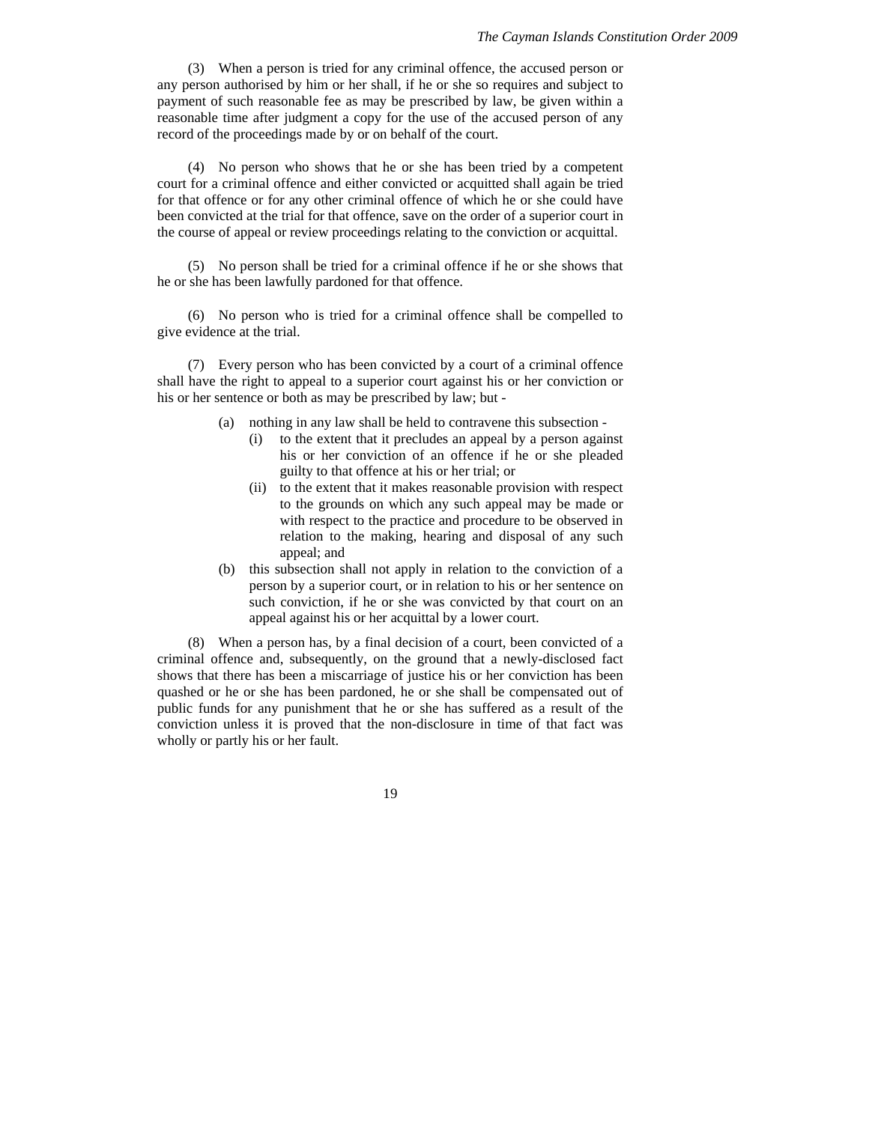(3) When a person is tried for any criminal offence, the accused person or any person authorised by him or her shall, if he or she so requires and subject to payment of such reasonable fee as may be prescribed by law, be given within a reasonable time after judgment a copy for the use of the accused person of any record of the proceedings made by or on behalf of the court.

(4) No person who shows that he or she has been tried by a competent court for a criminal offence and either convicted or acquitted shall again be tried for that offence or for any other criminal offence of which he or she could have been convicted at the trial for that offence, save on the order of a superior court in the course of appeal or review proceedings relating to the conviction or acquittal.

(5) No person shall be tried for a criminal offence if he or she shows that he or she has been lawfully pardoned for that offence.

(6) No person who is tried for a criminal offence shall be compelled to give evidence at the trial.

(7) Every person who has been convicted by a court of a criminal offence shall have the right to appeal to a superior court against his or her conviction or his or her sentence or both as may be prescribed by law; but -

- (a) nothing in any law shall be held to contravene this subsection
	- (i) to the extent that it precludes an appeal by a person against his or her conviction of an offence if he or she pleaded guilty to that offence at his or her trial; or
	- (ii) to the extent that it makes reasonable provision with respect to the grounds on which any such appeal may be made or with respect to the practice and procedure to be observed in relation to the making, hearing and disposal of any such appeal; and
- (b) this subsection shall not apply in relation to the conviction of a person by a superior court, or in relation to his or her sentence on such conviction, if he or she was convicted by that court on an appeal against his or her acquittal by a lower court.

(8) When a person has, by a final decision of a court, been convicted of a criminal offence and, subsequently, on the ground that a newly-disclosed fact shows that there has been a miscarriage of justice his or her conviction has been quashed or he or she has been pardoned, he or she shall be compensated out of public funds for any punishment that he or she has suffered as a result of the conviction unless it is proved that the non-disclosure in time of that fact was wholly or partly his or her fault.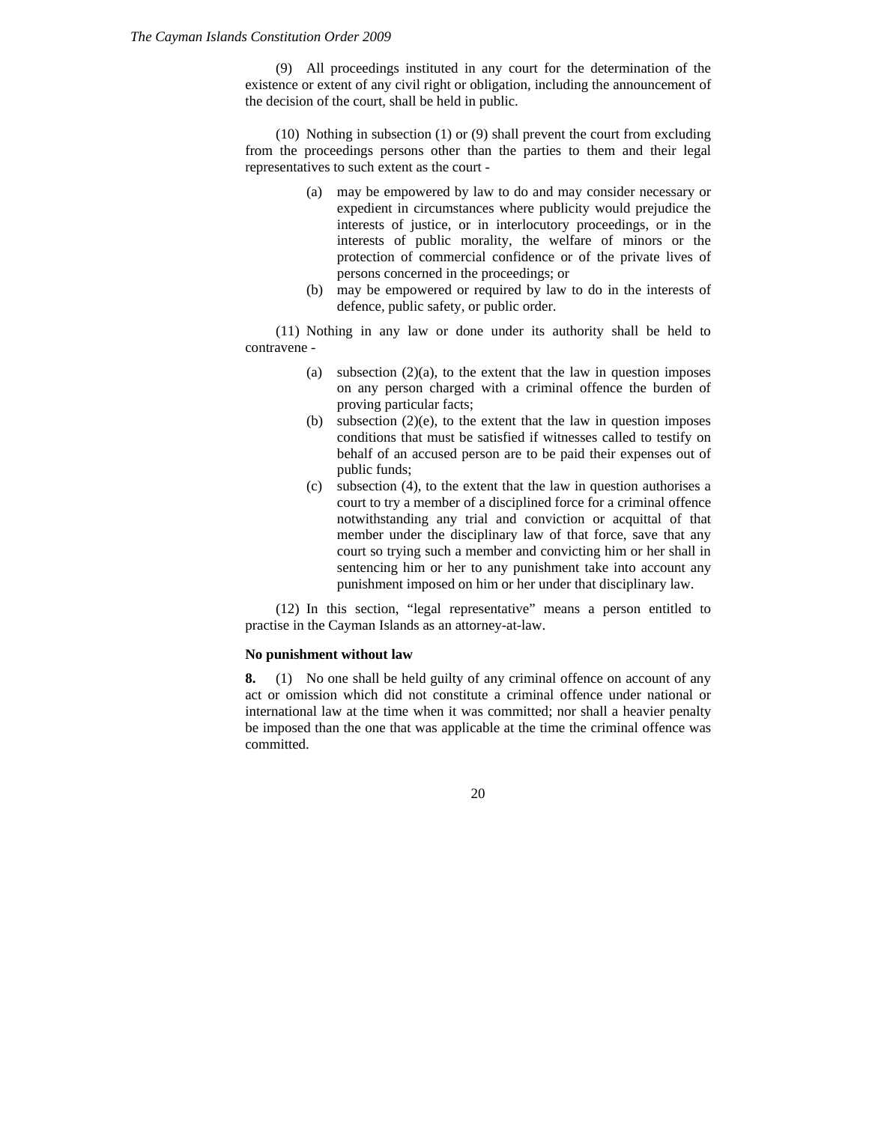#### *The Cayman Islands Constitution Order 2009*

(9) All proceedings instituted in any court for the determination of the existence or extent of any civil right or obligation, including the announcement of the decision of the court, shall be held in public.

(10) Nothing in subsection (1) or (9) shall prevent the court from excluding from the proceedings persons other than the parties to them and their legal representatives to such extent as the court -

- (a) may be empowered by law to do and may consider necessary or expedient in circumstances where publicity would prejudice the interests of justice, or in interlocutory proceedings, or in the interests of public morality, the welfare of minors or the protection of commercial confidence or of the private lives of persons concerned in the proceedings; or
- (b) may be empowered or required by law to do in the interests of defence, public safety, or public order.

(11) Nothing in any law or done under its authority shall be held to contravene -

- (a) subsection  $(2)(a)$ , to the extent that the law in question imposes on any person charged with a criminal offence the burden of proving particular facts;
- (b) subsection  $(2)(e)$ , to the extent that the law in question imposes conditions that must be satisfied if witnesses called to testify on behalf of an accused person are to be paid their expenses out of public funds;
- (c) subsection (4), to the extent that the law in question authorises a court to try a member of a disciplined force for a criminal offence notwithstanding any trial and conviction or acquittal of that member under the disciplinary law of that force, save that any court so trying such a member and convicting him or her shall in sentencing him or her to any punishment take into account any punishment imposed on him or her under that disciplinary law.

(12) In this section, "legal representative" means a person entitled to practise in the Cayman Islands as an attorney-at-law.

### **No punishment without law**

**8.** (1) No one shall be held guilty of any criminal offence on account of any act or omission which did not constitute a criminal offence under national or international law at the time when it was committed; nor shall a heavier penalty be imposed than the one that was applicable at the time the criminal offence was committed.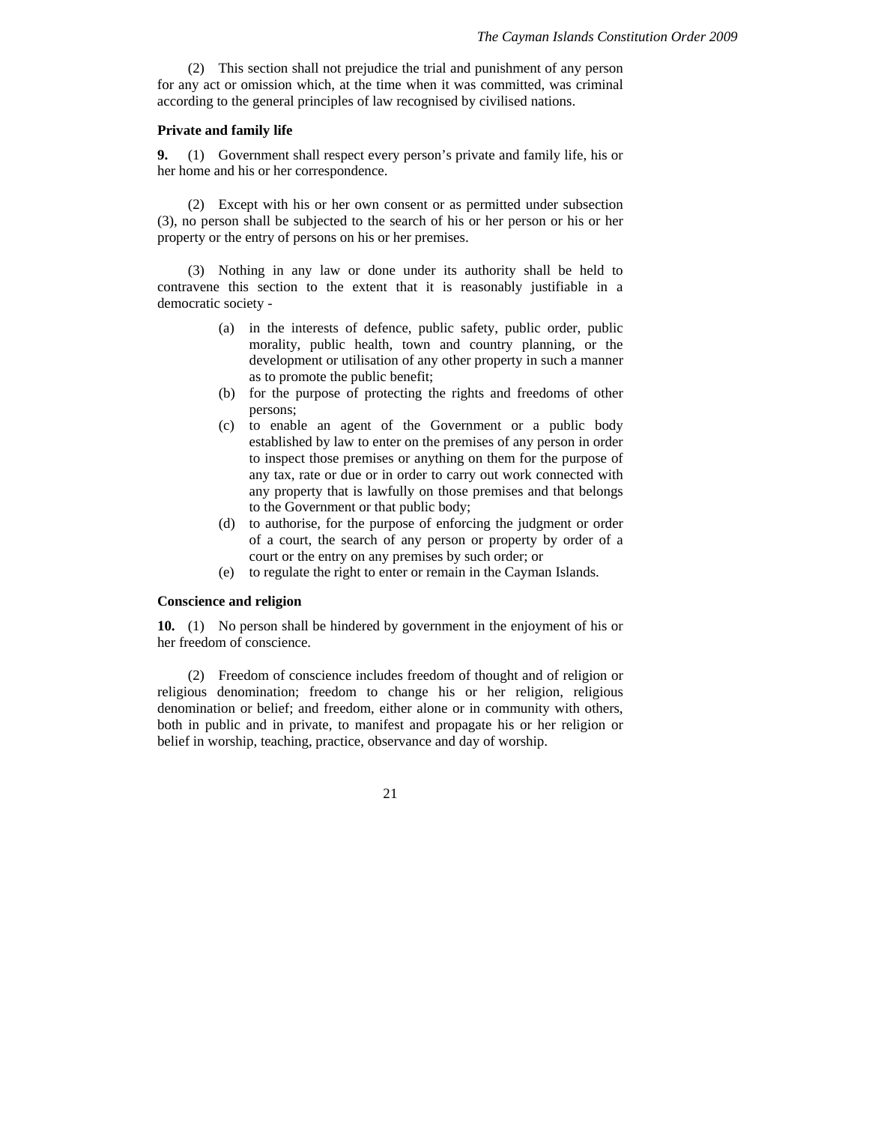(2) This section shall not prejudice the trial and punishment of any person for any act or omission which, at the time when it was committed, was criminal according to the general principles of law recognised by civilised nations.

#### **Private and family life**

**9.** (1) Government shall respect every person's private and family life, his or her home and his or her correspondence.

(2) Except with his or her own consent or as permitted under subsection (3), no person shall be subjected to the search of his or her person or his or her property or the entry of persons on his or her premises.

(3) Nothing in any law or done under its authority shall be held to contravene this section to the extent that it is reasonably justifiable in a democratic society -

- (a) in the interests of defence, public safety, public order, public morality, public health, town and country planning, or the development or utilisation of any other property in such a manner as to promote the public benefit;
- (b) for the purpose of protecting the rights and freedoms of other persons;
- (c) to enable an agent of the Government or a public body established by law to enter on the premises of any person in order to inspect those premises or anything on them for the purpose of any tax, rate or due or in order to carry out work connected with any property that is lawfully on those premises and that belongs to the Government or that public body;
- (d) to authorise, for the purpose of enforcing the judgment or order of a court, the search of any person or property by order of a court or the entry on any premises by such order; or
- (e) to regulate the right to enter or remain in the Cayman Islands.

## **Conscience and religion**

**10.** (1) No person shall be hindered by government in the enjoyment of his or her freedom of conscience.

(2) Freedom of conscience includes freedom of thought and of religion or religious denomination; freedom to change his or her religion, religious denomination or belief; and freedom, either alone or in community with others, both in public and in private, to manifest and propagate his or her religion or belief in worship, teaching, practice, observance and day of worship.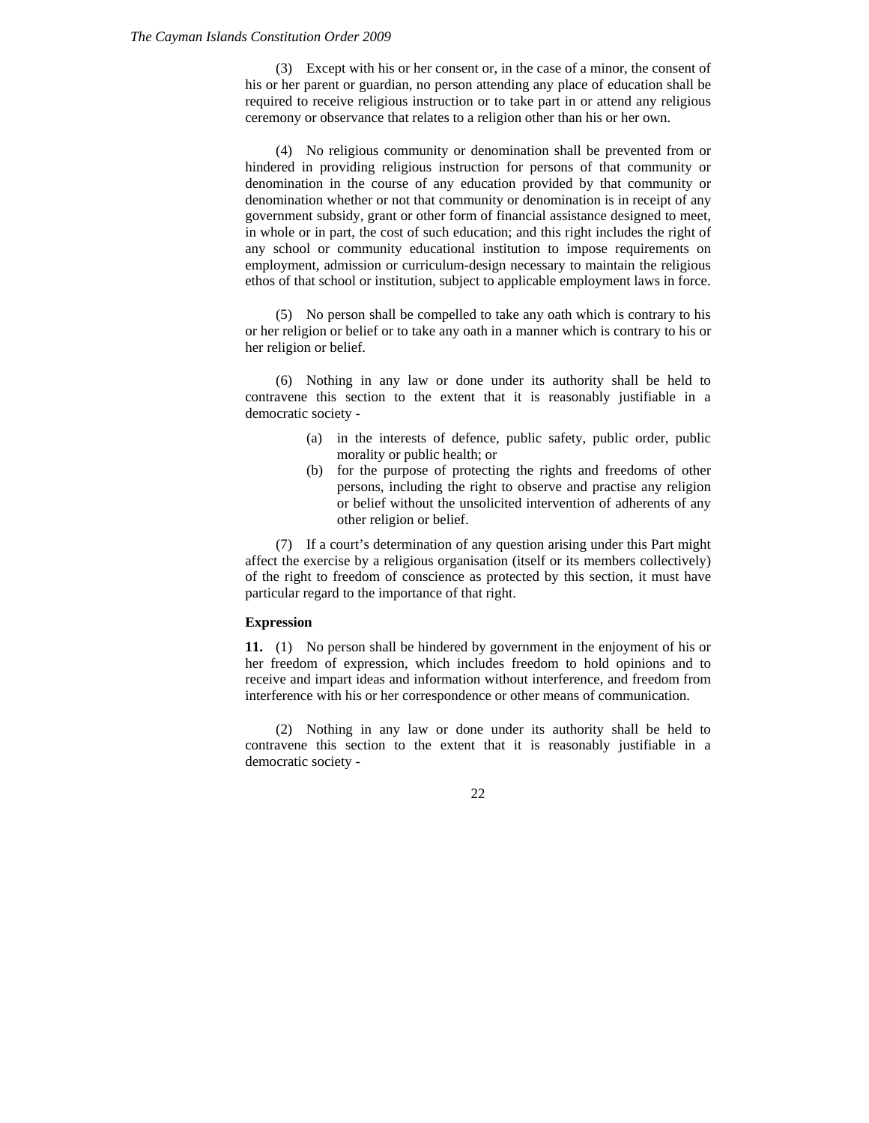(3) Except with his or her consent or, in the case of a minor, the consent of his or her parent or guardian, no person attending any place of education shall be required to receive religious instruction or to take part in or attend any religious ceremony or observance that relates to a religion other than his or her own.

(4) No religious community or denomination shall be prevented from or hindered in providing religious instruction for persons of that community or denomination in the course of any education provided by that community or denomination whether or not that community or denomination is in receipt of any government subsidy, grant or other form of financial assistance designed to meet, in whole or in part, the cost of such education; and this right includes the right of any school or community educational institution to impose requirements on employment, admission or curriculum-design necessary to maintain the religious ethos of that school or institution, subject to applicable employment laws in force.

(5) No person shall be compelled to take any oath which is contrary to his or her religion or belief or to take any oath in a manner which is contrary to his or her religion or belief.

(6) Nothing in any law or done under its authority shall be held to contravene this section to the extent that it is reasonably justifiable in a democratic society -

- (a) in the interests of defence, public safety, public order, public morality or public health; or
- (b) for the purpose of protecting the rights and freedoms of other persons, including the right to observe and practise any religion or belief without the unsolicited intervention of adherents of any other religion or belief.

(7) If a court's determination of any question arising under this Part might affect the exercise by a religious organisation (itself or its members collectively) of the right to freedom of conscience as protected by this section, it must have particular regard to the importance of that right.

#### **Expression**

**11.** (1) No person shall be hindered by government in the enjoyment of his or her freedom of expression, which includes freedom to hold opinions and to receive and impart ideas and information without interference, and freedom from interference with his or her correspondence or other means of communication.

(2) Nothing in any law or done under its authority shall be held to contravene this section to the extent that it is reasonably justifiable in a democratic society -

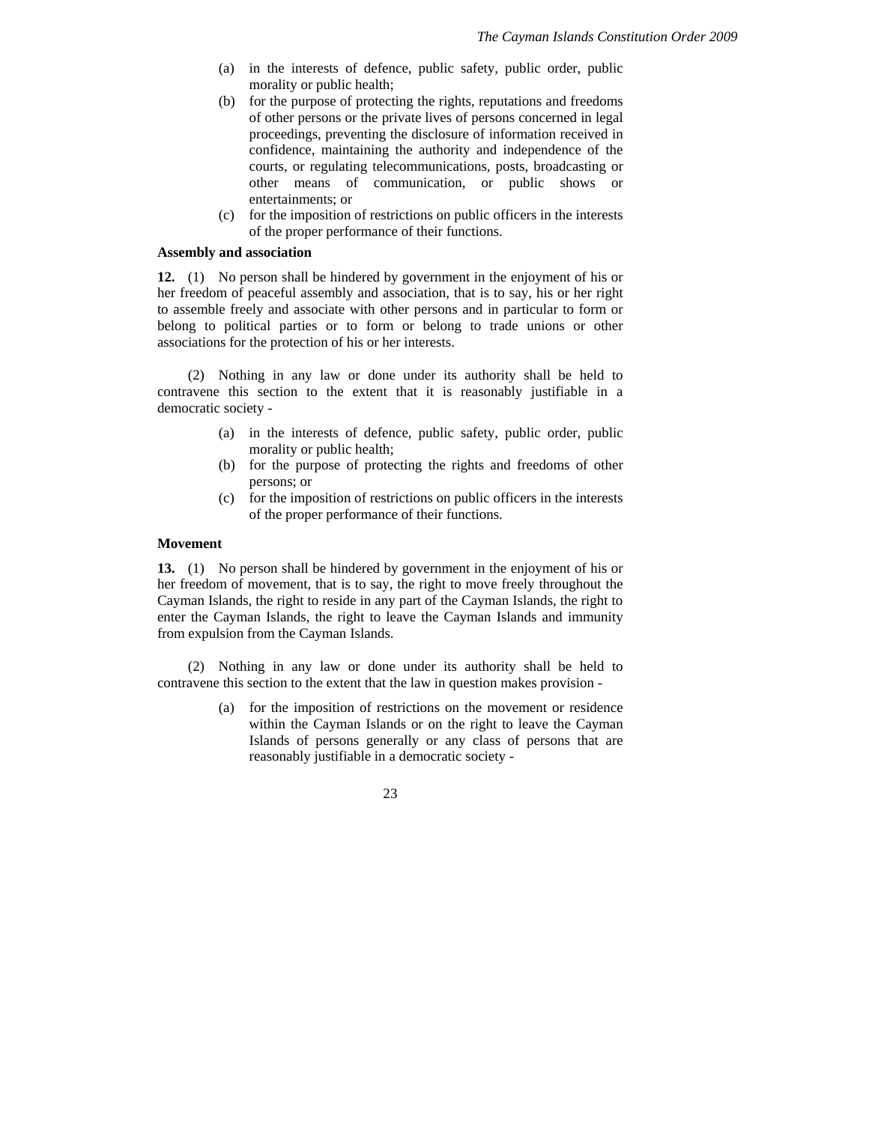- (a) in the interests of defence, public safety, public order, public morality or public health;
- (b) for the purpose of protecting the rights, reputations and freedoms of other persons or the private lives of persons concerned in legal proceedings, preventing the disclosure of information received in confidence, maintaining the authority and independence of the courts, or regulating telecommunications, posts, broadcasting or other means of communication, or public shows or entertainments; or
- (c) for the imposition of restrictions on public officers in the interests of the proper performance of their functions.

#### **Assembly and association**

**12.** (1) No person shall be hindered by government in the enjoyment of his or her freedom of peaceful assembly and association, that is to say, his or her right to assemble freely and associate with other persons and in particular to form or belong to political parties or to form or belong to trade unions or other associations for the protection of his or her interests.

(2) Nothing in any law or done under its authority shall be held to contravene this section to the extent that it is reasonably justifiable in a democratic society -

- (a) in the interests of defence, public safety, public order, public morality or public health;
- (b) for the purpose of protecting the rights and freedoms of other persons; or
- (c) for the imposition of restrictions on public officers in the interests of the proper performance of their functions.

## **Movement**

**13.** (1) No person shall be hindered by government in the enjoyment of his or her freedom of movement, that is to say, the right to move freely throughout the Cayman Islands, the right to reside in any part of the Cayman Islands, the right to enter the Cayman Islands, the right to leave the Cayman Islands and immunity from expulsion from the Cayman Islands.

(2) Nothing in any law or done under its authority shall be held to contravene this section to the extent that the law in question makes provision -

> (a) for the imposition of restrictions on the movement or residence within the Cayman Islands or on the right to leave the Cayman Islands of persons generally or any class of persons that are reasonably justifiable in a democratic society -

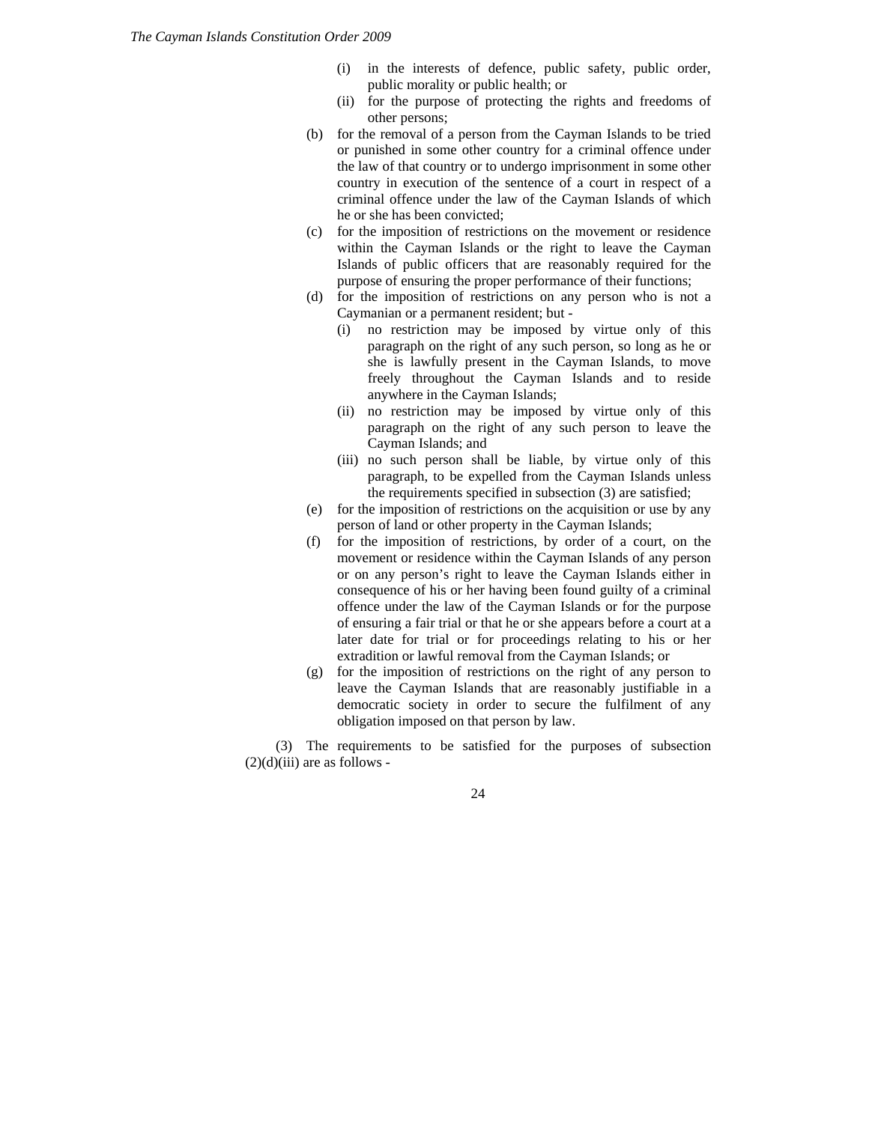- (i) in the interests of defence, public safety, public order, public morality or public health; or
- (ii) for the purpose of protecting the rights and freedoms of other persons;
- (b) for the removal of a person from the Cayman Islands to be tried or punished in some other country for a criminal offence under the law of that country or to undergo imprisonment in some other country in execution of the sentence of a court in respect of a criminal offence under the law of the Cayman Islands of which he or she has been convicted;
- (c) for the imposition of restrictions on the movement or residence within the Cayman Islands or the right to leave the Cayman Islands of public officers that are reasonably required for the purpose of ensuring the proper performance of their functions;
- (d) for the imposition of restrictions on any person who is not a Caymanian or a permanent resident; but -
	- (i) no restriction may be imposed by virtue only of this paragraph on the right of any such person, so long as he or she is lawfully present in the Cayman Islands, to move freely throughout the Cayman Islands and to reside anywhere in the Cayman Islands;
	- (ii) no restriction may be imposed by virtue only of this paragraph on the right of any such person to leave the Cayman Islands; and
	- (iii) no such person shall be liable, by virtue only of this paragraph, to be expelled from the Cayman Islands unless the requirements specified in subsection (3) are satisfied;
- (e) for the imposition of restrictions on the acquisition or use by any person of land or other property in the Cayman Islands;
- (f) for the imposition of restrictions, by order of a court, on the movement or residence within the Cayman Islands of any person or on any person's right to leave the Cayman Islands either in consequence of his or her having been found guilty of a criminal offence under the law of the Cayman Islands or for the purpose of ensuring a fair trial or that he or she appears before a court at a later date for trial or for proceedings relating to his or her extradition or lawful removal from the Cayman Islands; or
- (g) for the imposition of restrictions on the right of any person to leave the Cayman Islands that are reasonably justifiable in a democratic society in order to secure the fulfilment of any obligation imposed on that person by law.

(3) The requirements to be satisfied for the purposes of subsection  $(2)(d)(iii)$  are as follows -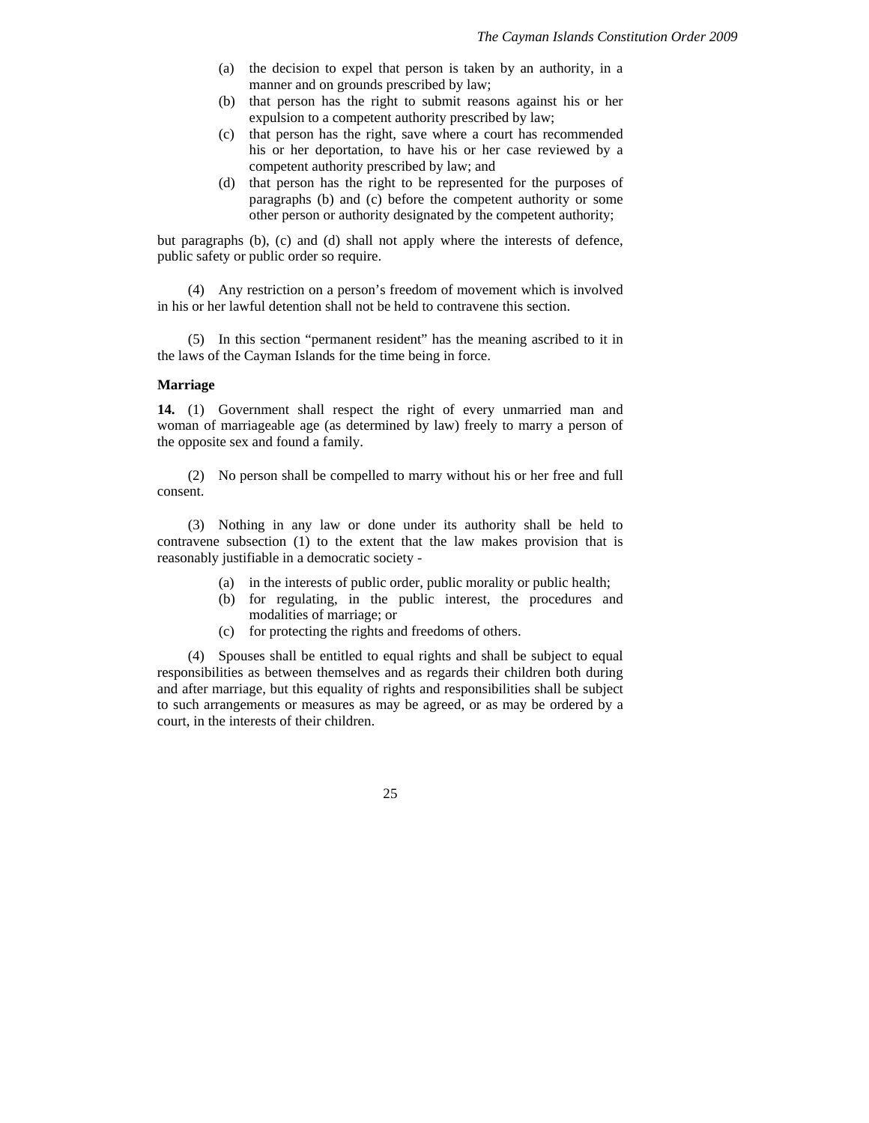- (a) the decision to expel that person is taken by an authority, in a manner and on grounds prescribed by law;
- (b) that person has the right to submit reasons against his or her expulsion to a competent authority prescribed by law;
- (c) that person has the right, save where a court has recommended his or her deportation, to have his or her case reviewed by a competent authority prescribed by law; and
- (d) that person has the right to be represented for the purposes of paragraphs (b) and (c) before the competent authority or some other person or authority designated by the competent authority;

but paragraphs (b), (c) and (d) shall not apply where the interests of defence, public safety or public order so require.

(4) Any restriction on a person's freedom of movement which is involved in his or her lawful detention shall not be held to contravene this section.

(5) In this section "permanent resident" has the meaning ascribed to it in the laws of the Cayman Islands for the time being in force.

#### **Marriage**

**14.** (1) Government shall respect the right of every unmarried man and woman of marriageable age (as determined by law) freely to marry a person of the opposite sex and found a family.

(2) No person shall be compelled to marry without his or her free and full consent.

(3) Nothing in any law or done under its authority shall be held to contravene subsection (1) to the extent that the law makes provision that is reasonably justifiable in a democratic society -

- (a) in the interests of public order, public morality or public health;
- (b) for regulating, in the public interest, the procedures and modalities of marriage; or
- (c) for protecting the rights and freedoms of others.

(4) Spouses shall be entitled to equal rights and shall be subject to equal responsibilities as between themselves and as regards their children both during and after marriage, but this equality of rights and responsibilities shall be subject to such arrangements or measures as may be agreed, or as may be ordered by a court, in the interests of their children.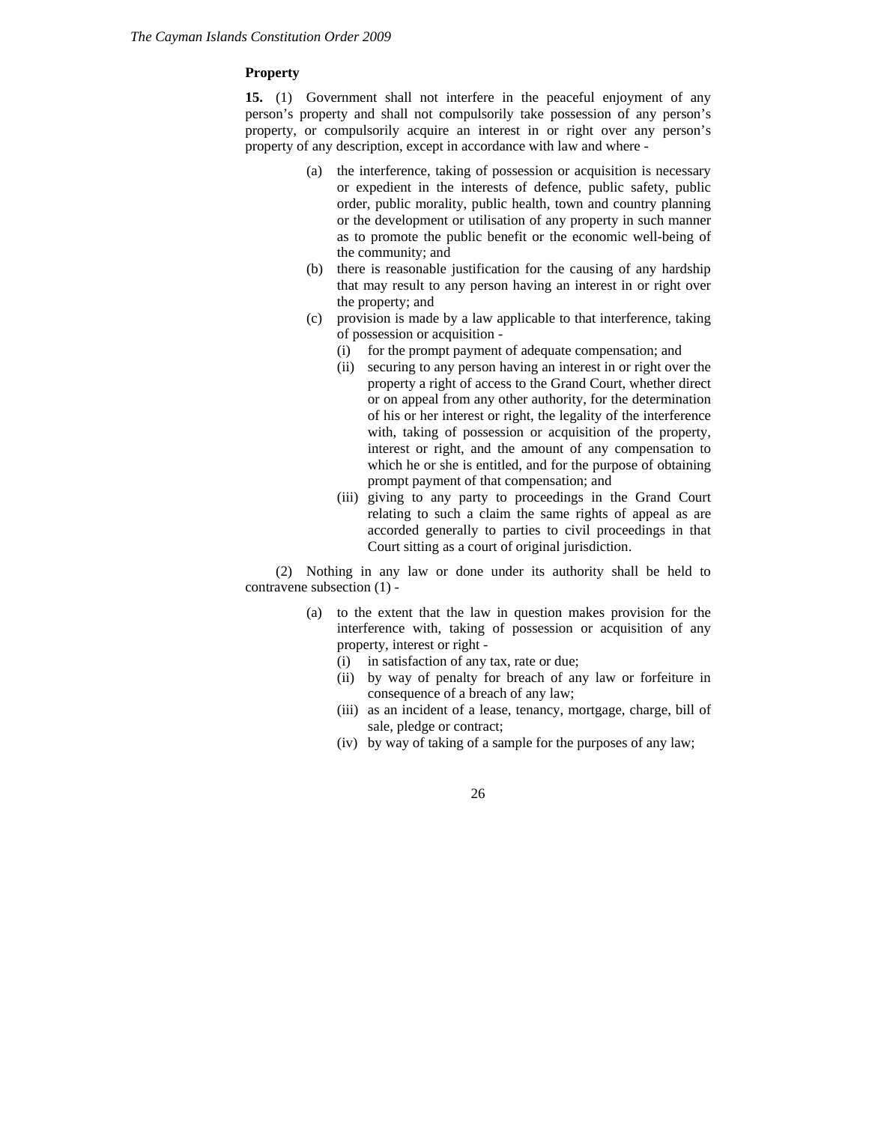## **Property**

**15.** (1) Government shall not interfere in the peaceful enjoyment of any person's property and shall not compulsorily take possession of any person's property, or compulsorily acquire an interest in or right over any person's property of any description, except in accordance with law and where -

- (a) the interference, taking of possession or acquisition is necessary or expedient in the interests of defence, public safety, public order, public morality, public health, town and country planning or the development or utilisation of any property in such manner as to promote the public benefit or the economic well-being of the community; and
- (b) there is reasonable justification for the causing of any hardship that may result to any person having an interest in or right over the property; and
- (c) provision is made by a law applicable to that interference, taking of possession or acquisition -
	- (i) for the prompt payment of adequate compensation; and
	- (ii) securing to any person having an interest in or right over the property a right of access to the Grand Court, whether direct or on appeal from any other authority, for the determination of his or her interest or right, the legality of the interference with, taking of possession or acquisition of the property, interest or right, and the amount of any compensation to which he or she is entitled, and for the purpose of obtaining prompt payment of that compensation; and
	- (iii) giving to any party to proceedings in the Grand Court relating to such a claim the same rights of appeal as are accorded generally to parties to civil proceedings in that Court sitting as a court of original jurisdiction.

(2) Nothing in any law or done under its authority shall be held to contravene subsection (1) -

- (a) to the extent that the law in question makes provision for the interference with, taking of possession or acquisition of any property, interest or right -
	- (i) in satisfaction of any tax, rate or due;
	- (ii) by way of penalty for breach of any law or forfeiture in consequence of a breach of any law;
	- (iii) as an incident of a lease, tenancy, mortgage, charge, bill of sale, pledge or contract;
	- (iv) by way of taking of a sample for the purposes of any law;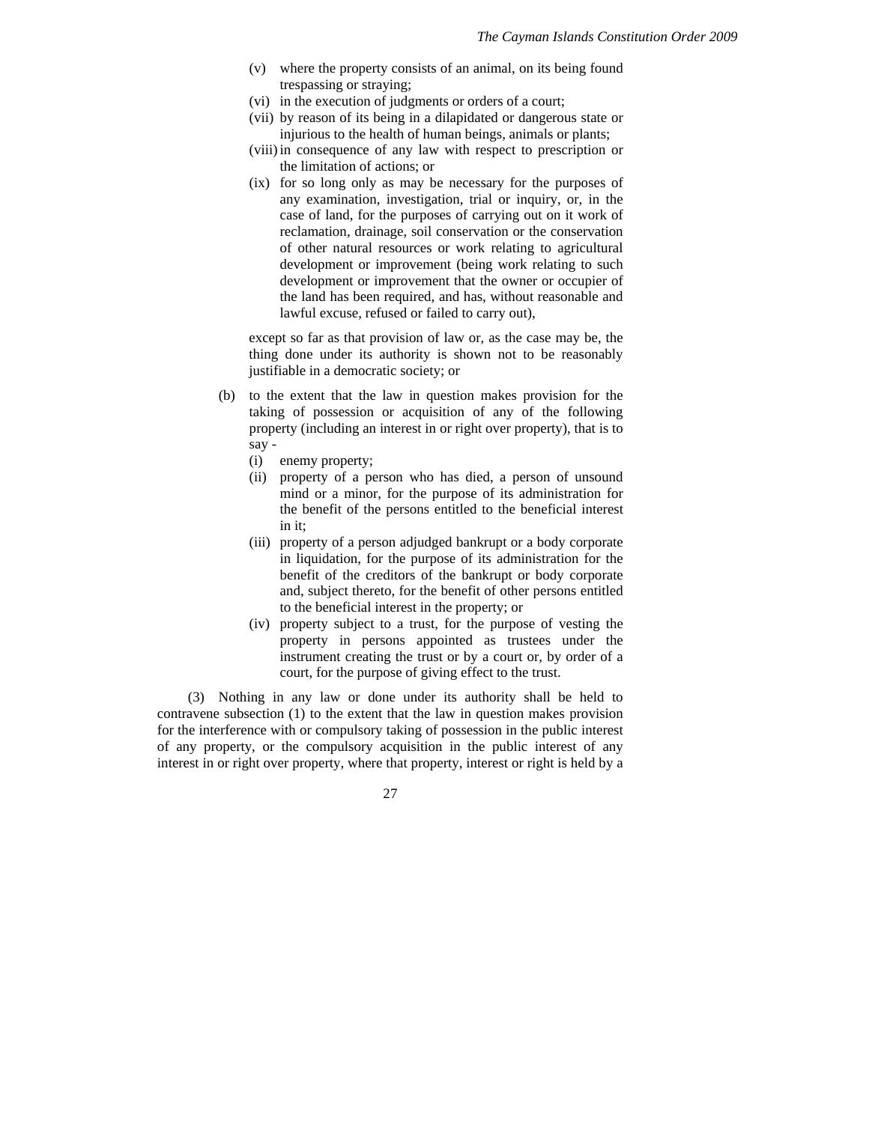- (v) where the property consists of an animal, on its being found trespassing or straying;
- (vi) in the execution of judgments or orders of a court;
- (vii) by reason of its being in a dilapidated or dangerous state or injurious to the health of human beings, animals or plants;
- (viii) in consequence of any law with respect to prescription or the limitation of actions; or
- (ix) for so long only as may be necessary for the purposes of any examination, investigation, trial or inquiry, or, in the case of land, for the purposes of carrying out on it work of reclamation, drainage, soil conservation or the conservation of other natural resources or work relating to agricultural development or improvement (being work relating to such development or improvement that the owner or occupier of the land has been required, and has, without reasonable and lawful excuse, refused or failed to carry out),

except so far as that provision of law or, as the case may be, the thing done under its authority is shown not to be reasonably justifiable in a democratic society; or

- (b) to the extent that the law in question makes provision for the taking of possession or acquisition of any of the following property (including an interest in or right over property), that is to say -
	- (i) enemy property;
	- (ii) property of a person who has died, a person of unsound mind or a minor, for the purpose of its administration for the benefit of the persons entitled to the beneficial interest in it;
	- (iii) property of a person adjudged bankrupt or a body corporate in liquidation, for the purpose of its administration for the benefit of the creditors of the bankrupt or body corporate and, subject thereto, for the benefit of other persons entitled to the beneficial interest in the property; or
	- (iv) property subject to a trust, for the purpose of vesting the property in persons appointed as trustees under the instrument creating the trust or by a court or, by order of a court, for the purpose of giving effect to the trust.

(3) Nothing in any law or done under its authority shall be held to contravene subsection (1) to the extent that the law in question makes provision for the interference with or compulsory taking of possession in the public interest of any property, or the compulsory acquisition in the public interest of any interest in or right over property, where that property, interest or right is held by a

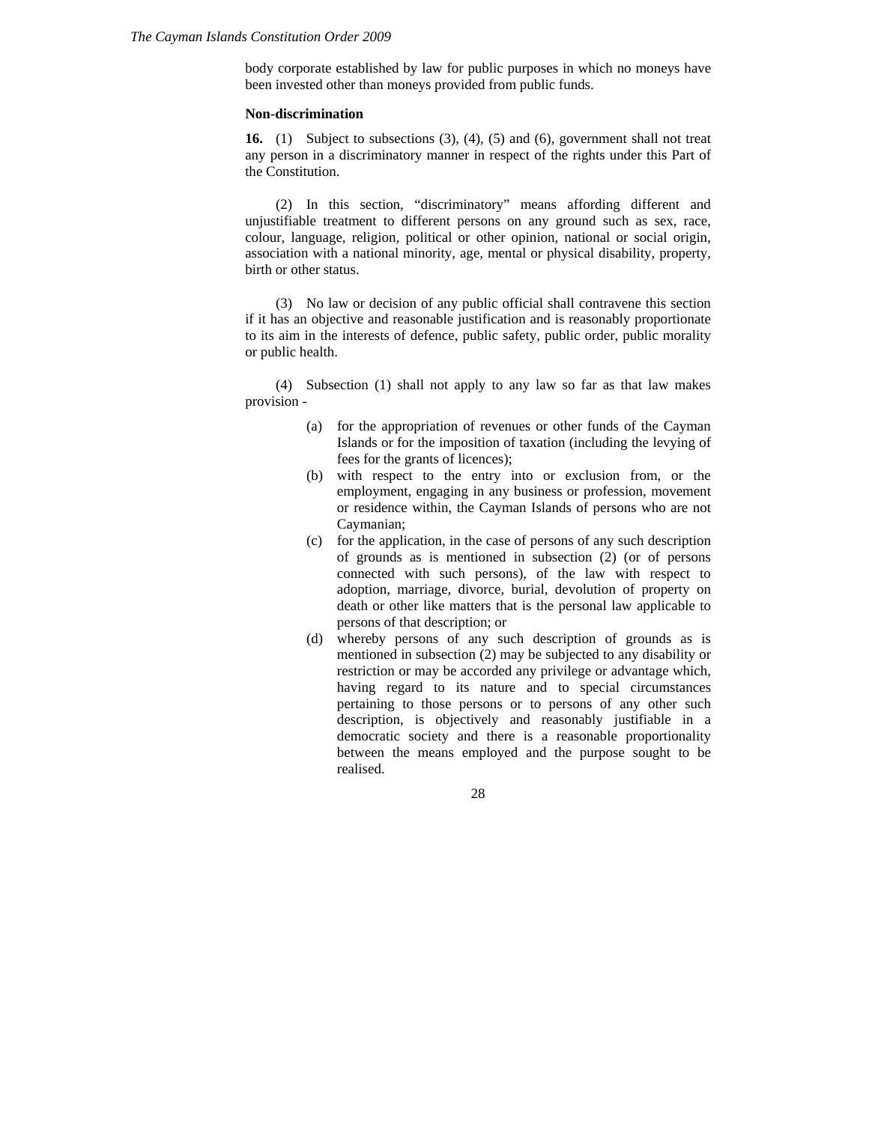body corporate established by law for public purposes in which no moneys have been invested other than moneys provided from public funds.

#### **Non-discrimination**

**16.** (1) Subject to subsections (3), (4), (5) and (6), government shall not treat any person in a discriminatory manner in respect of the rights under this Part of the Constitution.

(2) In this section, "discriminatory" means affording different and unjustifiable treatment to different persons on any ground such as sex, race, colour, language, religion, political or other opinion, national or social origin, association with a national minority, age, mental or physical disability, property, birth or other status.

(3) No law or decision of any public official shall contravene this section if it has an objective and reasonable justification and is reasonably proportionate to its aim in the interests of defence, public safety, public order, public morality or public health.

(4) Subsection (1) shall not apply to any law so far as that law makes provision -

- (a) for the appropriation of revenues or other funds of the Cayman Islands or for the imposition of taxation (including the levying of fees for the grants of licences);
- (b) with respect to the entry into or exclusion from, or the employment, engaging in any business or profession, movement or residence within, the Cayman Islands of persons who are not Caymanian;
- (c) for the application, in the case of persons of any such description of grounds as is mentioned in subsection (2) (or of persons connected with such persons), of the law with respect to adoption, marriage, divorce, burial, devolution of property on death or other like matters that is the personal law applicable to persons of that description; or
- (d) whereby persons of any such description of grounds as is mentioned in subsection (2) may be subjected to any disability or restriction or may be accorded any privilege or advantage which, having regard to its nature and to special circumstances pertaining to those persons or to persons of any other such description, is objectively and reasonably justifiable in a democratic society and there is a reasonable proportionality between the means employed and the purpose sought to be realised.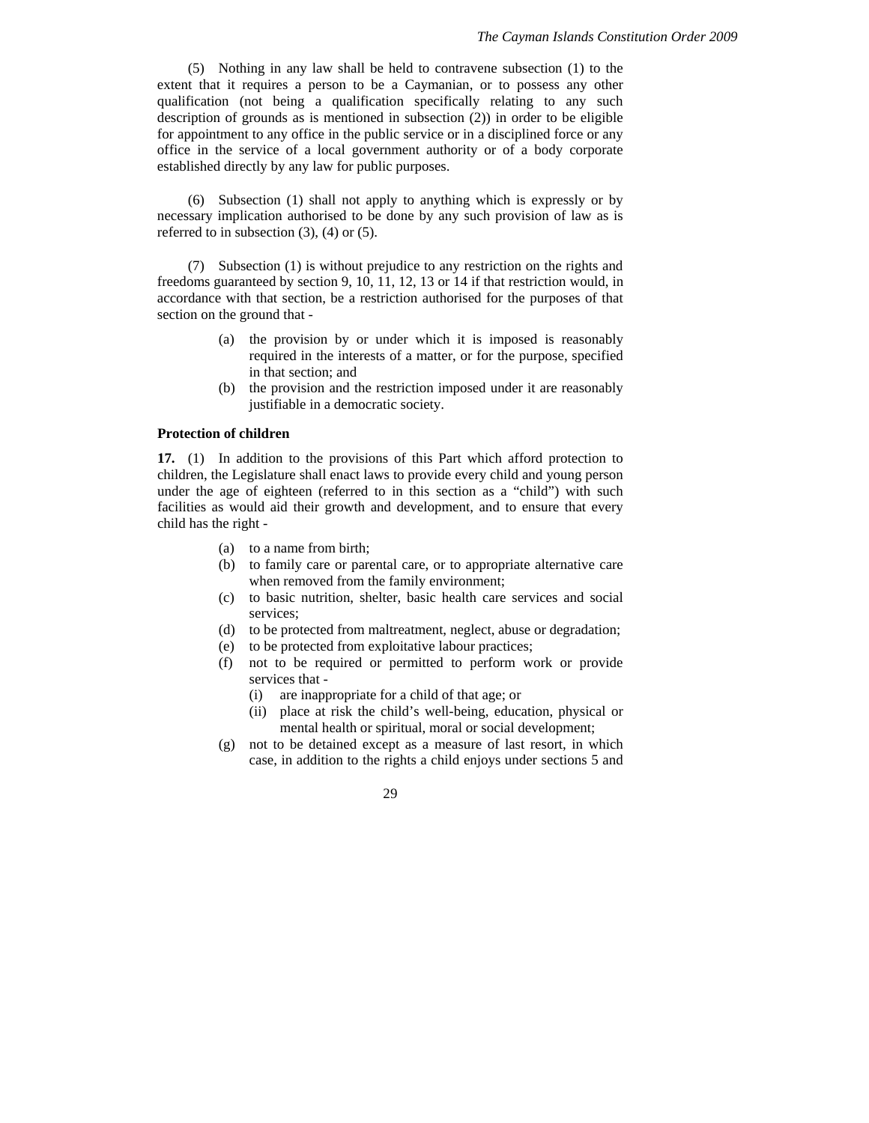(5) Nothing in any law shall be held to contravene subsection (1) to the extent that it requires a person to be a Caymanian, or to possess any other qualification (not being a qualification specifically relating to any such description of grounds as is mentioned in subsection (2)) in order to be eligible for appointment to any office in the public service or in a disciplined force or any office in the service of a local government authority or of a body corporate established directly by any law for public purposes.

(6) Subsection (1) shall not apply to anything which is expressly or by necessary implication authorised to be done by any such provision of law as is referred to in subsection  $(3)$ ,  $(4)$  or  $(5)$ .

(7) Subsection (1) is without prejudice to any restriction on the rights and freedoms guaranteed by section 9, 10, 11, 12, 13 or 14 if that restriction would, in accordance with that section, be a restriction authorised for the purposes of that section on the ground that -

- (a) the provision by or under which it is imposed is reasonably required in the interests of a matter, or for the purpose, specified in that section; and
- (b) the provision and the restriction imposed under it are reasonably justifiable in a democratic society.

## **Protection of children**

**17.** (1) In addition to the provisions of this Part which afford protection to children, the Legislature shall enact laws to provide every child and young person under the age of eighteen (referred to in this section as a "child") with such facilities as would aid their growth and development, and to ensure that every child has the right -

- (a) to a name from birth;
- (b) to family care or parental care, or to appropriate alternative care when removed from the family environment;
- (c) to basic nutrition, shelter, basic health care services and social services;
- (d) to be protected from maltreatment, neglect, abuse or degradation;
- (e) to be protected from exploitative labour practices;
- (f) not to be required or permitted to perform work or provide services that -
	- (i) are inappropriate for a child of that age; or
	- (ii) place at risk the child's well-being, education, physical or mental health or spiritual, moral or social development;
- (g) not to be detained except as a measure of last resort, in which case, in addition to the rights a child enjoys under sections 5 and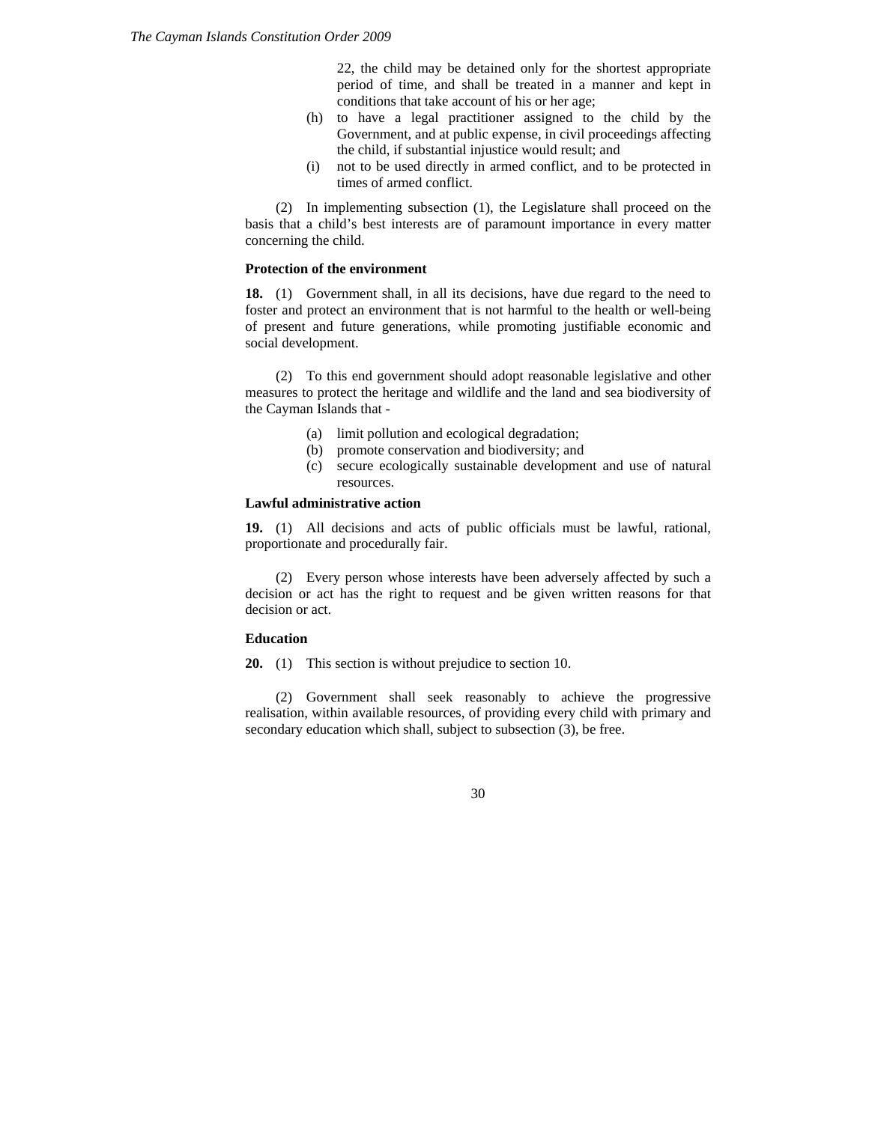22, the child may be detained only for the shortest appropriate period of time, and shall be treated in a manner and kept in conditions that take account of his or her age;

- (h) to have a legal practitioner assigned to the child by the Government, and at public expense, in civil proceedings affecting the child, if substantial injustice would result; and
- (i) not to be used directly in armed conflict, and to be protected in times of armed conflict.

(2) In implementing subsection (1), the Legislature shall proceed on the basis that a child's best interests are of paramount importance in every matter concerning the child.

#### **Protection of the environment**

**18.** (1) Government shall, in all its decisions, have due regard to the need to foster and protect an environment that is not harmful to the health or well-being of present and future generations, while promoting justifiable economic and social development.

(2) To this end government should adopt reasonable legislative and other measures to protect the heritage and wildlife and the land and sea biodiversity of the Cayman Islands that -

- (a) limit pollution and ecological degradation;
- (b) promote conservation and biodiversity; and
- (c) secure ecologically sustainable development and use of natural resources.

### **Lawful administrative action**

**19.** (1) All decisions and acts of public officials must be lawful, rational, proportionate and procedurally fair.

(2) Every person whose interests have been adversely affected by such a decision or act has the right to request and be given written reasons for that decision or act.

#### **Education**

**20.** (1) This section is without prejudice to section 10.

(2) Government shall seek reasonably to achieve the progressive realisation, within available resources, of providing every child with primary and secondary education which shall, subject to subsection (3), be free.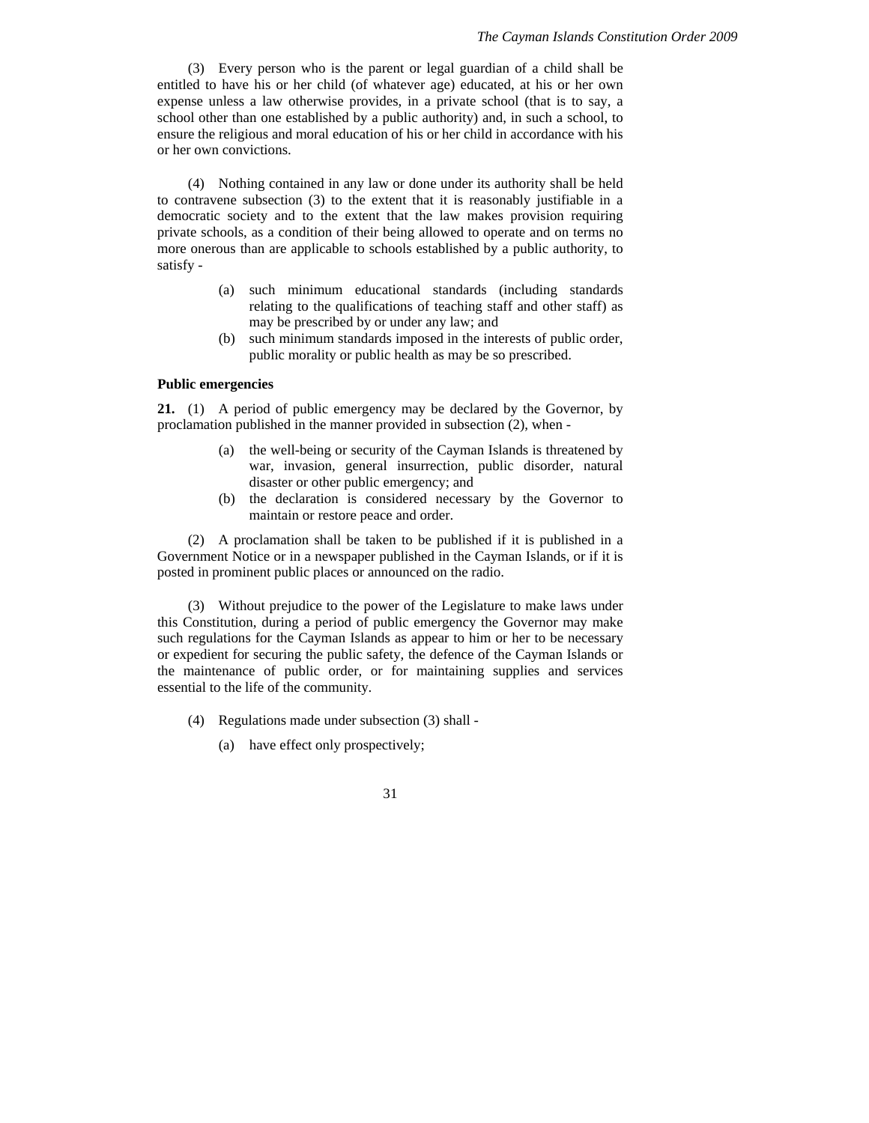(3) Every person who is the parent or legal guardian of a child shall be entitled to have his or her child (of whatever age) educated, at his or her own expense unless a law otherwise provides, in a private school (that is to say, a school other than one established by a public authority) and, in such a school, to ensure the religious and moral education of his or her child in accordance with his or her own convictions.

(4) Nothing contained in any law or done under its authority shall be held to contravene subsection (3) to the extent that it is reasonably justifiable in a democratic society and to the extent that the law makes provision requiring private schools, as a condition of their being allowed to operate and on terms no more onerous than are applicable to schools established by a public authority, to satisfy -

- (a) such minimum educational standards (including standards relating to the qualifications of teaching staff and other staff) as may be prescribed by or under any law; and
- (b) such minimum standards imposed in the interests of public order, public morality or public health as may be so prescribed.

### **Public emergencies**

**21.** (1) A period of public emergency may be declared by the Governor, by proclamation published in the manner provided in subsection (2), when -

- (a) the well-being or security of the Cayman Islands is threatened by war, invasion, general insurrection, public disorder, natural disaster or other public emergency; and
- (b) the declaration is considered necessary by the Governor to maintain or restore peace and order.

(2) A proclamation shall be taken to be published if it is published in a Government Notice or in a newspaper published in the Cayman Islands, or if it is posted in prominent public places or announced on the radio.

(3) Without prejudice to the power of the Legislature to make laws under this Constitution, during a period of public emergency the Governor may make such regulations for the Cayman Islands as appear to him or her to be necessary or expedient for securing the public safety, the defence of the Cayman Islands or the maintenance of public order, or for maintaining supplies and services essential to the life of the community.

- (4) Regulations made under subsection (3) shall
	- (a) have effect only prospectively;

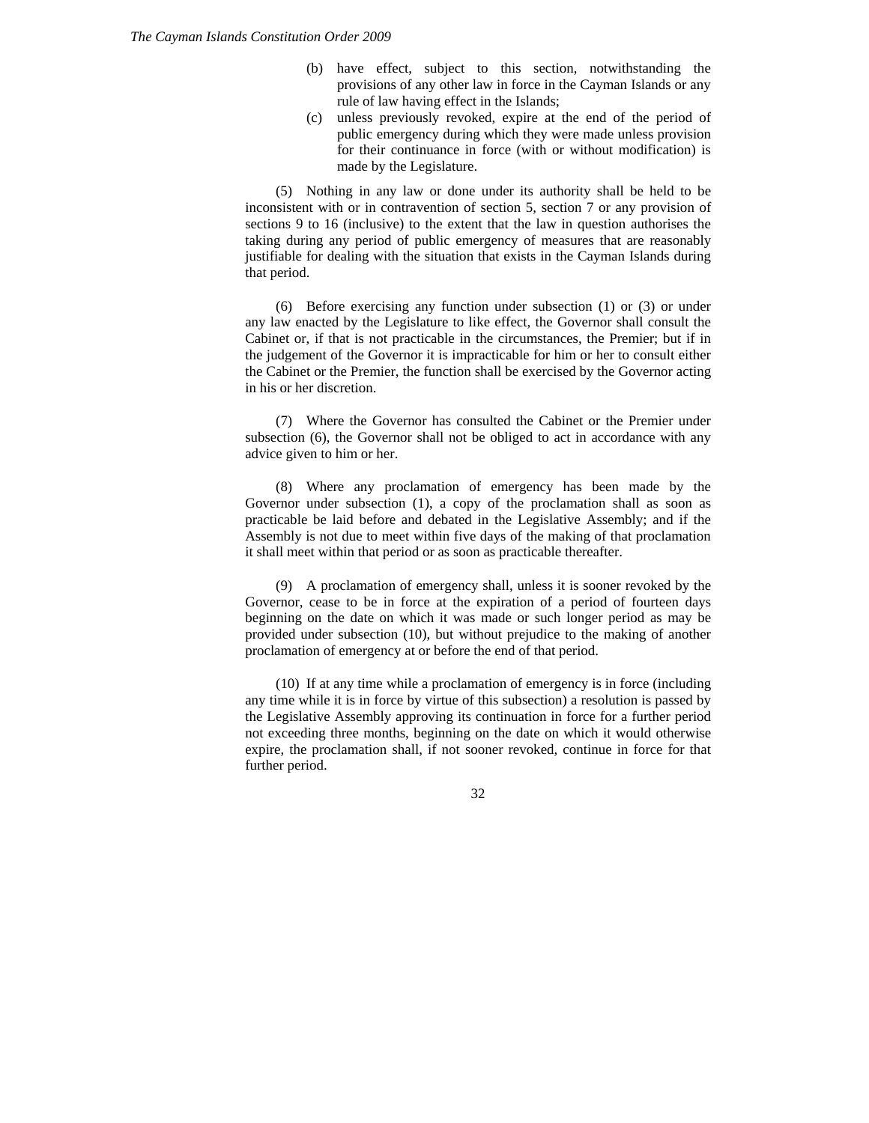- (b) have effect, subject to this section, notwithstanding the provisions of any other law in force in the Cayman Islands or any rule of law having effect in the Islands;
- (c) unless previously revoked, expire at the end of the period of public emergency during which they were made unless provision for their continuance in force (with or without modification) is made by the Legislature.

(5) Nothing in any law or done under its authority shall be held to be inconsistent with or in contravention of section 5, section 7 or any provision of sections 9 to 16 (inclusive) to the extent that the law in question authorises the taking during any period of public emergency of measures that are reasonably justifiable for dealing with the situation that exists in the Cayman Islands during that period.

(6) Before exercising any function under subsection (1) or (3) or under any law enacted by the Legislature to like effect, the Governor shall consult the Cabinet or, if that is not practicable in the circumstances, the Premier; but if in the judgement of the Governor it is impracticable for him or her to consult either the Cabinet or the Premier, the function shall be exercised by the Governor acting in his or her discretion.

(7) Where the Governor has consulted the Cabinet or the Premier under subsection (6), the Governor shall not be obliged to act in accordance with any advice given to him or her.

(8) Where any proclamation of emergency has been made by the Governor under subsection (1), a copy of the proclamation shall as soon as practicable be laid before and debated in the Legislative Assembly; and if the Assembly is not due to meet within five days of the making of that proclamation it shall meet within that period or as soon as practicable thereafter.

(9) A proclamation of emergency shall, unless it is sooner revoked by the Governor, cease to be in force at the expiration of a period of fourteen days beginning on the date on which it was made or such longer period as may be provided under subsection (10), but without prejudice to the making of another proclamation of emergency at or before the end of that period.

(10) If at any time while a proclamation of emergency is in force (including any time while it is in force by virtue of this subsection) a resolution is passed by the Legislative Assembly approving its continuation in force for a further period not exceeding three months, beginning on the date on which it would otherwise expire, the proclamation shall, if not sooner revoked, continue in force for that further period.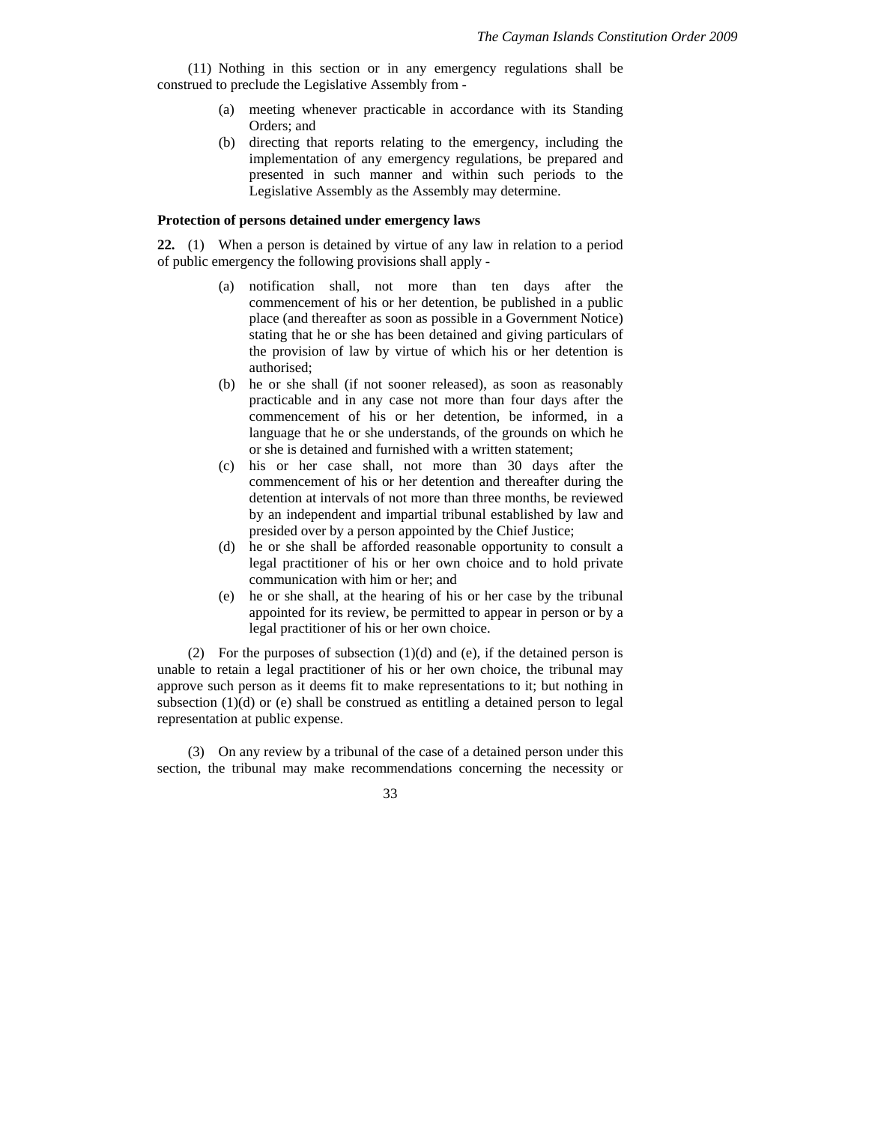(11) Nothing in this section or in any emergency regulations shall be construed to preclude the Legislative Assembly from -

- (a) meeting whenever practicable in accordance with its Standing Orders; and
- (b) directing that reports relating to the emergency, including the implementation of any emergency regulations, be prepared and presented in such manner and within such periods to the Legislative Assembly as the Assembly may determine.

#### **Protection of persons detained under emergency laws**

**22.** (1) When a person is detained by virtue of any law in relation to a period of public emergency the following provisions shall apply -

- (a) notification shall, not more than ten days after the commencement of his or her detention, be published in a public place (and thereafter as soon as possible in a Government Notice) stating that he or she has been detained and giving particulars of the provision of law by virtue of which his or her detention is authorised;
- (b) he or she shall (if not sooner released), as soon as reasonably practicable and in any case not more than four days after the commencement of his or her detention, be informed, in a language that he or she understands, of the grounds on which he or she is detained and furnished with a written statement;
- (c) his or her case shall, not more than 30 days after the commencement of his or her detention and thereafter during the detention at intervals of not more than three months, be reviewed by an independent and impartial tribunal established by law and presided over by a person appointed by the Chief Justice;
- (d) he or she shall be afforded reasonable opportunity to consult a legal practitioner of his or her own choice and to hold private communication with him or her; and
- (e) he or she shall, at the hearing of his or her case by the tribunal appointed for its review, be permitted to appear in person or by a legal practitioner of his or her own choice.

(2) For the purposes of subsection  $(1)(d)$  and  $(e)$ , if the detained person is unable to retain a legal practitioner of his or her own choice, the tribunal may approve such person as it deems fit to make representations to it; but nothing in subsection (1)(d) or (e) shall be construed as entitling a detained person to legal representation at public expense.

(3) On any review by a tribunal of the case of a detained person under this section, the tribunal may make recommendations concerning the necessity or

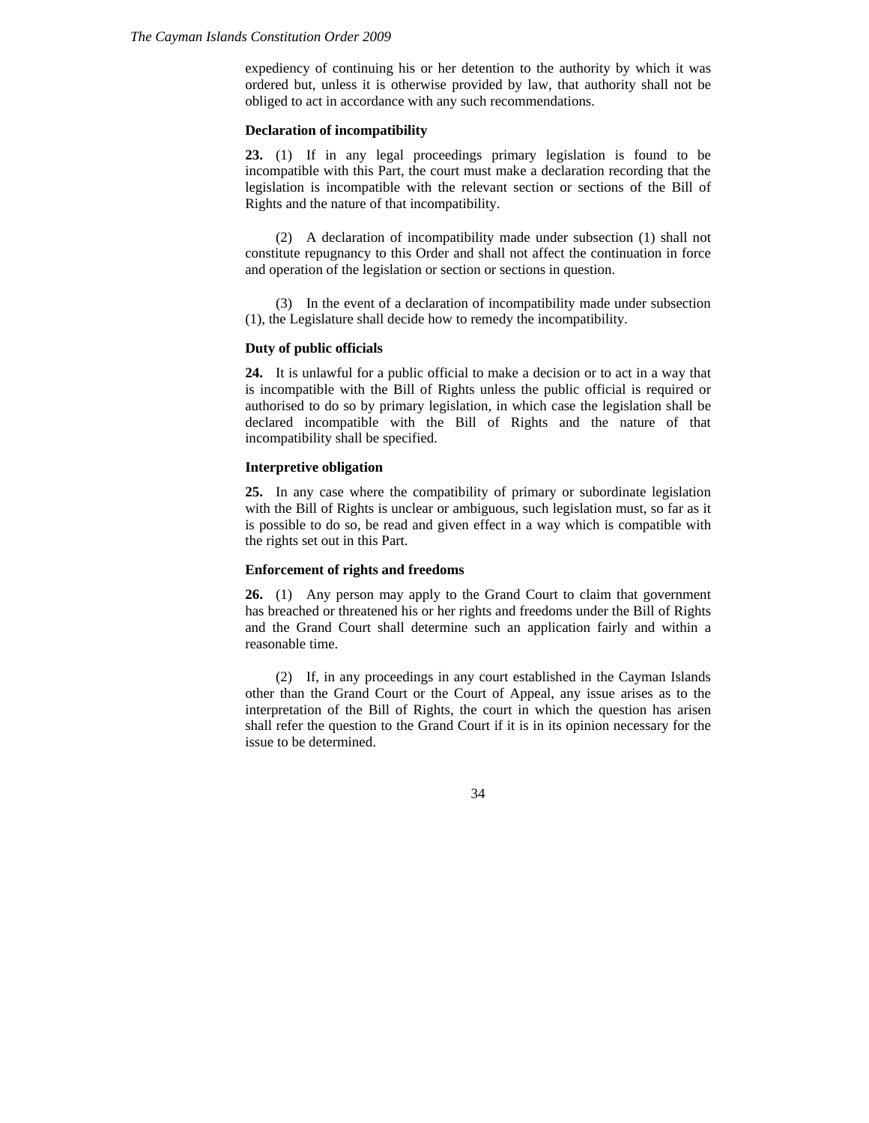expediency of continuing his or her detention to the authority by which it was ordered but, unless it is otherwise provided by law, that authority shall not be obliged to act in accordance with any such recommendations.

#### **Declaration of incompatibility**

**23.** (1) If in any legal proceedings primary legislation is found to be incompatible with this Part, the court must make a declaration recording that the legislation is incompatible with the relevant section or sections of the Bill of Rights and the nature of that incompatibility.

(2) A declaration of incompatibility made under subsection (1) shall not constitute repugnancy to this Order and shall not affect the continuation in force and operation of the legislation or section or sections in question.

(3) In the event of a declaration of incompatibility made under subsection (1), the Legislature shall decide how to remedy the incompatibility.

### **Duty of public officials**

**24.** It is unlawful for a public official to make a decision or to act in a way that is incompatible with the Bill of Rights unless the public official is required or authorised to do so by primary legislation, in which case the legislation shall be declared incompatible with the Bill of Rights and the nature of that incompatibility shall be specified.

## **Interpretive obligation**

**25.** In any case where the compatibility of primary or subordinate legislation with the Bill of Rights is unclear or ambiguous, such legislation must, so far as it is possible to do so, be read and given effect in a way which is compatible with the rights set out in this Part.

## **Enforcement of rights and freedoms**

**26.** (1) Any person may apply to the Grand Court to claim that government has breached or threatened his or her rights and freedoms under the Bill of Rights and the Grand Court shall determine such an application fairly and within a reasonable time.

(2) If, in any proceedings in any court established in the Cayman Islands other than the Grand Court or the Court of Appeal, any issue arises as to the interpretation of the Bill of Rights, the court in which the question has arisen shall refer the question to the Grand Court if it is in its opinion necessary for the issue to be determined.

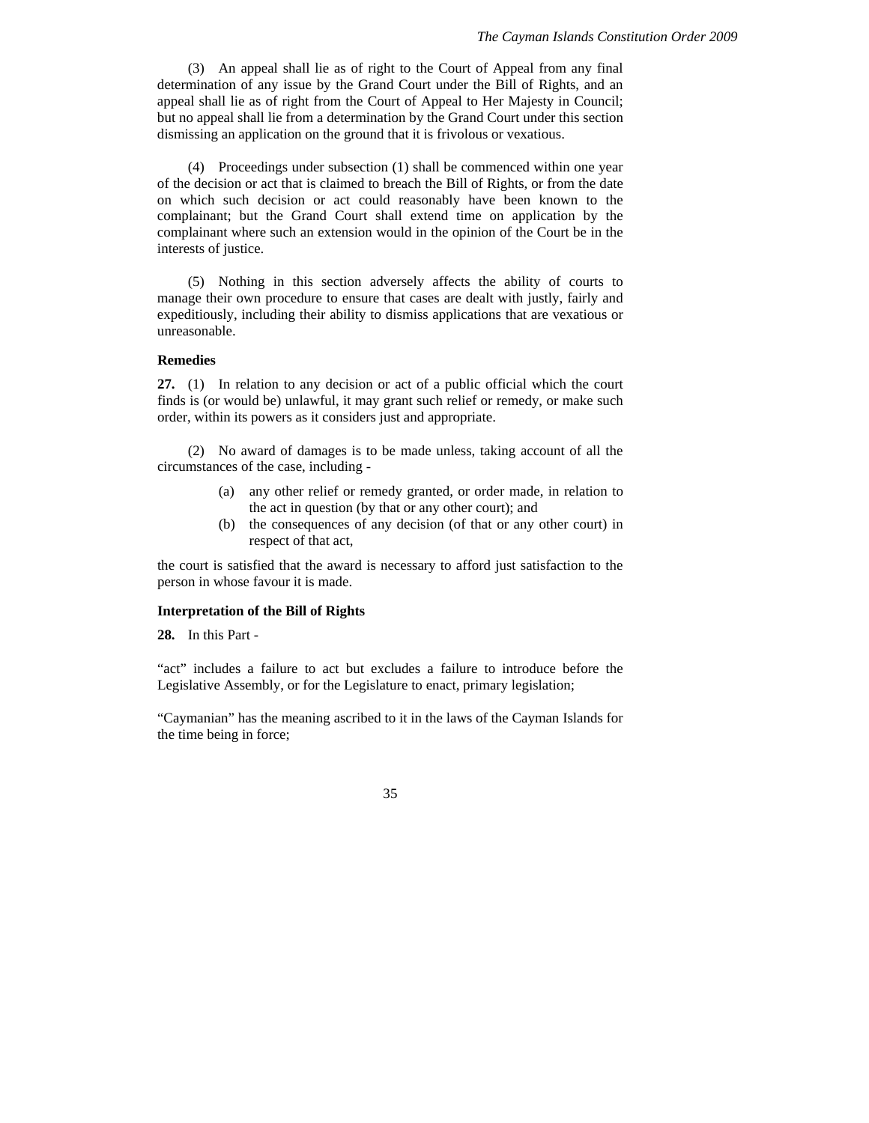(3) An appeal shall lie as of right to the Court of Appeal from any final determination of any issue by the Grand Court under the Bill of Rights, and an appeal shall lie as of right from the Court of Appeal to Her Majesty in Council; but no appeal shall lie from a determination by the Grand Court under this section dismissing an application on the ground that it is frivolous or vexatious.

(4) Proceedings under subsection (1) shall be commenced within one year of the decision or act that is claimed to breach the Bill of Rights, or from the date on which such decision or act could reasonably have been known to the complainant; but the Grand Court shall extend time on application by the complainant where such an extension would in the opinion of the Court be in the interests of justice.

(5) Nothing in this section adversely affects the ability of courts to manage their own procedure to ensure that cases are dealt with justly, fairly and expeditiously, including their ability to dismiss applications that are vexatious or unreasonable.

## **Remedies**

**27.** (1) In relation to any decision or act of a public official which the court finds is (or would be) unlawful, it may grant such relief or remedy, or make such order, within its powers as it considers just and appropriate.

(2) No award of damages is to be made unless, taking account of all the circumstances of the case, including -

- (a) any other relief or remedy granted, or order made, in relation to the act in question (by that or any other court); and
- (b) the consequences of any decision (of that or any other court) in respect of that act,

the court is satisfied that the award is necessary to afford just satisfaction to the person in whose favour it is made.

### **Interpretation of the Bill of Rights**

**28.** In this Part -

"act" includes a failure to act but excludes a failure to introduce before the Legislative Assembly, or for the Legislature to enact, primary legislation;

"Caymanian" has the meaning ascribed to it in the laws of the Cayman Islands for the time being in force;

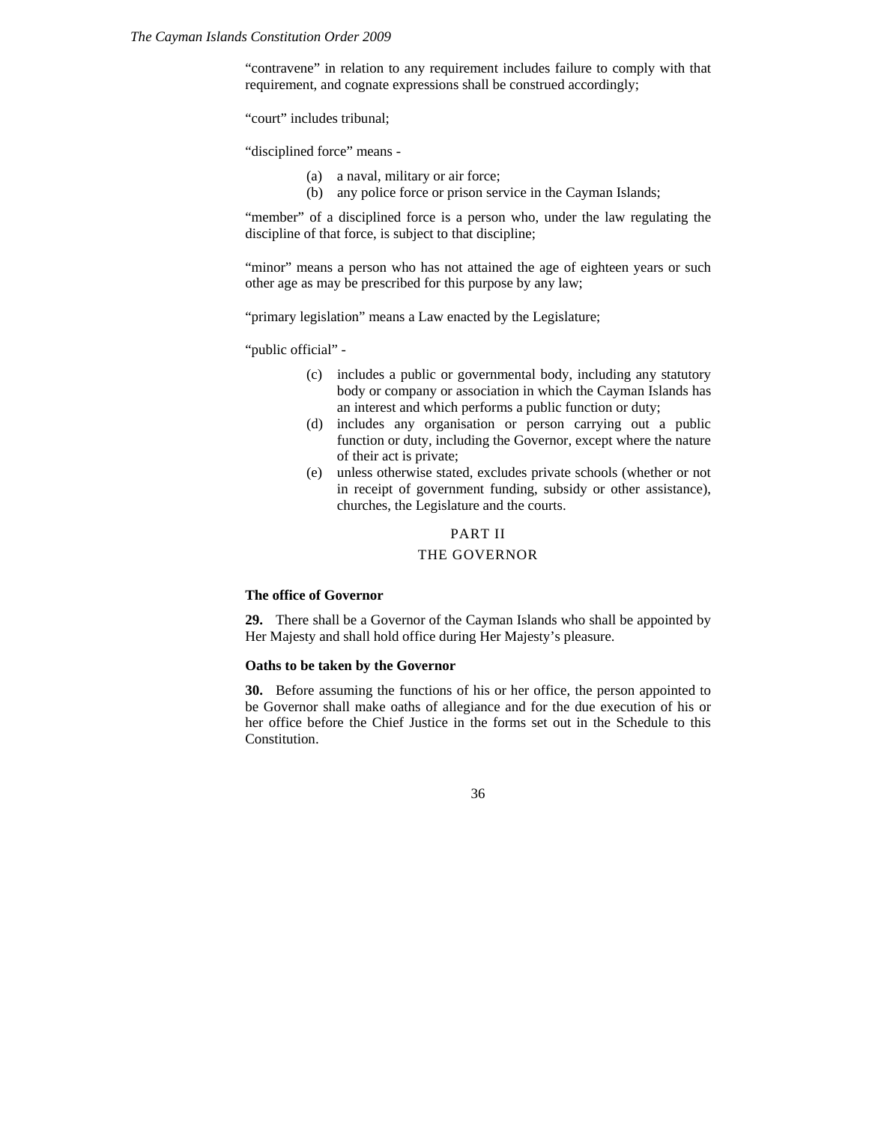#### *The Cayman Islands Constitution Order 2009*

"contravene" in relation to any requirement includes failure to comply with that requirement, and cognate expressions shall be construed accordingly;

"court" includes tribunal;

"disciplined force" means -

- (a) a naval, military or air force;
- (b) any police force or prison service in the Cayman Islands;

"member" of a disciplined force is a person who, under the law regulating the discipline of that force, is subject to that discipline;

"minor" means a person who has not attained the age of eighteen years or such other age as may be prescribed for this purpose by any law;

"primary legislation" means a Law enacted by the Legislature;

"public official" -

- (c) includes a public or governmental body, including any statutory body or company or association in which the Cayman Islands has an interest and which performs a public function or duty;
- (d) includes any organisation or person carrying out a public function or duty, including the Governor, except where the nature of their act is private;
- (e) unless otherwise stated, excludes private schools (whether or not in receipt of government funding, subsidy or other assistance), churches, the Legislature and the courts.

# PART II THE GOVERNOR

#### **The office of Governor**

**29.** There shall be a Governor of the Cayman Islands who shall be appointed by Her Majesty and shall hold office during Her Majesty's pleasure.

### **Oaths to be taken by the Governor**

**30.** Before assuming the functions of his or her office, the person appointed to be Governor shall make oaths of allegiance and for the due execution of his or her office before the Chief Justice in the forms set out in the Schedule to this Constitution.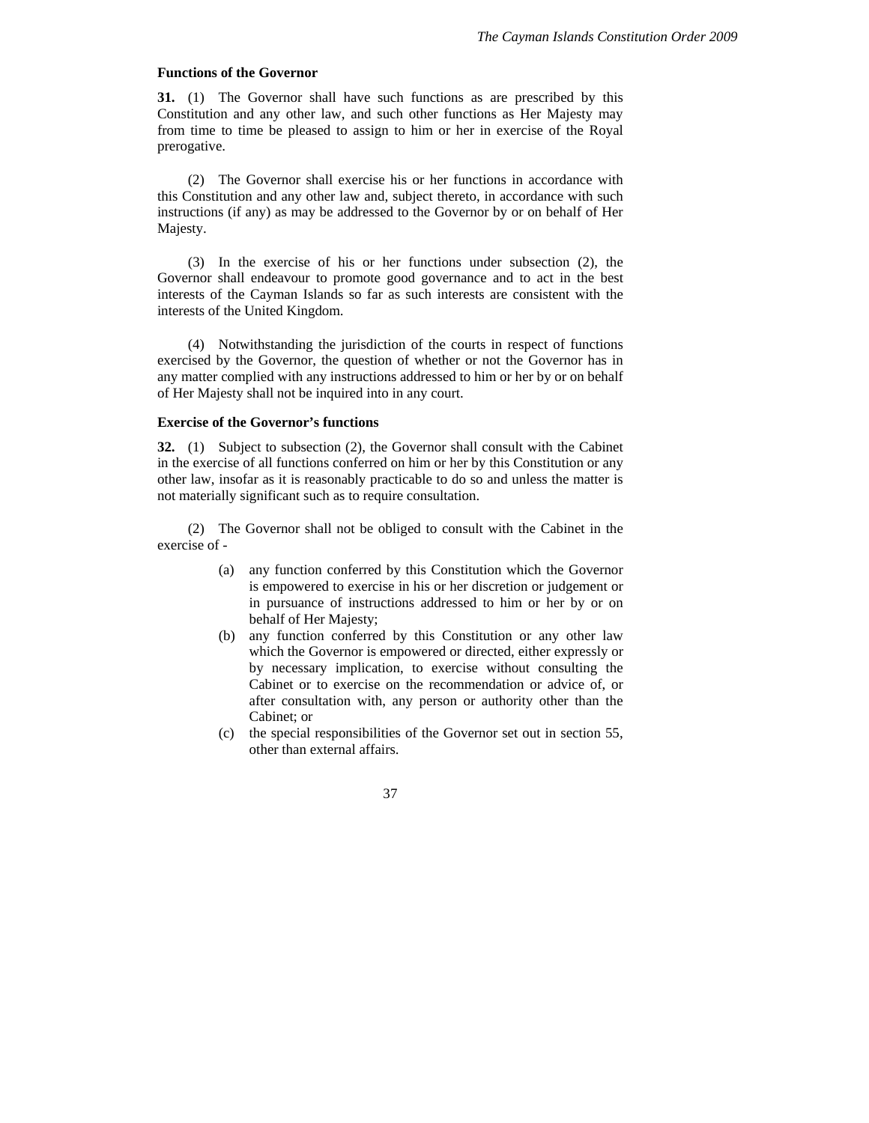#### **Functions of the Governor**

**31.** (1) The Governor shall have such functions as are prescribed by this Constitution and any other law, and such other functions as Her Majesty may from time to time be pleased to assign to him or her in exercise of the Royal prerogative.

(2) The Governor shall exercise his or her functions in accordance with this Constitution and any other law and, subject thereto, in accordance with such instructions (if any) as may be addressed to the Governor by or on behalf of Her Majesty.

(3) In the exercise of his or her functions under subsection (2), the Governor shall endeavour to promote good governance and to act in the best interests of the Cayman Islands so far as such interests are consistent with the interests of the United Kingdom.

(4) Notwithstanding the jurisdiction of the courts in respect of functions exercised by the Governor, the question of whether or not the Governor has in any matter complied with any instructions addressed to him or her by or on behalf of Her Majesty shall not be inquired into in any court.

## **Exercise of the Governor's functions**

**32.** (1) Subject to subsection (2), the Governor shall consult with the Cabinet in the exercise of all functions conferred on him or her by this Constitution or any other law, insofar as it is reasonably practicable to do so and unless the matter is not materially significant such as to require consultation.

(2) The Governor shall not be obliged to consult with the Cabinet in the exercise of -

- (a) any function conferred by this Constitution which the Governor is empowered to exercise in his or her discretion or judgement or in pursuance of instructions addressed to him or her by or on behalf of Her Majesty;
- (b) any function conferred by this Constitution or any other law which the Governor is empowered or directed, either expressly or by necessary implication, to exercise without consulting the Cabinet or to exercise on the recommendation or advice of, or after consultation with, any person or authority other than the Cabinet; or
- (c) the special responsibilities of the Governor set out in section 55, other than external affairs.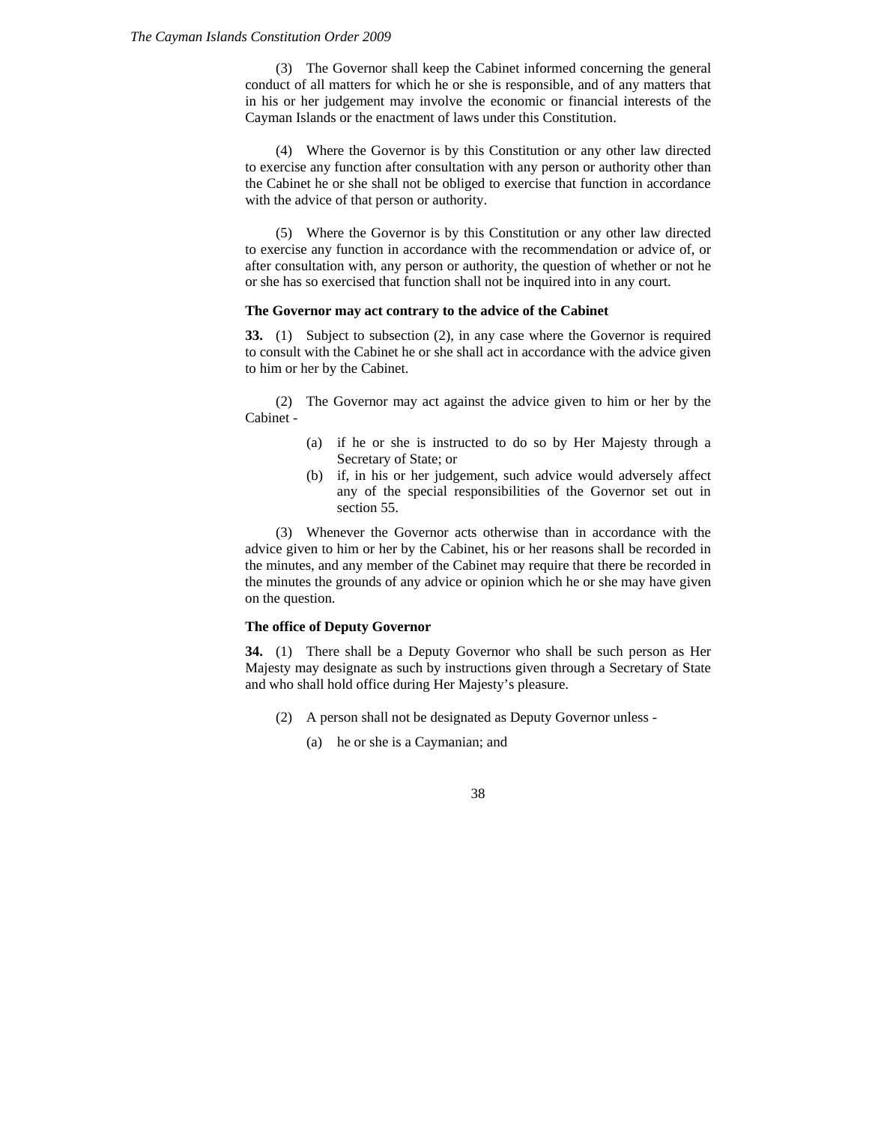#### *The Cayman Islands Constitution Order 2009*

(3) The Governor shall keep the Cabinet informed concerning the general conduct of all matters for which he or she is responsible, and of any matters that in his or her judgement may involve the economic or financial interests of the Cayman Islands or the enactment of laws under this Constitution.

(4) Where the Governor is by this Constitution or any other law directed to exercise any function after consultation with any person or authority other than the Cabinet he or she shall not be obliged to exercise that function in accordance with the advice of that person or authority.

(5) Where the Governor is by this Constitution or any other law directed to exercise any function in accordance with the recommendation or advice of, or after consultation with, any person or authority, the question of whether or not he or she has so exercised that function shall not be inquired into in any court.

## **The Governor may act contrary to the advice of the Cabinet**

**33.** (1) Subject to subsection (2), in any case where the Governor is required to consult with the Cabinet he or she shall act in accordance with the advice given to him or her by the Cabinet.

(2) The Governor may act against the advice given to him or her by the Cabinet -

- (a) if he or she is instructed to do so by Her Majesty through a Secretary of State; or
- (b) if, in his or her judgement, such advice would adversely affect any of the special responsibilities of the Governor set out in section 55.

(3) Whenever the Governor acts otherwise than in accordance with the advice given to him or her by the Cabinet, his or her reasons shall be recorded in the minutes, and any member of the Cabinet may require that there be recorded in the minutes the grounds of any advice or opinion which he or she may have given on the question.

## **The office of Deputy Governor**

**34.** (1) There shall be a Deputy Governor who shall be such person as Her Majesty may designate as such by instructions given through a Secretary of State and who shall hold office during Her Majesty's pleasure.

- (2) A person shall not be designated as Deputy Governor unless
	- (a) he or she is a Caymanian; and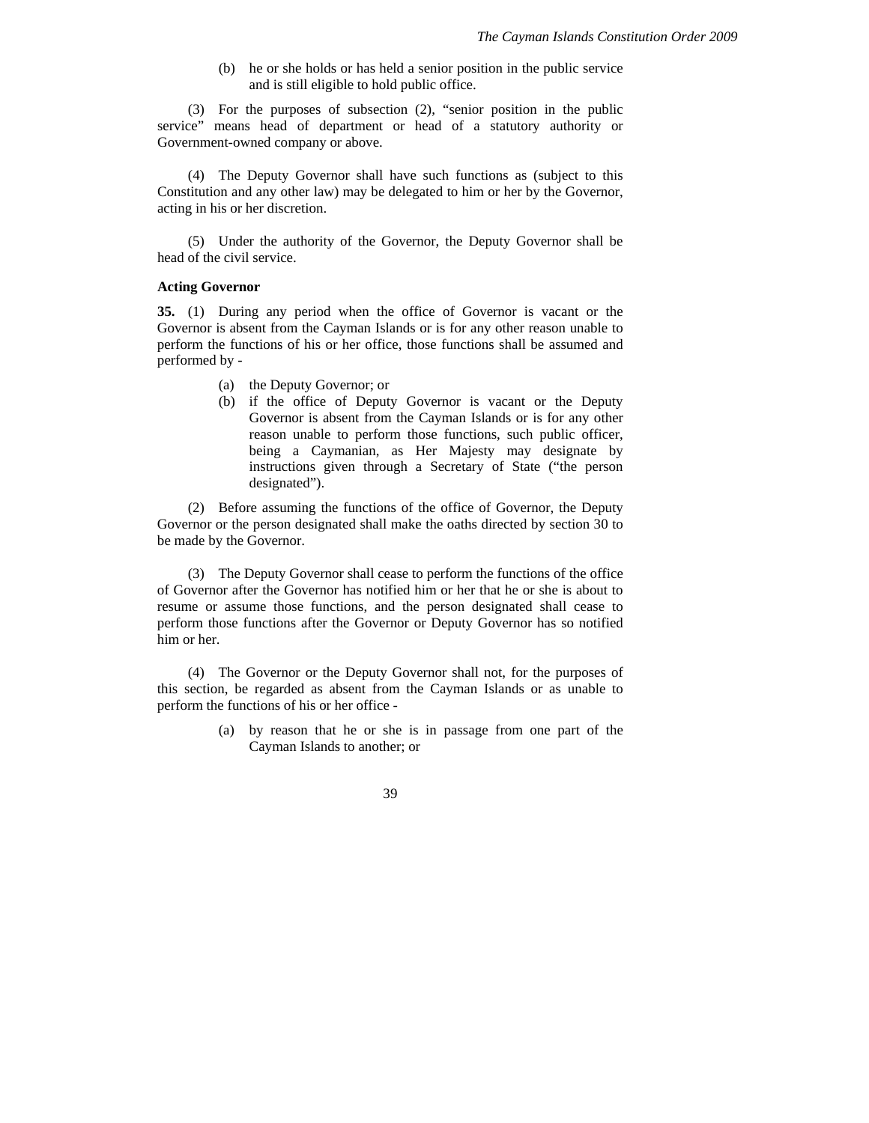(b) he or she holds or has held a senior position in the public service and is still eligible to hold public office.

(3) For the purposes of subsection (2), "senior position in the public service" means head of department or head of a statutory authority or Government-owned company or above.

(4) The Deputy Governor shall have such functions as (subject to this Constitution and any other law) may be delegated to him or her by the Governor, acting in his or her discretion.

(5) Under the authority of the Governor, the Deputy Governor shall be head of the civil service.

## **Acting Governor**

**35.** (1) During any period when the office of Governor is vacant or the Governor is absent from the Cayman Islands or is for any other reason unable to perform the functions of his or her office, those functions shall be assumed and performed by -

- (a) the Deputy Governor; or
- (b) if the office of Deputy Governor is vacant or the Deputy Governor is absent from the Cayman Islands or is for any other reason unable to perform those functions, such public officer, being a Caymanian, as Her Majesty may designate by instructions given through a Secretary of State ("the person designated").

(2) Before assuming the functions of the office of Governor, the Deputy Governor or the person designated shall make the oaths directed by section 30 to be made by the Governor.

(3) The Deputy Governor shall cease to perform the functions of the office of Governor after the Governor has notified him or her that he or she is about to resume or assume those functions, and the person designated shall cease to perform those functions after the Governor or Deputy Governor has so notified him or her.

(4) The Governor or the Deputy Governor shall not, for the purposes of this section, be regarded as absent from the Cayman Islands or as unable to perform the functions of his or her office -

> (a) by reason that he or she is in passage from one part of the Cayman Islands to another; or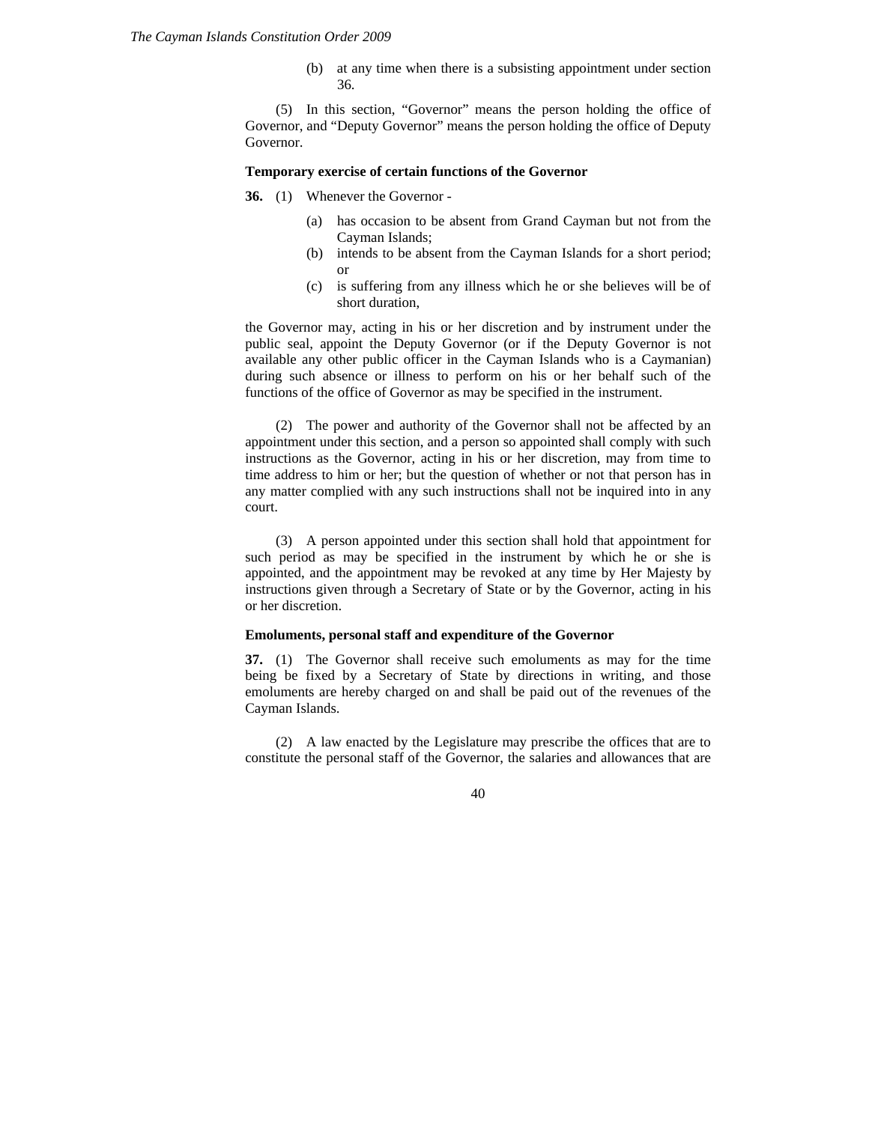(b) at any time when there is a subsisting appointment under section 36.

(5) In this section, "Governor" means the person holding the office of Governor, and "Deputy Governor" means the person holding the office of Deputy Governor.

#### **Temporary exercise of certain functions of the Governor**

- **36.** (1) Whenever the Governor
	- (a) has occasion to be absent from Grand Cayman but not from the Cayman Islands;
	- (b) intends to be absent from the Cayman Islands for a short period; or
	- (c) is suffering from any illness which he or she believes will be of short duration,

the Governor may, acting in his or her discretion and by instrument under the public seal, appoint the Deputy Governor (or if the Deputy Governor is not available any other public officer in the Cayman Islands who is a Caymanian) during such absence or illness to perform on his or her behalf such of the functions of the office of Governor as may be specified in the instrument.

(2) The power and authority of the Governor shall not be affected by an appointment under this section, and a person so appointed shall comply with such instructions as the Governor, acting in his or her discretion, may from time to time address to him or her; but the question of whether or not that person has in any matter complied with any such instructions shall not be inquired into in any court.

(3) A person appointed under this section shall hold that appointment for such period as may be specified in the instrument by which he or she is appointed, and the appointment may be revoked at any time by Her Majesty by instructions given through a Secretary of State or by the Governor, acting in his or her discretion.

#### **Emoluments, personal staff and expenditure of the Governor**

**37.** (1) The Governor shall receive such emoluments as may for the time being be fixed by a Secretary of State by directions in writing, and those emoluments are hereby charged on and shall be paid out of the revenues of the Cayman Islands.

(2) A law enacted by the Legislature may prescribe the offices that are to constitute the personal staff of the Governor, the salaries and allowances that are

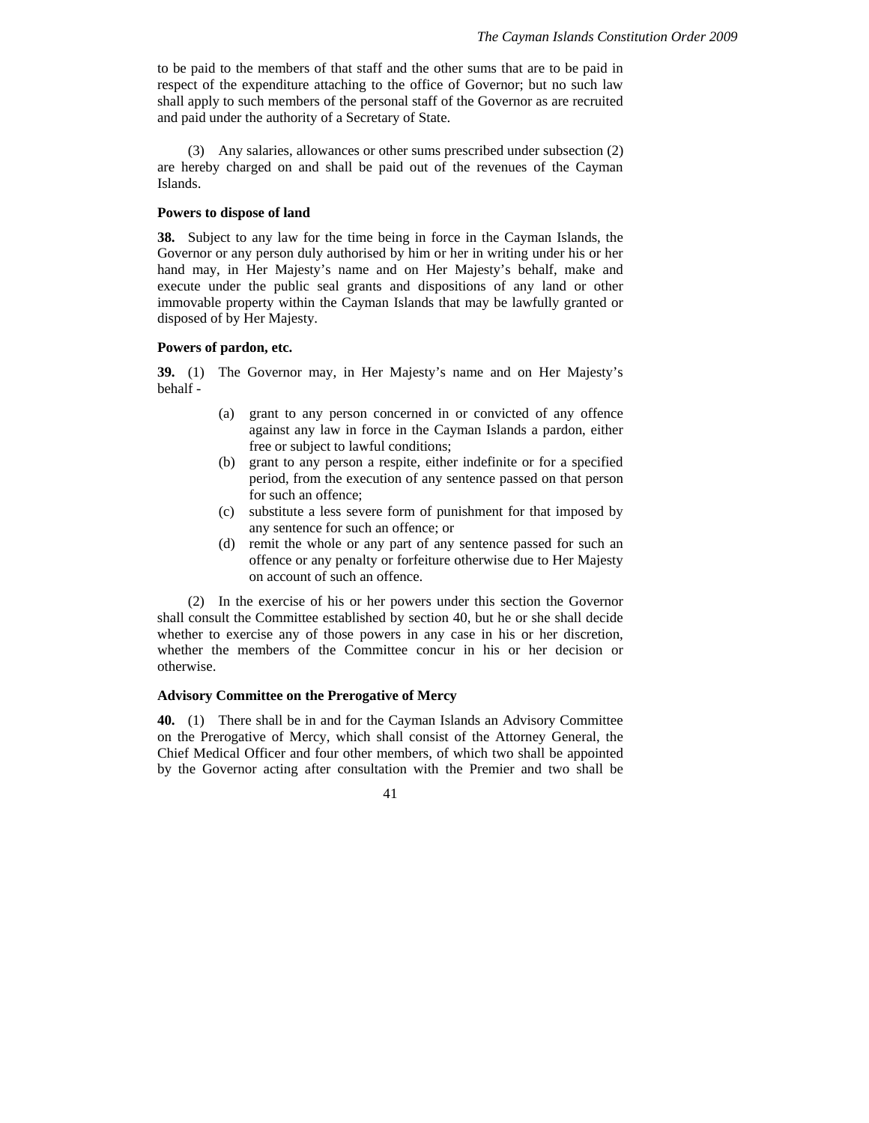to be paid to the members of that staff and the other sums that are to be paid in respect of the expenditure attaching to the office of Governor; but no such law shall apply to such members of the personal staff of the Governor as are recruited and paid under the authority of a Secretary of State.

(3) Any salaries, allowances or other sums prescribed under subsection (2) are hereby charged on and shall be paid out of the revenues of the Cayman Islands.

## **Powers to dispose of land**

**38.** Subject to any law for the time being in force in the Cayman Islands, the Governor or any person duly authorised by him or her in writing under his or her hand may, in Her Majesty's name and on Her Majesty's behalf, make and execute under the public seal grants and dispositions of any land or other immovable property within the Cayman Islands that may be lawfully granted or disposed of by Her Majesty.

## **Powers of pardon, etc.**

**39.** (1) The Governor may, in Her Majesty's name and on Her Majesty's behalf -

- (a) grant to any person concerned in or convicted of any offence against any law in force in the Cayman Islands a pardon, either free or subject to lawful conditions;
- (b) grant to any person a respite, either indefinite or for a specified period, from the execution of any sentence passed on that person for such an offence;
- (c) substitute a less severe form of punishment for that imposed by any sentence for such an offence; or
- (d) remit the whole or any part of any sentence passed for such an offence or any penalty or forfeiture otherwise due to Her Majesty on account of such an offence.

(2) In the exercise of his or her powers under this section the Governor shall consult the Committee established by section 40, but he or she shall decide whether to exercise any of those powers in any case in his or her discretion, whether the members of the Committee concur in his or her decision or otherwise.

## **Advisory Committee on the Prerogative of Mercy**

**40.** (1) There shall be in and for the Cayman Islands an Advisory Committee on the Prerogative of Mercy, which shall consist of the Attorney General, the Chief Medical Officer and four other members, of which two shall be appointed by the Governor acting after consultation with the Premier and two shall be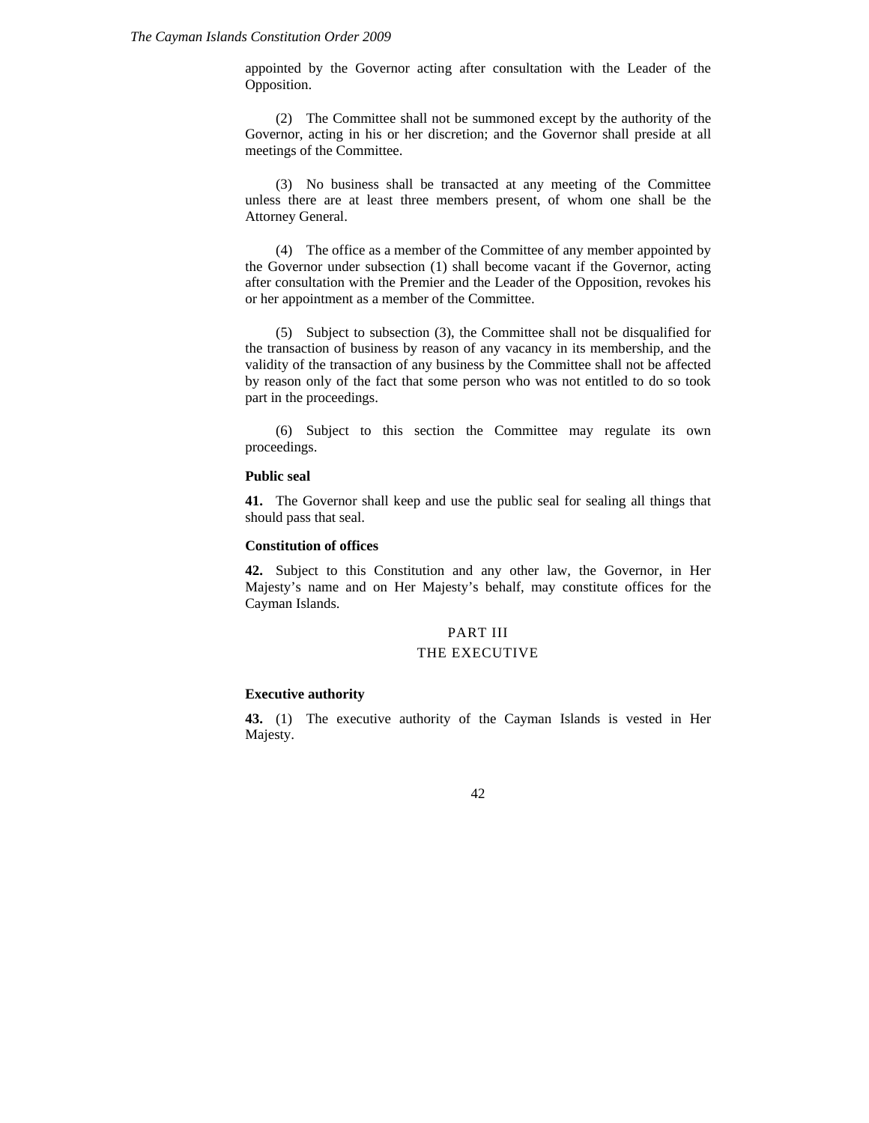appointed by the Governor acting after consultation with the Leader of the Opposition.

(2) The Committee shall not be summoned except by the authority of the Governor, acting in his or her discretion; and the Governor shall preside at all meetings of the Committee.

(3) No business shall be transacted at any meeting of the Committee unless there are at least three members present, of whom one shall be the Attorney General.

(4) The office as a member of the Committee of any member appointed by the Governor under subsection (1) shall become vacant if the Governor, acting after consultation with the Premier and the Leader of the Opposition, revokes his or her appointment as a member of the Committee.

(5) Subject to subsection (3), the Committee shall not be disqualified for the transaction of business by reason of any vacancy in its membership, and the validity of the transaction of any business by the Committee shall not be affected by reason only of the fact that some person who was not entitled to do so took part in the proceedings.

(6) Subject to this section the Committee may regulate its own proceedings.

## **Public seal**

**41.** The Governor shall keep and use the public seal for sealing all things that should pass that seal.

## **Constitution of offices**

**42.** Subject to this Constitution and any other law, the Governor, in Her Majesty's name and on Her Majesty's behalf, may constitute offices for the Cayman Islands.

# PART III

## THE EXECUTIVE

## **Executive authority**

**43.** (1) The executive authority of the Cayman Islands is vested in Her Majesty.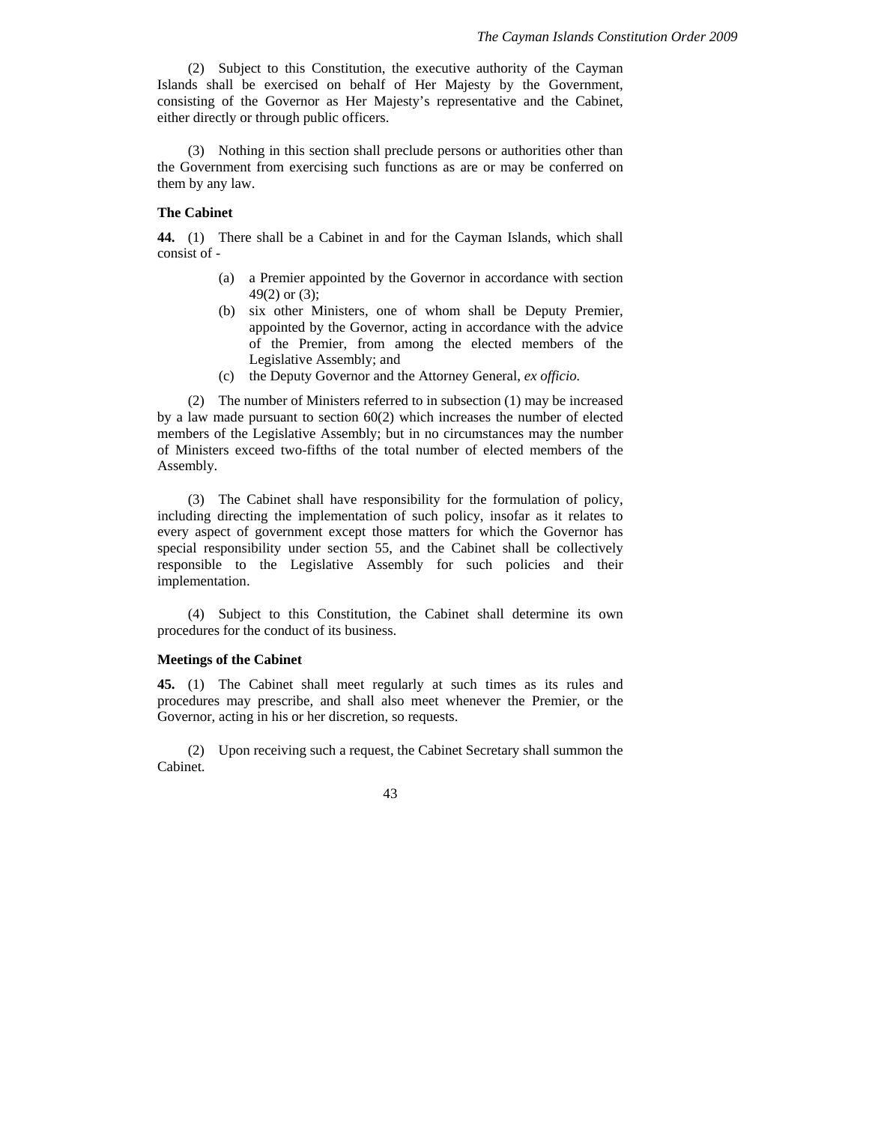(2) Subject to this Constitution, the executive authority of the Cayman Islands shall be exercised on behalf of Her Majesty by the Government, consisting of the Governor as Her Majesty's representative and the Cabinet, either directly or through public officers.

(3) Nothing in this section shall preclude persons or authorities other than the Government from exercising such functions as are or may be conferred on them by any law.

## **The Cabinet**

**44.** (1) There shall be a Cabinet in and for the Cayman Islands, which shall consist of -

- (a) a Premier appointed by the Governor in accordance with section 49(2) or (3);
- (b) six other Ministers, one of whom shall be Deputy Premier, appointed by the Governor, acting in accordance with the advice of the Premier, from among the elected members of the Legislative Assembly; and
- (c) the Deputy Governor and the Attorney General, *ex officio.*

(2) The number of Ministers referred to in subsection (1) may be increased by a law made pursuant to section 60(2) which increases the number of elected members of the Legislative Assembly; but in no circumstances may the number of Ministers exceed two-fifths of the total number of elected members of the Assembly.

(3) The Cabinet shall have responsibility for the formulation of policy, including directing the implementation of such policy, insofar as it relates to every aspect of government except those matters for which the Governor has special responsibility under section 55, and the Cabinet shall be collectively responsible to the Legislative Assembly for such policies and their implementation.

(4) Subject to this Constitution, the Cabinet shall determine its own procedures for the conduct of its business.

## **Meetings of the Cabinet**

**45.** (1) The Cabinet shall meet regularly at such times as its rules and procedures may prescribe, and shall also meet whenever the Premier, or the Governor, acting in his or her discretion, so requests.

(2) Upon receiving such a request, the Cabinet Secretary shall summon the Cabinet.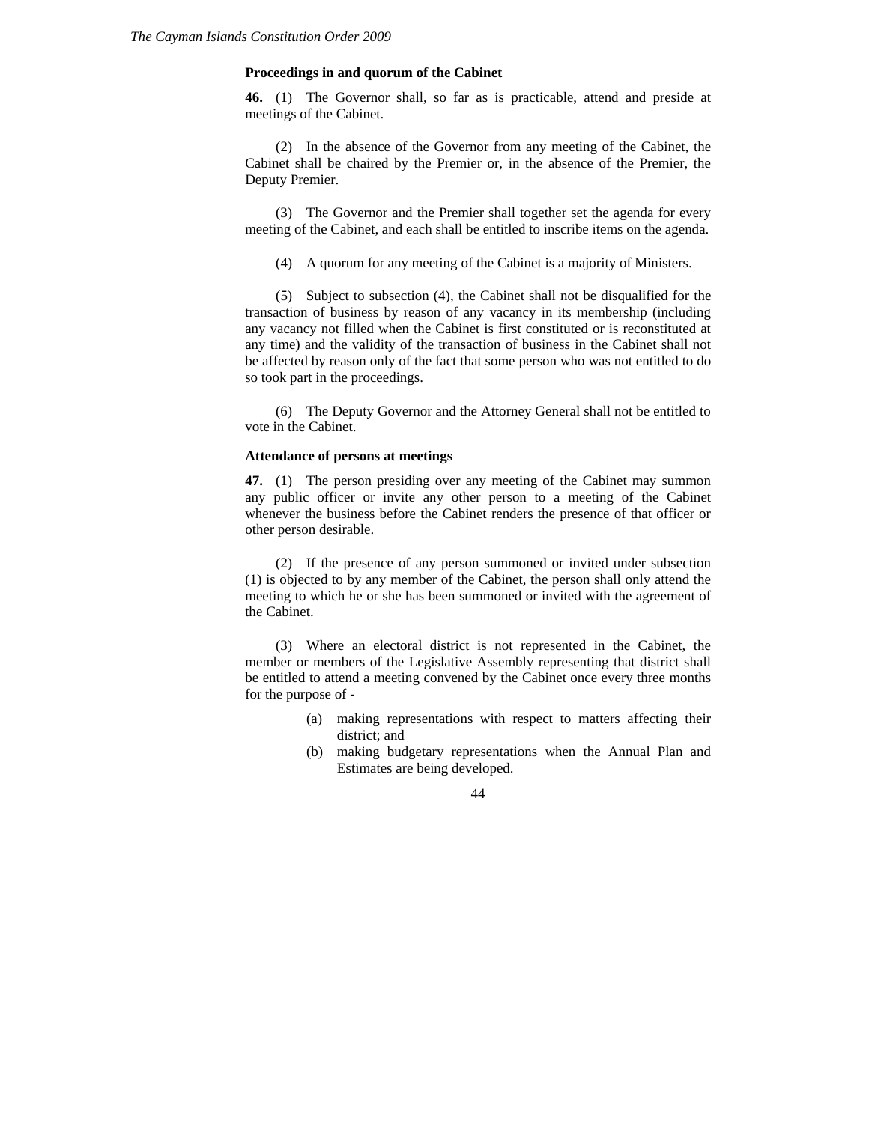#### **Proceedings in and quorum of the Cabinet**

**46.** (1) The Governor shall, so far as is practicable, attend and preside at meetings of the Cabinet.

(2) In the absence of the Governor from any meeting of the Cabinet, the Cabinet shall be chaired by the Premier or, in the absence of the Premier, the Deputy Premier.

(3) The Governor and the Premier shall together set the agenda for every meeting of the Cabinet, and each shall be entitled to inscribe items on the agenda.

(4) A quorum for any meeting of the Cabinet is a majority of Ministers.

(5) Subject to subsection (4), the Cabinet shall not be disqualified for the transaction of business by reason of any vacancy in its membership (including any vacancy not filled when the Cabinet is first constituted or is reconstituted at any time) and the validity of the transaction of business in the Cabinet shall not be affected by reason only of the fact that some person who was not entitled to do so took part in the proceedings.

(6) The Deputy Governor and the Attorney General shall not be entitled to vote in the Cabinet.

## **Attendance of persons at meetings**

**47.** (1) The person presiding over any meeting of the Cabinet may summon any public officer or invite any other person to a meeting of the Cabinet whenever the business before the Cabinet renders the presence of that officer or other person desirable.

(2) If the presence of any person summoned or invited under subsection (1) is objected to by any member of the Cabinet, the person shall only attend the meeting to which he or she has been summoned or invited with the agreement of the Cabinet.

(3) Where an electoral district is not represented in the Cabinet, the member or members of the Legislative Assembly representing that district shall be entitled to attend a meeting convened by the Cabinet once every three months for the purpose of -

- (a) making representations with respect to matters affecting their district; and
- (b) making budgetary representations when the Annual Plan and Estimates are being developed.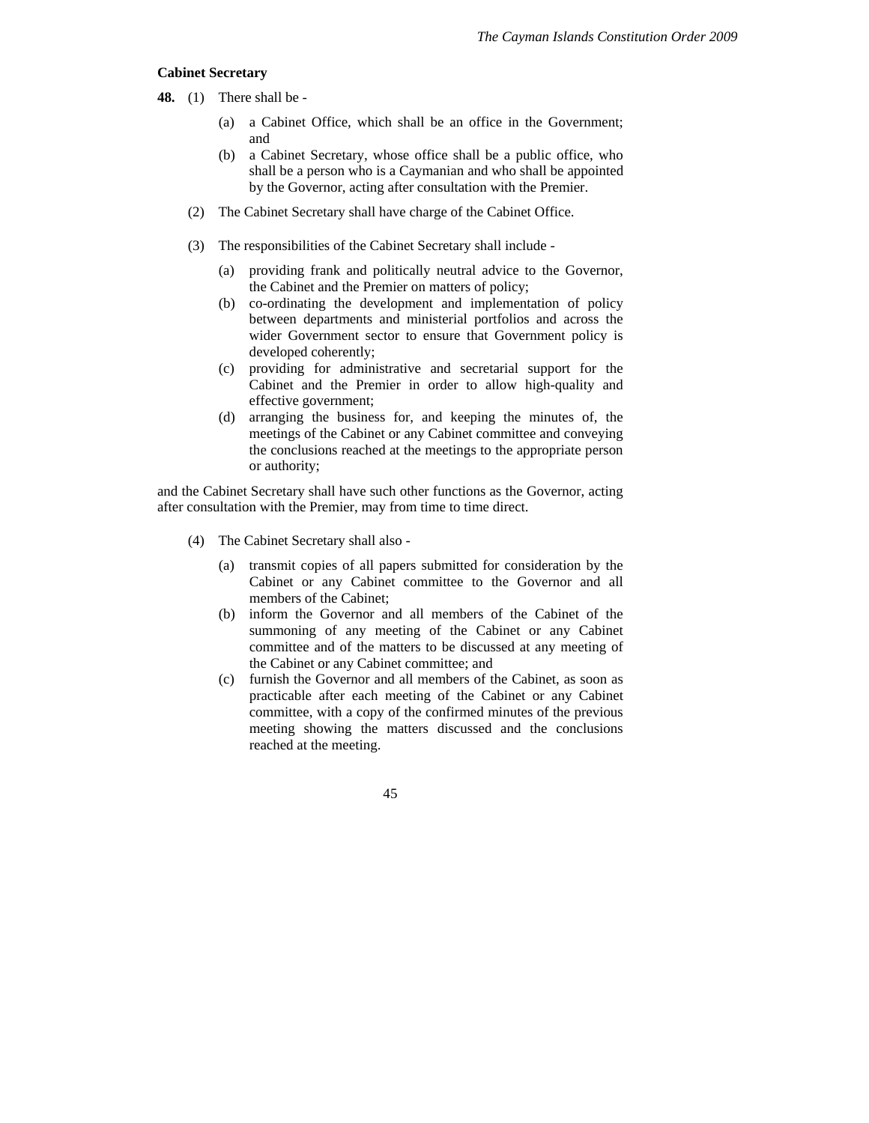## **Cabinet Secretary**

- **48.** (1) There shall be
	- (a) a Cabinet Office, which shall be an office in the Government; and
	- (b) a Cabinet Secretary, whose office shall be a public office, who shall be a person who is a Caymanian and who shall be appointed by the Governor, acting after consultation with the Premier.
	- (2) The Cabinet Secretary shall have charge of the Cabinet Office.
	- (3) The responsibilities of the Cabinet Secretary shall include
		- (a) providing frank and politically neutral advice to the Governor, the Cabinet and the Premier on matters of policy;
		- (b) co-ordinating the development and implementation of policy between departments and ministerial portfolios and across the wider Government sector to ensure that Government policy is developed coherently;
		- (c) providing for administrative and secretarial support for the Cabinet and the Premier in order to allow high-quality and effective government;
		- (d) arranging the business for, and keeping the minutes of, the meetings of the Cabinet or any Cabinet committee and conveying the conclusions reached at the meetings to the appropriate person or authority;

and the Cabinet Secretary shall have such other functions as the Governor, acting after consultation with the Premier, may from time to time direct.

- (4) The Cabinet Secretary shall also
	- (a) transmit copies of all papers submitted for consideration by the Cabinet or any Cabinet committee to the Governor and all members of the Cabinet;
	- (b) inform the Governor and all members of the Cabinet of the summoning of any meeting of the Cabinet or any Cabinet committee and of the matters to be discussed at any meeting of the Cabinet or any Cabinet committee; and
	- (c) furnish the Governor and all members of the Cabinet, as soon as practicable after each meeting of the Cabinet or any Cabinet committee, with a copy of the confirmed minutes of the previous meeting showing the matters discussed and the conclusions reached at the meeting.

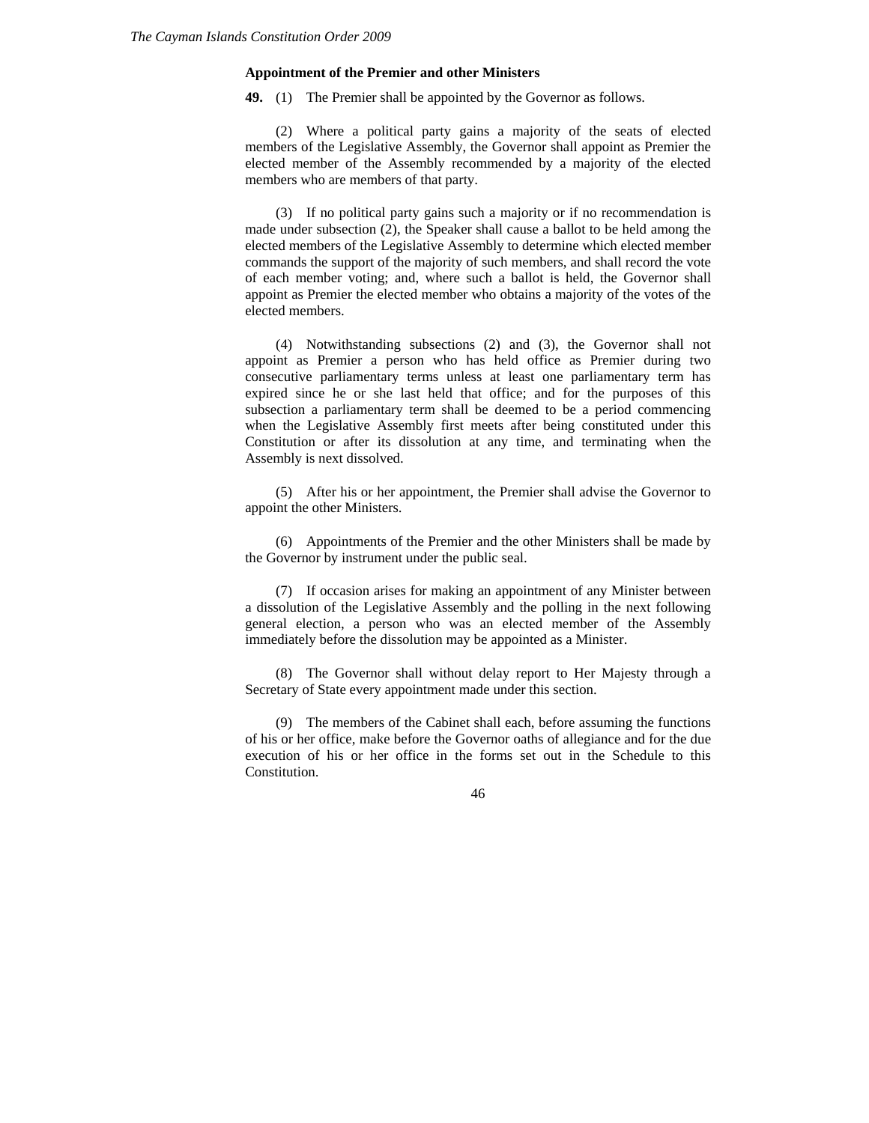#### **Appointment of the Premier and other Ministers**

**49.** (1) The Premier shall be appointed by the Governor as follows.

(2) Where a political party gains a majority of the seats of elected members of the Legislative Assembly, the Governor shall appoint as Premier the elected member of the Assembly recommended by a majority of the elected members who are members of that party.

(3) If no political party gains such a majority or if no recommendation is made under subsection (2), the Speaker shall cause a ballot to be held among the elected members of the Legislative Assembly to determine which elected member commands the support of the majority of such members, and shall record the vote of each member voting; and, where such a ballot is held, the Governor shall appoint as Premier the elected member who obtains a majority of the votes of the elected members.

(4) Notwithstanding subsections (2) and (3), the Governor shall not appoint as Premier a person who has held office as Premier during two consecutive parliamentary terms unless at least one parliamentary term has expired since he or she last held that office; and for the purposes of this subsection a parliamentary term shall be deemed to be a period commencing when the Legislative Assembly first meets after being constituted under this Constitution or after its dissolution at any time, and terminating when the Assembly is next dissolved.

(5) After his or her appointment, the Premier shall advise the Governor to appoint the other Ministers.

(6) Appointments of the Premier and the other Ministers shall be made by the Governor by instrument under the public seal.

(7) If occasion arises for making an appointment of any Minister between a dissolution of the Legislative Assembly and the polling in the next following general election, a person who was an elected member of the Assembly immediately before the dissolution may be appointed as a Minister.

(8) The Governor shall without delay report to Her Majesty through a Secretary of State every appointment made under this section.

(9) The members of the Cabinet shall each, before assuming the functions of his or her office, make before the Governor oaths of allegiance and for the due execution of his or her office in the forms set out in the Schedule to this Constitution.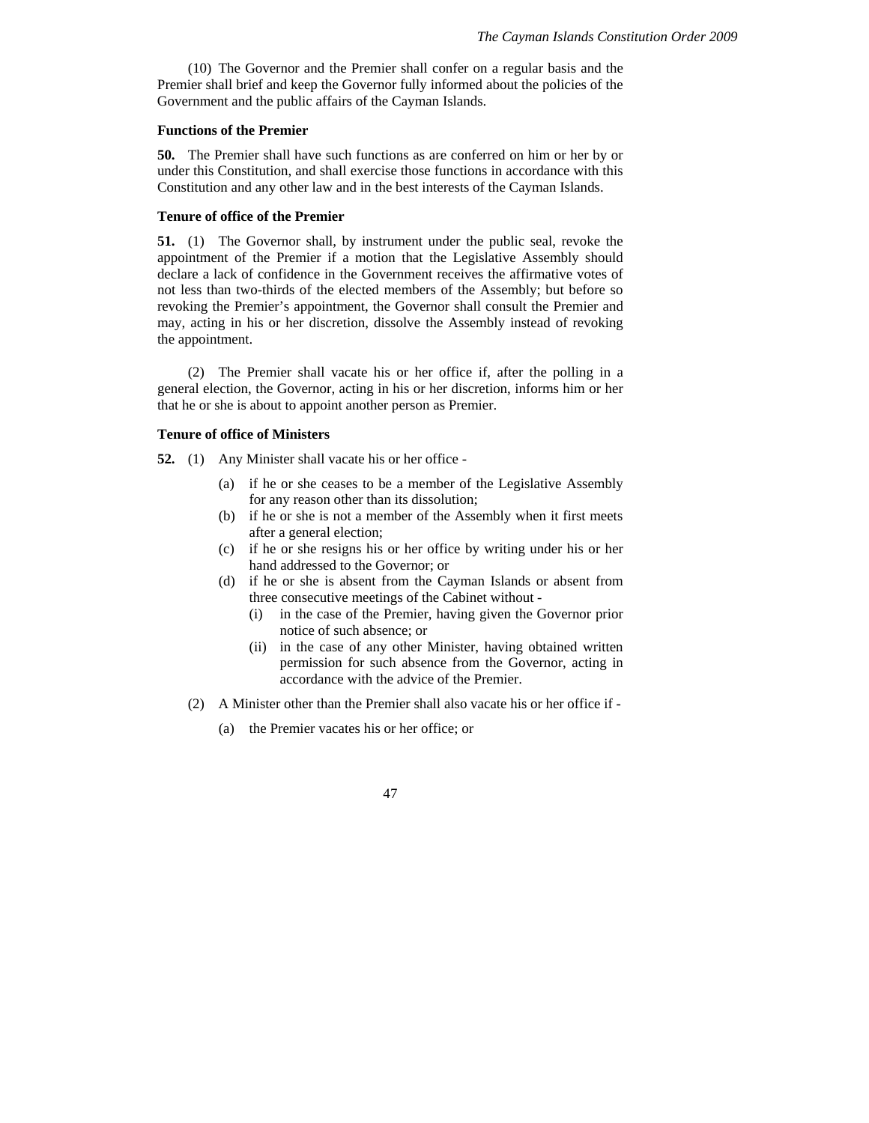(10) The Governor and the Premier shall confer on a regular basis and the Premier shall brief and keep the Governor fully informed about the policies of the Government and the public affairs of the Cayman Islands.

#### **Functions of the Premier**

**50.** The Premier shall have such functions as are conferred on him or her by or under this Constitution, and shall exercise those functions in accordance with this Constitution and any other law and in the best interests of the Cayman Islands.

## **Tenure of office of the Premier**

**51.** (1) The Governor shall, by instrument under the public seal, revoke the appointment of the Premier if a motion that the Legislative Assembly should declare a lack of confidence in the Government receives the affirmative votes of not less than two-thirds of the elected members of the Assembly; but before so revoking the Premier's appointment, the Governor shall consult the Premier and may, acting in his or her discretion, dissolve the Assembly instead of revoking the appointment.

(2) The Premier shall vacate his or her office if, after the polling in a general election, the Governor, acting in his or her discretion, informs him or her that he or she is about to appoint another person as Premier.

#### **Tenure of office of Ministers**

**52.** (1) Any Minister shall vacate his or her office -

- (a) if he or she ceases to be a member of the Legislative Assembly for any reason other than its dissolution;
- (b) if he or she is not a member of the Assembly when it first meets after a general election;
- (c) if he or she resigns his or her office by writing under his or her hand addressed to the Governor; or
- (d) if he or she is absent from the Cayman Islands or absent from three consecutive meetings of the Cabinet without -
	- (i) in the case of the Premier, having given the Governor prior notice of such absence; or
	- (ii) in the case of any other Minister, having obtained written permission for such absence from the Governor, acting in accordance with the advice of the Premier.
- (2) A Minister other than the Premier shall also vacate his or her office if -

47

(a) the Premier vacates his or her office; or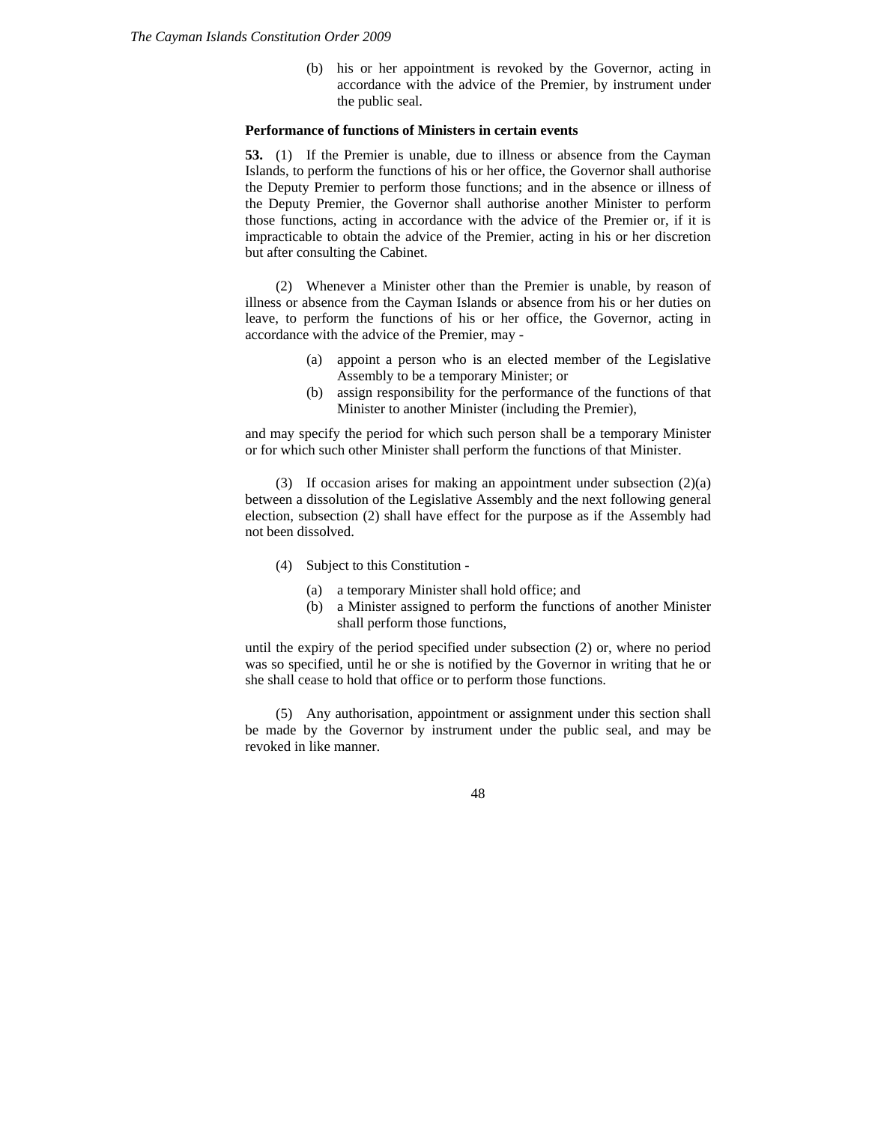(b) his or her appointment is revoked by the Governor, acting in accordance with the advice of the Premier, by instrument under the public seal.

#### **Performance of functions of Ministers in certain events**

**53.** (1) If the Premier is unable, due to illness or absence from the Cayman Islands, to perform the functions of his or her office, the Governor shall authorise the Deputy Premier to perform those functions; and in the absence or illness of the Deputy Premier, the Governor shall authorise another Minister to perform those functions, acting in accordance with the advice of the Premier or, if it is impracticable to obtain the advice of the Premier, acting in his or her discretion but after consulting the Cabinet.

(2) Whenever a Minister other than the Premier is unable, by reason of illness or absence from the Cayman Islands or absence from his or her duties on leave, to perform the functions of his or her office, the Governor, acting in accordance with the advice of the Premier, may -

- (a) appoint a person who is an elected member of the Legislative Assembly to be a temporary Minister; or
- (b) assign responsibility for the performance of the functions of that Minister to another Minister (including the Premier),

and may specify the period for which such person shall be a temporary Minister or for which such other Minister shall perform the functions of that Minister.

(3) If occasion arises for making an appointment under subsection (2)(a) between a dissolution of the Legislative Assembly and the next following general election, subsection (2) shall have effect for the purpose as if the Assembly had not been dissolved.

- (4) Subject to this Constitution
	- (a) a temporary Minister shall hold office; and
	- (b) a Minister assigned to perform the functions of another Minister shall perform those functions,

until the expiry of the period specified under subsection (2) or, where no period was so specified, until he or she is notified by the Governor in writing that he or she shall cease to hold that office or to perform those functions.

(5) Any authorisation, appointment or assignment under this section shall be made by the Governor by instrument under the public seal, and may be revoked in like manner.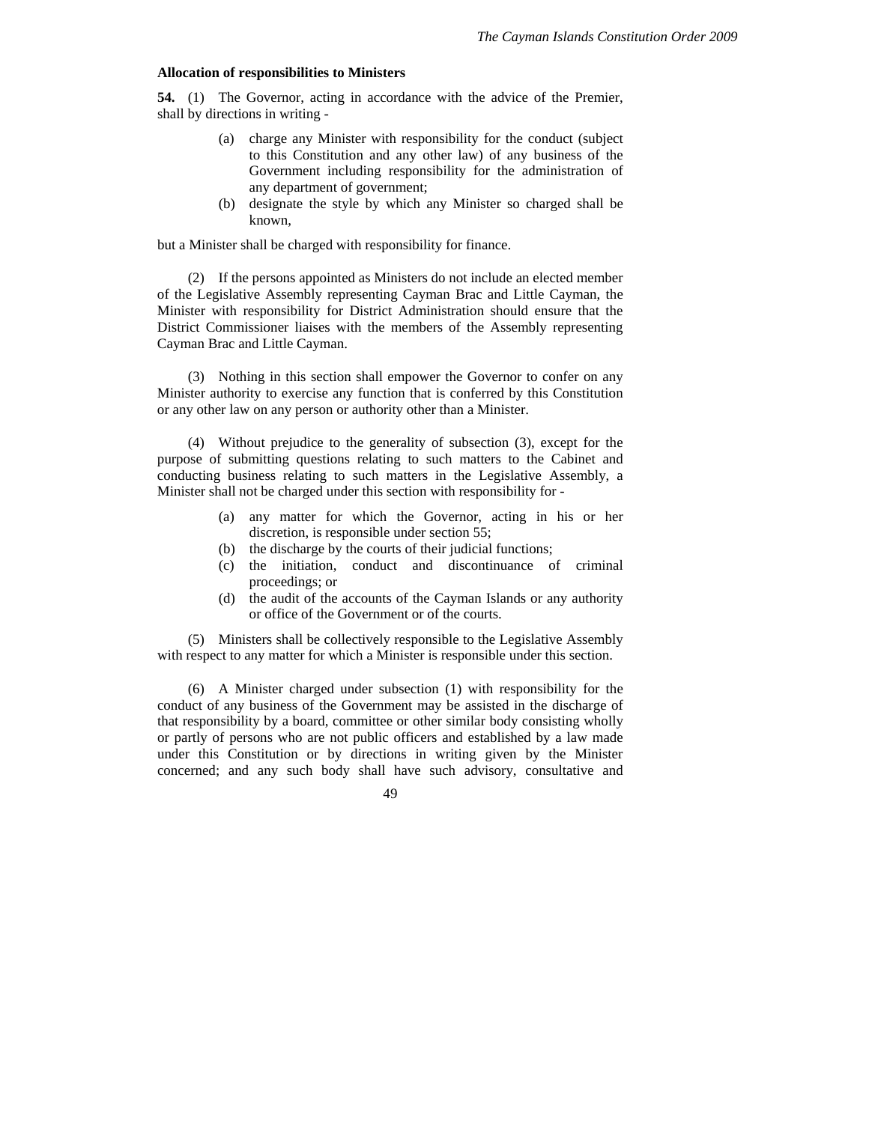#### **Allocation of responsibilities to Ministers**

**54.** (1) The Governor, acting in accordance with the advice of the Premier, shall by directions in writing -

- (a) charge any Minister with responsibility for the conduct (subject to this Constitution and any other law) of any business of the Government including responsibility for the administration of any department of government;
- (b) designate the style by which any Minister so charged shall be known,

but a Minister shall be charged with responsibility for finance.

(2) If the persons appointed as Ministers do not include an elected member of the Legislative Assembly representing Cayman Brac and Little Cayman, the Minister with responsibility for District Administration should ensure that the District Commissioner liaises with the members of the Assembly representing Cayman Brac and Little Cayman.

(3) Nothing in this section shall empower the Governor to confer on any Minister authority to exercise any function that is conferred by this Constitution or any other law on any person or authority other than a Minister.

(4) Without prejudice to the generality of subsection (3), except for the purpose of submitting questions relating to such matters to the Cabinet and conducting business relating to such matters in the Legislative Assembly, a Minister shall not be charged under this section with responsibility for -

- (a) any matter for which the Governor, acting in his or her discretion, is responsible under section 55;
- (b) the discharge by the courts of their judicial functions;
- (c) the initiation, conduct and discontinuance of criminal proceedings; or
- (d) the audit of the accounts of the Cayman Islands or any authority or office of the Government or of the courts.

(5) Ministers shall be collectively responsible to the Legislative Assembly with respect to any matter for which a Minister is responsible under this section.

(6) A Minister charged under subsection (1) with responsibility for the conduct of any business of the Government may be assisted in the discharge of that responsibility by a board, committee or other similar body consisting wholly or partly of persons who are not public officers and established by a law made under this Constitution or by directions in writing given by the Minister concerned; and any such body shall have such advisory, consultative and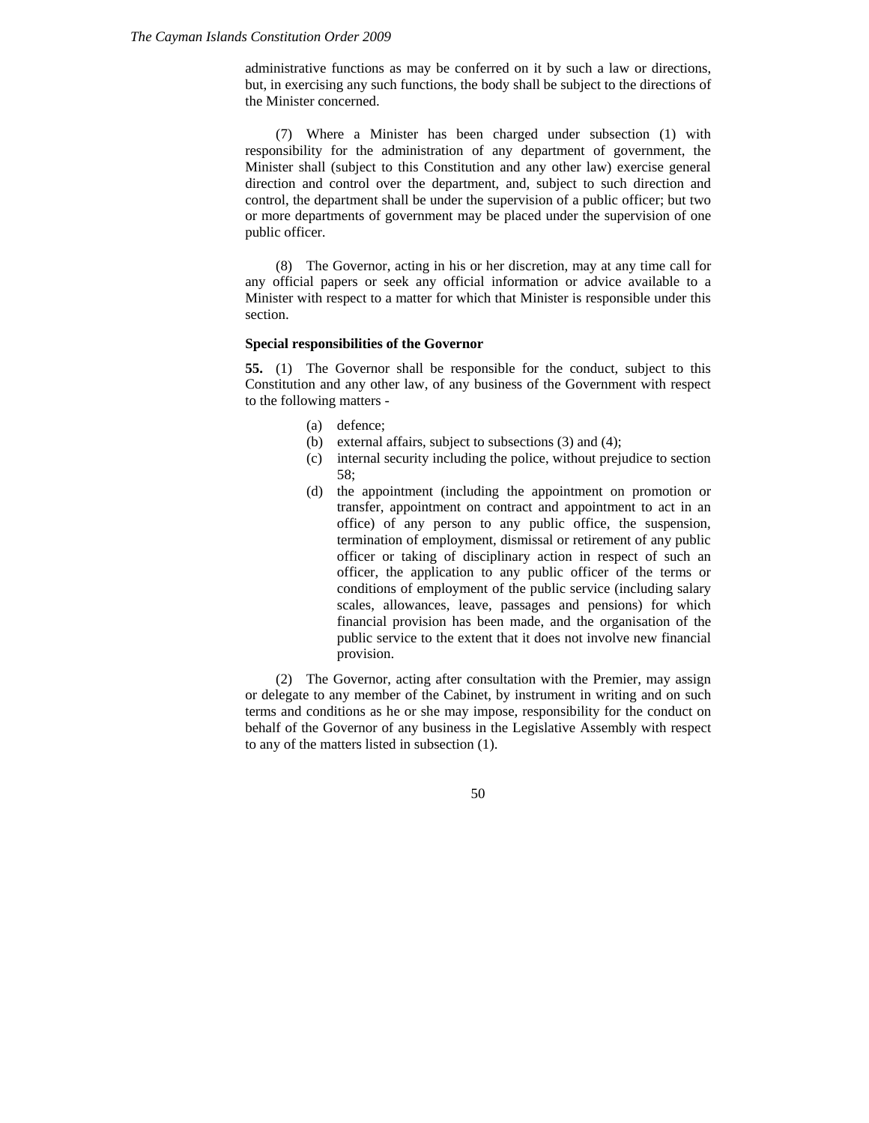administrative functions as may be conferred on it by such a law or directions, but, in exercising any such functions, the body shall be subject to the directions of the Minister concerned.

(7) Where a Minister has been charged under subsection (1) with responsibility for the administration of any department of government, the Minister shall (subject to this Constitution and any other law) exercise general direction and control over the department, and, subject to such direction and control, the department shall be under the supervision of a public officer; but two or more departments of government may be placed under the supervision of one public officer.

(8) The Governor, acting in his or her discretion, may at any time call for any official papers or seek any official information or advice available to a Minister with respect to a matter for which that Minister is responsible under this section.

## **Special responsibilities of the Governor**

**55.** (1) The Governor shall be responsible for the conduct, subject to this Constitution and any other law, of any business of the Government with respect to the following matters -

- (a) defence;
- (b) external affairs, subject to subsections (3) and (4);
- (c) internal security including the police, without prejudice to section 58;
- (d) the appointment (including the appointment on promotion or transfer, appointment on contract and appointment to act in an office) of any person to any public office, the suspension, termination of employment, dismissal or retirement of any public officer or taking of disciplinary action in respect of such an officer, the application to any public officer of the terms or conditions of employment of the public service (including salary scales, allowances, leave, passages and pensions) for which financial provision has been made, and the organisation of the public service to the extent that it does not involve new financial provision.

(2) The Governor, acting after consultation with the Premier, may assign or delegate to any member of the Cabinet, by instrument in writing and on such terms and conditions as he or she may impose, responsibility for the conduct on behalf of the Governor of any business in the Legislative Assembly with respect to any of the matters listed in subsection (1).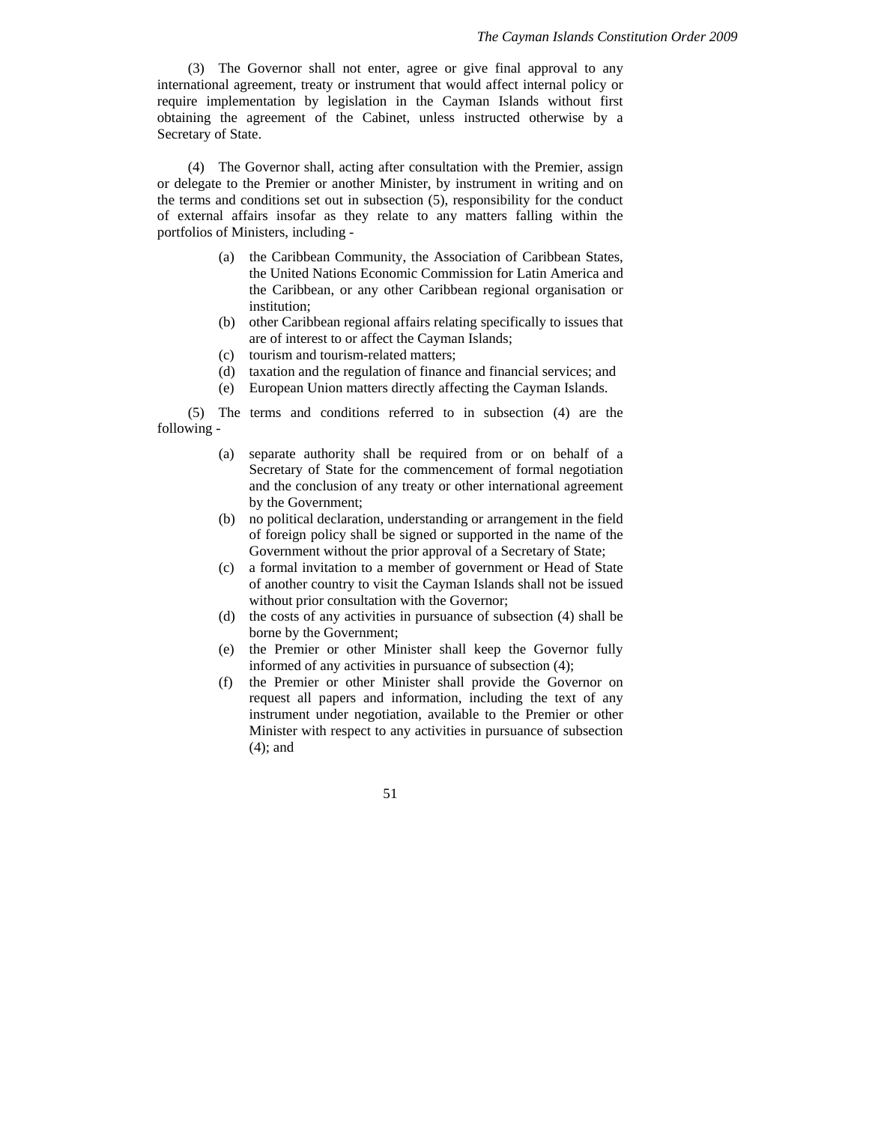(3) The Governor shall not enter, agree or give final approval to any international agreement, treaty or instrument that would affect internal policy or require implementation by legislation in the Cayman Islands without first obtaining the agreement of the Cabinet, unless instructed otherwise by a Secretary of State.

(4) The Governor shall, acting after consultation with the Premier, assign or delegate to the Premier or another Minister, by instrument in writing and on the terms and conditions set out in subsection (5), responsibility for the conduct of external affairs insofar as they relate to any matters falling within the portfolios of Ministers, including -

- (a) the Caribbean Community, the Association of Caribbean States, the United Nations Economic Commission for Latin America and the Caribbean, or any other Caribbean regional organisation or institution;
- (b) other Caribbean regional affairs relating specifically to issues that are of interest to or affect the Cayman Islands;
- (c) tourism and tourism-related matters;
- (d) taxation and the regulation of finance and financial services; and
- (e) European Union matters directly affecting the Cayman Islands.

(5) The terms and conditions referred to in subsection (4) are the following -

- (a) separate authority shall be required from or on behalf of a Secretary of State for the commencement of formal negotiation and the conclusion of any treaty or other international agreement by the Government;
- (b) no political declaration, understanding or arrangement in the field of foreign policy shall be signed or supported in the name of the Government without the prior approval of a Secretary of State;
- (c) a formal invitation to a member of government or Head of State of another country to visit the Cayman Islands shall not be issued without prior consultation with the Governor;
- (d) the costs of any activities in pursuance of subsection (4) shall be borne by the Government;
- (e) the Premier or other Minister shall keep the Governor fully informed of any activities in pursuance of subsection (4);
- (f) the Premier or other Minister shall provide the Governor on request all papers and information, including the text of any instrument under negotiation, available to the Premier or other Minister with respect to any activities in pursuance of subsection (4); and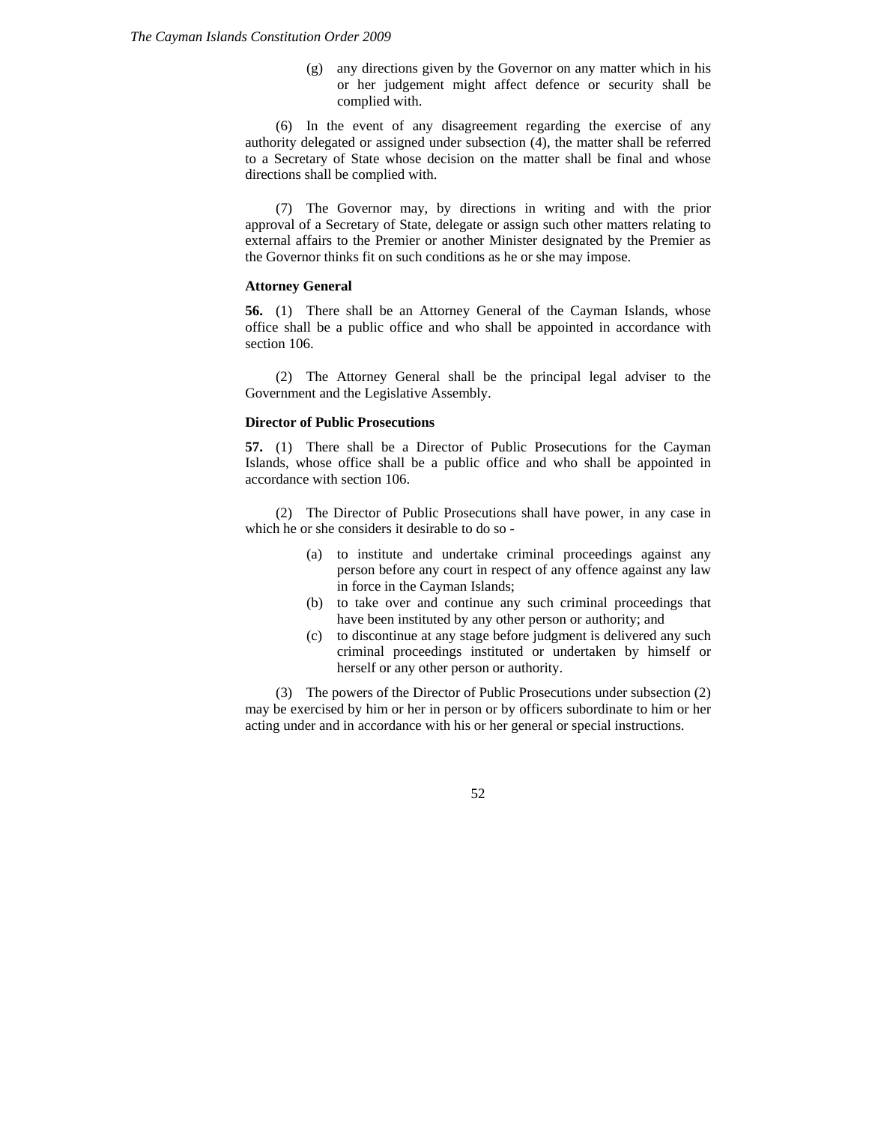(g) any directions given by the Governor on any matter which in his or her judgement might affect defence or security shall be complied with.

(6) In the event of any disagreement regarding the exercise of any authority delegated or assigned under subsection (4), the matter shall be referred to a Secretary of State whose decision on the matter shall be final and whose directions shall be complied with.

(7) The Governor may, by directions in writing and with the prior approval of a Secretary of State, delegate or assign such other matters relating to external affairs to the Premier or another Minister designated by the Premier as the Governor thinks fit on such conditions as he or she may impose.

## **Attorney General**

**56.** (1) There shall be an Attorney General of the Cayman Islands, whose office shall be a public office and who shall be appointed in accordance with section 106.

(2) The Attorney General shall be the principal legal adviser to the Government and the Legislative Assembly.

## **Director of Public Prosecutions**

**57.** (1) There shall be a Director of Public Prosecutions for the Cayman Islands, whose office shall be a public office and who shall be appointed in accordance with section 106.

(2) The Director of Public Prosecutions shall have power, in any case in which he or she considers it desirable to do so -

- (a) to institute and undertake criminal proceedings against any person before any court in respect of any offence against any law in force in the Cayman Islands;
- (b) to take over and continue any such criminal proceedings that have been instituted by any other person or authority; and
- (c) to discontinue at any stage before judgment is delivered any such criminal proceedings instituted or undertaken by himself or herself or any other person or authority.

(3) The powers of the Director of Public Prosecutions under subsection (2) may be exercised by him or her in person or by officers subordinate to him or her acting under and in accordance with his or her general or special instructions.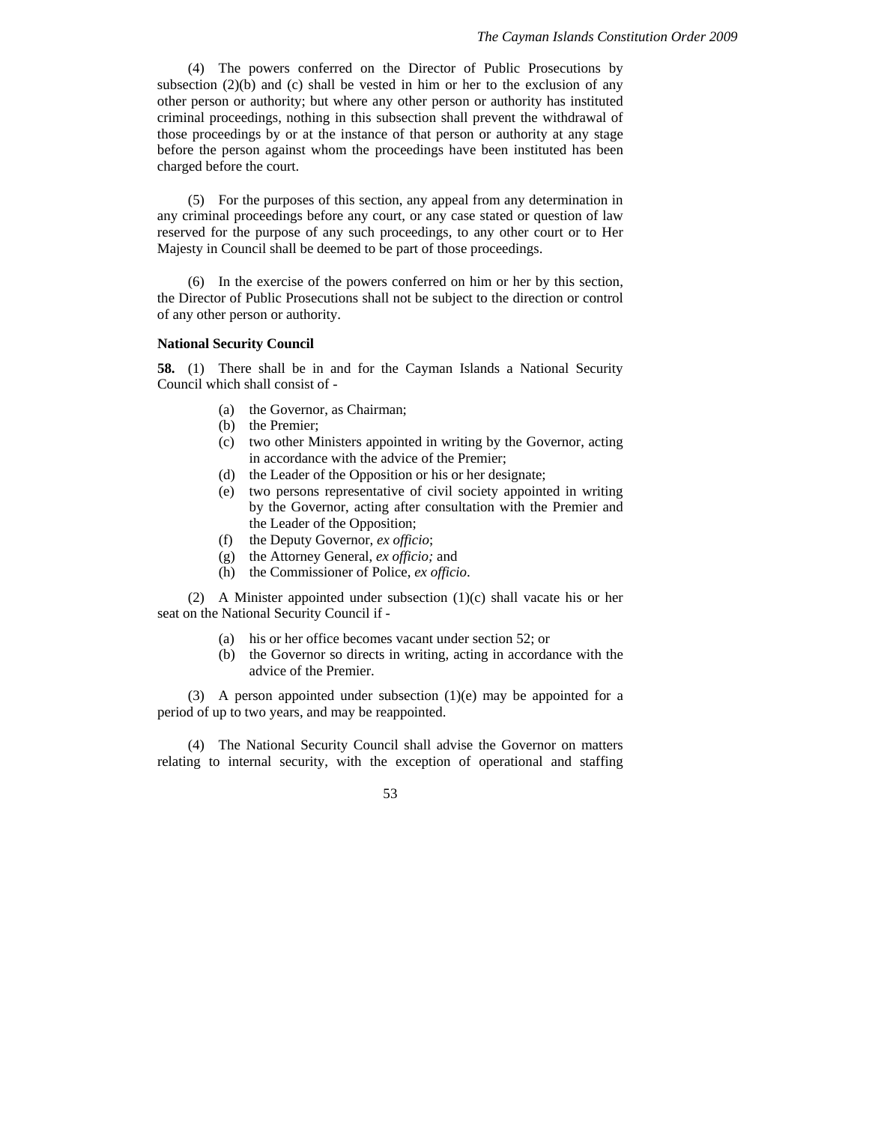(4) The powers conferred on the Director of Public Prosecutions by subsection  $(2)(b)$  and  $(c)$  shall be vested in him or her to the exclusion of any other person or authority; but where any other person or authority has instituted criminal proceedings, nothing in this subsection shall prevent the withdrawal of those proceedings by or at the instance of that person or authority at any stage before the person against whom the proceedings have been instituted has been charged before the court.

(5) For the purposes of this section, any appeal from any determination in any criminal proceedings before any court, or any case stated or question of law reserved for the purpose of any such proceedings, to any other court or to Her Majesty in Council shall be deemed to be part of those proceedings.

(6) In the exercise of the powers conferred on him or her by this section, the Director of Public Prosecutions shall not be subject to the direction or control of any other person or authority.

## **National Security Council**

**58.** (1) There shall be in and for the Cayman Islands a National Security Council which shall consist of -

- (a) the Governor, as Chairman;
- (b) the Premier;
- (c) two other Ministers appointed in writing by the Governor, acting in accordance with the advice of the Premier;
- (d) the Leader of the Opposition or his or her designate;
- (e) two persons representative of civil society appointed in writing by the Governor, acting after consultation with the Premier and the Leader of the Opposition;
- (f) the Deputy Governor, *ex officio*;
- (g) the Attorney General, *ex officio;* and
- (h) the Commissioner of Police, *ex officio*.

(2) A Minister appointed under subsection (1)(c) shall vacate his or her seat on the National Security Council if -

- (a) his or her office becomes vacant under section 52; or
- (b) the Governor so directs in writing, acting in accordance with the advice of the Premier.

(3) A person appointed under subsection (1)(e) may be appointed for a period of up to two years, and may be reappointed.

(4) The National Security Council shall advise the Governor on matters relating to internal security, with the exception of operational and staffing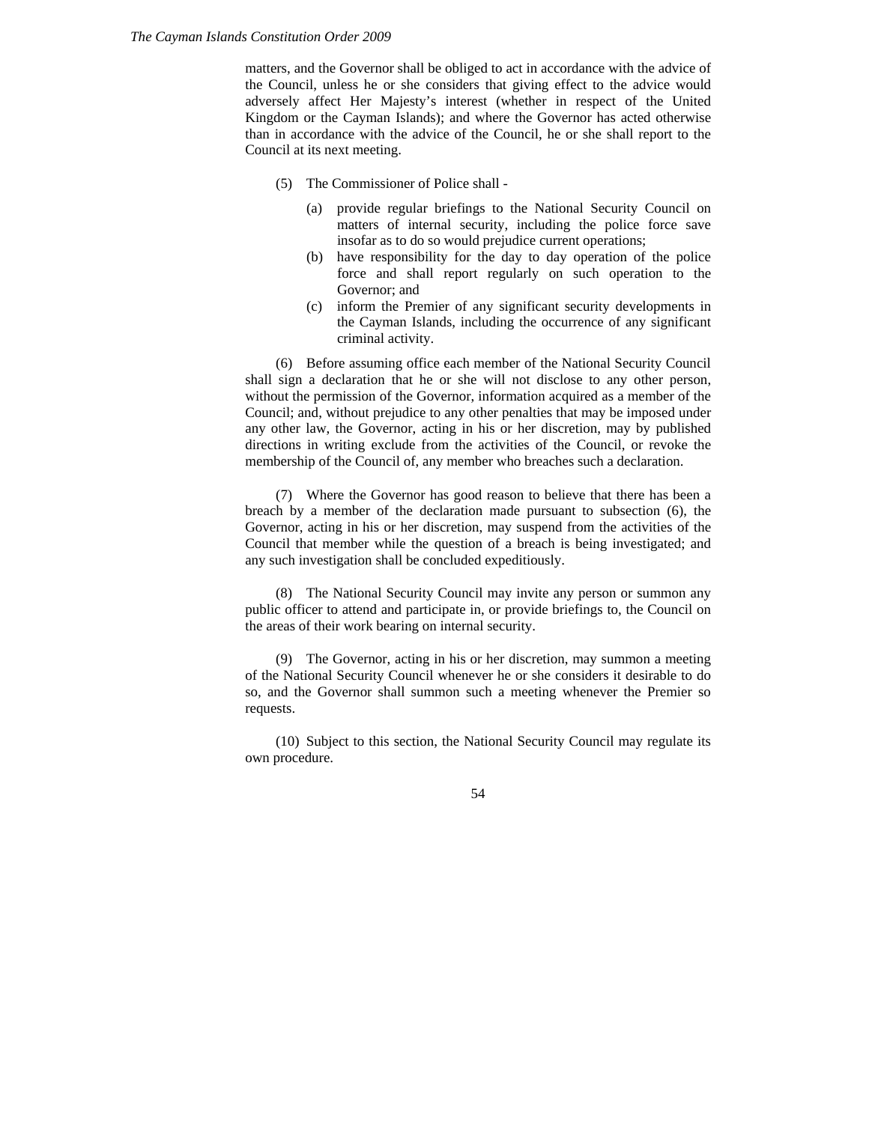matters, and the Governor shall be obliged to act in accordance with the advice of the Council, unless he or she considers that giving effect to the advice would adversely affect Her Majesty's interest (whether in respect of the United Kingdom or the Cayman Islands); and where the Governor has acted otherwise than in accordance with the advice of the Council, he or she shall report to the Council at its next meeting.

- (5) The Commissioner of Police shall
	- (a) provide regular briefings to the National Security Council on matters of internal security, including the police force save insofar as to do so would prejudice current operations;
	- (b) have responsibility for the day to day operation of the police force and shall report regularly on such operation to the Governor; and
	- (c) inform the Premier of any significant security developments in the Cayman Islands, including the occurrence of any significant criminal activity.

(6) Before assuming office each member of the National Security Council shall sign a declaration that he or she will not disclose to any other person, without the permission of the Governor, information acquired as a member of the Council; and, without prejudice to any other penalties that may be imposed under any other law, the Governor, acting in his or her discretion, may by published directions in writing exclude from the activities of the Council, or revoke the membership of the Council of, any member who breaches such a declaration.

(7) Where the Governor has good reason to believe that there has been a breach by a member of the declaration made pursuant to subsection (6), the Governor, acting in his or her discretion, may suspend from the activities of the Council that member while the question of a breach is being investigated; and any such investigation shall be concluded expeditiously.

(8) The National Security Council may invite any person or summon any public officer to attend and participate in, or provide briefings to, the Council on the areas of their work bearing on internal security.

(9) The Governor, acting in his or her discretion, may summon a meeting of the National Security Council whenever he or she considers it desirable to do so, and the Governor shall summon such a meeting whenever the Premier so requests.

(10) Subject to this section, the National Security Council may regulate its own procedure.

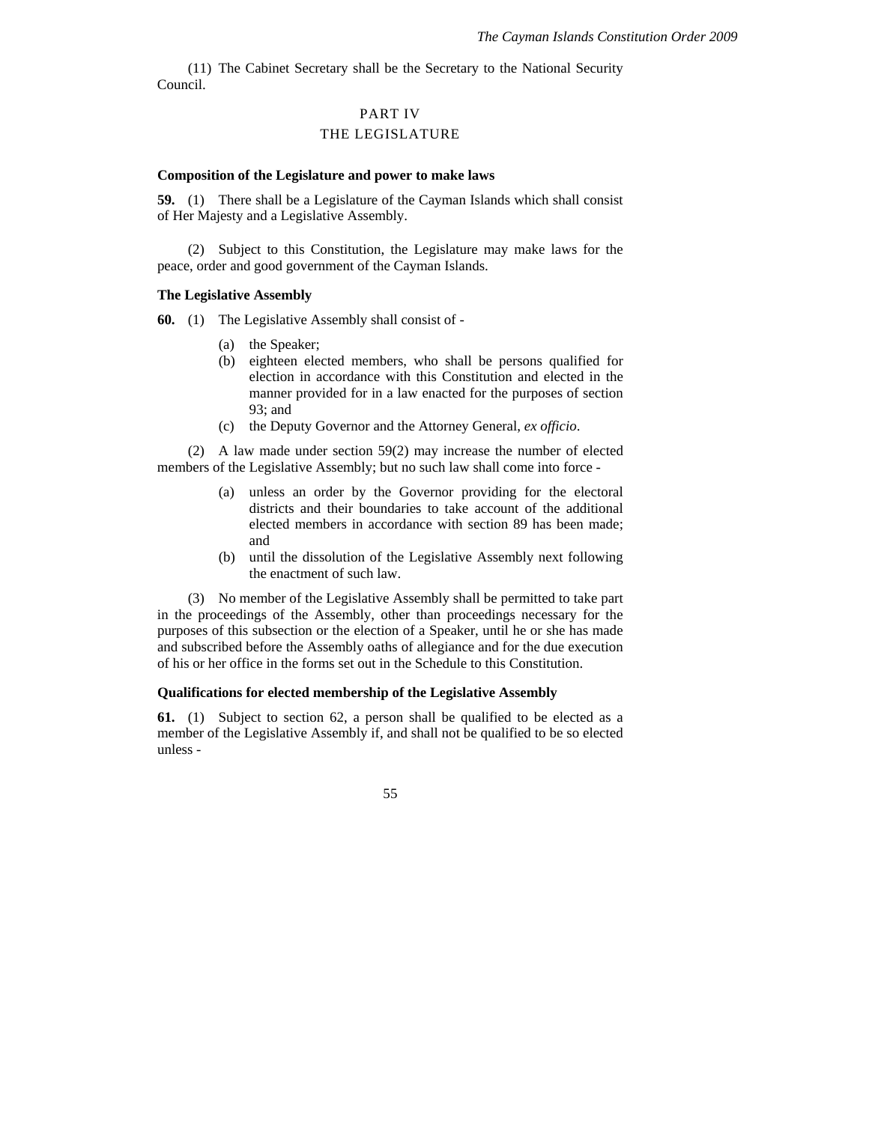(11) The Cabinet Secretary shall be the Secretary to the National Security Council.

## PART IV

## THE LEGISLATURE

#### **Composition of the Legislature and power to make laws**

**59.** (1) There shall be a Legislature of the Cayman Islands which shall consist of Her Majesty and a Legislative Assembly.

(2) Subject to this Constitution, the Legislature may make laws for the peace, order and good government of the Cayman Islands.

#### **The Legislative Assembly**

**60.** (1) The Legislative Assembly shall consist of -

- (a) the Speaker;
- (b) eighteen elected members, who shall be persons qualified for election in accordance with this Constitution and elected in the manner provided for in a law enacted for the purposes of section 93; and
- (c) the Deputy Governor and the Attorney General, *ex officio*.

(2) A law made under section 59(2) may increase the number of elected members of the Legislative Assembly; but no such law shall come into force -

- (a) unless an order by the Governor providing for the electoral districts and their boundaries to take account of the additional elected members in accordance with section 89 has been made; and
- (b) until the dissolution of the Legislative Assembly next following the enactment of such law.

(3) No member of the Legislative Assembly shall be permitted to take part in the proceedings of the Assembly, other than proceedings necessary for the purposes of this subsection or the election of a Speaker, until he or she has made and subscribed before the Assembly oaths of allegiance and for the due execution of his or her office in the forms set out in the Schedule to this Constitution.

## **Qualifications for elected membership of the Legislative Assembly**

**61.** (1) Subject to section 62, a person shall be qualified to be elected as a member of the Legislative Assembly if, and shall not be qualified to be so elected unless -

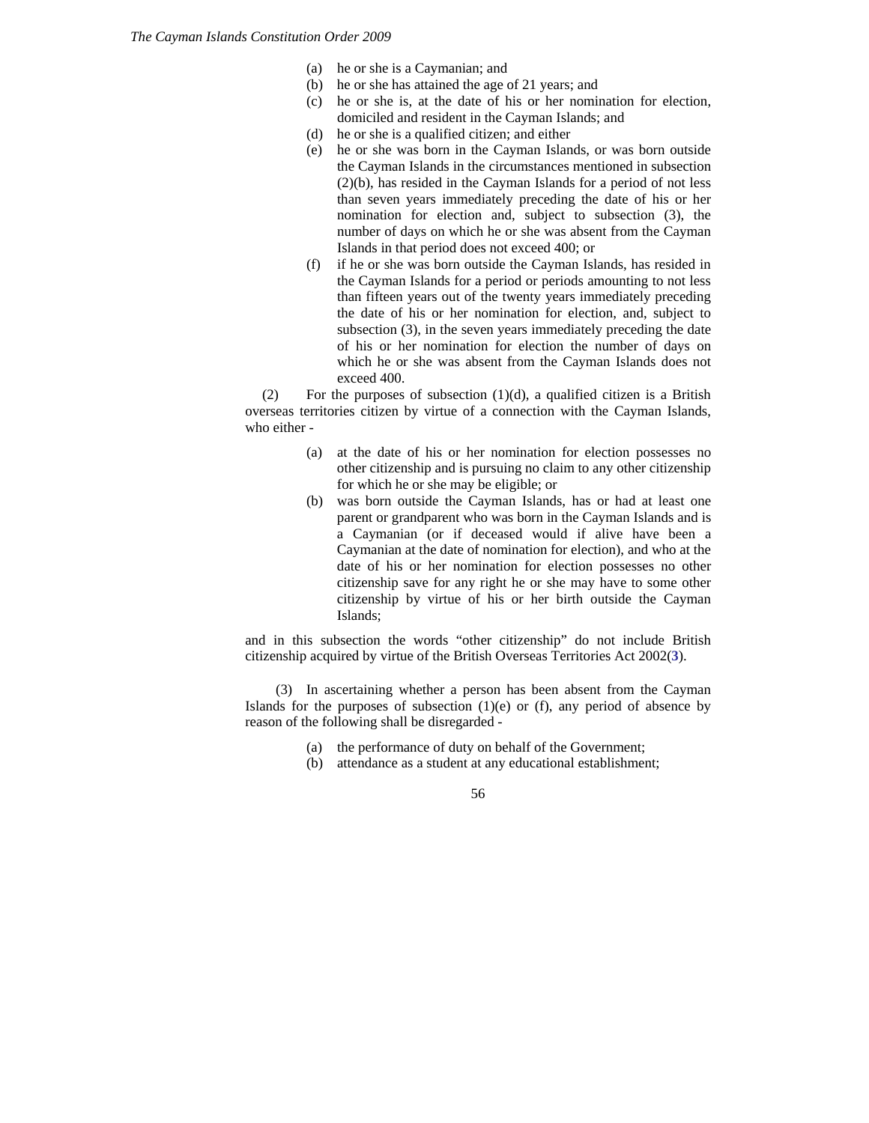- (a) he or she is a Caymanian; and
- (b) he or she has attained the age of 21 years; and
- (c) he or she is, at the date of his or her nomination for election, domiciled and resident in the Cayman Islands; and
- (d) he or she is a qualified citizen; and either
- (e) he or she was born in the Cayman Islands, or was born outside the Cayman Islands in the circumstances mentioned in subsection (2)(b), has resided in the Cayman Islands for a period of not less than seven years immediately preceding the date of his or her nomination for election and, subject to subsection (3), the number of days on which he or she was absent from the Cayman Islands in that period does not exceed 400; or
- (f) if he or she was born outside the Cayman Islands, has resided in the Cayman Islands for a period or periods amounting to not less than fifteen years out of the twenty years immediately preceding the date of his or her nomination for election, and, subject to subsection (3), in the seven years immediately preceding the date of his or her nomination for election the number of days on which he or she was absent from the Cayman Islands does not exceed 400.

(2) For the purposes of subsection  $(1)(d)$ , a qualified citizen is a British overseas territories citizen by virtue of a connection with the Cayman Islands, who either -

- (a) at the date of his or her nomination for election possesses no other citizenship and is pursuing no claim to any other citizenship for which he or she may be eligible; or
- (b) was born outside the Cayman Islands, has or had at least one parent or grandparent who was born in the Cayman Islands and is a Caymanian (or if deceased would if alive have been a Caymanian at the date of nomination for election), and who at the date of his or her nomination for election possesses no other citizenship save for any right he or she may have to some other citizenship by virtue of his or her birth outside the Cayman Islands;

and in this subsection the words "other citizenship" do not include British citizenship acquired by virtue of the British Overseas Territories Act 2002(**[3](http://www.opsi.gov.uk/si/si2009/uksi_20091379_en_7#f00003#f00003)**).

(3) In ascertaining whether a person has been absent from the Cayman Islands for the purposes of subsection  $(1)(e)$  or  $(f)$ , any period of absence by reason of the following shall be disregarded -

- (a) the performance of duty on behalf of the Government;
- (b) attendance as a student at any educational establishment;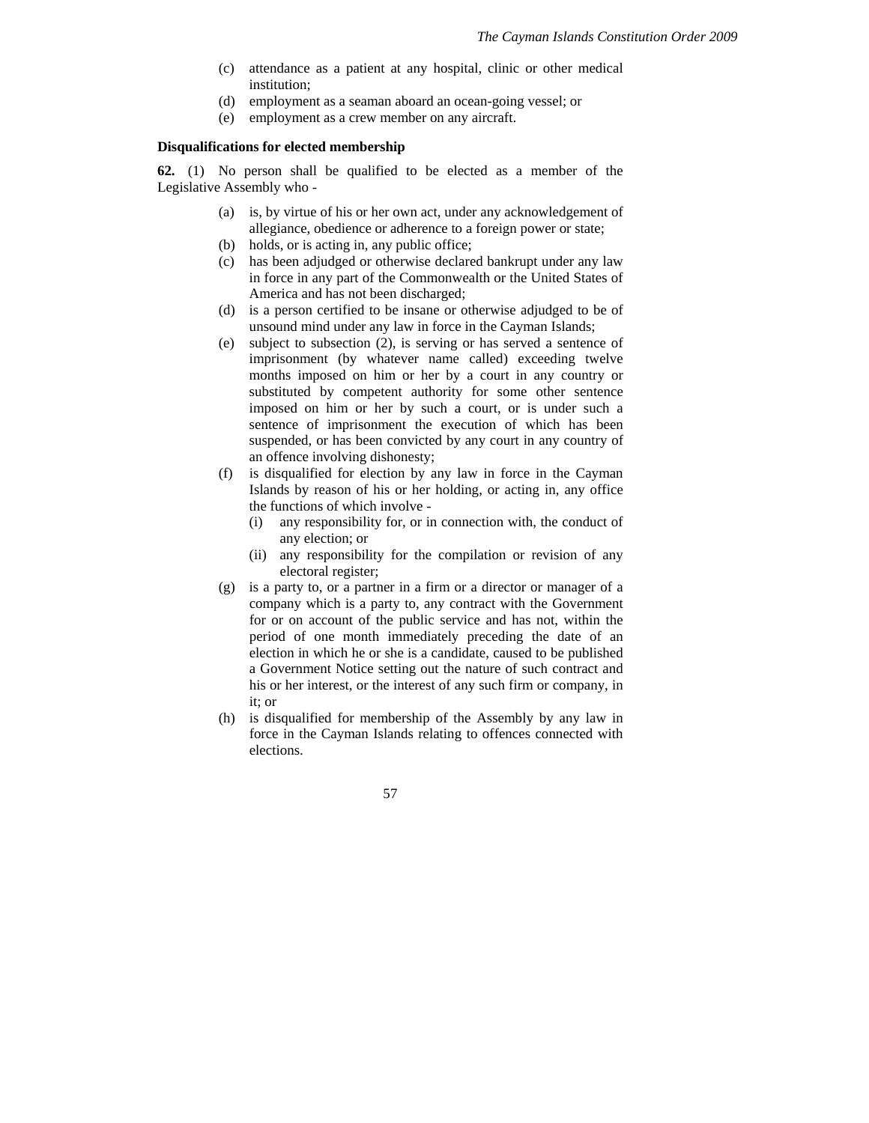- (c) attendance as a patient at any hospital, clinic or other medical institution;
- (d) employment as a seaman aboard an ocean-going vessel; or
- (e) employment as a crew member on any aircraft.

## **Disqualifications for elected membership**

**62.** (1) No person shall be qualified to be elected as a member of the Legislative Assembly who -

- (a) is, by virtue of his or her own act, under any acknowledgement of allegiance, obedience or adherence to a foreign power or state;
- (b) holds, or is acting in, any public office;
- (c) has been adjudged or otherwise declared bankrupt under any law in force in any part of the Commonwealth or the United States of America and has not been discharged;
- (d) is a person certified to be insane or otherwise adjudged to be of unsound mind under any law in force in the Cayman Islands;
- (e) subject to subsection (2), is serving or has served a sentence of imprisonment (by whatever name called) exceeding twelve months imposed on him or her by a court in any country or substituted by competent authority for some other sentence imposed on him or her by such a court, or is under such a sentence of imprisonment the execution of which has been suspended, or has been convicted by any court in any country of an offence involving dishonesty;
- (f) is disqualified for election by any law in force in the Cayman Islands by reason of his or her holding, or acting in, any office the functions of which involve -
	- (i) any responsibility for, or in connection with, the conduct of any election; or
	- (ii) any responsibility for the compilation or revision of any electoral register;
- (g) is a party to, or a partner in a firm or a director or manager of a company which is a party to, any contract with the Government for or on account of the public service and has not, within the period of one month immediately preceding the date of an election in which he or she is a candidate, caused to be published a Government Notice setting out the nature of such contract and his or her interest, or the interest of any such firm or company, in it; or
- (h) is disqualified for membership of the Assembly by any law in force in the Cayman Islands relating to offences connected with elections.

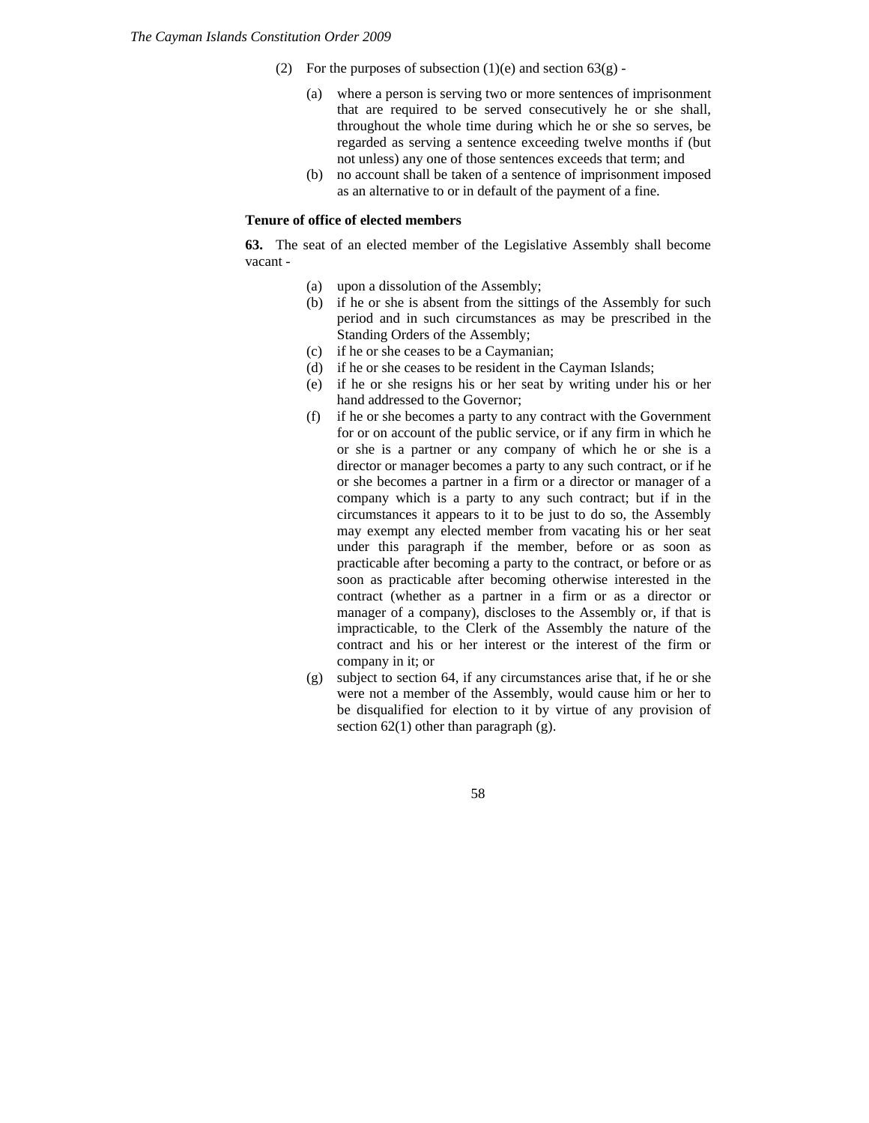- (2) For the purposes of subsection  $(1)(e)$  and section  $63(g)$  -
	- (a) where a person is serving two or more sentences of imprisonment that are required to be served consecutively he or she shall, throughout the whole time during which he or she so serves, be regarded as serving a sentence exceeding twelve months if (but not unless) any one of those sentences exceeds that term; and
	- (b) no account shall be taken of a sentence of imprisonment imposed as an alternative to or in default of the payment of a fine.

#### **Tenure of office of elected members**

**63.** The seat of an elected member of the Legislative Assembly shall become vacant -

- (a) upon a dissolution of the Assembly;
- (b) if he or she is absent from the sittings of the Assembly for such period and in such circumstances as may be prescribed in the Standing Orders of the Assembly;
- (c) if he or she ceases to be a Caymanian;
- (d) if he or she ceases to be resident in the Cayman Islands;
- (e) if he or she resigns his or her seat by writing under his or her hand addressed to the Governor;
- (f) if he or she becomes a party to any contract with the Government for or on account of the public service, or if any firm in which he or she is a partner or any company of which he or she is a director or manager becomes a party to any such contract, or if he or she becomes a partner in a firm or a director or manager of a company which is a party to any such contract; but if in the circumstances it appears to it to be just to do so, the Assembly may exempt any elected member from vacating his or her seat under this paragraph if the member, before or as soon as practicable after becoming a party to the contract, or before or as soon as practicable after becoming otherwise interested in the contract (whether as a partner in a firm or as a director or manager of a company), discloses to the Assembly or, if that is impracticable, to the Clerk of the Assembly the nature of the contract and his or her interest or the interest of the firm or company in it; or
- (g) subject to section 64, if any circumstances arise that, if he or she were not a member of the Assembly, would cause him or her to be disqualified for election to it by virtue of any provision of section  $62(1)$  other than paragraph (g).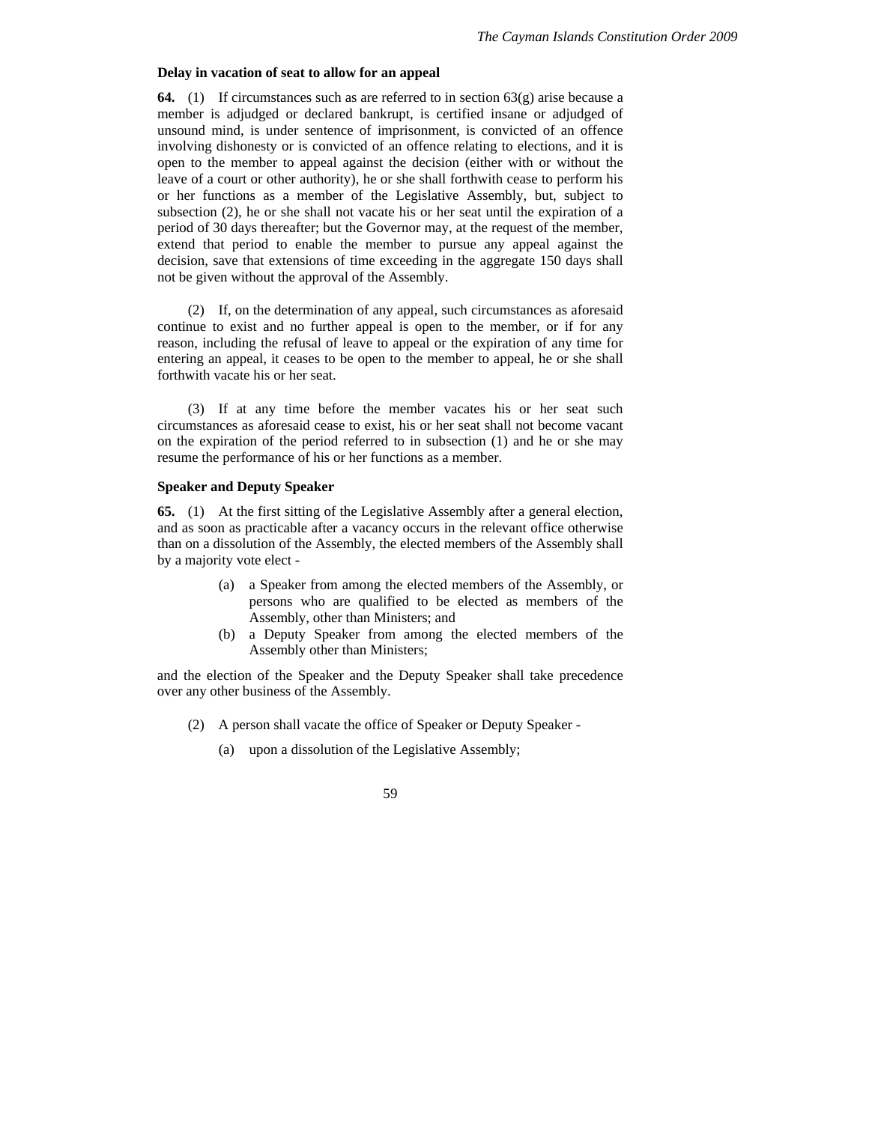#### **Delay in vacation of seat to allow for an appeal**

**64.** (1) If circumstances such as are referred to in section  $63(g)$  arise because a member is adjudged or declared bankrupt, is certified insane or adjudged of unsound mind, is under sentence of imprisonment, is convicted of an offence involving dishonesty or is convicted of an offence relating to elections, and it is open to the member to appeal against the decision (either with or without the leave of a court or other authority), he or she shall forthwith cease to perform his or her functions as a member of the Legislative Assembly, but, subject to subsection (2), he or she shall not vacate his or her seat until the expiration of a period of 30 days thereafter; but the Governor may, at the request of the member, extend that period to enable the member to pursue any appeal against the decision, save that extensions of time exceeding in the aggregate 150 days shall not be given without the approval of the Assembly.

(2) If, on the determination of any appeal, such circumstances as aforesaid continue to exist and no further appeal is open to the member, or if for any reason, including the refusal of leave to appeal or the expiration of any time for entering an appeal, it ceases to be open to the member to appeal, he or she shall forthwith vacate his or her seat.

(3) If at any time before the member vacates his or her seat such circumstances as aforesaid cease to exist, his or her seat shall not become vacant on the expiration of the period referred to in subsection (1) and he or she may resume the performance of his or her functions as a member.

## **Speaker and Deputy Speaker**

**65.** (1) At the first sitting of the Legislative Assembly after a general election, and as soon as practicable after a vacancy occurs in the relevant office otherwise than on a dissolution of the Assembly, the elected members of the Assembly shall by a majority vote elect -

- (a) a Speaker from among the elected members of the Assembly, or persons who are qualified to be elected as members of the Assembly, other than Ministers; and
- (b) a Deputy Speaker from among the elected members of the Assembly other than Ministers;

and the election of the Speaker and the Deputy Speaker shall take precedence over any other business of the Assembly.

- (2) A person shall vacate the office of Speaker or Deputy Speaker
	- (a) upon a dissolution of the Legislative Assembly;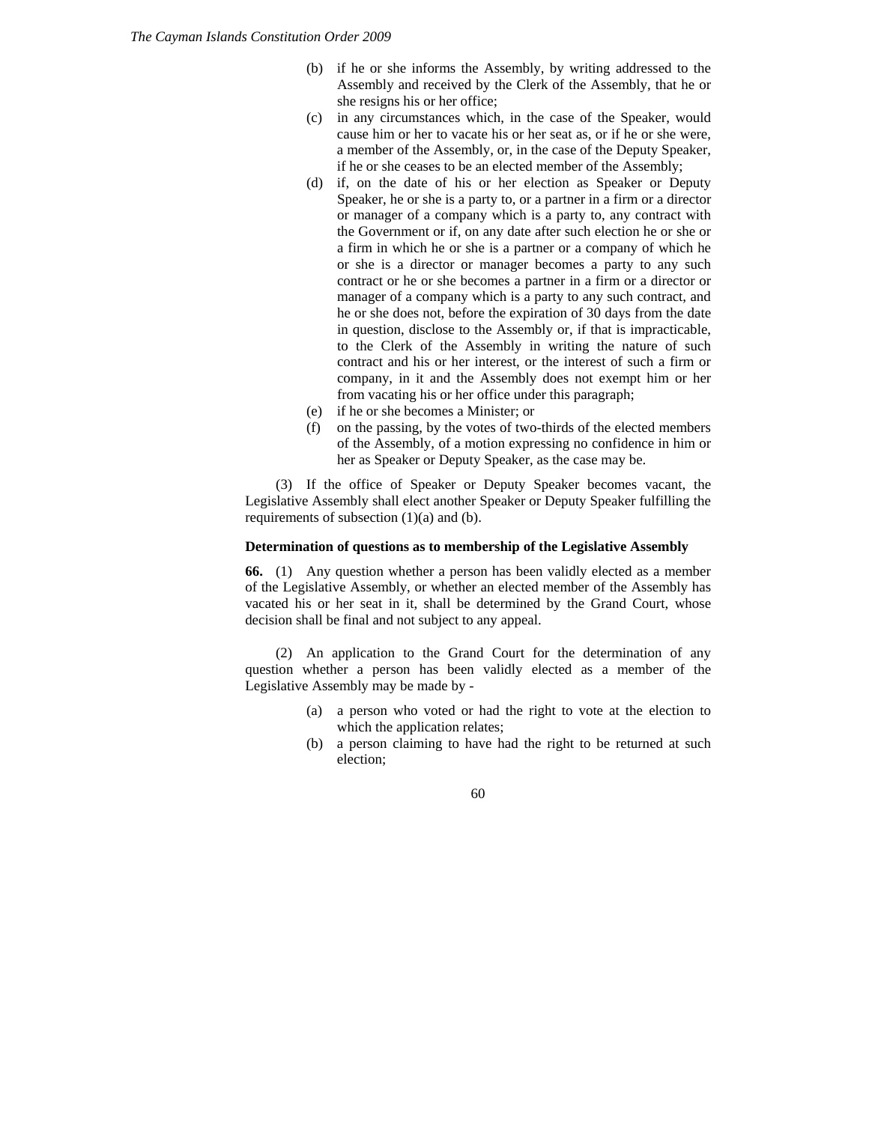- (b) if he or she informs the Assembly, by writing addressed to the Assembly and received by the Clerk of the Assembly, that he or she resigns his or her office;
- (c) in any circumstances which, in the case of the Speaker, would cause him or her to vacate his or her seat as, or if he or she were, a member of the Assembly, or, in the case of the Deputy Speaker, if he or she ceases to be an elected member of the Assembly;
- (d) if, on the date of his or her election as Speaker or Deputy Speaker, he or she is a party to, or a partner in a firm or a director or manager of a company which is a party to, any contract with the Government or if, on any date after such election he or she or a firm in which he or she is a partner or a company of which he or she is a director or manager becomes a party to any such contract or he or she becomes a partner in a firm or a director or manager of a company which is a party to any such contract, and he or she does not, before the expiration of 30 days from the date in question, disclose to the Assembly or, if that is impracticable, to the Clerk of the Assembly in writing the nature of such contract and his or her interest, or the interest of such a firm or company, in it and the Assembly does not exempt him or her from vacating his or her office under this paragraph;
- (e) if he or she becomes a Minister; or
- (f) on the passing, by the votes of two-thirds of the elected members of the Assembly, of a motion expressing no confidence in him or her as Speaker or Deputy Speaker, as the case may be.

(3) If the office of Speaker or Deputy Speaker becomes vacant, the Legislative Assembly shall elect another Speaker or Deputy Speaker fulfilling the requirements of subsection  $(1)(a)$  and  $(b)$ .

## **Determination of questions as to membership of the Legislative Assembly**

**66.** (1) Any question whether a person has been validly elected as a member of the Legislative Assembly, or whether an elected member of the Assembly has vacated his or her seat in it, shall be determined by the Grand Court, whose decision shall be final and not subject to any appeal.

(2) An application to the Grand Court for the determination of any question whether a person has been validly elected as a member of the Legislative Assembly may be made by -

- (a) a person who voted or had the right to vote at the election to which the application relates;
- (b) a person claiming to have had the right to be returned at such election;

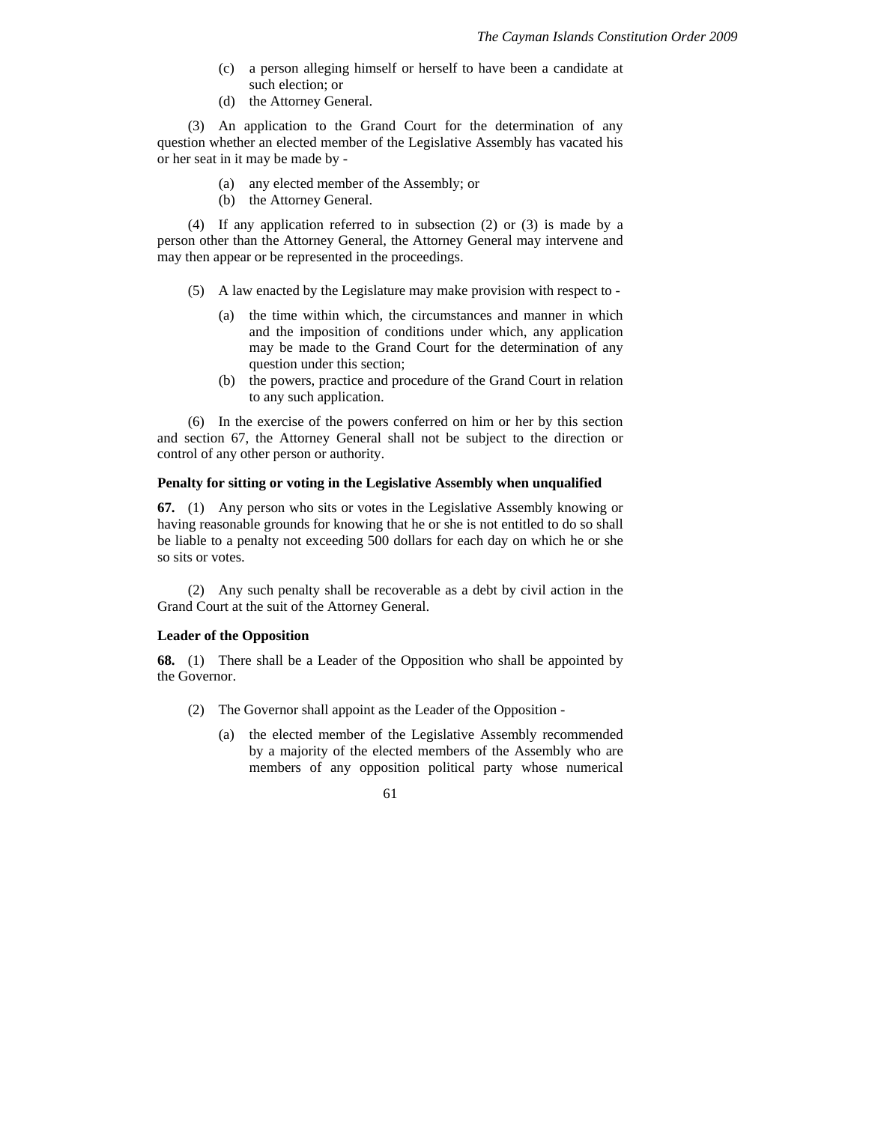- (c) a person alleging himself or herself to have been a candidate at such election; or
- (d) the Attorney General.

(3) An application to the Grand Court for the determination of any question whether an elected member of the Legislative Assembly has vacated his or her seat in it may be made by -

- (a) any elected member of the Assembly; or
- (b) the Attorney General.

(4) If any application referred to in subsection (2) or (3) is made by a person other than the Attorney General, the Attorney General may intervene and may then appear or be represented in the proceedings.

- (5) A law enacted by the Legislature may make provision with respect to
	- (a) the time within which, the circumstances and manner in which and the imposition of conditions under which, any application may be made to the Grand Court for the determination of any question under this section;
	- (b) the powers, practice and procedure of the Grand Court in relation to any such application.

(6) In the exercise of the powers conferred on him or her by this section and section 67, the Attorney General shall not be subject to the direction or control of any other person or authority.

## **Penalty for sitting or voting in the Legislative Assembly when unqualified**

**67.** (1) Any person who sits or votes in the Legislative Assembly knowing or having reasonable grounds for knowing that he or she is not entitled to do so shall be liable to a penalty not exceeding 500 dollars for each day on which he or she so sits or votes.

(2) Any such penalty shall be recoverable as a debt by civil action in the Grand Court at the suit of the Attorney General.

## **Leader of the Opposition**

**68.** (1) There shall be a Leader of the Opposition who shall be appointed by the Governor.

- (2) The Governor shall appoint as the Leader of the Opposition
	- (a) the elected member of the Legislative Assembly recommended by a majority of the elected members of the Assembly who are members of any opposition political party whose numerical

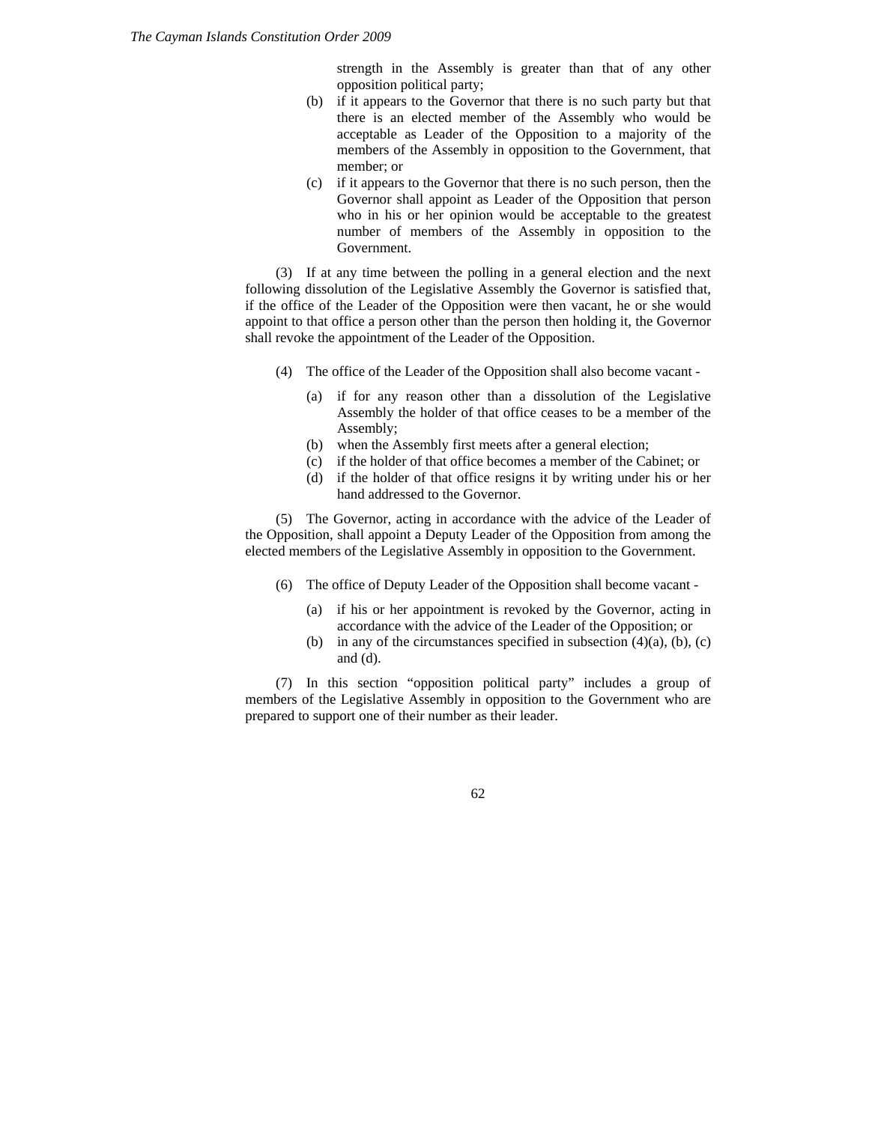strength in the Assembly is greater than that of any other opposition political party;

- (b) if it appears to the Governor that there is no such party but that there is an elected member of the Assembly who would be acceptable as Leader of the Opposition to a majority of the members of the Assembly in opposition to the Government, that member; or
- (c) if it appears to the Governor that there is no such person, then the Governor shall appoint as Leader of the Opposition that person who in his or her opinion would be acceptable to the greatest number of members of the Assembly in opposition to the Government.

(3) If at any time between the polling in a general election and the next following dissolution of the Legislative Assembly the Governor is satisfied that, if the office of the Leader of the Opposition were then vacant, he or she would appoint to that office a person other than the person then holding it, the Governor shall revoke the appointment of the Leader of the Opposition.

- (4) The office of the Leader of the Opposition shall also become vacant
	- (a) if for any reason other than a dissolution of the Legislative Assembly the holder of that office ceases to be a member of the Assembly;
	- (b) when the Assembly first meets after a general election;
	- (c) if the holder of that office becomes a member of the Cabinet; or
	- (d) if the holder of that office resigns it by writing under his or her hand addressed to the Governor.

(5) The Governor, acting in accordance with the advice of the Leader of the Opposition, shall appoint a Deputy Leader of the Opposition from among the elected members of the Legislative Assembly in opposition to the Government.

- (6) The office of Deputy Leader of the Opposition shall become vacant
	- (a) if his or her appointment is revoked by the Governor, acting in accordance with the advice of the Leader of the Opposition; or
	- (b) in any of the circumstances specified in subsection  $(4)(a)$ ,  $(b)$ ,  $(c)$ and  $(d)$ .

(7) In this section "opposition political party" includes a group of members of the Legislative Assembly in opposition to the Government who are prepared to support one of their number as their leader.

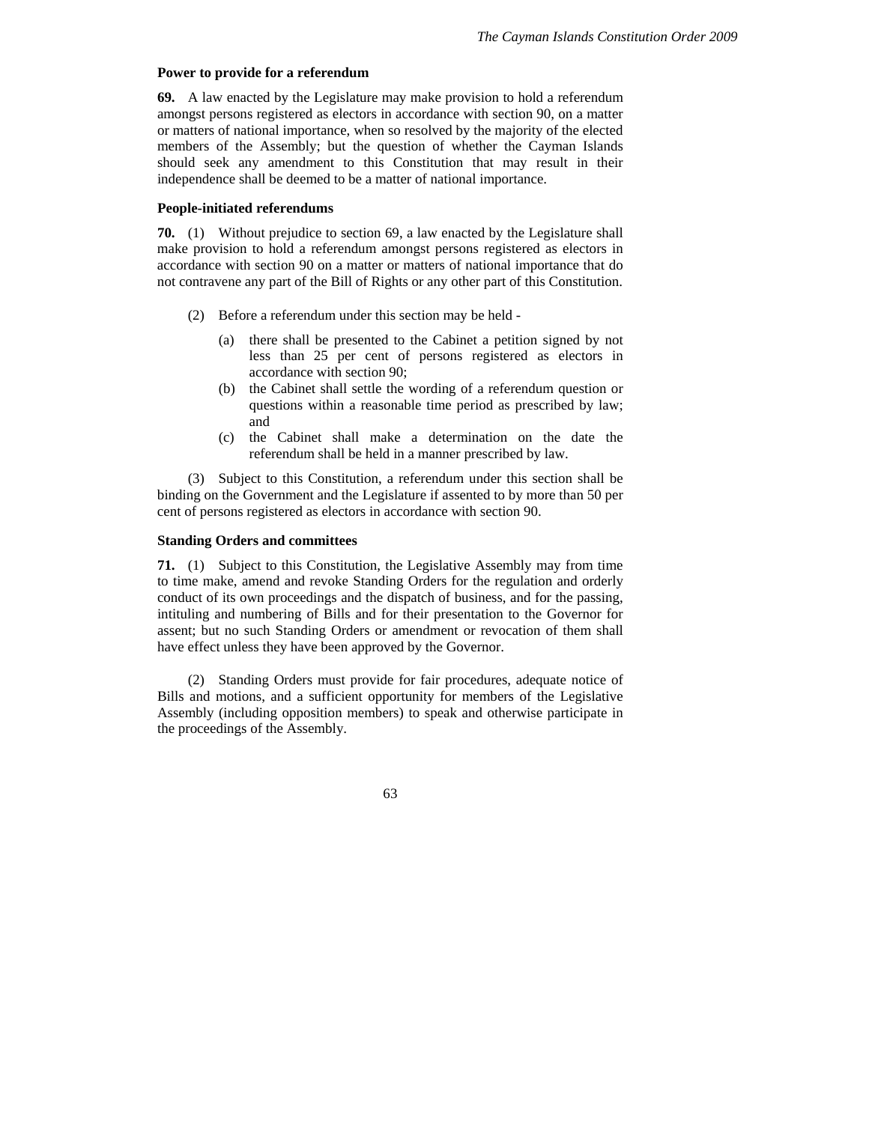#### **Power to provide for a referendum**

**69.** A law enacted by the Legislature may make provision to hold a referendum amongst persons registered as electors in accordance with section 90, on a matter or matters of national importance, when so resolved by the majority of the elected members of the Assembly; but the question of whether the Cayman Islands should seek any amendment to this Constitution that may result in their independence shall be deemed to be a matter of national importance.

## **People-initiated referendums**

**70.** (1) Without prejudice to section 69, a law enacted by the Legislature shall make provision to hold a referendum amongst persons registered as electors in accordance with section 90 on a matter or matters of national importance that do not contravene any part of the Bill of Rights or any other part of this Constitution.

- (2) Before a referendum under this section may be held
	- (a) there shall be presented to the Cabinet a petition signed by not less than 25 per cent of persons registered as electors in accordance with section 90;
	- (b) the Cabinet shall settle the wording of a referendum question or questions within a reasonable time period as prescribed by law; and
	- (c) the Cabinet shall make a determination on the date the referendum shall be held in a manner prescribed by law.

(3) Subject to this Constitution, a referendum under this section shall be binding on the Government and the Legislature if assented to by more than 50 per cent of persons registered as electors in accordance with section 90.

## **Standing Orders and committees**

**71.** (1) Subject to this Constitution, the Legislative Assembly may from time to time make, amend and revoke Standing Orders for the regulation and orderly conduct of its own proceedings and the dispatch of business, and for the passing, intituling and numbering of Bills and for their presentation to the Governor for assent; but no such Standing Orders or amendment or revocation of them shall have effect unless they have been approved by the Governor.

(2) Standing Orders must provide for fair procedures, adequate notice of Bills and motions, and a sufficient opportunity for members of the Legislative Assembly (including opposition members) to speak and otherwise participate in the proceedings of the Assembly.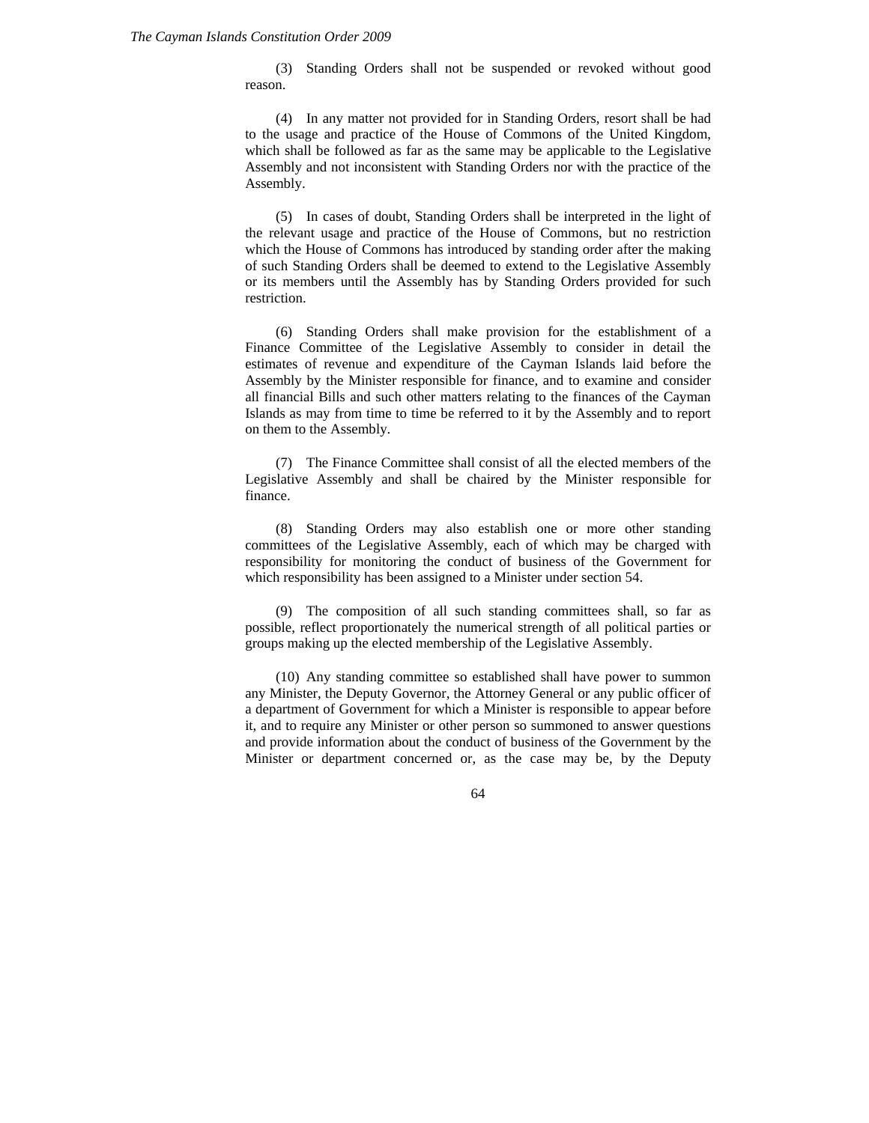(3) Standing Orders shall not be suspended or revoked without good reason.

(4) In any matter not provided for in Standing Orders, resort shall be had to the usage and practice of the House of Commons of the United Kingdom, which shall be followed as far as the same may be applicable to the Legislative Assembly and not inconsistent with Standing Orders nor with the practice of the Assembly.

(5) In cases of doubt, Standing Orders shall be interpreted in the light of the relevant usage and practice of the House of Commons, but no restriction which the House of Commons has introduced by standing order after the making of such Standing Orders shall be deemed to extend to the Legislative Assembly or its members until the Assembly has by Standing Orders provided for such restriction.

(6) Standing Orders shall make provision for the establishment of a Finance Committee of the Legislative Assembly to consider in detail the estimates of revenue and expenditure of the Cayman Islands laid before the Assembly by the Minister responsible for finance, and to examine and consider all financial Bills and such other matters relating to the finances of the Cayman Islands as may from time to time be referred to it by the Assembly and to report on them to the Assembly.

(7) The Finance Committee shall consist of all the elected members of the Legislative Assembly and shall be chaired by the Minister responsible for finance.

(8) Standing Orders may also establish one or more other standing committees of the Legislative Assembly, each of which may be charged with responsibility for monitoring the conduct of business of the Government for which responsibility has been assigned to a Minister under section 54.

(9) The composition of all such standing committees shall, so far as possible, reflect proportionately the numerical strength of all political parties or groups making up the elected membership of the Legislative Assembly.

(10) Any standing committee so established shall have power to summon any Minister, the Deputy Governor, the Attorney General or any public officer of a department of Government for which a Minister is responsible to appear before it, and to require any Minister or other person so summoned to answer questions and provide information about the conduct of business of the Government by the Minister or department concerned or, as the case may be, by the Deputy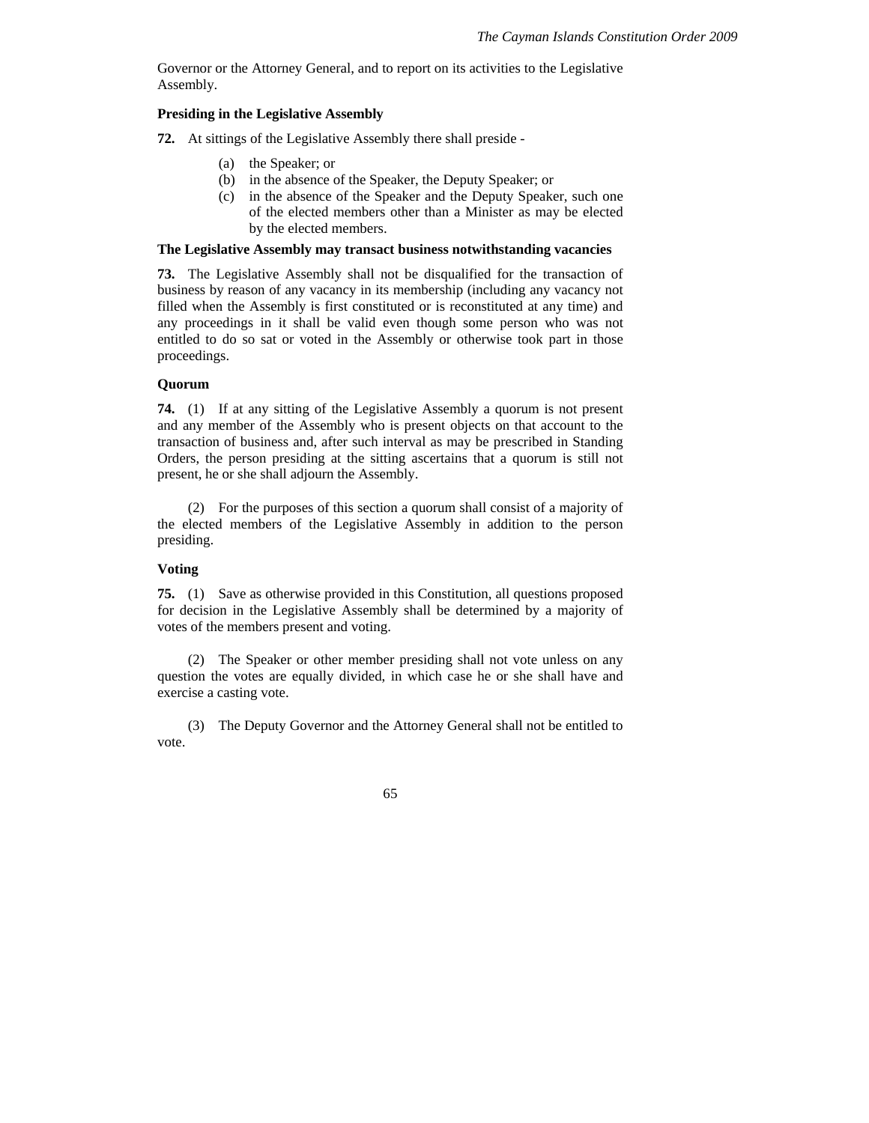Governor or the Attorney General, and to report on its activities to the Legislative Assembly.

## **Presiding in the Legislative Assembly**

**72.** At sittings of the Legislative Assembly there shall preside -

- (a) the Speaker; or
- (b) in the absence of the Speaker, the Deputy Speaker; or
- (c) in the absence of the Speaker and the Deputy Speaker, such one of the elected members other than a Minister as may be elected by the elected members.

#### **The Legislative Assembly may transact business notwithstanding vacancies**

**73.** The Legislative Assembly shall not be disqualified for the transaction of business by reason of any vacancy in its membership (including any vacancy not filled when the Assembly is first constituted or is reconstituted at any time) and any proceedings in it shall be valid even though some person who was not entitled to do so sat or voted in the Assembly or otherwise took part in those proceedings.

## **Quorum**

**74.** (1) If at any sitting of the Legislative Assembly a quorum is not present and any member of the Assembly who is present objects on that account to the transaction of business and, after such interval as may be prescribed in Standing Orders, the person presiding at the sitting ascertains that a quorum is still not present, he or she shall adjourn the Assembly.

(2) For the purposes of this section a quorum shall consist of a majority of the elected members of the Legislative Assembly in addition to the person presiding.

## **Voting**

**75.** (1) Save as otherwise provided in this Constitution, all questions proposed for decision in the Legislative Assembly shall be determined by a majority of votes of the members present and voting.

(2) The Speaker or other member presiding shall not vote unless on any question the votes are equally divided, in which case he or she shall have and exercise a casting vote.

(3) The Deputy Governor and the Attorney General shall not be entitled to vote.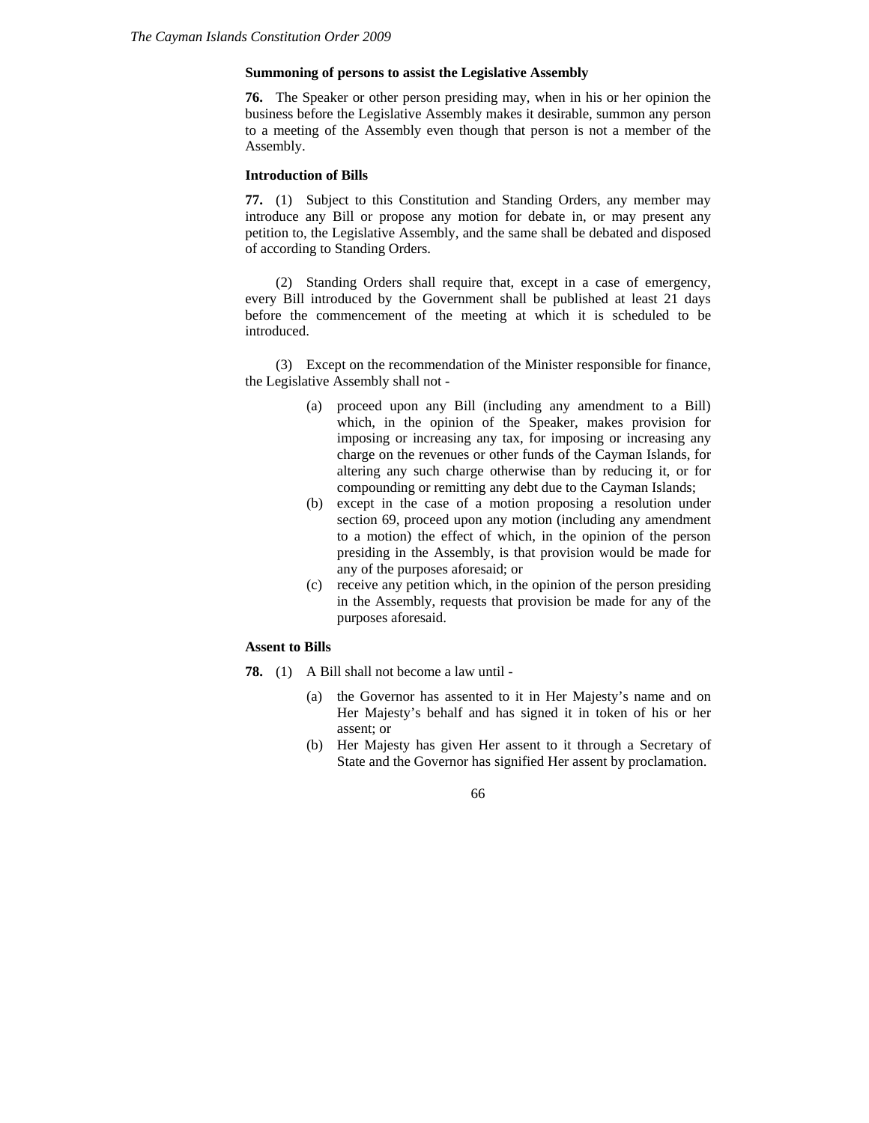## **Summoning of persons to assist the Legislative Assembly**

**76.** The Speaker or other person presiding may, when in his or her opinion the business before the Legislative Assembly makes it desirable, summon any person to a meeting of the Assembly even though that person is not a member of the Assembly.

## **Introduction of Bills**

**77.** (1) Subject to this Constitution and Standing Orders, any member may introduce any Bill or propose any motion for debate in, or may present any petition to, the Legislative Assembly, and the same shall be debated and disposed of according to Standing Orders.

(2) Standing Orders shall require that, except in a case of emergency, every Bill introduced by the Government shall be published at least 21 days before the commencement of the meeting at which it is scheduled to be introduced.

(3) Except on the recommendation of the Minister responsible for finance, the Legislative Assembly shall not -

- (a) proceed upon any Bill (including any amendment to a Bill) which, in the opinion of the Speaker, makes provision for imposing or increasing any tax, for imposing or increasing any charge on the revenues or other funds of the Cayman Islands, for altering any such charge otherwise than by reducing it, or for compounding or remitting any debt due to the Cayman Islands;
- (b) except in the case of a motion proposing a resolution under section 69, proceed upon any motion (including any amendment to a motion) the effect of which, in the opinion of the person presiding in the Assembly, is that provision would be made for any of the purposes aforesaid; or
- (c) receive any petition which, in the opinion of the person presiding in the Assembly, requests that provision be made for any of the purposes aforesaid.

#### **Assent to Bills**

- **78.** (1) A Bill shall not become a law until
	- (a) the Governor has assented to it in Her Majesty's name and on Her Majesty's behalf and has signed it in token of his or her assent; or
	- (b) Her Majesty has given Her assent to it through a Secretary of State and the Governor has signified Her assent by proclamation.

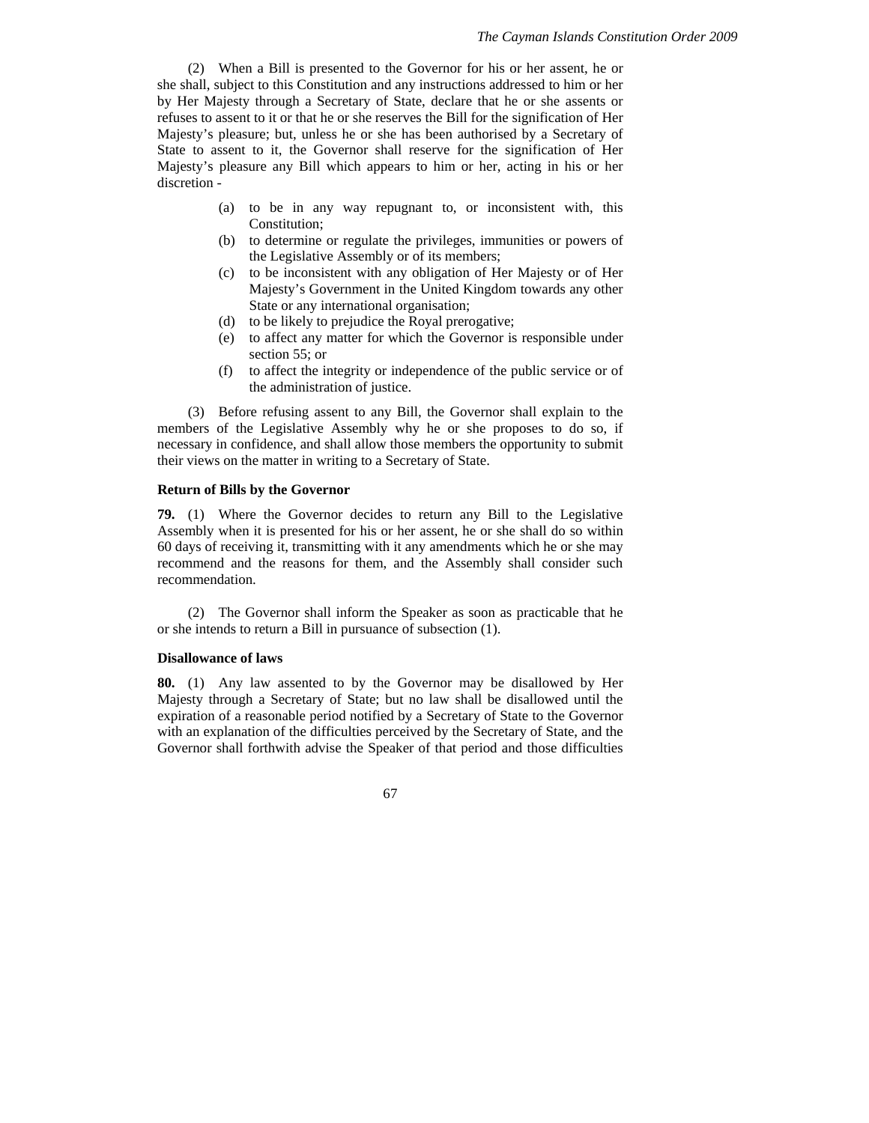(2) When a Bill is presented to the Governor for his or her assent, he or she shall, subject to this Constitution and any instructions addressed to him or her by Her Majesty through a Secretary of State, declare that he or she assents or refuses to assent to it or that he or she reserves the Bill for the signification of Her Majesty's pleasure; but, unless he or she has been authorised by a Secretary of State to assent to it, the Governor shall reserve for the signification of Her Majesty's pleasure any Bill which appears to him or her, acting in his or her discretion -

- (a) to be in any way repugnant to, or inconsistent with, this Constitution;
- (b) to determine or regulate the privileges, immunities or powers of the Legislative Assembly or of its members;
- (c) to be inconsistent with any obligation of Her Majesty or of Her Majesty's Government in the United Kingdom towards any other State or any international organisation;
- (d) to be likely to prejudice the Royal prerogative;
- (e) to affect any matter for which the Governor is responsible under section 55; or
- (f) to affect the integrity or independence of the public service or of the administration of justice.

(3) Before refusing assent to any Bill, the Governor shall explain to the members of the Legislative Assembly why he or she proposes to do so, if necessary in confidence, and shall allow those members the opportunity to submit their views on the matter in writing to a Secretary of State.

## **Return of Bills by the Governor**

**79.** (1) Where the Governor decides to return any Bill to the Legislative Assembly when it is presented for his or her assent, he or she shall do so within 60 days of receiving it, transmitting with it any amendments which he or she may recommend and the reasons for them, and the Assembly shall consider such recommendation.

(2) The Governor shall inform the Speaker as soon as practicable that he or she intends to return a Bill in pursuance of subsection (1).

#### **Disallowance of laws**

**80.** (1) Any law assented to by the Governor may be disallowed by Her Majesty through a Secretary of State; but no law shall be disallowed until the expiration of a reasonable period notified by a Secretary of State to the Governor with an explanation of the difficulties perceived by the Secretary of State, and the Governor shall forthwith advise the Speaker of that period and those difficulties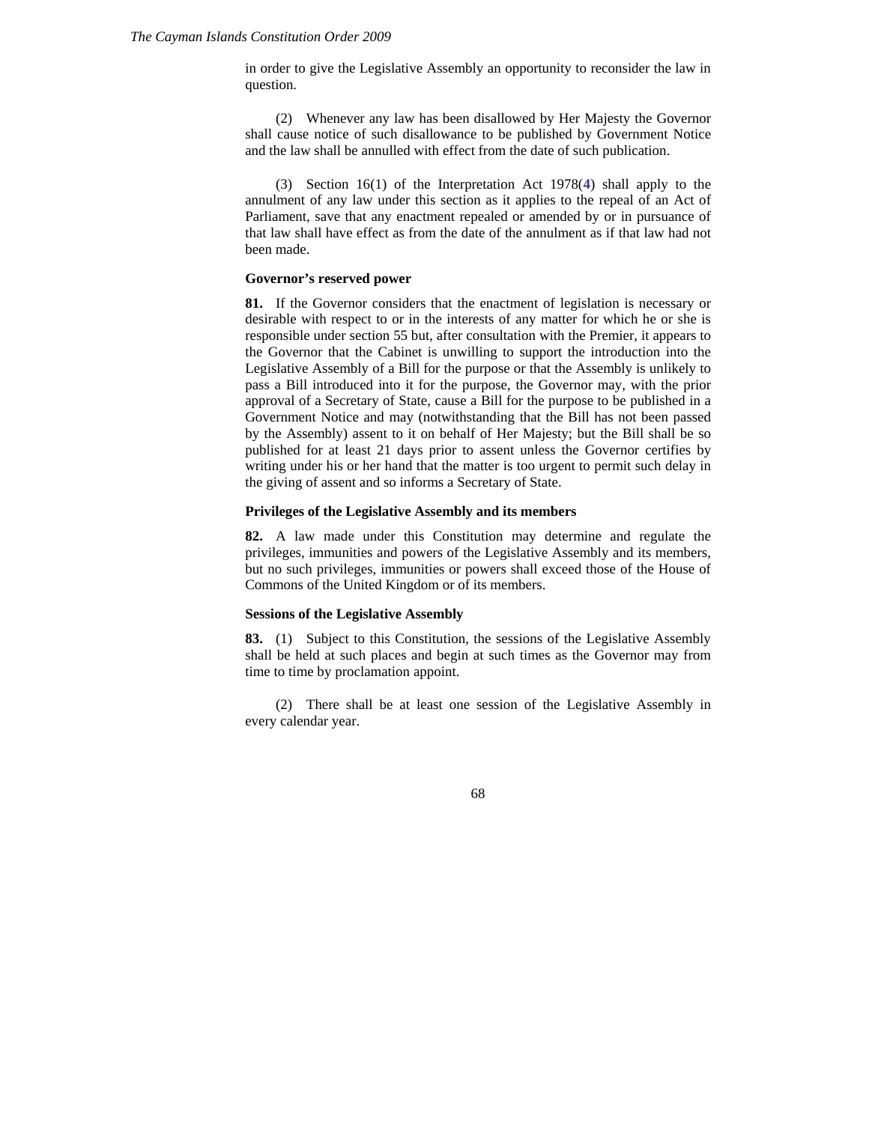in order to give the Legislative Assembly an opportunity to reconsider the law in question.

(2) Whenever any law has been disallowed by Her Majesty the Governor shall cause notice of such disallowance to be published by Government Notice and the law shall be annulled with effect from the date of such publication.

(3) Section 16(1) of the Interpretation Act 1978(**[4](http://www.opsi.gov.uk/si/si2009/uksi_20091379_en_7#f00004#f00004)**) shall apply to the annulment of any law under this section as it applies to the repeal of an Act of Parliament, save that any enactment repealed or amended by or in pursuance of that law shall have effect as from the date of the annulment as if that law had not been made.

## **Governor's reserved power**

**81.** If the Governor considers that the enactment of legislation is necessary or desirable with respect to or in the interests of any matter for which he or she is responsible under section 55 but, after consultation with the Premier, it appears to the Governor that the Cabinet is unwilling to support the introduction into the Legislative Assembly of a Bill for the purpose or that the Assembly is unlikely to pass a Bill introduced into it for the purpose, the Governor may, with the prior approval of a Secretary of State, cause a Bill for the purpose to be published in a Government Notice and may (notwithstanding that the Bill has not been passed by the Assembly) assent to it on behalf of Her Majesty; but the Bill shall be so published for at least 21 days prior to assent unless the Governor certifies by writing under his or her hand that the matter is too urgent to permit such delay in the giving of assent and so informs a Secretary of State.

## **Privileges of the Legislative Assembly and its members**

**82.** A law made under this Constitution may determine and regulate the privileges, immunities and powers of the Legislative Assembly and its members, but no such privileges, immunities or powers shall exceed those of the House of Commons of the United Kingdom or of its members.

#### **Sessions of the Legislative Assembly**

**83.** (1) Subject to this Constitution, the sessions of the Legislative Assembly shall be held at such places and begin at such times as the Governor may from time to time by proclamation appoint.

(2) There shall be at least one session of the Legislative Assembly in every calendar year.

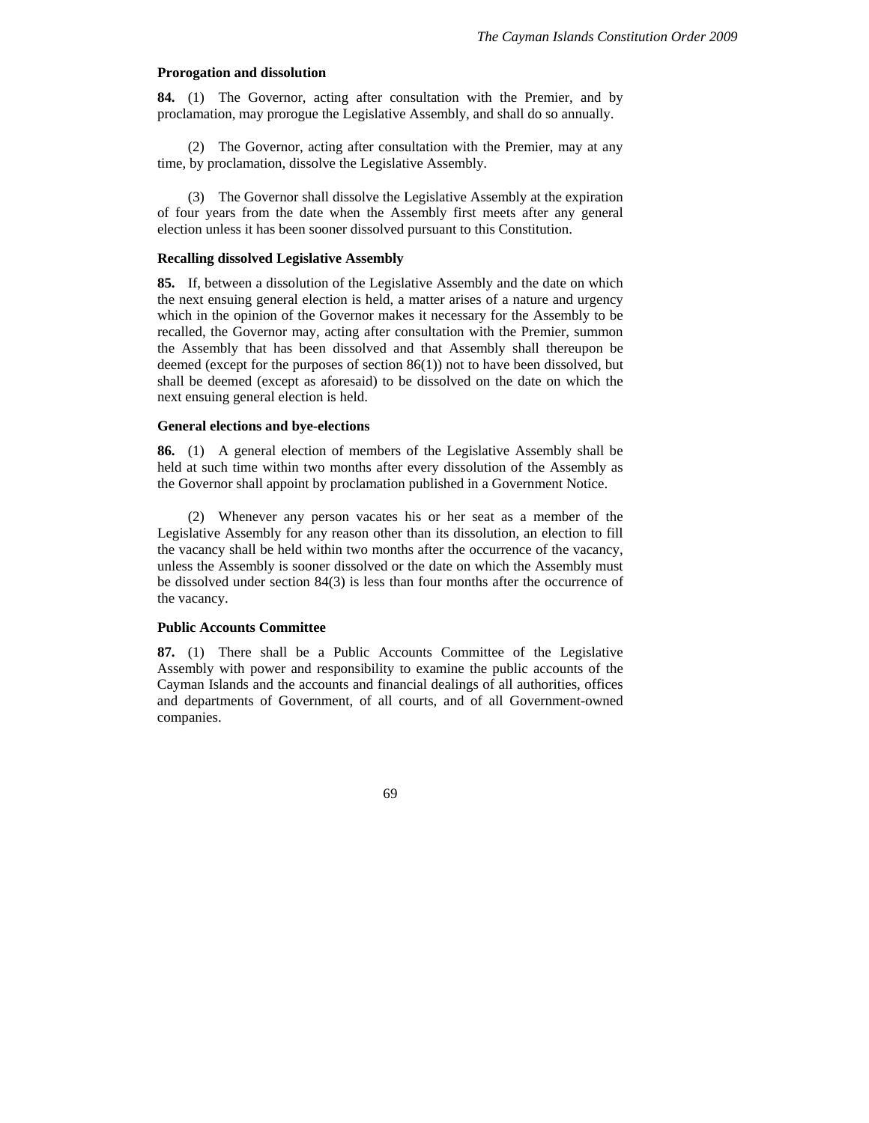#### **Prorogation and dissolution**

**84.** (1) The Governor, acting after consultation with the Premier, and by proclamation, may prorogue the Legislative Assembly, and shall do so annually.

(2) The Governor, acting after consultation with the Premier, may at any time, by proclamation, dissolve the Legislative Assembly.

(3) The Governor shall dissolve the Legislative Assembly at the expiration of four years from the date when the Assembly first meets after any general election unless it has been sooner dissolved pursuant to this Constitution.

## **Recalling dissolved Legislative Assembly**

**85.** If, between a dissolution of the Legislative Assembly and the date on which the next ensuing general election is held, a matter arises of a nature and urgency which in the opinion of the Governor makes it necessary for the Assembly to be recalled, the Governor may, acting after consultation with the Premier, summon the Assembly that has been dissolved and that Assembly shall thereupon be deemed (except for the purposes of section 86(1)) not to have been dissolved, but shall be deemed (except as aforesaid) to be dissolved on the date on which the next ensuing general election is held.

#### **General elections and bye-elections**

**86.** (1) A general election of members of the Legislative Assembly shall be held at such time within two months after every dissolution of the Assembly as the Governor shall appoint by proclamation published in a Government Notice.

(2) Whenever any person vacates his or her seat as a member of the Legislative Assembly for any reason other than its dissolution, an election to fill the vacancy shall be held within two months after the occurrence of the vacancy, unless the Assembly is sooner dissolved or the date on which the Assembly must be dissolved under section 84(3) is less than four months after the occurrence of the vacancy.

#### **Public Accounts Committee**

**87.** (1) There shall be a Public Accounts Committee of the Legislative Assembly with power and responsibility to examine the public accounts of the Cayman Islands and the accounts and financial dealings of all authorities, offices and departments of Government, of all courts, and of all Government-owned companies.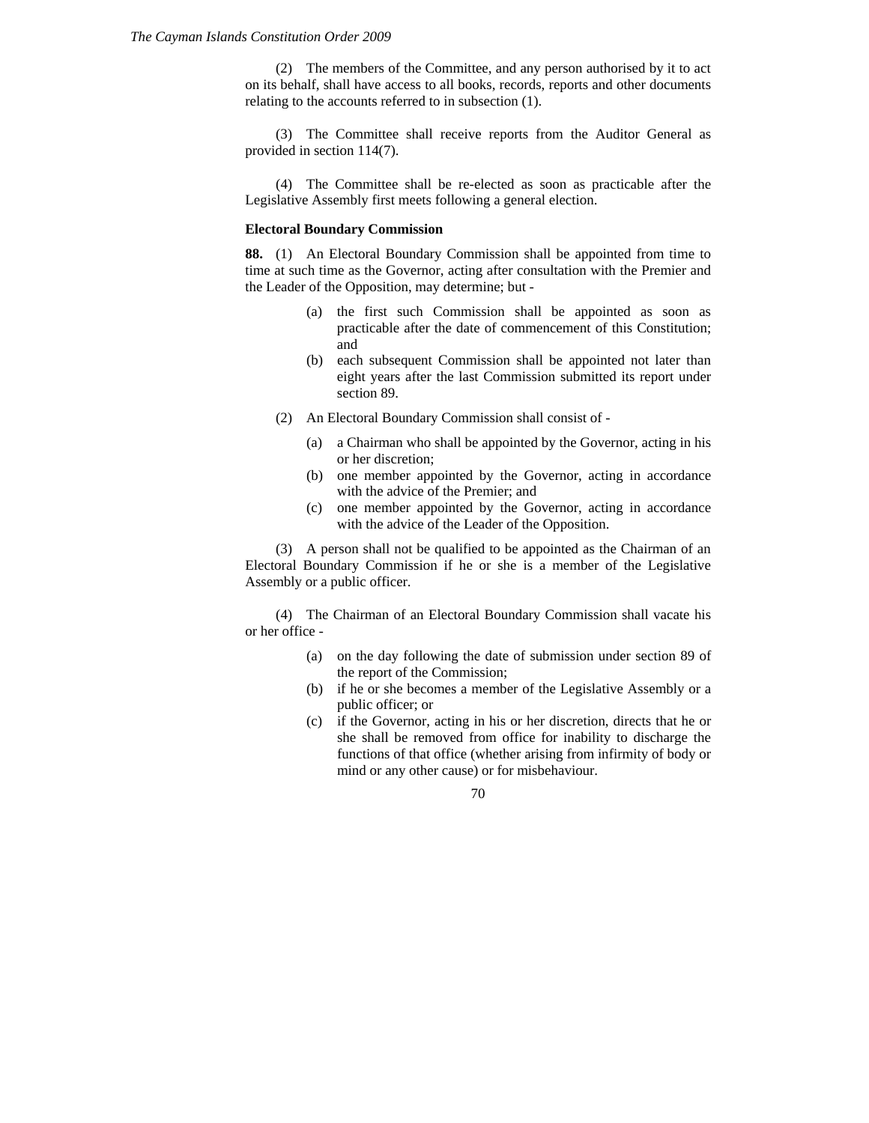(2) The members of the Committee, and any person authorised by it to act on its behalf, shall have access to all books, records, reports and other documents relating to the accounts referred to in subsection (1).

(3) The Committee shall receive reports from the Auditor General as provided in section 114(7).

(4) The Committee shall be re-elected as soon as practicable after the Legislative Assembly first meets following a general election.

#### **Electoral Boundary Commission**

**88.** (1) An Electoral Boundary Commission shall be appointed from time to time at such time as the Governor, acting after consultation with the Premier and the Leader of the Opposition, may determine; but -

- (a) the first such Commission shall be appointed as soon as practicable after the date of commencement of this Constitution; and
- (b) each subsequent Commission shall be appointed not later than eight years after the last Commission submitted its report under section 89.
- (2) An Electoral Boundary Commission shall consist of
	- (a) a Chairman who shall be appointed by the Governor, acting in his or her discretion;
	- (b) one member appointed by the Governor, acting in accordance with the advice of the Premier; and
	- (c) one member appointed by the Governor, acting in accordance with the advice of the Leader of the Opposition.

(3) A person shall not be qualified to be appointed as the Chairman of an Electoral Boundary Commission if he or she is a member of the Legislative Assembly or a public officer.

(4) The Chairman of an Electoral Boundary Commission shall vacate his or her office -

- (a) on the day following the date of submission under section 89 of the report of the Commission;
- (b) if he or she becomes a member of the Legislative Assembly or a public officer; or
- (c) if the Governor, acting in his or her discretion, directs that he or she shall be removed from office for inability to discharge the functions of that office (whether arising from infirmity of body or mind or any other cause) or for misbehaviour.

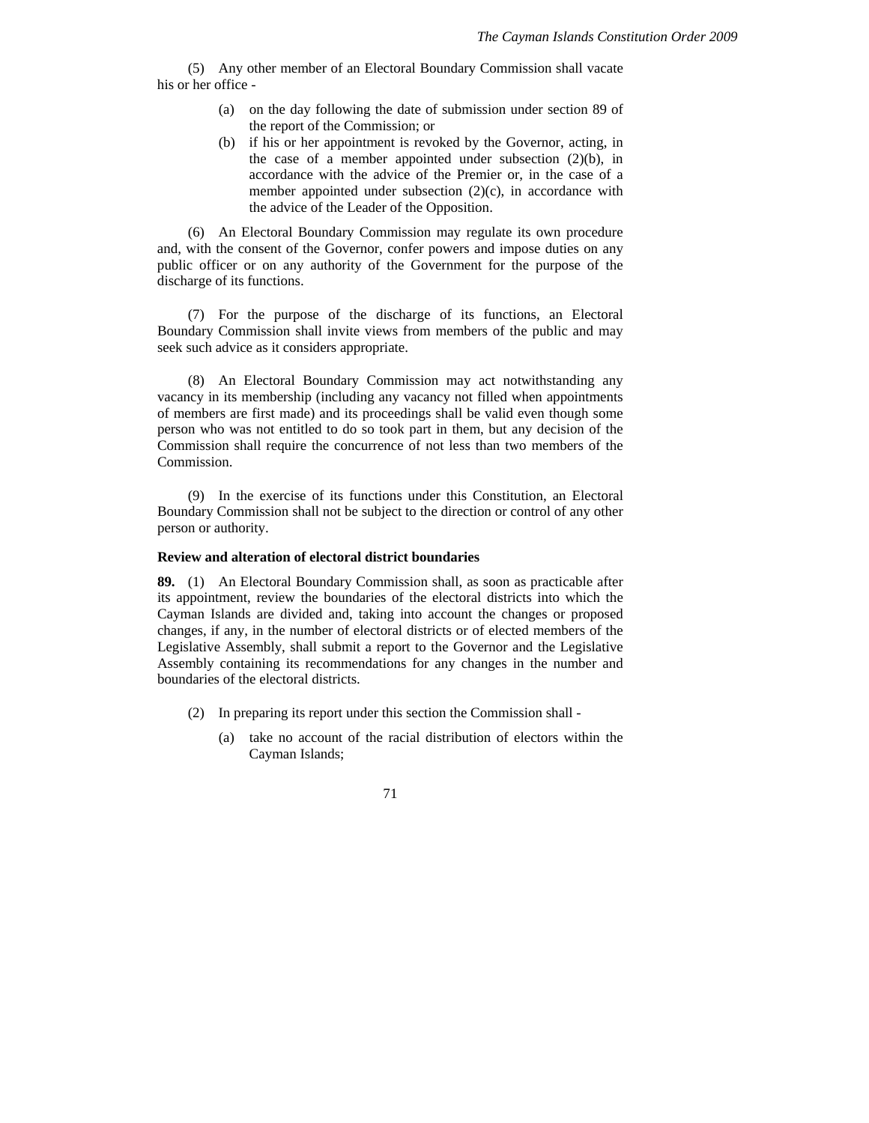(5) Any other member of an Electoral Boundary Commission shall vacate his or her office -

- (a) on the day following the date of submission under section 89 of the report of the Commission; or
- (b) if his or her appointment is revoked by the Governor, acting, in the case of a member appointed under subsection (2)(b), in accordance with the advice of the Premier or, in the case of a member appointed under subsection (2)(c), in accordance with the advice of the Leader of the Opposition.

(6) An Electoral Boundary Commission may regulate its own procedure and, with the consent of the Governor, confer powers and impose duties on any public officer or on any authority of the Government for the purpose of the discharge of its functions.

(7) For the purpose of the discharge of its functions, an Electoral Boundary Commission shall invite views from members of the public and may seek such advice as it considers appropriate.

(8) An Electoral Boundary Commission may act notwithstanding any vacancy in its membership (including any vacancy not filled when appointments of members are first made) and its proceedings shall be valid even though some person who was not entitled to do so took part in them, but any decision of the Commission shall require the concurrence of not less than two members of the Commission.

(9) In the exercise of its functions under this Constitution, an Electoral Boundary Commission shall not be subject to the direction or control of any other person or authority.

## **Review and alteration of electoral district boundaries**

**89.** (1) An Electoral Boundary Commission shall, as soon as practicable after its appointment, review the boundaries of the electoral districts into which the Cayman Islands are divided and, taking into account the changes or proposed changes, if any, in the number of electoral districts or of elected members of the Legislative Assembly, shall submit a report to the Governor and the Legislative Assembly containing its recommendations for any changes in the number and boundaries of the electoral districts.

- (2) In preparing its report under this section the Commission shall
	- (a) take no account of the racial distribution of electors within the Cayman Islands;

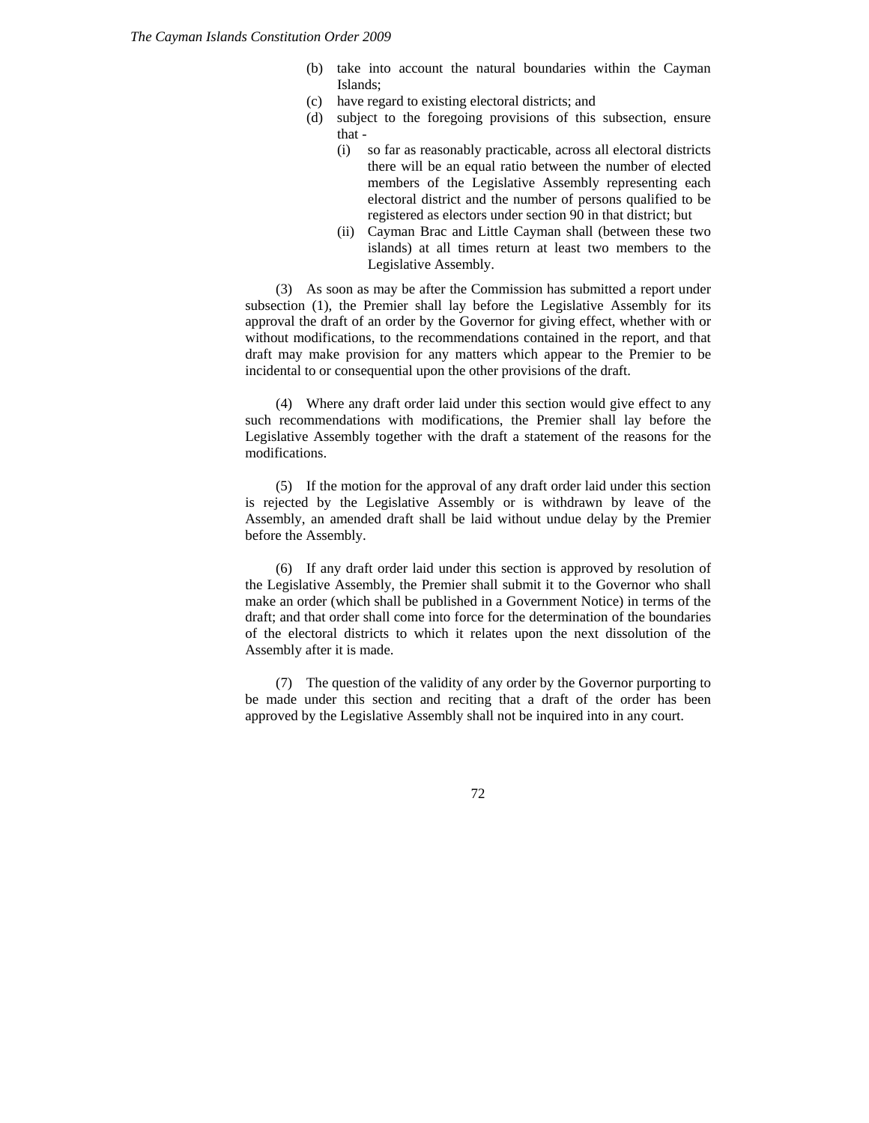- (b) take into account the natural boundaries within the Cayman Islands;
- (c) have regard to existing electoral districts; and
- (d) subject to the foregoing provisions of this subsection, ensure that -
	- (i) so far as reasonably practicable, across all electoral districts there will be an equal ratio between the number of elected members of the Legislative Assembly representing each electoral district and the number of persons qualified to be registered as electors under section 90 in that district; but
	- (ii) Cayman Brac and Little Cayman shall (between these two islands) at all times return at least two members to the Legislative Assembly.

(3) As soon as may be after the Commission has submitted a report under subsection (1), the Premier shall lay before the Legislative Assembly for its approval the draft of an order by the Governor for giving effect, whether with or without modifications, to the recommendations contained in the report, and that draft may make provision for any matters which appear to the Premier to be incidental to or consequential upon the other provisions of the draft.

(4) Where any draft order laid under this section would give effect to any such recommendations with modifications, the Premier shall lay before the Legislative Assembly together with the draft a statement of the reasons for the modifications.

(5) If the motion for the approval of any draft order laid under this section is rejected by the Legislative Assembly or is withdrawn by leave of the Assembly, an amended draft shall be laid without undue delay by the Premier before the Assembly.

(6) If any draft order laid under this section is approved by resolution of the Legislative Assembly, the Premier shall submit it to the Governor who shall make an order (which shall be published in a Government Notice) in terms of the draft; and that order shall come into force for the determination of the boundaries of the electoral districts to which it relates upon the next dissolution of the Assembly after it is made.

(7) The question of the validity of any order by the Governor purporting to be made under this section and reciting that a draft of the order has been approved by the Legislative Assembly shall not be inquired into in any court.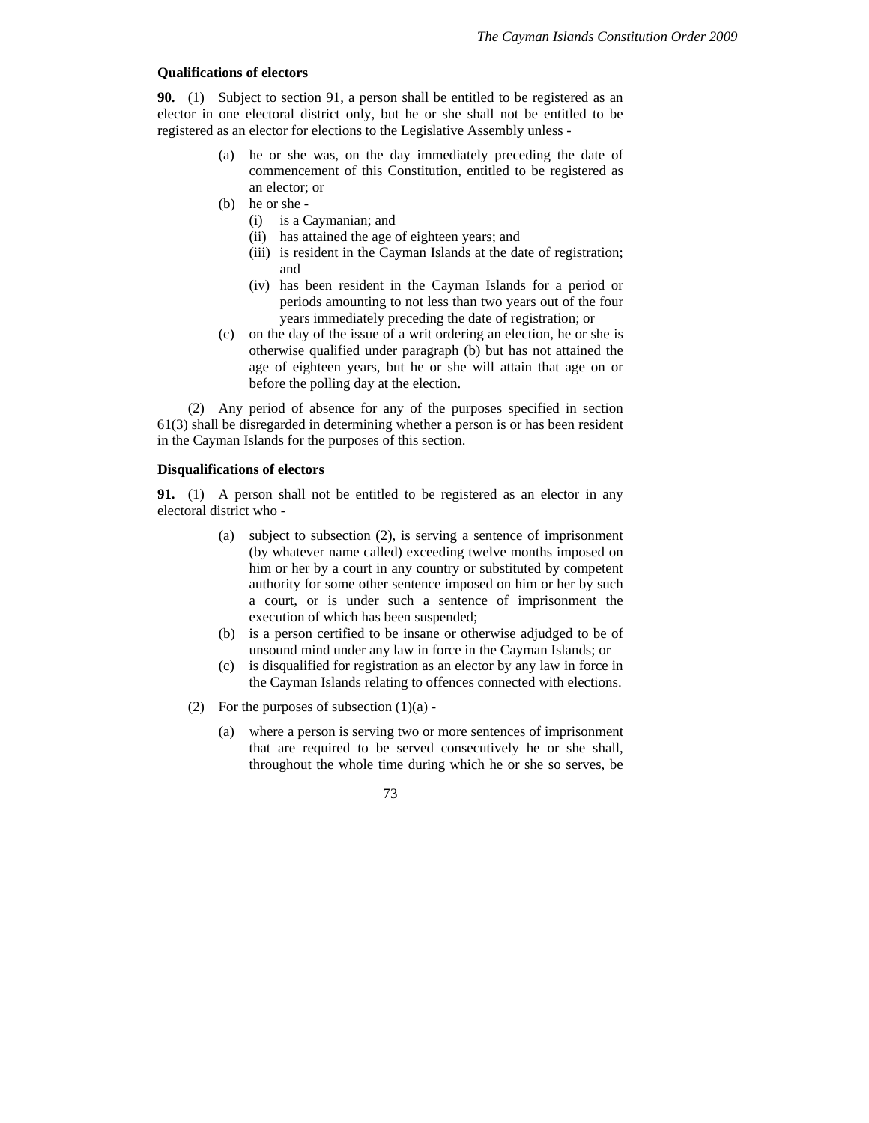#### **Qualifications of electors**

**90.** (1) Subject to section 91, a person shall be entitled to be registered as an elector in one electoral district only, but he or she shall not be entitled to be registered as an elector for elections to the Legislative Assembly unless -

- (a) he or she was, on the day immediately preceding the date of commencement of this Constitution, entitled to be registered as an elector; or
- (b) he or she
	- (i) is a Caymanian; and
	- (ii) has attained the age of eighteen years; and
	- (iii) is resident in the Cayman Islands at the date of registration; and
	- (iv) has been resident in the Cayman Islands for a period or periods amounting to not less than two years out of the four years immediately preceding the date of registration; or
- (c) on the day of the issue of a writ ordering an election, he or she is otherwise qualified under paragraph (b) but has not attained the age of eighteen years, but he or she will attain that age on or before the polling day at the election.

(2) Any period of absence for any of the purposes specified in section 61(3) shall be disregarded in determining whether a person is or has been resident in the Cayman Islands for the purposes of this section.

### **Disqualifications of electors**

**91.** (1) A person shall not be entitled to be registered as an elector in any electoral district who -

- (a) subject to subsection (2), is serving a sentence of imprisonment (by whatever name called) exceeding twelve months imposed on him or her by a court in any country or substituted by competent authority for some other sentence imposed on him or her by such a court, or is under such a sentence of imprisonment the execution of which has been suspended;
- (b) is a person certified to be insane or otherwise adjudged to be of unsound mind under any law in force in the Cayman Islands; or
- (c) is disqualified for registration as an elector by any law in force in the Cayman Islands relating to offences connected with elections.
- (2) For the purposes of subsection  $(1)(a)$  -
	- (a) where a person is serving two or more sentences of imprisonment that are required to be served consecutively he or she shall, throughout the whole time during which he or she so serves, be

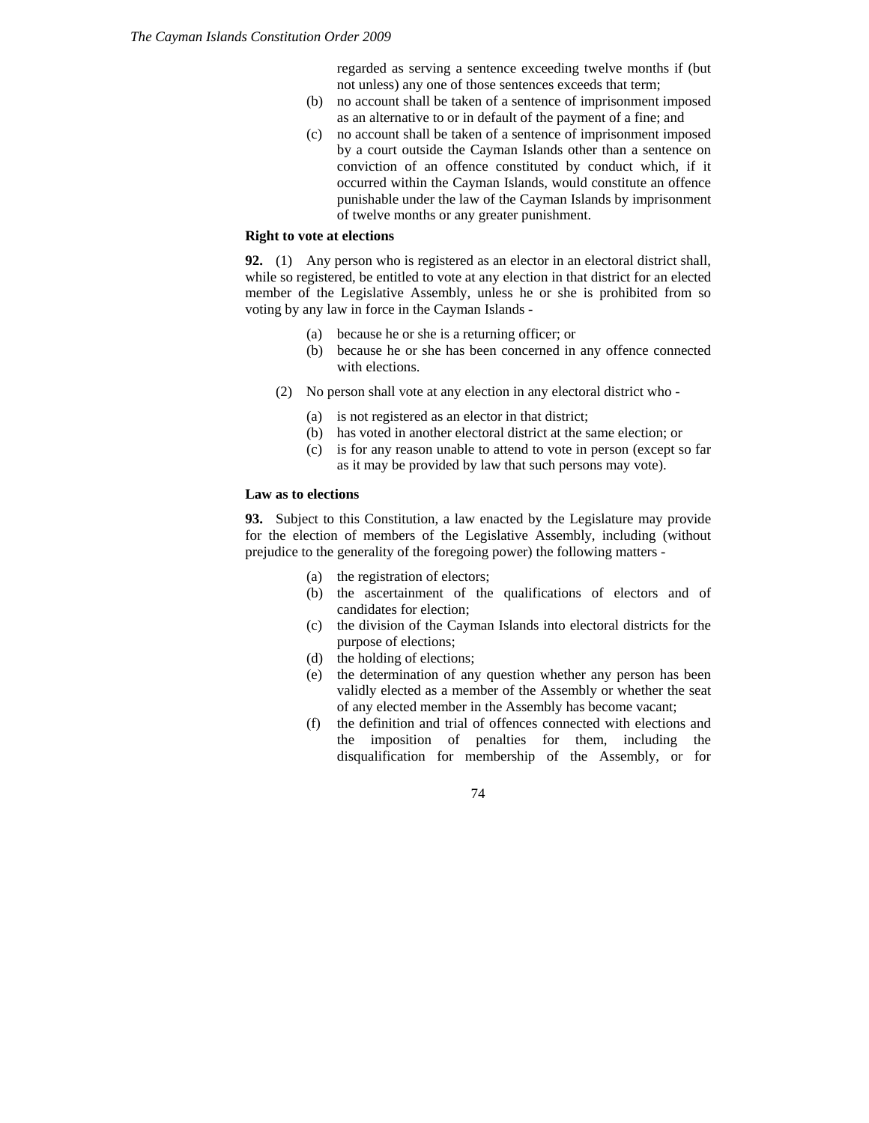regarded as serving a sentence exceeding twelve months if (but not unless) any one of those sentences exceeds that term;

- (b) no account shall be taken of a sentence of imprisonment imposed as an alternative to or in default of the payment of a fine; and
- (c) no account shall be taken of a sentence of imprisonment imposed by a court outside the Cayman Islands other than a sentence on conviction of an offence constituted by conduct which, if it occurred within the Cayman Islands, would constitute an offence punishable under the law of the Cayman Islands by imprisonment of twelve months or any greater punishment.

### **Right to vote at elections**

**92.** (1) Any person who is registered as an elector in an electoral district shall, while so registered, be entitled to vote at any election in that district for an elected member of the Legislative Assembly, unless he or she is prohibited from so voting by any law in force in the Cayman Islands -

- (a) because he or she is a returning officer; or
- (b) because he or she has been concerned in any offence connected with elections.
- (2) No person shall vote at any election in any electoral district who
	- (a) is not registered as an elector in that district;
	- (b) has voted in another electoral district at the same election; or
	- (c) is for any reason unable to attend to vote in person (except so far as it may be provided by law that such persons may vote).

### **Law as to elections**

**93.** Subject to this Constitution, a law enacted by the Legislature may provide for the election of members of the Legislative Assembly, including (without prejudice to the generality of the foregoing power) the following matters -

- (a) the registration of electors;
- (b) the ascertainment of the qualifications of electors and of candidates for election;
- (c) the division of the Cayman Islands into electoral districts for the purpose of elections;
- (d) the holding of elections;
- (e) the determination of any question whether any person has been validly elected as a member of the Assembly or whether the seat of any elected member in the Assembly has become vacant;
- (f) the definition and trial of offences connected with elections and the imposition of penalties for them, including the disqualification for membership of the Assembly, or for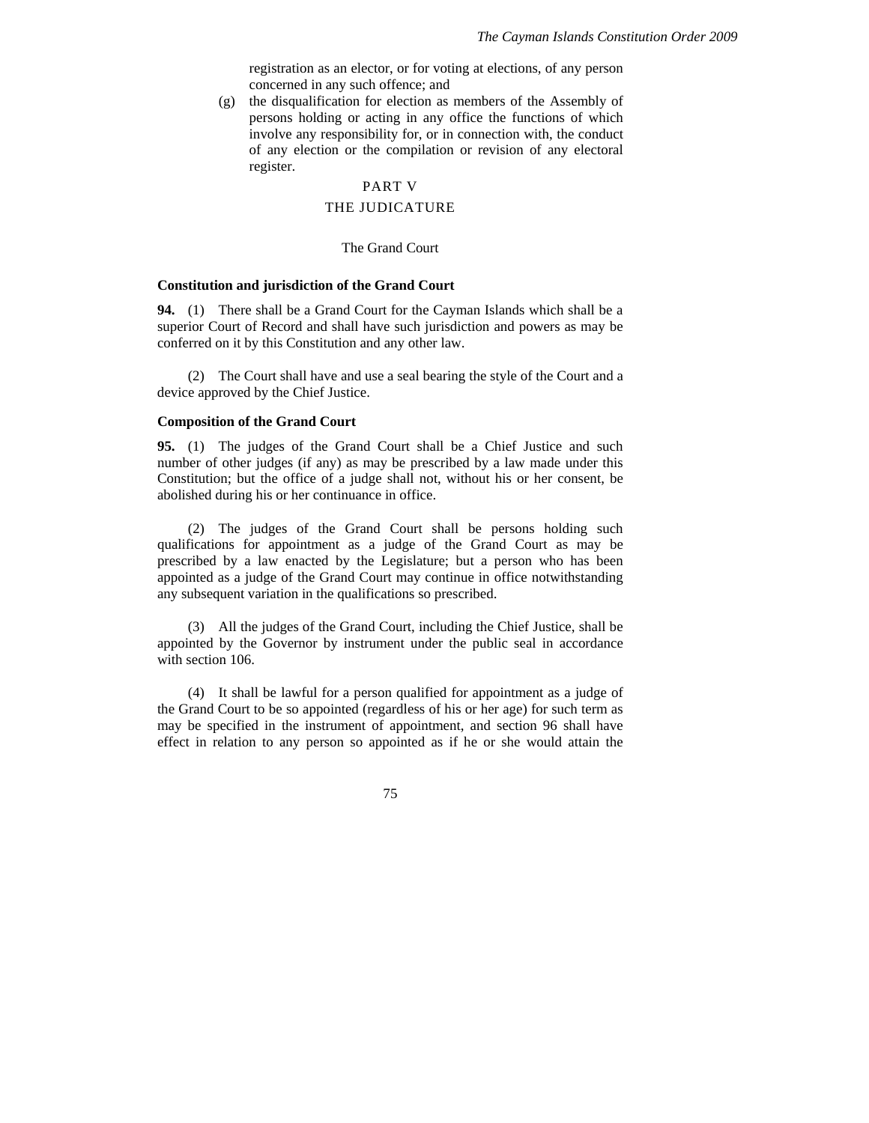registration as an elector, or for voting at elections, of any person concerned in any such offence; and

(g) the disqualification for election as members of the Assembly of persons holding or acting in any office the functions of which involve any responsibility for, or in connection with, the conduct of any election or the compilation or revision of any electoral register.

## PART V THE JUDICATURE

### The Grand Court

#### **Constitution and jurisdiction of the Grand Court**

**94.** (1) There shall be a Grand Court for the Cayman Islands which shall be a superior Court of Record and shall have such jurisdiction and powers as may be conferred on it by this Constitution and any other law.

(2) The Court shall have and use a seal bearing the style of the Court and a device approved by the Chief Justice.

### **Composition of the Grand Court**

**95.** (1) The judges of the Grand Court shall be a Chief Justice and such number of other judges (if any) as may be prescribed by a law made under this Constitution; but the office of a judge shall not, without his or her consent, be abolished during his or her continuance in office.

(2) The judges of the Grand Court shall be persons holding such qualifications for appointment as a judge of the Grand Court as may be prescribed by a law enacted by the Legislature; but a person who has been appointed as a judge of the Grand Court may continue in office notwithstanding any subsequent variation in the qualifications so prescribed.

(3) All the judges of the Grand Court, including the Chief Justice, shall be appointed by the Governor by instrument under the public seal in accordance with section 106.

(4) It shall be lawful for a person qualified for appointment as a judge of the Grand Court to be so appointed (regardless of his or her age) for such term as may be specified in the instrument of appointment, and section 96 shall have effect in relation to any person so appointed as if he or she would attain the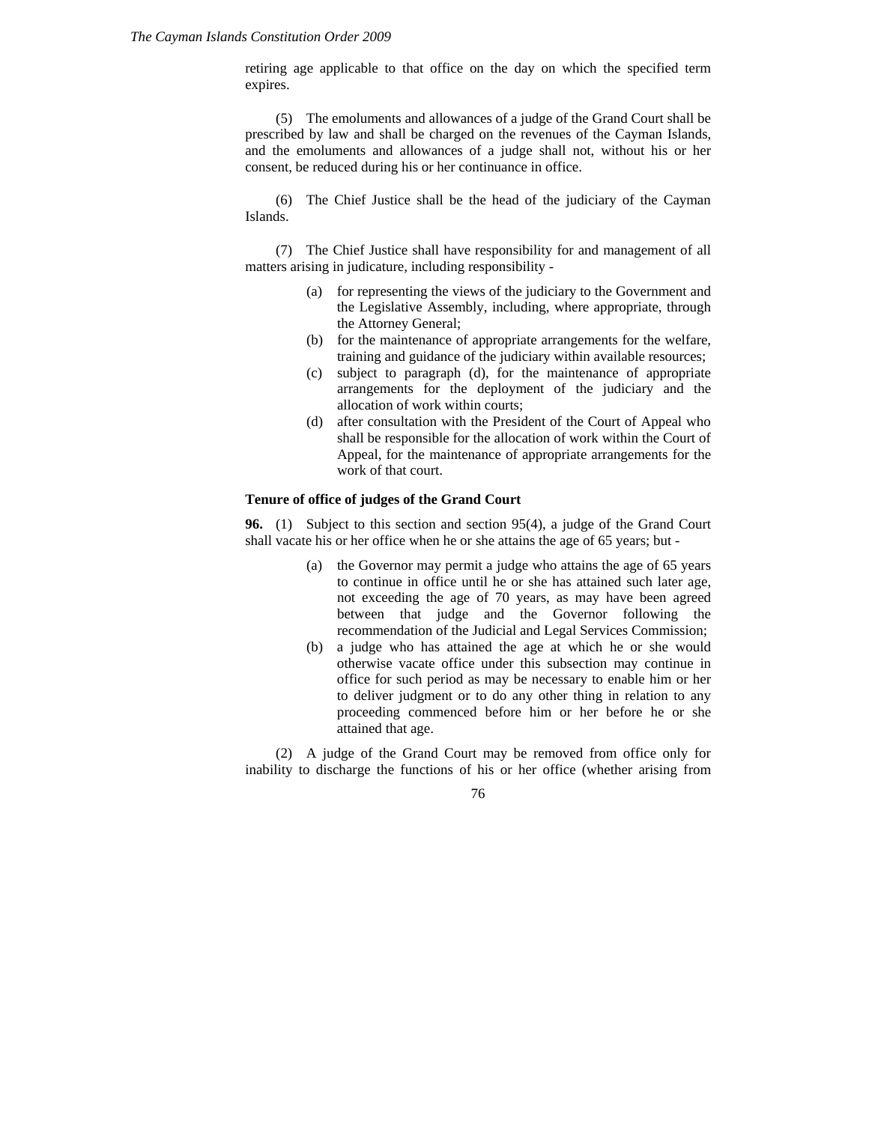retiring age applicable to that office on the day on which the specified term expires.

(5) The emoluments and allowances of a judge of the Grand Court shall be prescribed by law and shall be charged on the revenues of the Cayman Islands, and the emoluments and allowances of a judge shall not, without his or her consent, be reduced during his or her continuance in office.

(6) The Chief Justice shall be the head of the judiciary of the Cayman Islands.

(7) The Chief Justice shall have responsibility for and management of all matters arising in judicature, including responsibility -

- (a) for representing the views of the judiciary to the Government and the Legislative Assembly, including, where appropriate, through the Attorney General;
- (b) for the maintenance of appropriate arrangements for the welfare, training and guidance of the judiciary within available resources;
- (c) subject to paragraph (d), for the maintenance of appropriate arrangements for the deployment of the judiciary and the allocation of work within courts;
- (d) after consultation with the President of the Court of Appeal who shall be responsible for the allocation of work within the Court of Appeal, for the maintenance of appropriate arrangements for the work of that court.

## **Tenure of office of judges of the Grand Court**

**96.** (1) Subject to this section and section 95(4), a judge of the Grand Court shall vacate his or her office when he or she attains the age of 65 years; but -

- (a) the Governor may permit a judge who attains the age of 65 years to continue in office until he or she has attained such later age, not exceeding the age of 70 years, as may have been agreed between that judge and the Governor following the recommendation of the Judicial and Legal Services Commission;
- (b) a judge who has attained the age at which he or she would otherwise vacate office under this subsection may continue in office for such period as may be necessary to enable him or her to deliver judgment or to do any other thing in relation to any proceeding commenced before him or her before he or she attained that age.

(2) A judge of the Grand Court may be removed from office only for inability to discharge the functions of his or her office (whether arising from

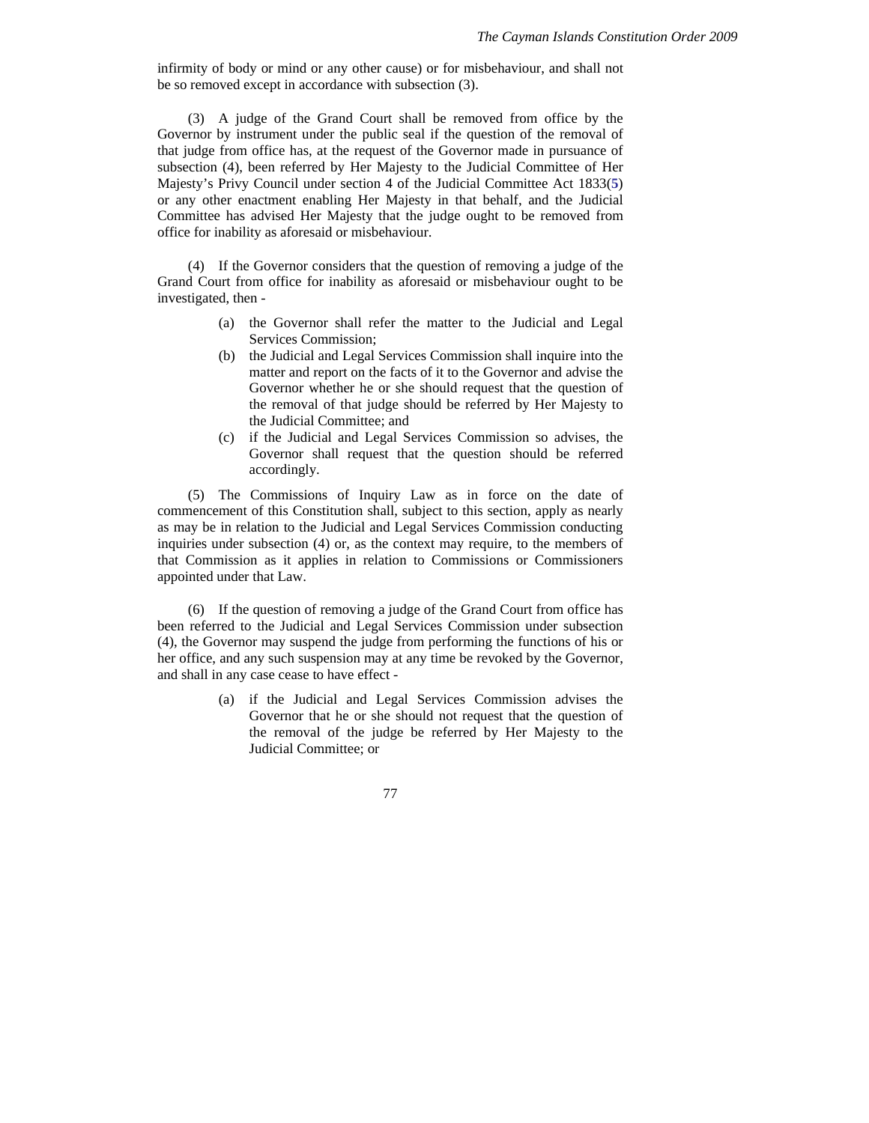infirmity of body or mind or any other cause) or for misbehaviour, and shall not be so removed except in accordance with subsection (3).

(3) A judge of the Grand Court shall be removed from office by the Governor by instrument under the public seal if the question of the removal of that judge from office has, at the request of the Governor made in pursuance of subsection (4), been referred by Her Majesty to the Judicial Committee of Her Majesty's Privy Council under section 4 of the Judicial Committee Act 1833(**[5](http://www.opsi.gov.uk/si/si2009/uksi_20091379_en_8#f00005#f00005)**) or any other enactment enabling Her Majesty in that behalf, and the Judicial Committee has advised Her Majesty that the judge ought to be removed from office for inability as aforesaid or misbehaviour.

(4) If the Governor considers that the question of removing a judge of the Grand Court from office for inability as aforesaid or misbehaviour ought to be investigated, then -

- (a) the Governor shall refer the matter to the Judicial and Legal Services Commission;
- (b) the Judicial and Legal Services Commission shall inquire into the matter and report on the facts of it to the Governor and advise the Governor whether he or she should request that the question of the removal of that judge should be referred by Her Majesty to the Judicial Committee; and
- (c) if the Judicial and Legal Services Commission so advises, the Governor shall request that the question should be referred accordingly.

(5) The Commissions of Inquiry Law as in force on the date of commencement of this Constitution shall, subject to this section, apply as nearly as may be in relation to the Judicial and Legal Services Commission conducting inquiries under subsection (4) or, as the context may require, to the members of that Commission as it applies in relation to Commissions or Commissioners appointed under that Law.

(6) If the question of removing a judge of the Grand Court from office has been referred to the Judicial and Legal Services Commission under subsection (4), the Governor may suspend the judge from performing the functions of his or her office, and any such suspension may at any time be revoked by the Governor, and shall in any case cease to have effect -

> (a) if the Judicial and Legal Services Commission advises the Governor that he or she should not request that the question of the removal of the judge be referred by Her Majesty to the Judicial Committee; or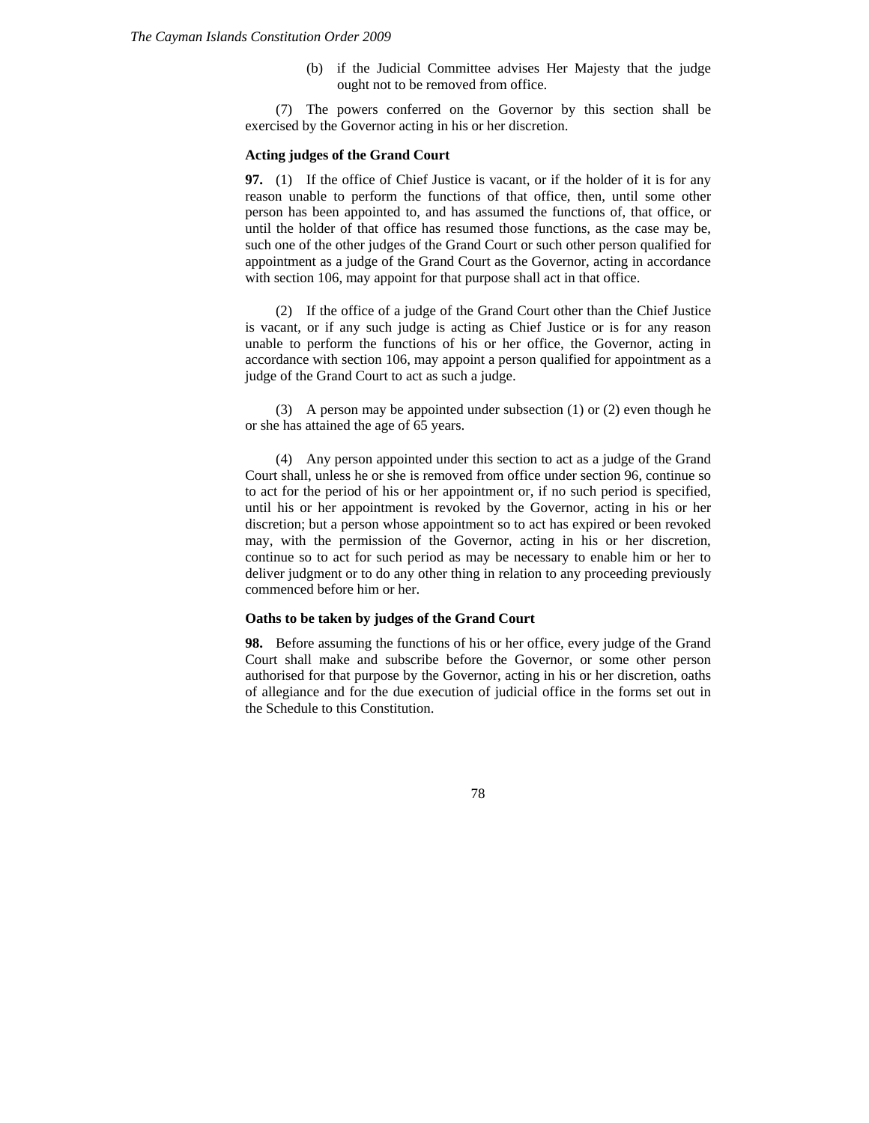(b) if the Judicial Committee advises Her Majesty that the judge ought not to be removed from office.

(7) The powers conferred on the Governor by this section shall be exercised by the Governor acting in his or her discretion.

#### **Acting judges of the Grand Court**

**97.** (1) If the office of Chief Justice is vacant, or if the holder of it is for any reason unable to perform the functions of that office, then, until some other person has been appointed to, and has assumed the functions of, that office, or until the holder of that office has resumed those functions, as the case may be, such one of the other judges of the Grand Court or such other person qualified for appointment as a judge of the Grand Court as the Governor, acting in accordance with section 106, may appoint for that purpose shall act in that office.

(2) If the office of a judge of the Grand Court other than the Chief Justice is vacant, or if any such judge is acting as Chief Justice or is for any reason unable to perform the functions of his or her office, the Governor, acting in accordance with section 106, may appoint a person qualified for appointment as a judge of the Grand Court to act as such a judge.

(3) A person may be appointed under subsection (1) or (2) even though he or she has attained the age of 65 years.

(4) Any person appointed under this section to act as a judge of the Grand Court shall, unless he or she is removed from office under section 96, continue so to act for the period of his or her appointment or, if no such period is specified, until his or her appointment is revoked by the Governor, acting in his or her discretion; but a person whose appointment so to act has expired or been revoked may, with the permission of the Governor, acting in his or her discretion, continue so to act for such period as may be necessary to enable him or her to deliver judgment or to do any other thing in relation to any proceeding previously commenced before him or her.

### **Oaths to be taken by judges of the Grand Court**

**98.** Before assuming the functions of his or her office, every judge of the Grand Court shall make and subscribe before the Governor, or some other person authorised for that purpose by the Governor, acting in his or her discretion, oaths of allegiance and for the due execution of judicial office in the forms set out in the Schedule to this Constitution.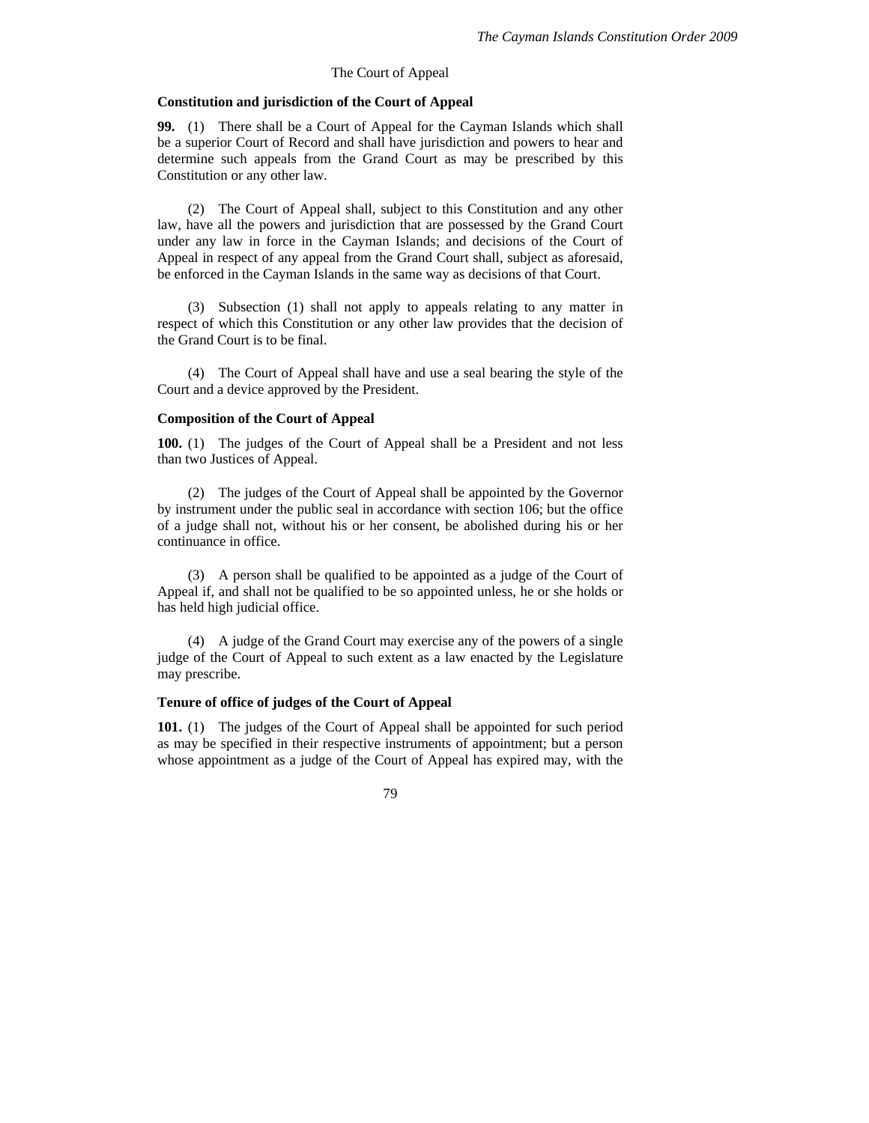### The Court of Appeal

## **Constitution and jurisdiction of the Court of Appeal**

**99.** (1) There shall be a Court of Appeal for the Cayman Islands which shall be a superior Court of Record and shall have jurisdiction and powers to hear and determine such appeals from the Grand Court as may be prescribed by this Constitution or any other law.

(2) The Court of Appeal shall, subject to this Constitution and any other law, have all the powers and jurisdiction that are possessed by the Grand Court under any law in force in the Cayman Islands; and decisions of the Court of Appeal in respect of any appeal from the Grand Court shall, subject as aforesaid, be enforced in the Cayman Islands in the same way as decisions of that Court.

(3) Subsection (1) shall not apply to appeals relating to any matter in respect of which this Constitution or any other law provides that the decision of the Grand Court is to be final.

(4) The Court of Appeal shall have and use a seal bearing the style of the Court and a device approved by the President.

### **Composition of the Court of Appeal**

**100.** (1) The judges of the Court of Appeal shall be a President and not less than two Justices of Appeal.

(2) The judges of the Court of Appeal shall be appointed by the Governor by instrument under the public seal in accordance with section 106; but the office of a judge shall not, without his or her consent, be abolished during his or her continuance in office.

(3) A person shall be qualified to be appointed as a judge of the Court of Appeal if, and shall not be qualified to be so appointed unless, he or she holds or has held high judicial office.

(4) A judge of the Grand Court may exercise any of the powers of a single judge of the Court of Appeal to such extent as a law enacted by the Legislature may prescribe.

## **Tenure of office of judges of the Court of Appeal**

**101.** (1) The judges of the Court of Appeal shall be appointed for such period as may be specified in their respective instruments of appointment; but a person whose appointment as a judge of the Court of Appeal has expired may, with the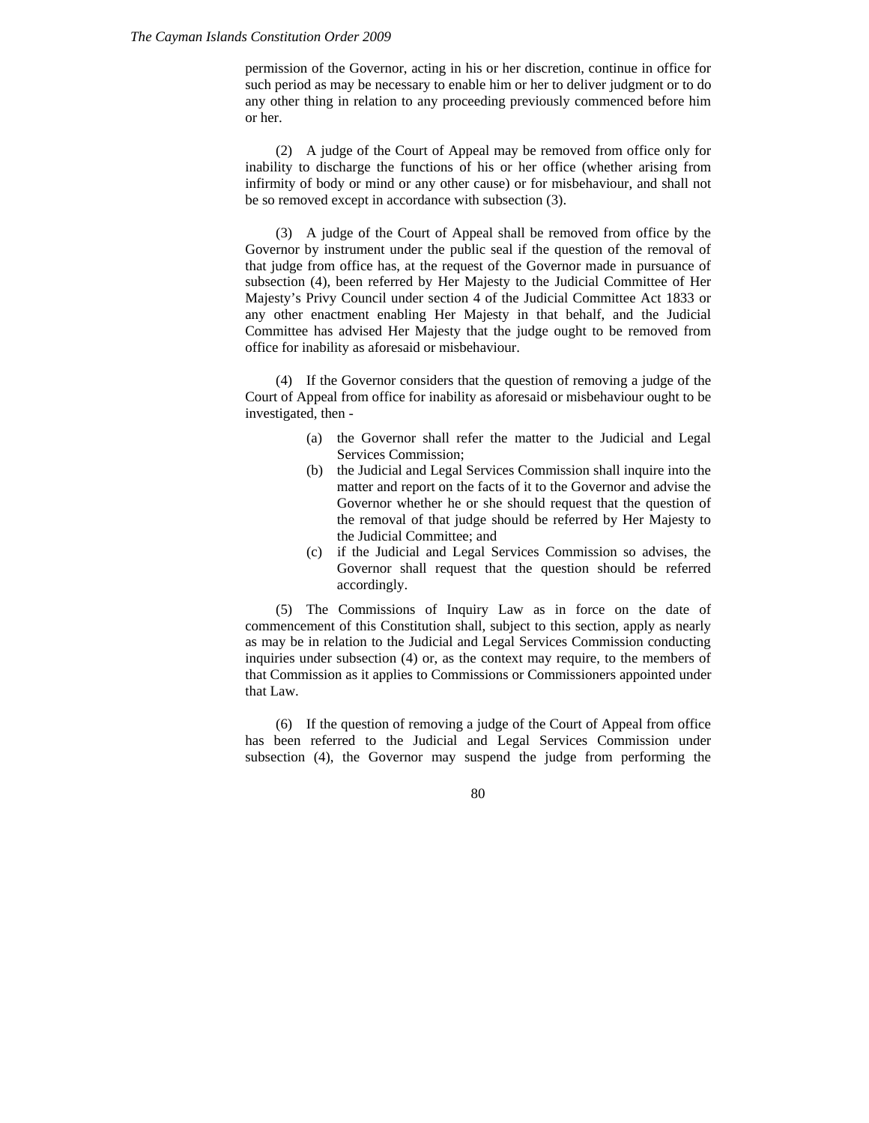### *The Cayman Islands Constitution Order 2009*

permission of the Governor, acting in his or her discretion, continue in office for such period as may be necessary to enable him or her to deliver judgment or to do any other thing in relation to any proceeding previously commenced before him or her.

(2) A judge of the Court of Appeal may be removed from office only for inability to discharge the functions of his or her office (whether arising from infirmity of body or mind or any other cause) or for misbehaviour, and shall not be so removed except in accordance with subsection (3).

(3) A judge of the Court of Appeal shall be removed from office by the Governor by instrument under the public seal if the question of the removal of that judge from office has, at the request of the Governor made in pursuance of subsection (4), been referred by Her Majesty to the Judicial Committee of Her Majesty's Privy Council under section 4 of the Judicial Committee Act 1833 or any other enactment enabling Her Majesty in that behalf, and the Judicial Committee has advised Her Majesty that the judge ought to be removed from office for inability as aforesaid or misbehaviour.

(4) If the Governor considers that the question of removing a judge of the Court of Appeal from office for inability as aforesaid or misbehaviour ought to be investigated, then -

- (a) the Governor shall refer the matter to the Judicial and Legal Services Commission;
- (b) the Judicial and Legal Services Commission shall inquire into the matter and report on the facts of it to the Governor and advise the Governor whether he or she should request that the question of the removal of that judge should be referred by Her Majesty to the Judicial Committee; and
- (c) if the Judicial and Legal Services Commission so advises, the Governor shall request that the question should be referred accordingly.

(5) The Commissions of Inquiry Law as in force on the date of commencement of this Constitution shall, subject to this section, apply as nearly as may be in relation to the Judicial and Legal Services Commission conducting inquiries under subsection (4) or, as the context may require, to the members of that Commission as it applies to Commissions or Commissioners appointed under that Law.

(6) If the question of removing a judge of the Court of Appeal from office has been referred to the Judicial and Legal Services Commission under subsection (4), the Governor may suspend the judge from performing the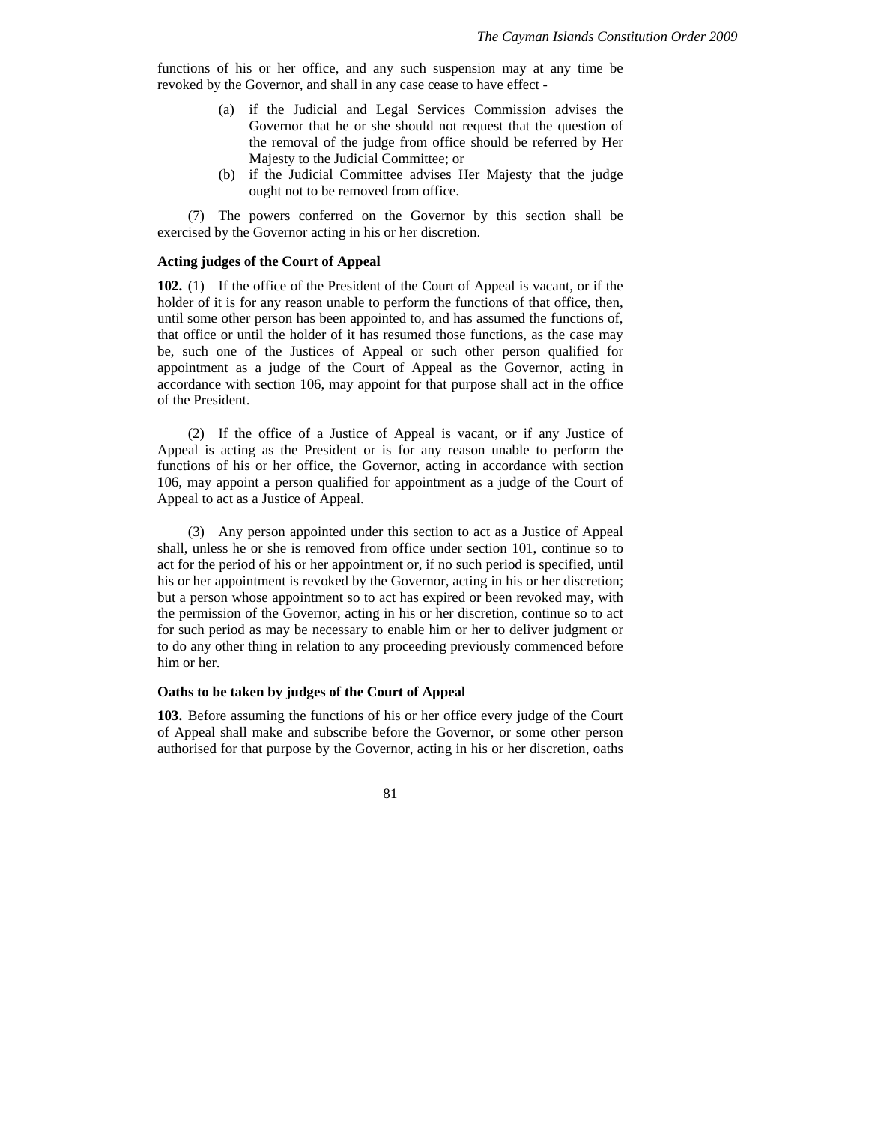functions of his or her office, and any such suspension may at any time be revoked by the Governor, and shall in any case cease to have effect -

- (a) if the Judicial and Legal Services Commission advises the Governor that he or she should not request that the question of the removal of the judge from office should be referred by Her Majesty to the Judicial Committee; or
- (b) if the Judicial Committee advises Her Majesty that the judge ought not to be removed from office.

(7) The powers conferred on the Governor by this section shall be exercised by the Governor acting in his or her discretion.

### **Acting judges of the Court of Appeal**

**102.** (1) If the office of the President of the Court of Appeal is vacant, or if the holder of it is for any reason unable to perform the functions of that office, then, until some other person has been appointed to, and has assumed the functions of, that office or until the holder of it has resumed those functions, as the case may be, such one of the Justices of Appeal or such other person qualified for appointment as a judge of the Court of Appeal as the Governor, acting in accordance with section 106, may appoint for that purpose shall act in the office of the President.

(2) If the office of a Justice of Appeal is vacant, or if any Justice of Appeal is acting as the President or is for any reason unable to perform the functions of his or her office, the Governor, acting in accordance with section 106, may appoint a person qualified for appointment as a judge of the Court of Appeal to act as a Justice of Appeal.

(3) Any person appointed under this section to act as a Justice of Appeal shall, unless he or she is removed from office under section 101, continue so to act for the period of his or her appointment or, if no such period is specified, until his or her appointment is revoked by the Governor, acting in his or her discretion; but a person whose appointment so to act has expired or been revoked may, with the permission of the Governor, acting in his or her discretion, continue so to act for such period as may be necessary to enable him or her to deliver judgment or to do any other thing in relation to any proceeding previously commenced before him or her.

### **Oaths to be taken by judges of the Court of Appeal**

**103.** Before assuming the functions of his or her office every judge of the Court of Appeal shall make and subscribe before the Governor, or some other person authorised for that purpose by the Governor, acting in his or her discretion, oaths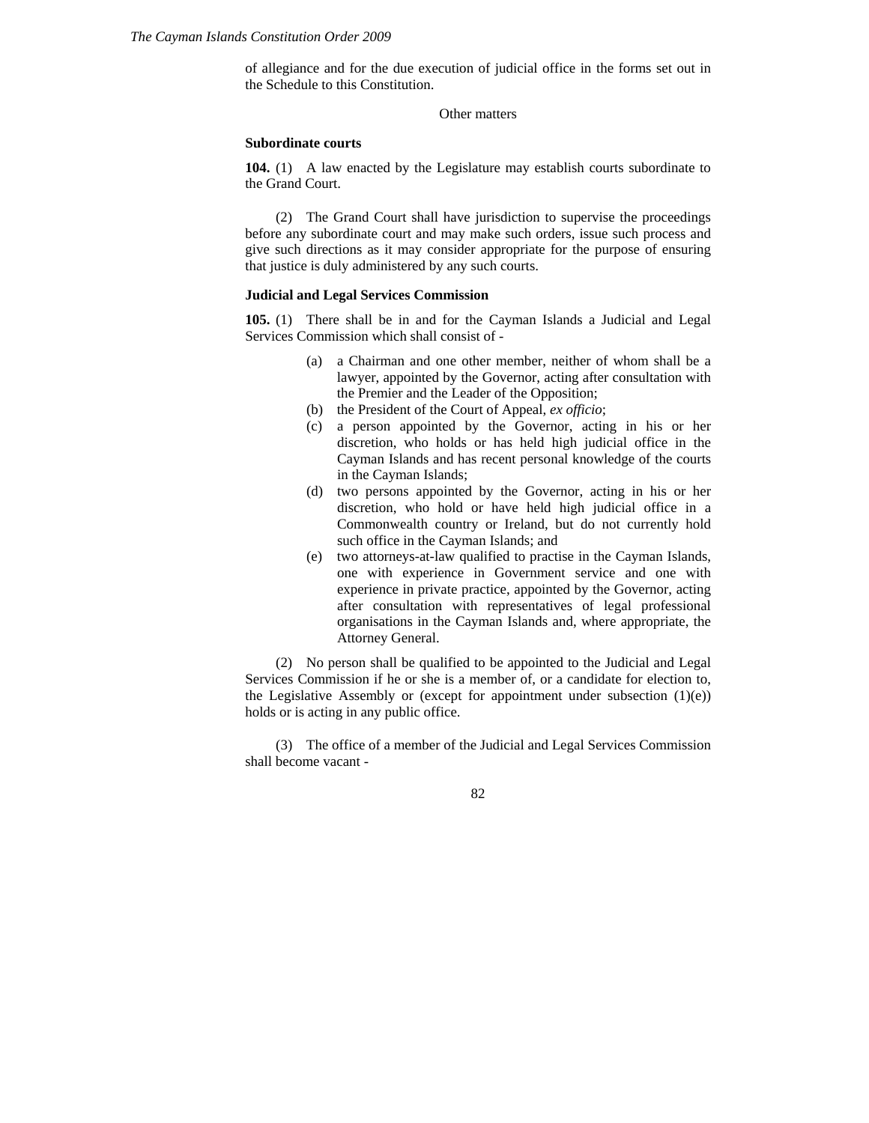of allegiance and for the due execution of judicial office in the forms set out in the Schedule to this Constitution.

Other matters

#### **Subordinate courts**

**104.** (1) A law enacted by the Legislature may establish courts subordinate to the Grand Court.

(2) The Grand Court shall have jurisdiction to supervise the proceedings before any subordinate court and may make such orders, issue such process and give such directions as it may consider appropriate for the purpose of ensuring that justice is duly administered by any such courts.

### **Judicial and Legal Services Commission**

**105.** (1) There shall be in and for the Cayman Islands a Judicial and Legal Services Commission which shall consist of -

- (a) a Chairman and one other member, neither of whom shall be a lawyer, appointed by the Governor, acting after consultation with the Premier and the Leader of the Opposition;
- (b) the President of the Court of Appeal, *ex officio*;
- (c) a person appointed by the Governor, acting in his or her discretion, who holds or has held high judicial office in the Cayman Islands and has recent personal knowledge of the courts in the Cayman Islands;
- (d) two persons appointed by the Governor, acting in his or her discretion, who hold or have held high judicial office in a Commonwealth country or Ireland, but do not currently hold such office in the Cayman Islands; and
- (e) two attorneys-at-law qualified to practise in the Cayman Islands, one with experience in Government service and one with experience in private practice, appointed by the Governor, acting after consultation with representatives of legal professional organisations in the Cayman Islands and, where appropriate, the Attorney General.

(2) No person shall be qualified to be appointed to the Judicial and Legal Services Commission if he or she is a member of, or a candidate for election to, the Legislative Assembly or (except for appointment under subsection (1)(e)) holds or is acting in any public office.

(3) The office of a member of the Judicial and Legal Services Commission shall become vacant -

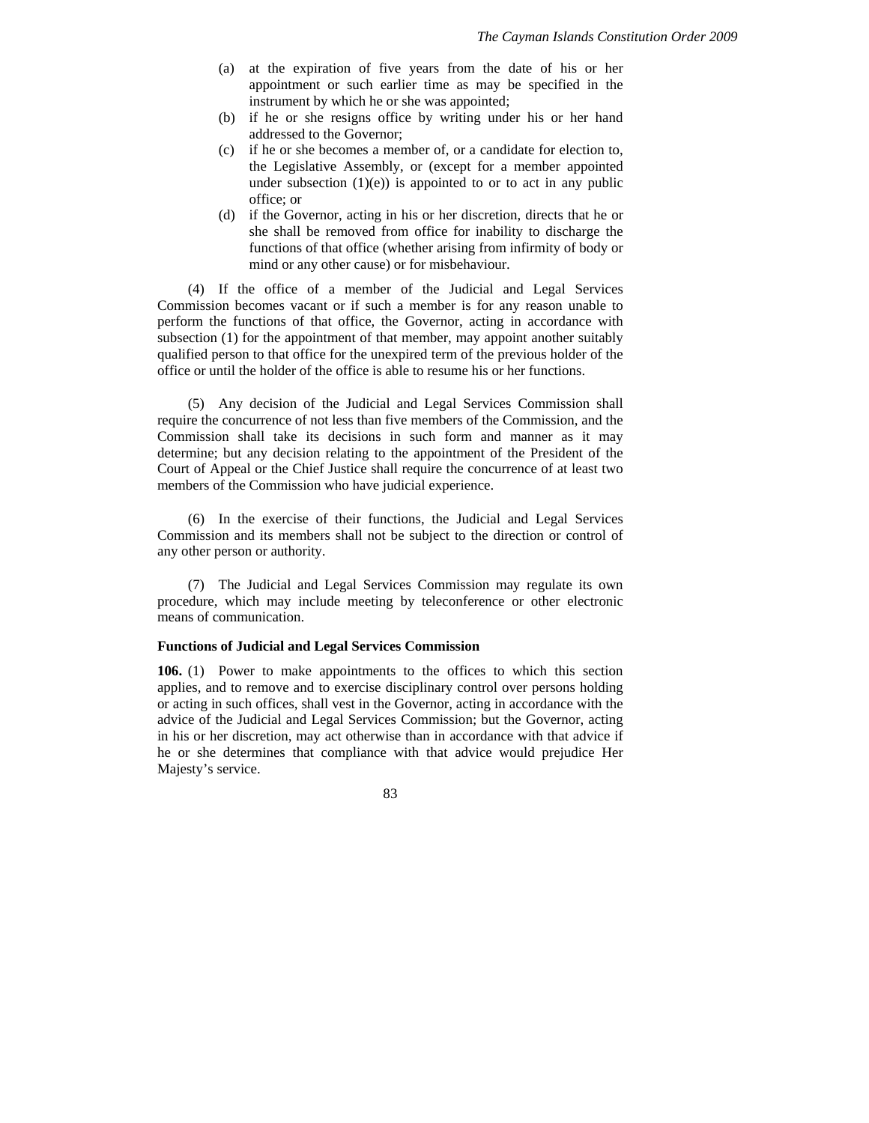- (a) at the expiration of five years from the date of his or her appointment or such earlier time as may be specified in the instrument by which he or she was appointed;
- (b) if he or she resigns office by writing under his or her hand addressed to the Governor;
- (c) if he or she becomes a member of, or a candidate for election to, the Legislative Assembly, or (except for a member appointed under subsection  $(1)(e)$  is appointed to or to act in any public office; or
- (d) if the Governor, acting in his or her discretion, directs that he or she shall be removed from office for inability to discharge the functions of that office (whether arising from infirmity of body or mind or any other cause) or for misbehaviour.

(4) If the office of a member of the Judicial and Legal Services Commission becomes vacant or if such a member is for any reason unable to perform the functions of that office, the Governor, acting in accordance with subsection (1) for the appointment of that member, may appoint another suitably qualified person to that office for the unexpired term of the previous holder of the office or until the holder of the office is able to resume his or her functions.

(5) Any decision of the Judicial and Legal Services Commission shall require the concurrence of not less than five members of the Commission, and the Commission shall take its decisions in such form and manner as it may determine; but any decision relating to the appointment of the President of the Court of Appeal or the Chief Justice shall require the concurrence of at least two members of the Commission who have judicial experience.

(6) In the exercise of their functions, the Judicial and Legal Services Commission and its members shall not be subject to the direction or control of any other person or authority.

(7) The Judicial and Legal Services Commission may regulate its own procedure, which may include meeting by teleconference or other electronic means of communication.

## **Functions of Judicial and Legal Services Commission**

**106.** (1) Power to make appointments to the offices to which this section applies, and to remove and to exercise disciplinary control over persons holding or acting in such offices, shall vest in the Governor, acting in accordance with the advice of the Judicial and Legal Services Commission; but the Governor, acting in his or her discretion, may act otherwise than in accordance with that advice if he or she determines that compliance with that advice would prejudice Her Majesty's service.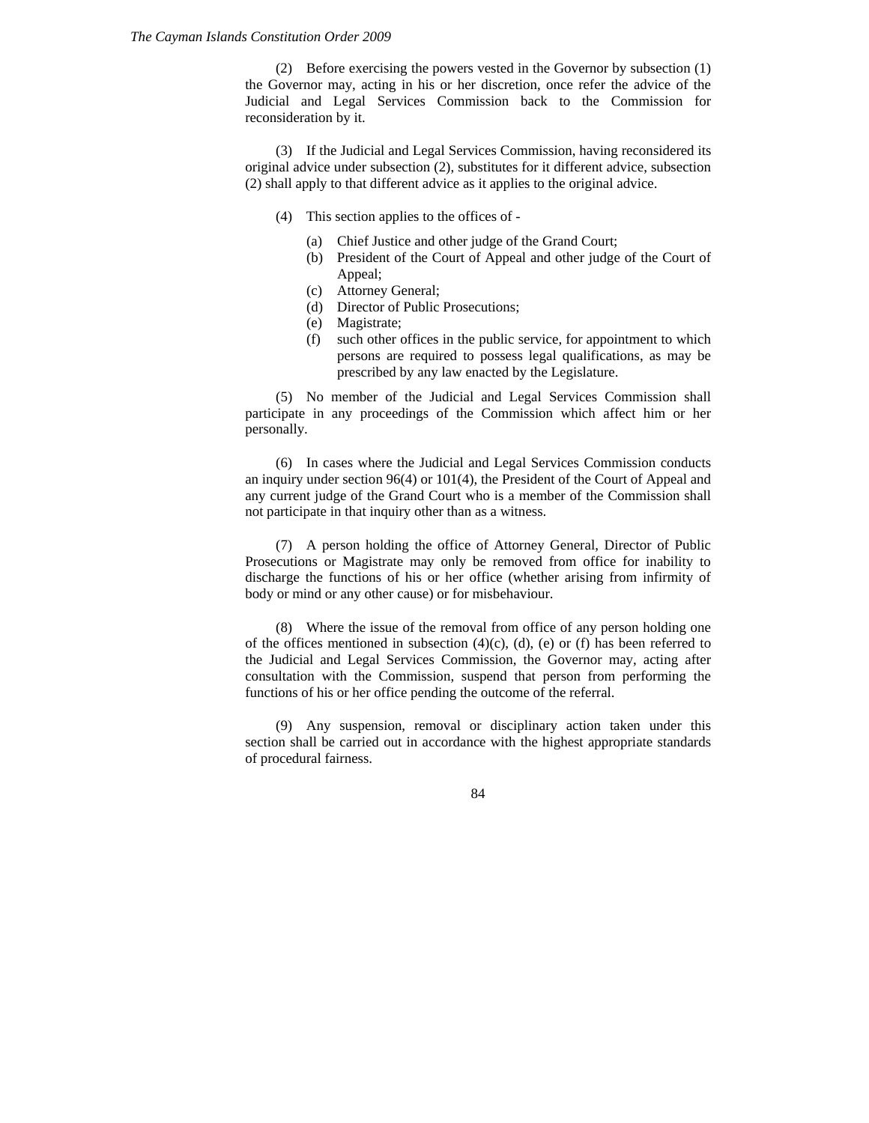(2) Before exercising the powers vested in the Governor by subsection (1) the Governor may, acting in his or her discretion, once refer the advice of the Judicial and Legal Services Commission back to the Commission for reconsideration by it.

(3) If the Judicial and Legal Services Commission, having reconsidered its original advice under subsection (2), substitutes for it different advice, subsection (2) shall apply to that different advice as it applies to the original advice.

- (4) This section applies to the offices of
	- (a) Chief Justice and other judge of the Grand Court;
	- (b) President of the Court of Appeal and other judge of the Court of Appeal;
	- (c) Attorney General;
	- (d) Director of Public Prosecutions;
	- (e) Magistrate;
	- (f) such other offices in the public service, for appointment to which persons are required to possess legal qualifications, as may be prescribed by any law enacted by the Legislature.

(5) No member of the Judicial and Legal Services Commission shall participate in any proceedings of the Commission which affect him or her personally.

(6) In cases where the Judicial and Legal Services Commission conducts an inquiry under section 96(4) or 101(4), the President of the Court of Appeal and any current judge of the Grand Court who is a member of the Commission shall not participate in that inquiry other than as a witness.

(7) A person holding the office of Attorney General, Director of Public Prosecutions or Magistrate may only be removed from office for inability to discharge the functions of his or her office (whether arising from infirmity of body or mind or any other cause) or for misbehaviour.

(8) Where the issue of the removal from office of any person holding one of the offices mentioned in subsection  $(4)(c)$ ,  $(d)$ ,  $(e)$  or  $(f)$  has been referred to the Judicial and Legal Services Commission, the Governor may, acting after consultation with the Commission, suspend that person from performing the functions of his or her office pending the outcome of the referral.

(9) Any suspension, removal or disciplinary action taken under this section shall be carried out in accordance with the highest appropriate standards of procedural fairness.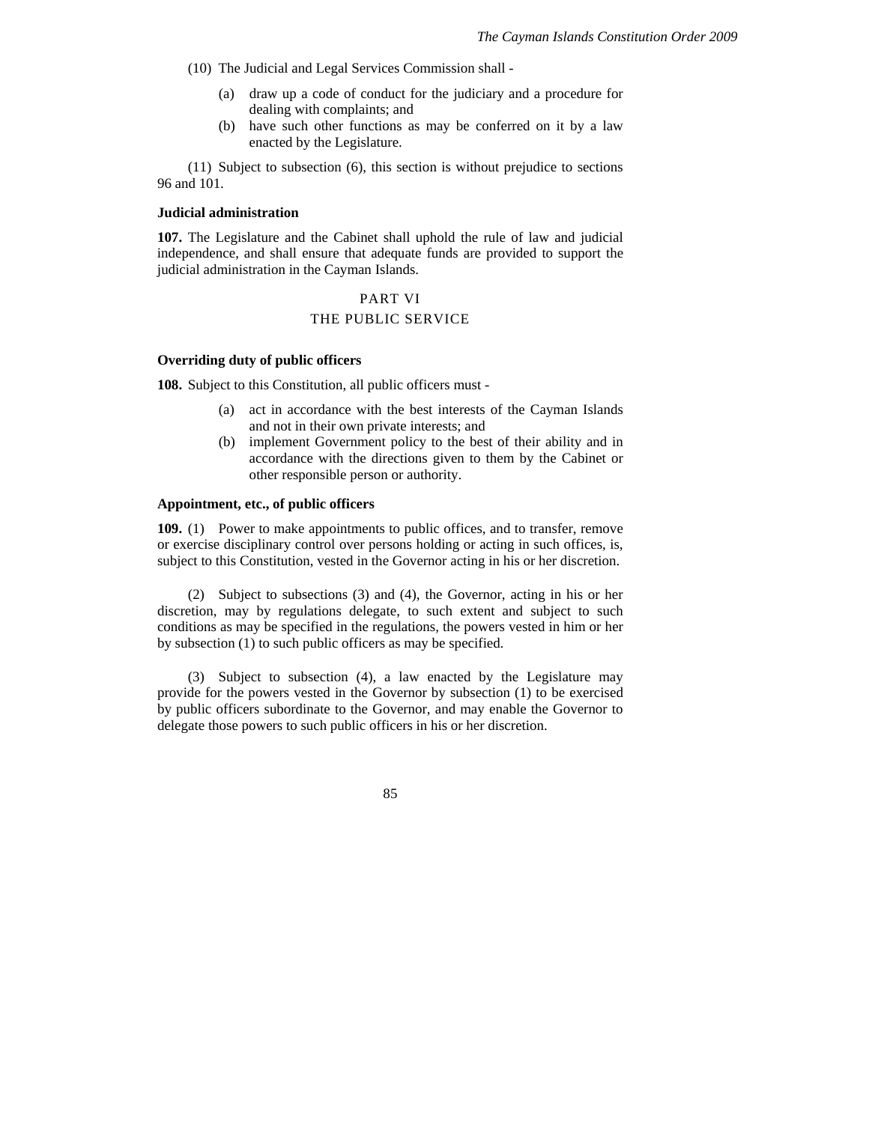- (10) The Judicial and Legal Services Commission shall
	- (a) draw up a code of conduct for the judiciary and a procedure for dealing with complaints; and
	- (b) have such other functions as may be conferred on it by a law enacted by the Legislature.

(11) Subject to subsection (6), this section is without prejudice to sections 96 and 101.

#### **Judicial administration**

**107.** The Legislature and the Cabinet shall uphold the rule of law and judicial independence, and shall ensure that adequate funds are provided to support the judicial administration in the Cayman Islands.

## PART VI

## THE PUBLIC SERVICE

### **Overriding duty of public officers**

**108.** Subject to this Constitution, all public officers must -

- (a) act in accordance with the best interests of the Cayman Islands and not in their own private interests; and
- (b) implement Government policy to the best of their ability and in accordance with the directions given to them by the Cabinet or other responsible person or authority.

### **Appointment, etc., of public officers**

**109.** (1) Power to make appointments to public offices, and to transfer, remove or exercise disciplinary control over persons holding or acting in such offices, is, subject to this Constitution, vested in the Governor acting in his or her discretion.

(2) Subject to subsections (3) and (4), the Governor, acting in his or her discretion, may by regulations delegate, to such extent and subject to such conditions as may be specified in the regulations, the powers vested in him or her by subsection (1) to such public officers as may be specified.

(3) Subject to subsection (4), a law enacted by the Legislature may provide for the powers vested in the Governor by subsection (1) to be exercised by public officers subordinate to the Governor, and may enable the Governor to delegate those powers to such public officers in his or her discretion.

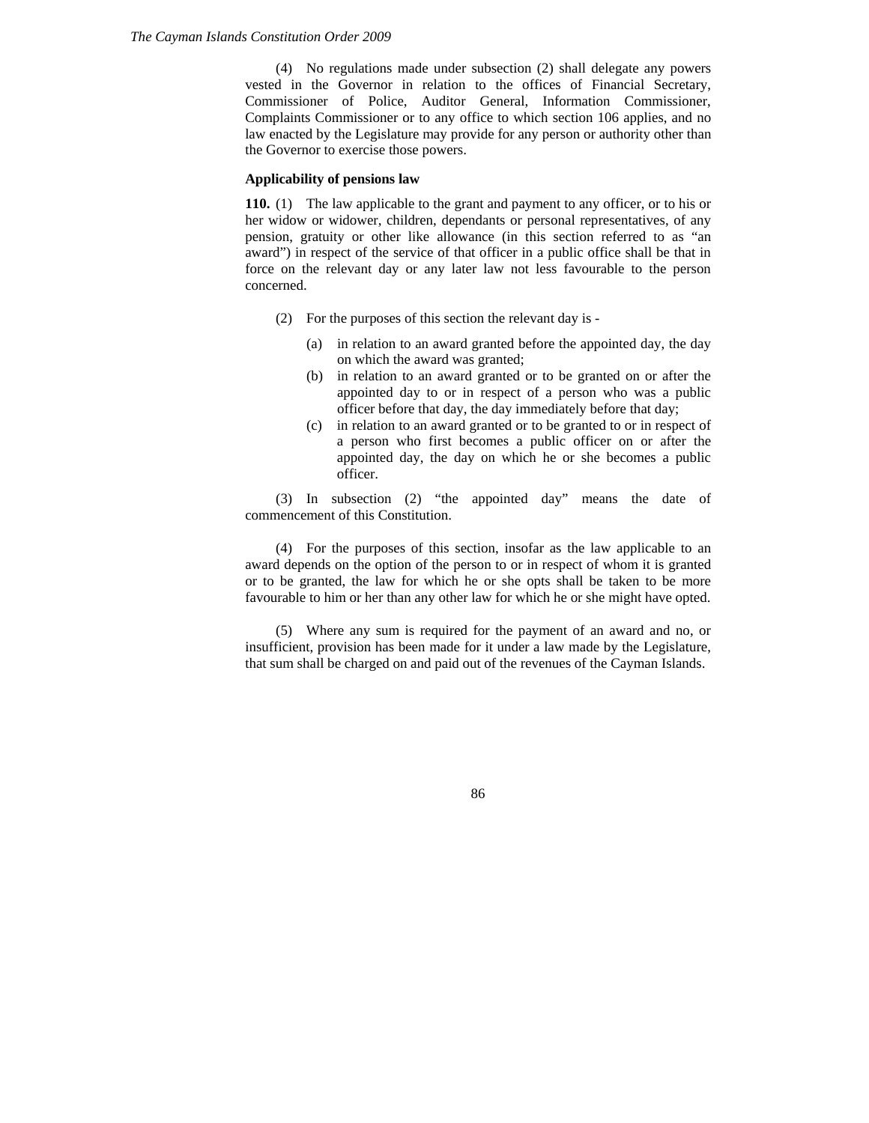(4) No regulations made under subsection (2) shall delegate any powers vested in the Governor in relation to the offices of Financial Secretary, Commissioner of Police, Auditor General, Information Commissioner, Complaints Commissioner or to any office to which section 106 applies, and no law enacted by the Legislature may provide for any person or authority other than the Governor to exercise those powers.

#### **Applicability of pensions law**

**110.** (1) The law applicable to the grant and payment to any officer, or to his or her widow or widower, children, dependants or personal representatives, of any pension, gratuity or other like allowance (in this section referred to as "an award") in respect of the service of that officer in a public office shall be that in force on the relevant day or any later law not less favourable to the person concerned.

- (2) For the purposes of this section the relevant day is
	- (a) in relation to an award granted before the appointed day, the day on which the award was granted;
	- (b) in relation to an award granted or to be granted on or after the appointed day to or in respect of a person who was a public officer before that day, the day immediately before that day;
	- (c) in relation to an award granted or to be granted to or in respect of a person who first becomes a public officer on or after the appointed day, the day on which he or she becomes a public officer.

(3) In subsection (2) "the appointed day" means the date of commencement of this Constitution.

(4) For the purposes of this section, insofar as the law applicable to an award depends on the option of the person to or in respect of whom it is granted or to be granted, the law for which he or she opts shall be taken to be more favourable to him or her than any other law for which he or she might have opted.

(5) Where any sum is required for the payment of an award and no, or insufficient, provision has been made for it under a law made by the Legislature, that sum shall be charged on and paid out of the revenues of the Cayman Islands.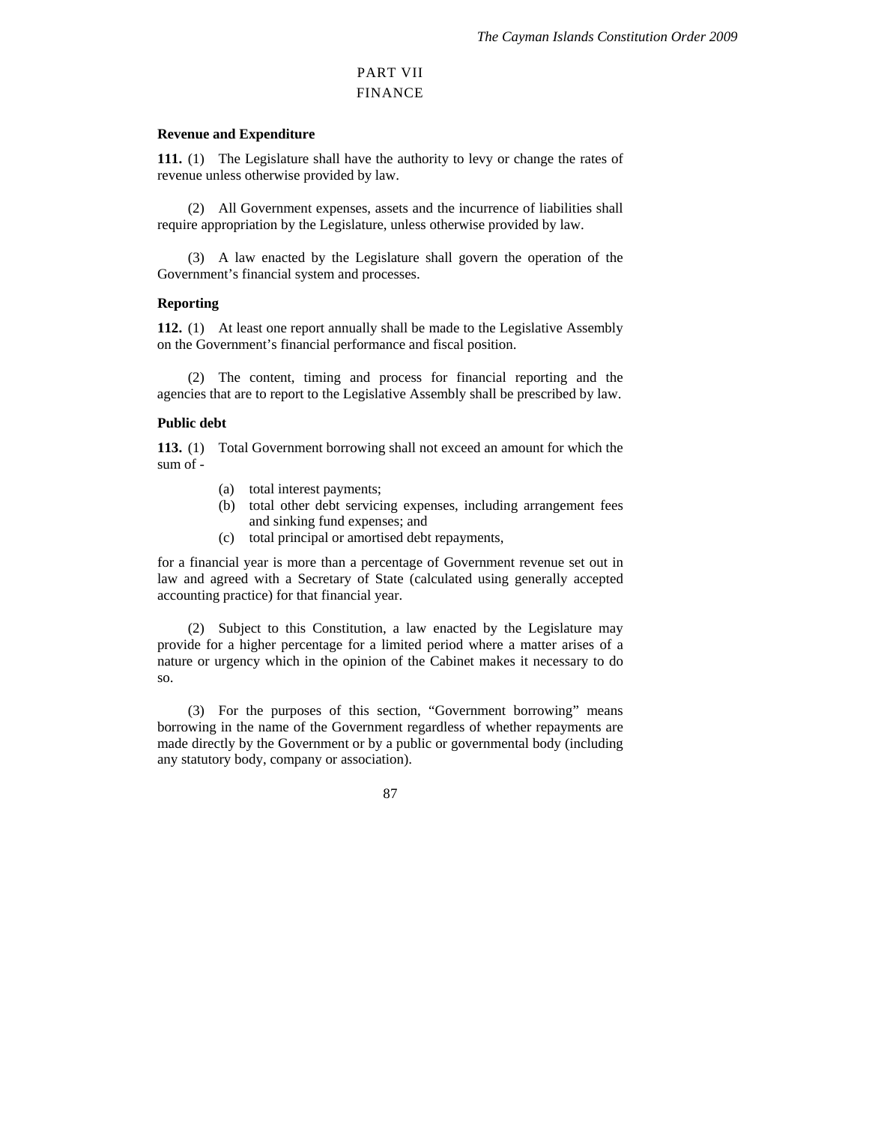# PART VII FINANCE

### **Revenue and Expenditure**

**111.** (1) The Legislature shall have the authority to levy or change the rates of revenue unless otherwise provided by law.

(2) All Government expenses, assets and the incurrence of liabilities shall require appropriation by the Legislature, unless otherwise provided by law.

(3) A law enacted by the Legislature shall govern the operation of the Government's financial system and processes.

### **Reporting**

**112.** (1) At least one report annually shall be made to the Legislative Assembly on the Government's financial performance and fiscal position.

(2) The content, timing and process for financial reporting and the agencies that are to report to the Legislative Assembly shall be prescribed by law.

### **Public debt**

**113.** (1) Total Government borrowing shall not exceed an amount for which the sum of -

- (a) total interest payments;
- (b) total other debt servicing expenses, including arrangement fees and sinking fund expenses; and
- (c) total principal or amortised debt repayments,

for a financial year is more than a percentage of Government revenue set out in law and agreed with a Secretary of State (calculated using generally accepted accounting practice) for that financial year.

(2) Subject to this Constitution, a law enacted by the Legislature may provide for a higher percentage for a limited period where a matter arises of a nature or urgency which in the opinion of the Cabinet makes it necessary to do so.

(3) For the purposes of this section, "Government borrowing" means borrowing in the name of the Government regardless of whether repayments are made directly by the Government or by a public or governmental body (including any statutory body, company or association).

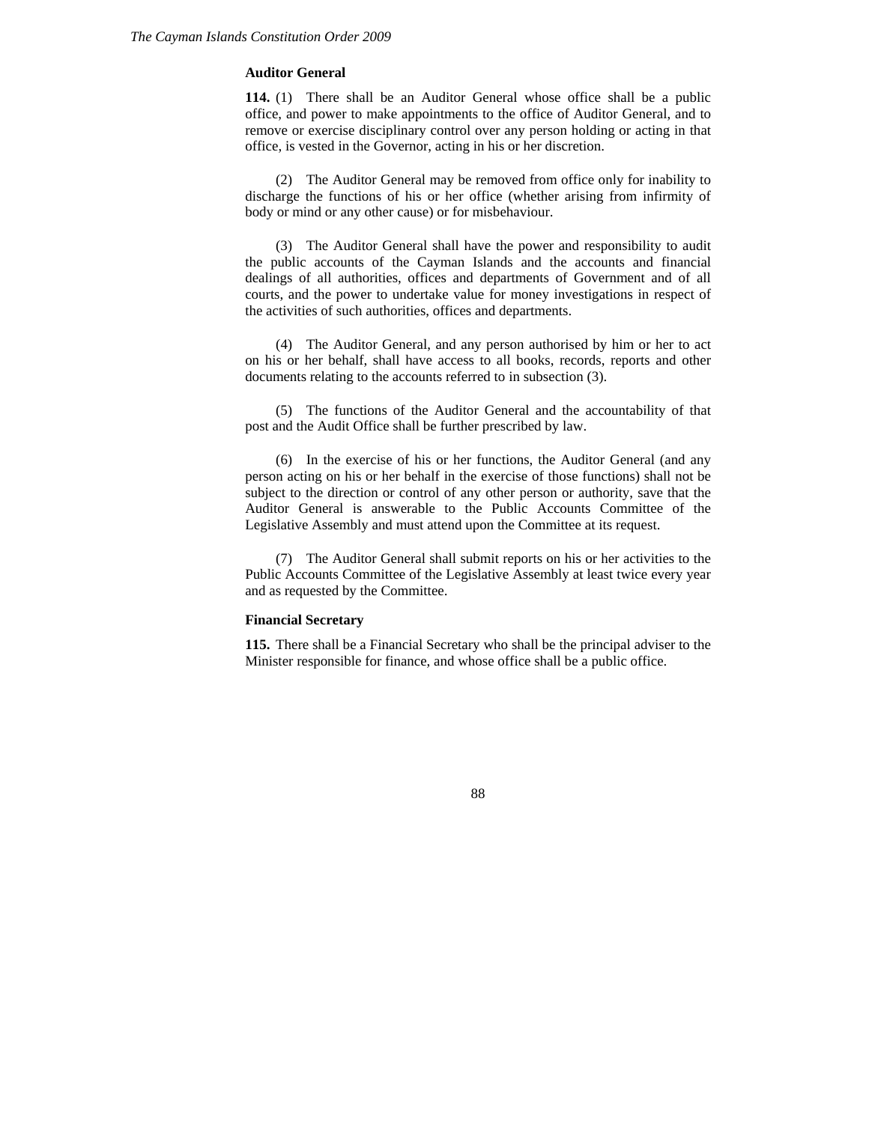### **Auditor General**

**114.** (1) There shall be an Auditor General whose office shall be a public office, and power to make appointments to the office of Auditor General, and to remove or exercise disciplinary control over any person holding or acting in that office, is vested in the Governor, acting in his or her discretion.

(2) The Auditor General may be removed from office only for inability to discharge the functions of his or her office (whether arising from infirmity of body or mind or any other cause) or for misbehaviour.

(3) The Auditor General shall have the power and responsibility to audit the public accounts of the Cayman Islands and the accounts and financial dealings of all authorities, offices and departments of Government and of all courts, and the power to undertake value for money investigations in respect of the activities of such authorities, offices and departments.

(4) The Auditor General, and any person authorised by him or her to act on his or her behalf, shall have access to all books, records, reports and other documents relating to the accounts referred to in subsection (3).

(5) The functions of the Auditor General and the accountability of that post and the Audit Office shall be further prescribed by law.

(6) In the exercise of his or her functions, the Auditor General (and any person acting on his or her behalf in the exercise of those functions) shall not be subject to the direction or control of any other person or authority, save that the Auditor General is answerable to the Public Accounts Committee of the Legislative Assembly and must attend upon the Committee at its request.

(7) The Auditor General shall submit reports on his or her activities to the Public Accounts Committee of the Legislative Assembly at least twice every year and as requested by the Committee.

### **Financial Secretary**

**115.** There shall be a Financial Secretary who shall be the principal adviser to the Minister responsible for finance, and whose office shall be a public office.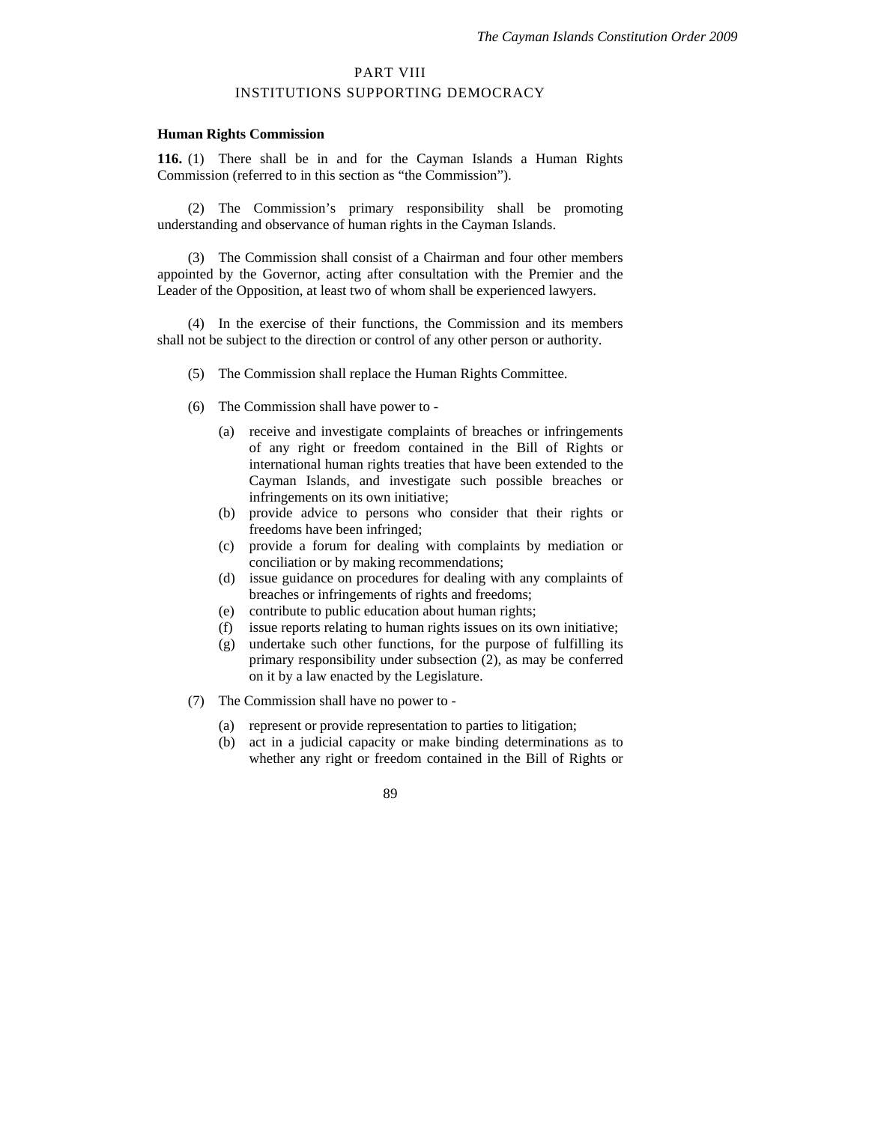## PART VIII

## INSTITUTIONS SUPPORTING DEMOCRACY

### **Human Rights Commission**

**116.** (1) There shall be in and for the Cayman Islands a Human Rights Commission (referred to in this section as "the Commission").

(2) The Commission's primary responsibility shall be promoting understanding and observance of human rights in the Cayman Islands.

(3) The Commission shall consist of a Chairman and four other members appointed by the Governor, acting after consultation with the Premier and the Leader of the Opposition, at least two of whom shall be experienced lawyers.

(4) In the exercise of their functions, the Commission and its members shall not be subject to the direction or control of any other person or authority.

- (5) The Commission shall replace the Human Rights Committee.
- (6) The Commission shall have power to
	- (a) receive and investigate complaints of breaches or infringements of any right or freedom contained in the Bill of Rights or international human rights treaties that have been extended to the Cayman Islands, and investigate such possible breaches or infringements on its own initiative;
	- (b) provide advice to persons who consider that their rights or freedoms have been infringed;
	- (c) provide a forum for dealing with complaints by mediation or conciliation or by making recommendations;
	- (d) issue guidance on procedures for dealing with any complaints of breaches or infringements of rights and freedoms;
	- (e) contribute to public education about human rights;
	- (f) issue reports relating to human rights issues on its own initiative;
	- (g) undertake such other functions, for the purpose of fulfilling its primary responsibility under subsection (2), as may be conferred on it by a law enacted by the Legislature.
- (7) The Commission shall have no power to
	- (a) represent or provide representation to parties to litigation;
	- (b) act in a judicial capacity or make binding determinations as to whether any right or freedom contained in the Bill of Rights or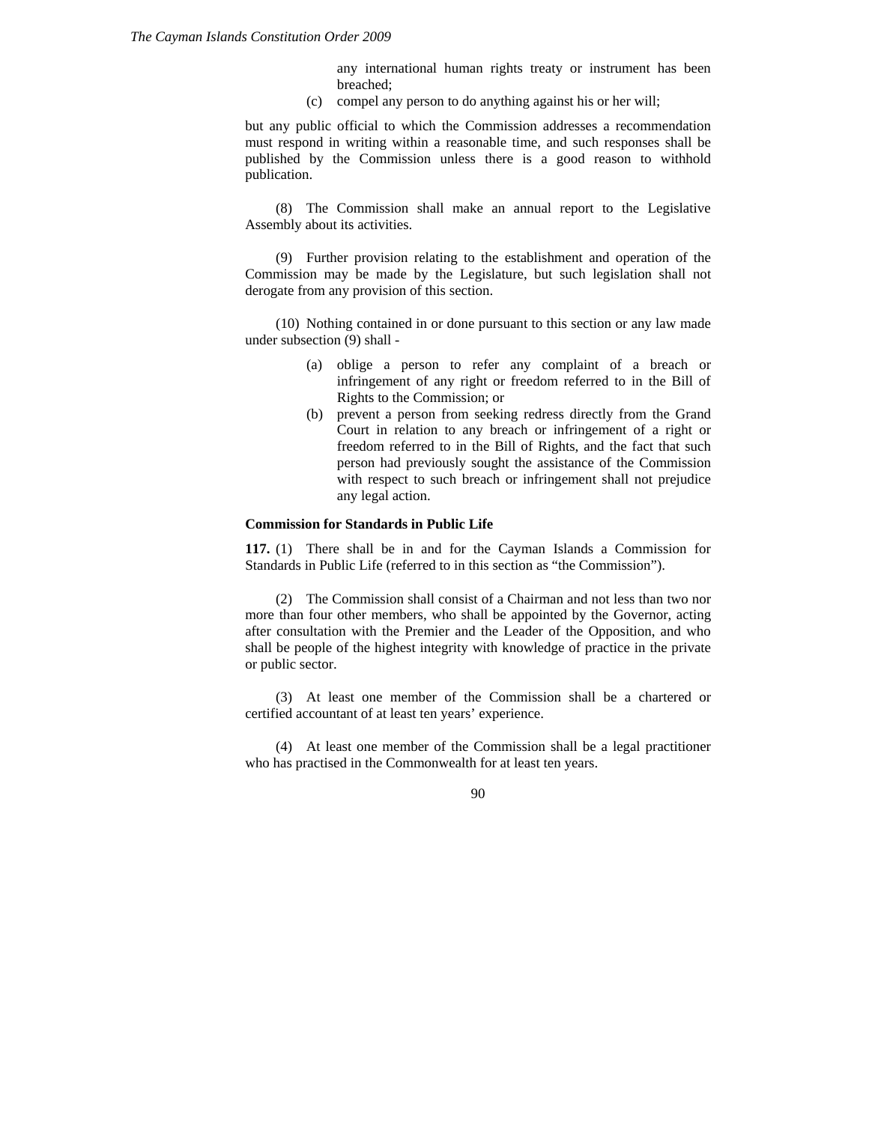any international human rights treaty or instrument has been breached;

(c) compel any person to do anything against his or her will;

but any public official to which the Commission addresses a recommendation must respond in writing within a reasonable time, and such responses shall be published by the Commission unless there is a good reason to withhold publication.

(8) The Commission shall make an annual report to the Legislative Assembly about its activities.

(9) Further provision relating to the establishment and operation of the Commission may be made by the Legislature, but such legislation shall not derogate from any provision of this section.

(10) Nothing contained in or done pursuant to this section or any law made under subsection (9) shall -

- (a) oblige a person to refer any complaint of a breach or infringement of any right or freedom referred to in the Bill of Rights to the Commission; or
- (b) prevent a person from seeking redress directly from the Grand Court in relation to any breach or infringement of a right or freedom referred to in the Bill of Rights, and the fact that such person had previously sought the assistance of the Commission with respect to such breach or infringement shall not prejudice any legal action.

### **Commission for Standards in Public Life**

**117.** (1) There shall be in and for the Cayman Islands a Commission for Standards in Public Life (referred to in this section as "the Commission").

(2) The Commission shall consist of a Chairman and not less than two nor more than four other members, who shall be appointed by the Governor, acting after consultation with the Premier and the Leader of the Opposition, and who shall be people of the highest integrity with knowledge of practice in the private or public sector.

(3) At least one member of the Commission shall be a chartered or certified accountant of at least ten years' experience.

(4) At least one member of the Commission shall be a legal practitioner who has practised in the Commonwealth for at least ten years.

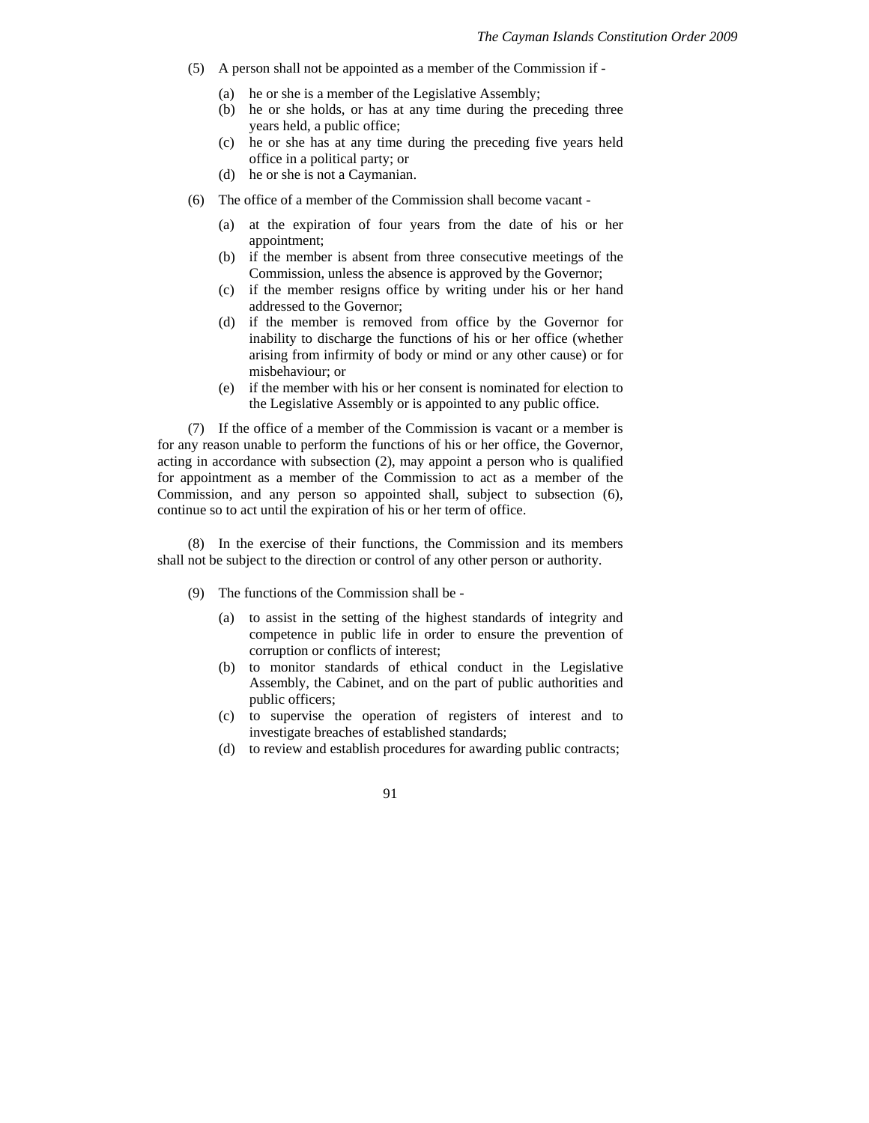- (5) A person shall not be appointed as a member of the Commission if
	- (a) he or she is a member of the Legislative Assembly;
	- (b) he or she holds, or has at any time during the preceding three years held, a public office;
	- (c) he or she has at any time during the preceding five years held office in a political party; or
	- (d) he or she is not a Caymanian.
- (6) The office of a member of the Commission shall become vacant
	- (a) at the expiration of four years from the date of his or her appointment;
	- (b) if the member is absent from three consecutive meetings of the Commission, unless the absence is approved by the Governor;
	- (c) if the member resigns office by writing under his or her hand addressed to the Governor;
	- (d) if the member is removed from office by the Governor for inability to discharge the functions of his or her office (whether arising from infirmity of body or mind or any other cause) or for misbehaviour; or
	- (e) if the member with his or her consent is nominated for election to the Legislative Assembly or is appointed to any public office.

(7) If the office of a member of the Commission is vacant or a member is for any reason unable to perform the functions of his or her office, the Governor, acting in accordance with subsection (2), may appoint a person who is qualified for appointment as a member of the Commission to act as a member of the Commission, and any person so appointed shall, subject to subsection (6), continue so to act until the expiration of his or her term of office.

(8) In the exercise of their functions, the Commission and its members shall not be subject to the direction or control of any other person or authority.

- (9) The functions of the Commission shall be
	- (a) to assist in the setting of the highest standards of integrity and competence in public life in order to ensure the prevention of corruption or conflicts of interest;
	- (b) to monitor standards of ethical conduct in the Legislative Assembly, the Cabinet, and on the part of public authorities and public officers;
	- (c) to supervise the operation of registers of interest and to investigate breaches of established standards;
	- (d) to review and establish procedures for awarding public contracts;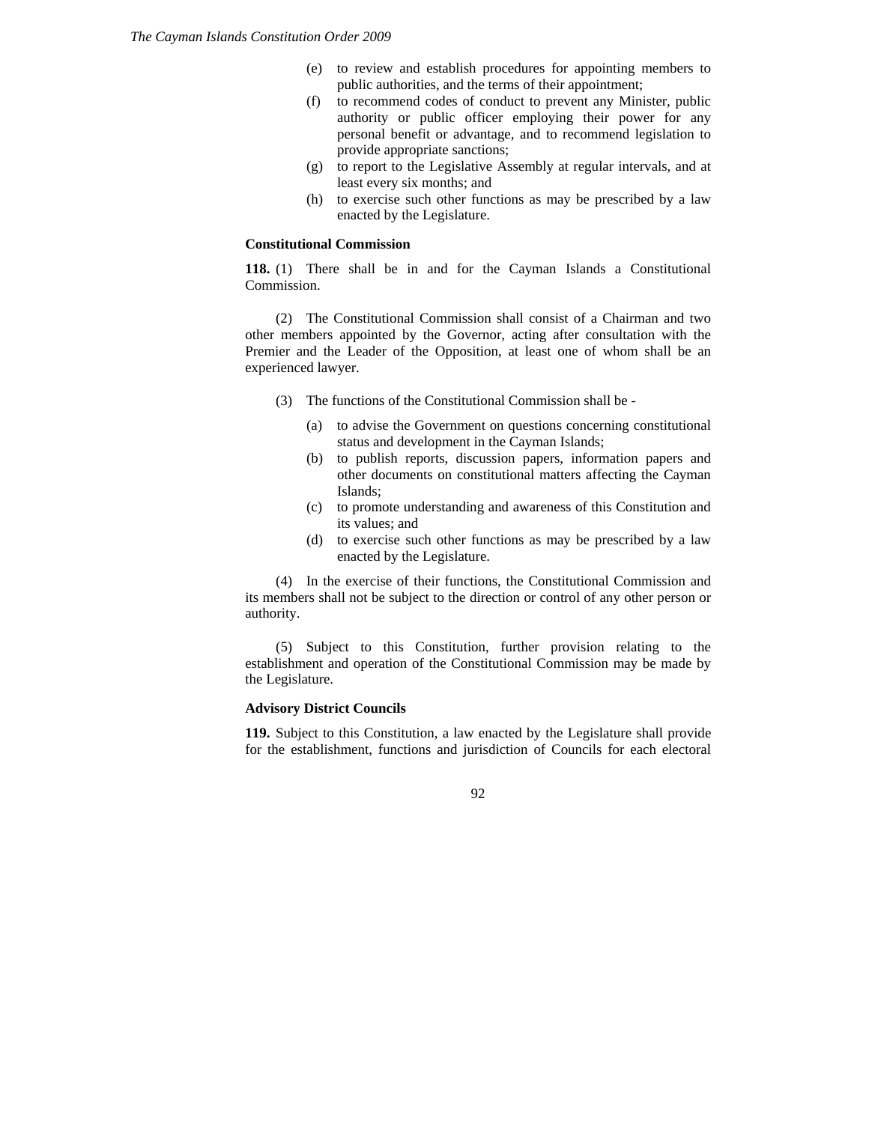- (e) to review and establish procedures for appointing members to public authorities, and the terms of their appointment;
- (f) to recommend codes of conduct to prevent any Minister, public authority or public officer employing their power for any personal benefit or advantage, and to recommend legislation to provide appropriate sanctions;
- (g) to report to the Legislative Assembly at regular intervals, and at least every six months; and
- (h) to exercise such other functions as may be prescribed by a law enacted by the Legislature.

### **Constitutional Commission**

**118.** (1) There shall be in and for the Cayman Islands a Constitutional Commission.

(2) The Constitutional Commission shall consist of a Chairman and two other members appointed by the Governor, acting after consultation with the Premier and the Leader of the Opposition, at least one of whom shall be an experienced lawyer.

- (3) The functions of the Constitutional Commission shall be
	- (a) to advise the Government on questions concerning constitutional status and development in the Cayman Islands;
	- (b) to publish reports, discussion papers, information papers and other documents on constitutional matters affecting the Cayman Islands;
	- (c) to promote understanding and awareness of this Constitution and its values; and
	- (d) to exercise such other functions as may be prescribed by a law enacted by the Legislature.

(4) In the exercise of their functions, the Constitutional Commission and its members shall not be subject to the direction or control of any other person or authority.

(5) Subject to this Constitution, further provision relating to the establishment and operation of the Constitutional Commission may be made by the Legislature.

### **Advisory District Councils**

**119.** Subject to this Constitution, a law enacted by the Legislature shall provide for the establishment, functions and jurisdiction of Councils for each electoral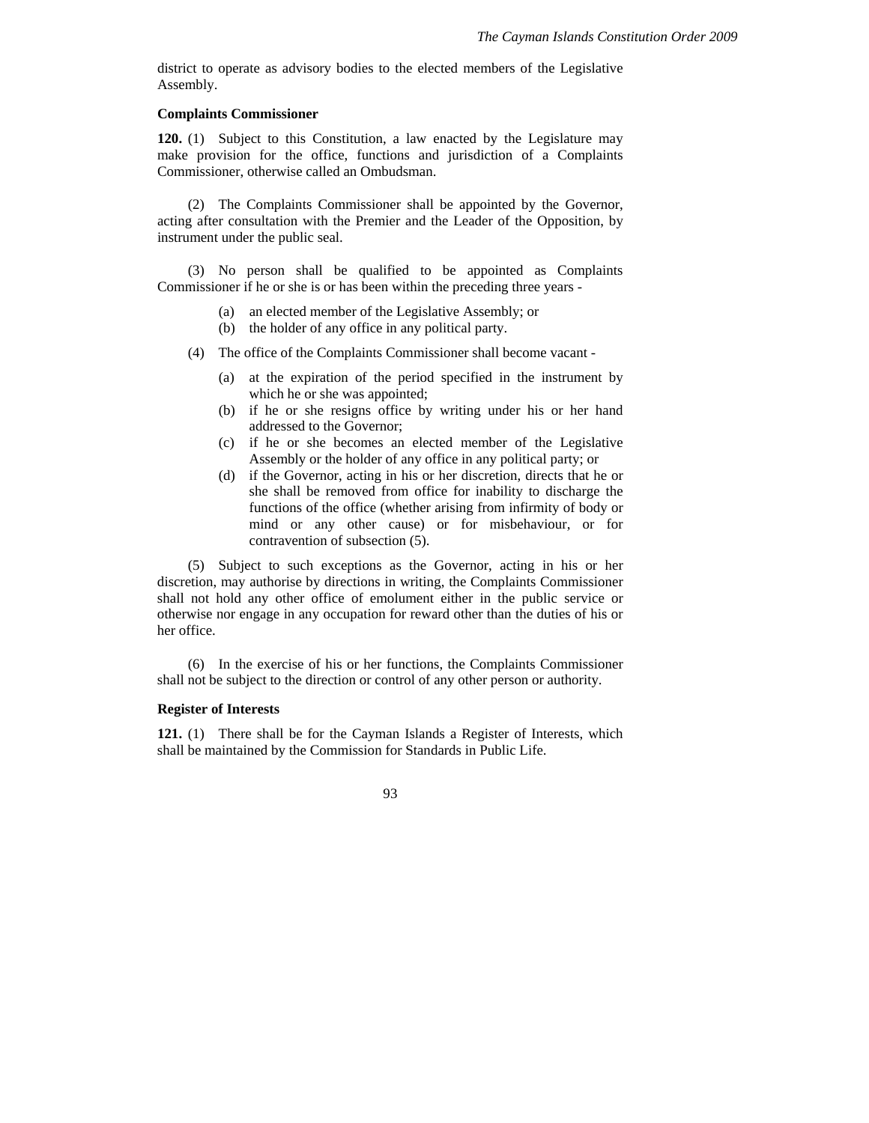district to operate as advisory bodies to the elected members of the Legislative Assembly.

#### **Complaints Commissioner**

**120.** (1) Subject to this Constitution, a law enacted by the Legislature may make provision for the office, functions and jurisdiction of a Complaints Commissioner, otherwise called an Ombudsman.

(2) The Complaints Commissioner shall be appointed by the Governor, acting after consultation with the Premier and the Leader of the Opposition, by instrument under the public seal.

(3) No person shall be qualified to be appointed as Complaints Commissioner if he or she is or has been within the preceding three years -

- (a) an elected member of the Legislative Assembly; or
- (b) the holder of any office in any political party.

(4) The office of the Complaints Commissioner shall become vacant -

- (a) at the expiration of the period specified in the instrument by which he or she was appointed;
- (b) if he or she resigns office by writing under his or her hand addressed to the Governor;
- (c) if he or she becomes an elected member of the Legislative Assembly or the holder of any office in any political party; or
- (d) if the Governor, acting in his or her discretion, directs that he or she shall be removed from office for inability to discharge the functions of the office (whether arising from infirmity of body or mind or any other cause) or for misbehaviour, or for contravention of subsection (5).

(5) Subject to such exceptions as the Governor, acting in his or her discretion, may authorise by directions in writing, the Complaints Commissioner shall not hold any other office of emolument either in the public service or otherwise nor engage in any occupation for reward other than the duties of his or her office.

(6) In the exercise of his or her functions, the Complaints Commissioner shall not be subject to the direction or control of any other person or authority.

### **Register of Interests**

**121.** (1) There shall be for the Cayman Islands a Register of Interests, which shall be maintained by the Commission for Standards in Public Life.

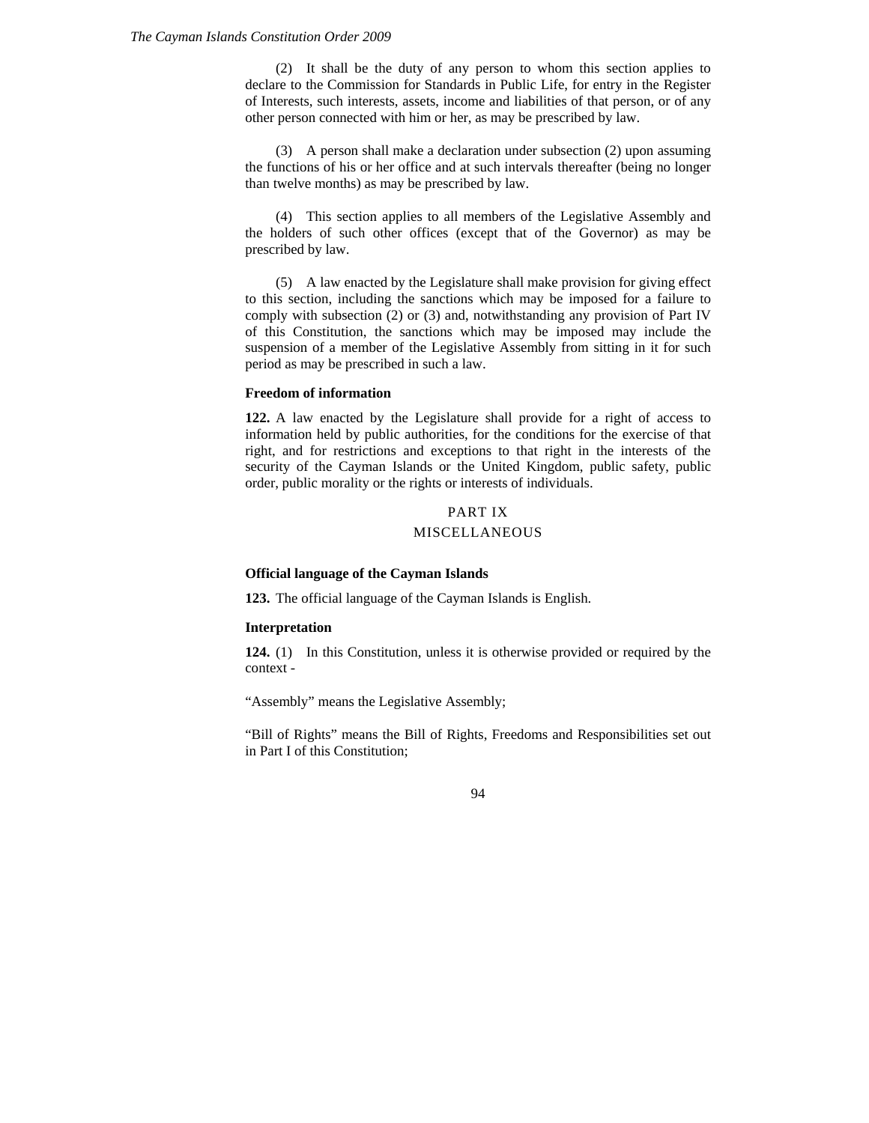### *The Cayman Islands Constitution Order 2009*

(2) It shall be the duty of any person to whom this section applies to declare to the Commission for Standards in Public Life, for entry in the Register of Interests, such interests, assets, income and liabilities of that person, or of any other person connected with him or her, as may be prescribed by law.

(3) A person shall make a declaration under subsection (2) upon assuming the functions of his or her office and at such intervals thereafter (being no longer than twelve months) as may be prescribed by law.

(4) This section applies to all members of the Legislative Assembly and the holders of such other offices (except that of the Governor) as may be prescribed by law.

(5) A law enacted by the Legislature shall make provision for giving effect to this section, including the sanctions which may be imposed for a failure to comply with subsection (2) or (3) and, notwithstanding any provision of Part IV of this Constitution, the sanctions which may be imposed may include the suspension of a member of the Legislative Assembly from sitting in it for such period as may be prescribed in such a law.

### **Freedom of information**

**122.** A law enacted by the Legislature shall provide for a right of access to information held by public authorities, for the conditions for the exercise of that right, and for restrictions and exceptions to that right in the interests of the security of the Cayman Islands or the United Kingdom, public safety, public order, public morality or the rights or interests of individuals.

## PART IX MISCELLANEOUS

### **Official language of the Cayman Islands**

**123.** The official language of the Cayman Islands is English.

### **Interpretation**

**124.** (1) In this Constitution, unless it is otherwise provided or required by the context -

"Assembly" means the Legislative Assembly;

"Bill of Rights" means the Bill of Rights, Freedoms and Responsibilities set out in Part I of this Constitution;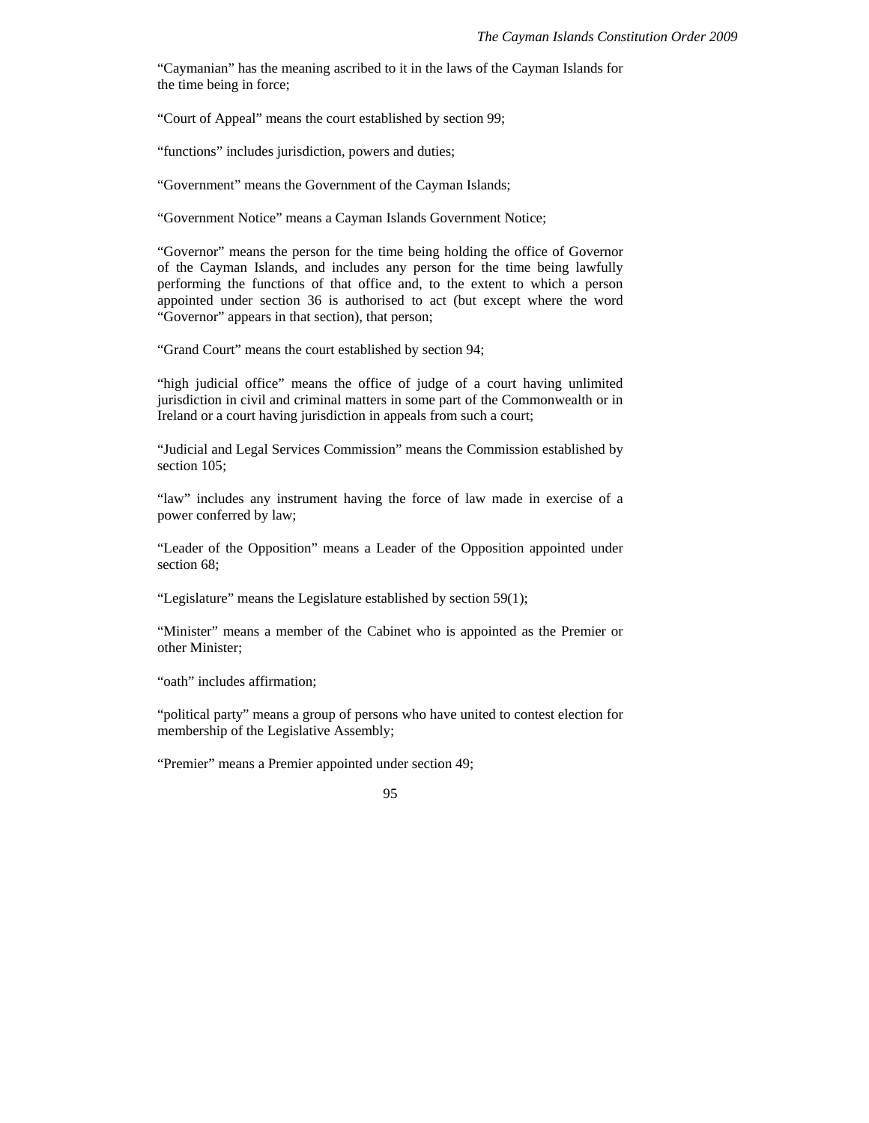"Caymanian" has the meaning ascribed to it in the laws of the Cayman Islands for the time being in force;

"Court of Appeal" means the court established by section 99;

"functions" includes jurisdiction, powers and duties;

"Government" means the Government of the Cayman Islands;

"Government Notice" means a Cayman Islands Government Notice;

"Governor" means the person for the time being holding the office of Governor of the Cayman Islands, and includes any person for the time being lawfully performing the functions of that office and, to the extent to which a person appointed under section 36 is authorised to act (but except where the word "Governor" appears in that section), that person;

"Grand Court" means the court established by section 94;

"high judicial office" means the office of judge of a court having unlimited jurisdiction in civil and criminal matters in some part of the Commonwealth or in Ireland or a court having jurisdiction in appeals from such a court;

"Judicial and Legal Services Commission" means the Commission established by section 105;

"law" includes any instrument having the force of law made in exercise of a power conferred by law;

"Leader of the Opposition" means a Leader of the Opposition appointed under section 68;

"Legislature" means the Legislature established by section 59(1);

"Minister" means a member of the Cabinet who is appointed as the Premier or other Minister;

"oath" includes affirmation;

"political party" means a group of persons who have united to contest election for membership of the Legislative Assembly;

"Premier" means a Premier appointed under section 49;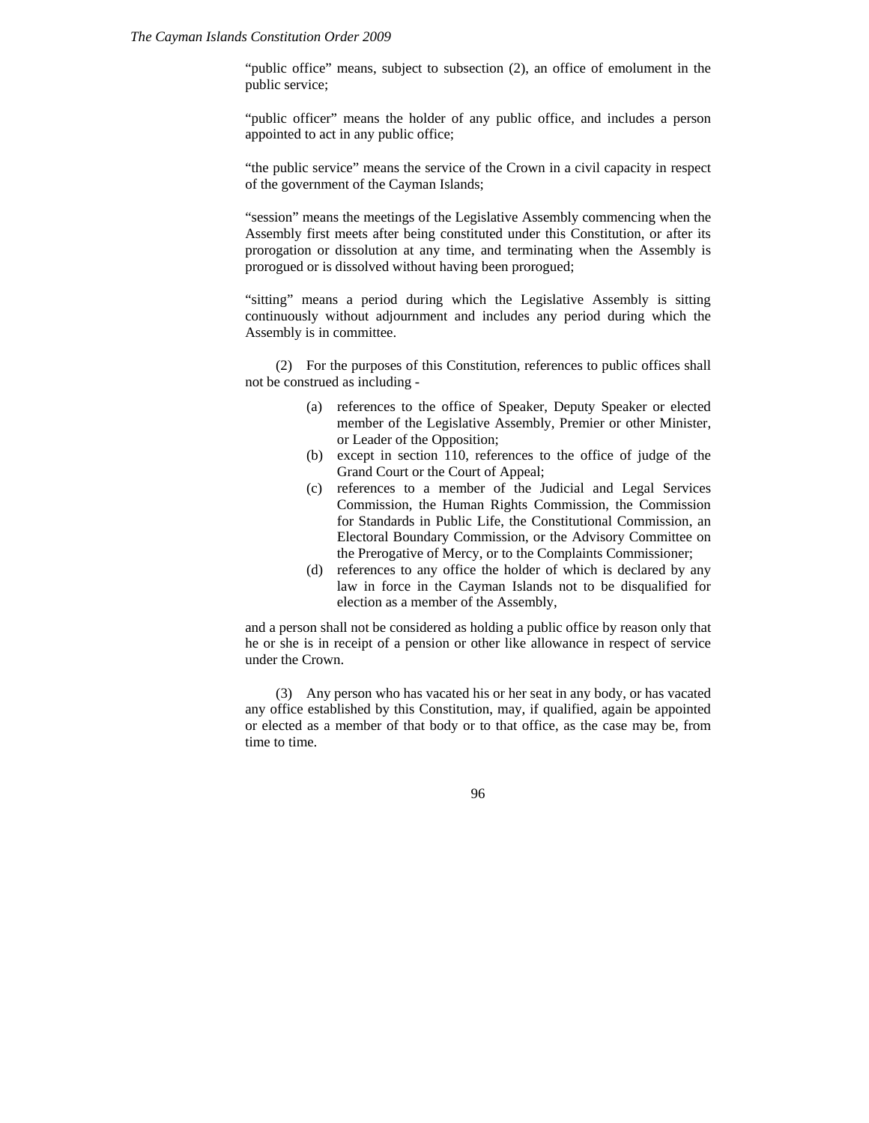"public office" means, subject to subsection (2), an office of emolument in the public service;

"public officer" means the holder of any public office, and includes a person appointed to act in any public office;

"the public service" means the service of the Crown in a civil capacity in respect of the government of the Cayman Islands;

"session" means the meetings of the Legislative Assembly commencing when the Assembly first meets after being constituted under this Constitution, or after its prorogation or dissolution at any time, and terminating when the Assembly is prorogued or is dissolved without having been prorogued;

"sitting" means a period during which the Legislative Assembly is sitting continuously without adjournment and includes any period during which the Assembly is in committee.

(2) For the purposes of this Constitution, references to public offices shall not be construed as including -

- (a) references to the office of Speaker, Deputy Speaker or elected member of the Legislative Assembly, Premier or other Minister, or Leader of the Opposition;
- (b) except in section 110, references to the office of judge of the Grand Court or the Court of Appeal;
- (c) references to a member of the Judicial and Legal Services Commission, the Human Rights Commission, the Commission for Standards in Public Life, the Constitutional Commission, an Electoral Boundary Commission, or the Advisory Committee on the Prerogative of Mercy, or to the Complaints Commissioner;
- (d) references to any office the holder of which is declared by any law in force in the Cayman Islands not to be disqualified for election as a member of the Assembly,

and a person shall not be considered as holding a public office by reason only that he or she is in receipt of a pension or other like allowance in respect of service under the Crown.

(3) Any person who has vacated his or her seat in any body, or has vacated any office established by this Constitution, may, if qualified, again be appointed or elected as a member of that body or to that office, as the case may be, from time to time.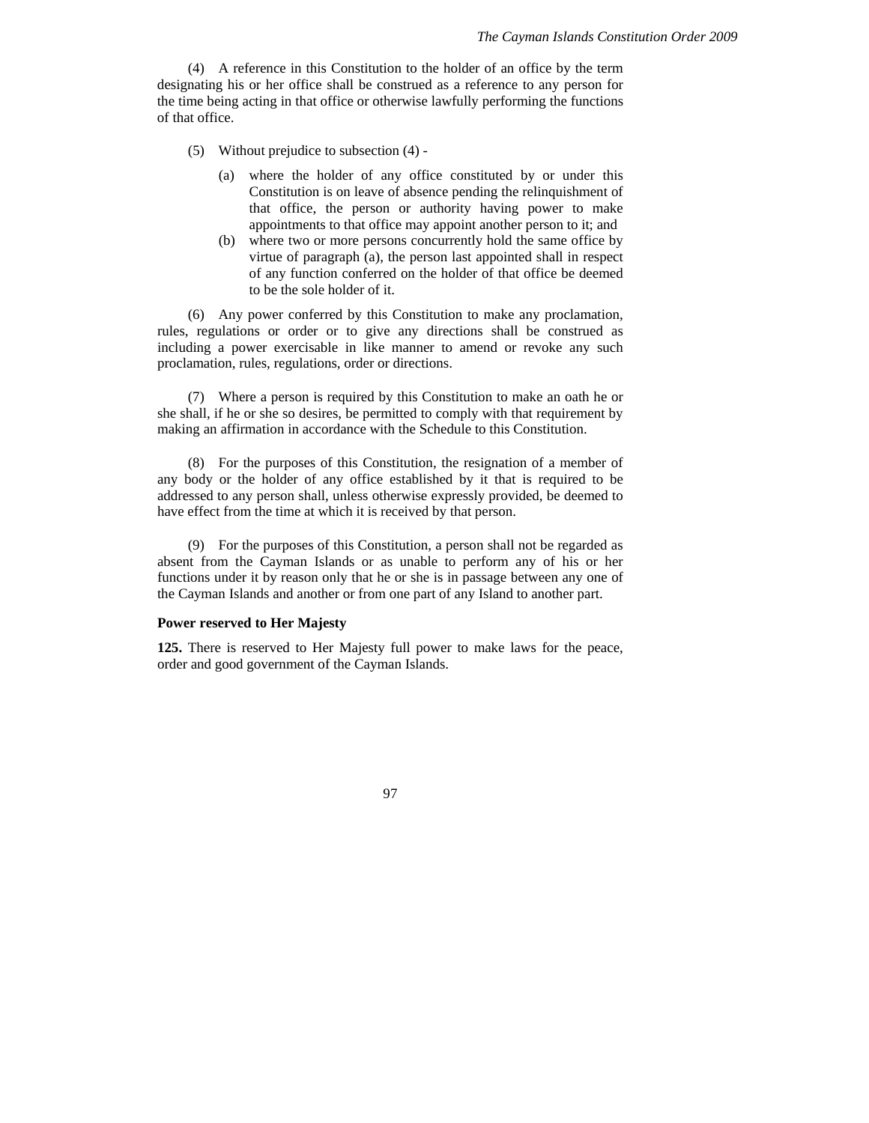(4) A reference in this Constitution to the holder of an office by the term designating his or her office shall be construed as a reference to any person for the time being acting in that office or otherwise lawfully performing the functions of that office.

- (5) Without prejudice to subsection (4)
	- (a) where the holder of any office constituted by or under this Constitution is on leave of absence pending the relinquishment of that office, the person or authority having power to make appointments to that office may appoint another person to it; and
	- (b) where two or more persons concurrently hold the same office by virtue of paragraph (a), the person last appointed shall in respect of any function conferred on the holder of that office be deemed to be the sole holder of it.

(6) Any power conferred by this Constitution to make any proclamation, rules, regulations or order or to give any directions shall be construed as including a power exercisable in like manner to amend or revoke any such proclamation, rules, regulations, order or directions.

(7) Where a person is required by this Constitution to make an oath he or she shall, if he or she so desires, be permitted to comply with that requirement by making an affirmation in accordance with the Schedule to this Constitution.

(8) For the purposes of this Constitution, the resignation of a member of any body or the holder of any office established by it that is required to be addressed to any person shall, unless otherwise expressly provided, be deemed to have effect from the time at which it is received by that person.

(9) For the purposes of this Constitution, a person shall not be regarded as absent from the Cayman Islands or as unable to perform any of his or her functions under it by reason only that he or she is in passage between any one of the Cayman Islands and another or from one part of any Island to another part.

### **Power reserved to Her Majesty**

**125.** There is reserved to Her Majesty full power to make laws for the peace, order and good government of the Cayman Islands.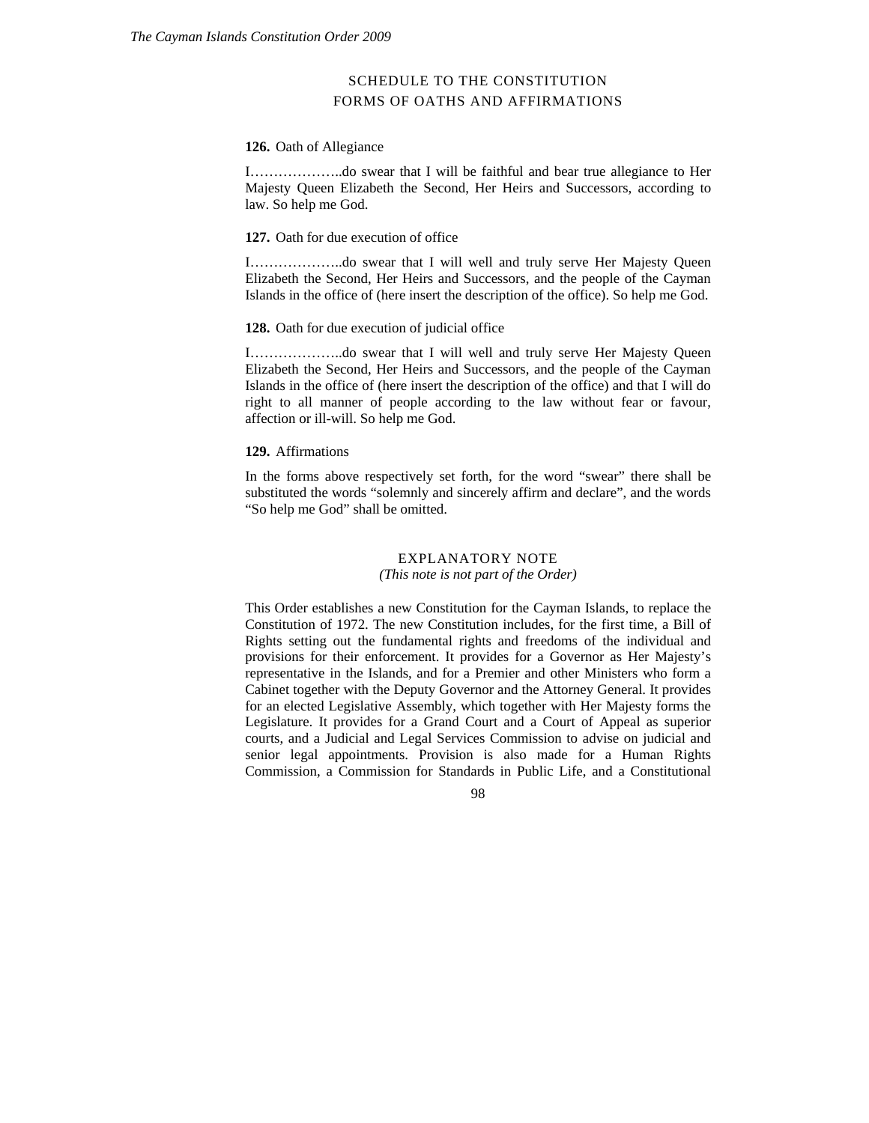# SCHEDULE TO THE CONSTITUTION FORMS OF OATHS AND AFFIRMATIONS

#### **126.** Oath of Allegiance

I………………..do swear that I will be faithful and bear true allegiance to Her Majesty Queen Elizabeth the Second, Her Heirs and Successors, according to law. So help me God.

### **127.** Oath for due execution of office

I………………..do swear that I will well and truly serve Her Majesty Queen Elizabeth the Second, Her Heirs and Successors, and the people of the Cayman Islands in the office of (here insert the description of the office). So help me God.

### **128.** Oath for due execution of judicial office

I………………..do swear that I will well and truly serve Her Majesty Queen Elizabeth the Second, Her Heirs and Successors, and the people of the Cayman Islands in the office of (here insert the description of the office) and that I will do right to all manner of people according to the law without fear or favour, affection or ill-will. So help me God.

### **129.** Affirmations

In the forms above respectively set forth, for the word "swear" there shall be substituted the words "solemnly and sincerely affirm and declare", and the words "So help me God" shall be omitted.

### EXPLANATORY NOTE *(This note is not part of the Order)*

This Order establishes a new Constitution for the Cayman Islands, to replace the Constitution of 1972. The new Constitution includes, for the first time, a Bill of Rights setting out the fundamental rights and freedoms of the individual and provisions for their enforcement. It provides for a Governor as Her Majesty's representative in the Islands, and for a Premier and other Ministers who form a Cabinet together with the Deputy Governor and the Attorney General. It provides for an elected Legislative Assembly, which together with Her Majesty forms the Legislature. It provides for a Grand Court and a Court of Appeal as superior courts, and a Judicial and Legal Services Commission to advise on judicial and senior legal appointments. Provision is also made for a Human Rights Commission, a Commission for Standards in Public Life, and a Constitutional